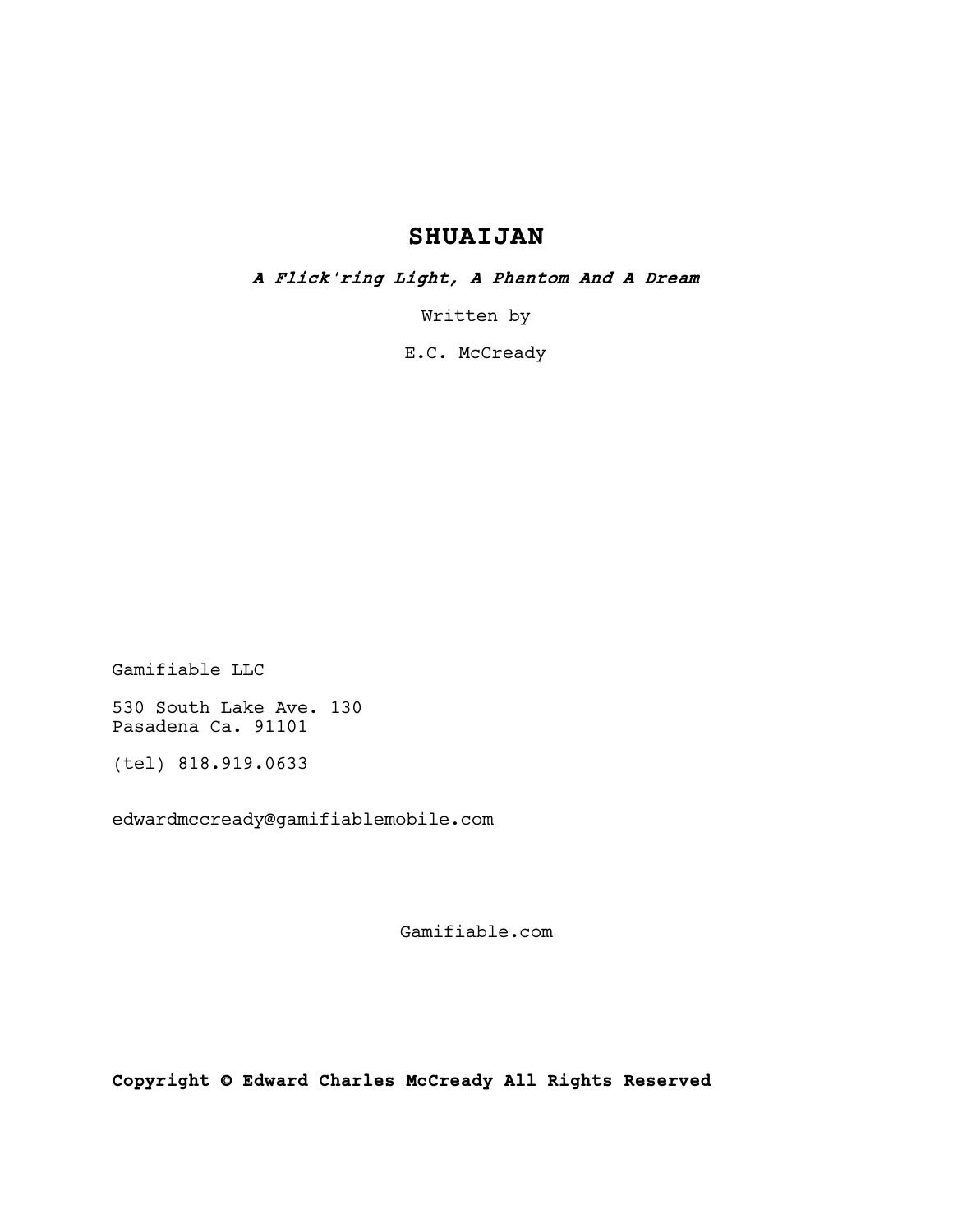# SHUAIJAN

## A Flick'ring Light, A Phantom And A Dream

Written by

E.C. McCready

Gamifiable LLC

530 South Lake Ave. 130 Pasadena Ca. 91101

(tel) 818.919.0633

edwardmccready@gamifiablemobile.com

Gamifiable.com

Copyright © Edward Charles McCready All Rights Reserved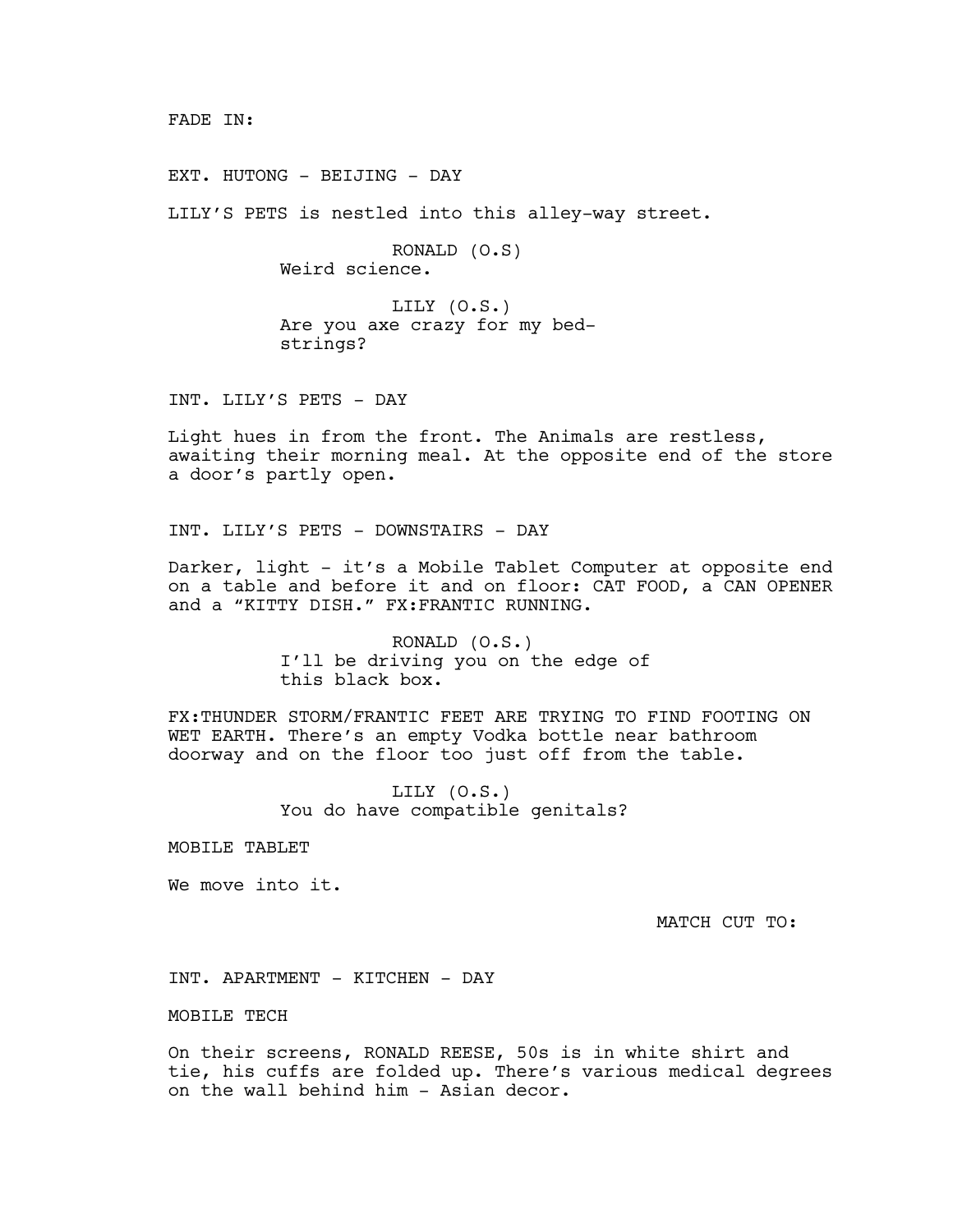EXT. HUTONG - BEIJING - DAY

LILY'S PETS is nestled into this alley-way street.

RONALD (O.S) Weird science.

LILY (O.S.) Are you axe crazy for my bedstrings?

INT. LILY'S PETS - DAY

Light hues in from the front. The Animals are restless, awaiting their morning meal. At the opposite end of the store a door's partly open.

INT. LILY'S PETS - DOWNSTAIRS - DAY

Darker, light - it's a Mobile Tablet Computer at opposite end on a table and before it and on floor: CAT FOOD, a CAN OPENER and a "KITTY DISH." FX:FRANTIC RUNNING.

> RONALD (O.S.) I'll be driving you on the edge of this black box.

FX:THUNDER STORM/FRANTIC FEET ARE TRYING TO FIND FOOTING ON WET EARTH. There's an empty Vodka bottle near bathroom doorway and on the floor too just off from the table.

> LILY (O.S.) You do have compatible genitals?

MOBILE TABLET

We move into it.

MATCH CUT TO:

INT. APARTMENT - KITCHEN - DAY

MOBILE TECH

On their screens, RONALD REESE, 50s is in white shirt and tie, his cuffs are folded up. There's various medical degrees on the wall behind him - Asian decor.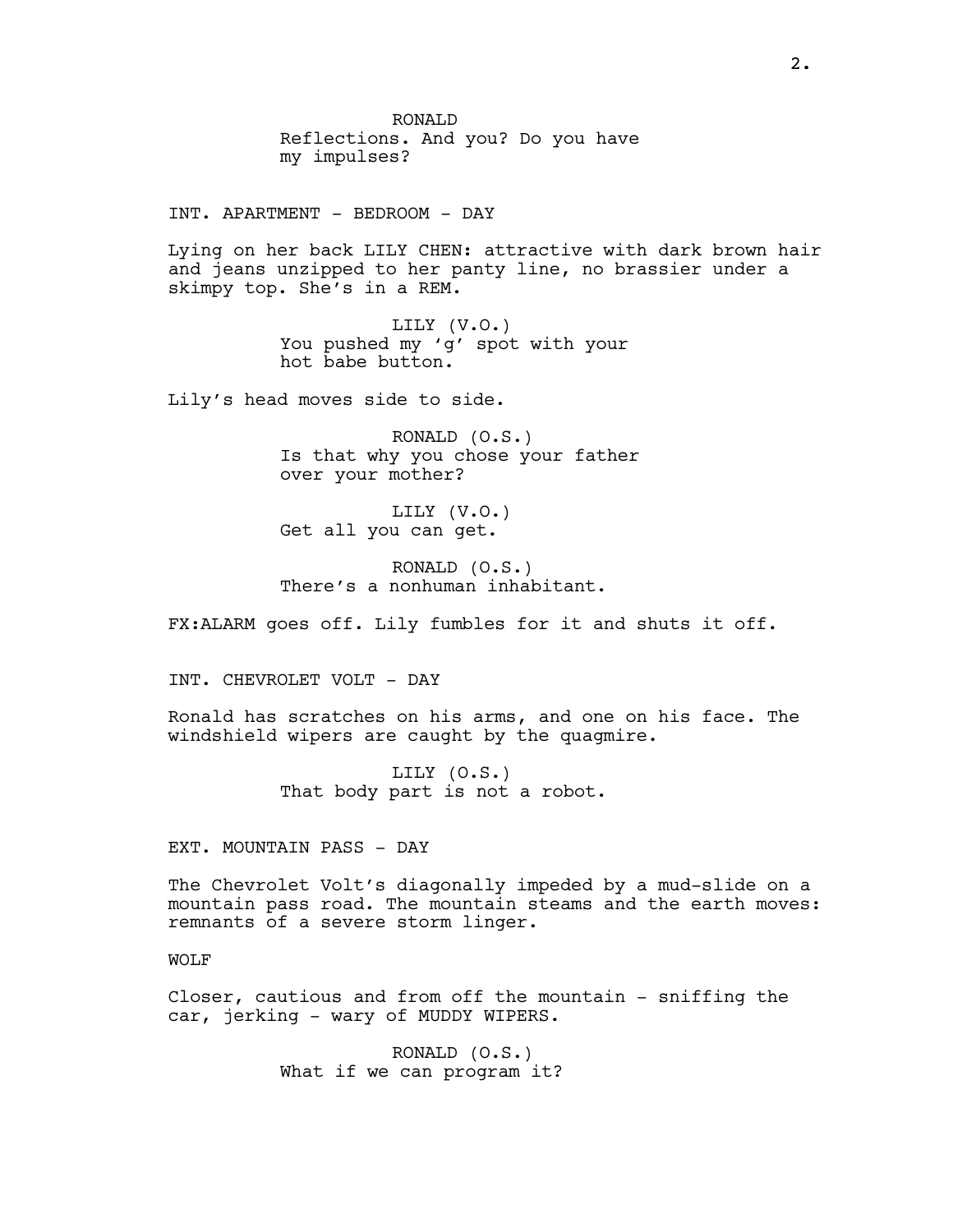RONALD Reflections. And you? Do you have my impulses?

INT. APARTMENT - BEDROOM - DAY

Lying on her back LILY CHEN: attractive with dark brown hair and jeans unzipped to her panty line, no brassier under a skimpy top. She's in a REM.

> LILY (V.O.) You pushed my 'g' spot with your hot babe button.

Lily's head moves side to side.

RONALD (O.S.) Is that why you chose your father over your mother?

LILY (V.O.) Get all you can get.

RONALD (O.S.) There's a nonhuman inhabitant.

FX:ALARM goes off. Lily fumbles for it and shuts it off.

INT. CHEVROLET VOLT - DAY

Ronald has scratches on his arms, and one on his face. The windshield wipers are caught by the quagmire.

> LILY (O.S.) That body part is not a robot.

EXT. MOUNTAIN PASS - DAY

The Chevrolet Volt's diagonally impeded by a mud-slide on a mountain pass road. The mountain steams and the earth moves: remnants of a severe storm linger.

## WOLF

Closer, cautious and from off the mountain - sniffing the car, jerking - wary of MUDDY WIPERS.

> RONALD (O.S.) What if we can program it?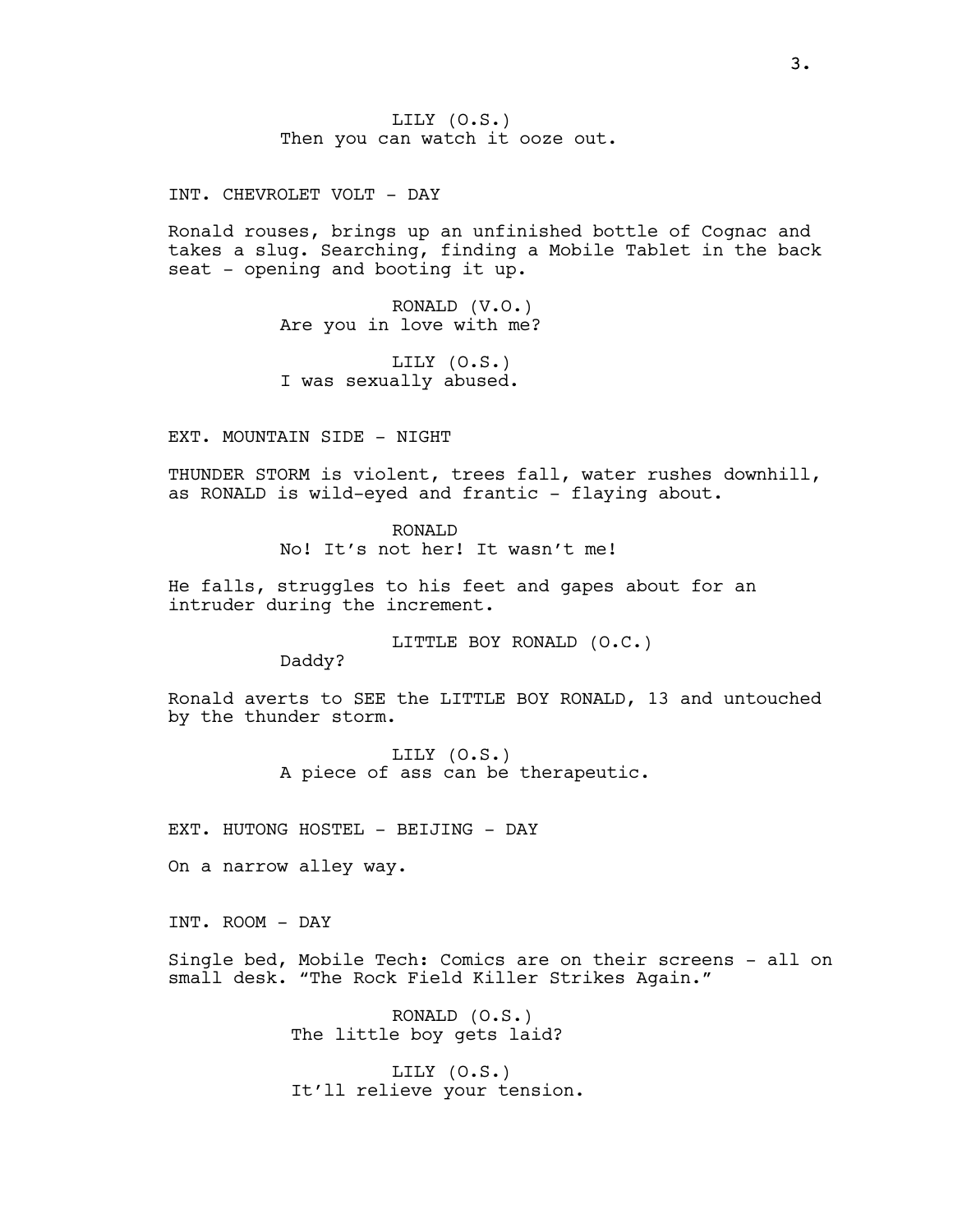LILY (O.S.) Then you can watch it ooze out.

INT. CHEVROLET VOLT - DAY

Ronald rouses, brings up an unfinished bottle of Cognac and takes a slug. Searching, finding a Mobile Tablet in the back seat - opening and booting it up.

> RONALD (V.O.) Are you in love with me?

LILY (O.S.) I was sexually abused.

EXT. MOUNTAIN SIDE - NIGHT

THUNDER STORM is violent, trees fall, water rushes downhill, as RONALD is wild-eyed and frantic - flaying about.

> RONALD No! It's not her! It wasn't me!

He falls, struggles to his feet and gapes about for an intruder during the increment.

LITTLE BOY RONALD (O.C.)

Daddy?

Ronald averts to SEE the LITTLE BOY RONALD, 13 and untouched by the thunder storm.

> LILY (O.S.) A piece of ass can be therapeutic.

EXT. HUTONG HOSTEL - BEIJING - DAY

On a narrow alley way.

INT. ROOM - DAY

Single bed, Mobile Tech: Comics are on their screens - all on small desk. "The Rock Field Killer Strikes Again."

> RONALD (O.S.) The little boy gets laid?

LILY (O.S.) It'll relieve your tension.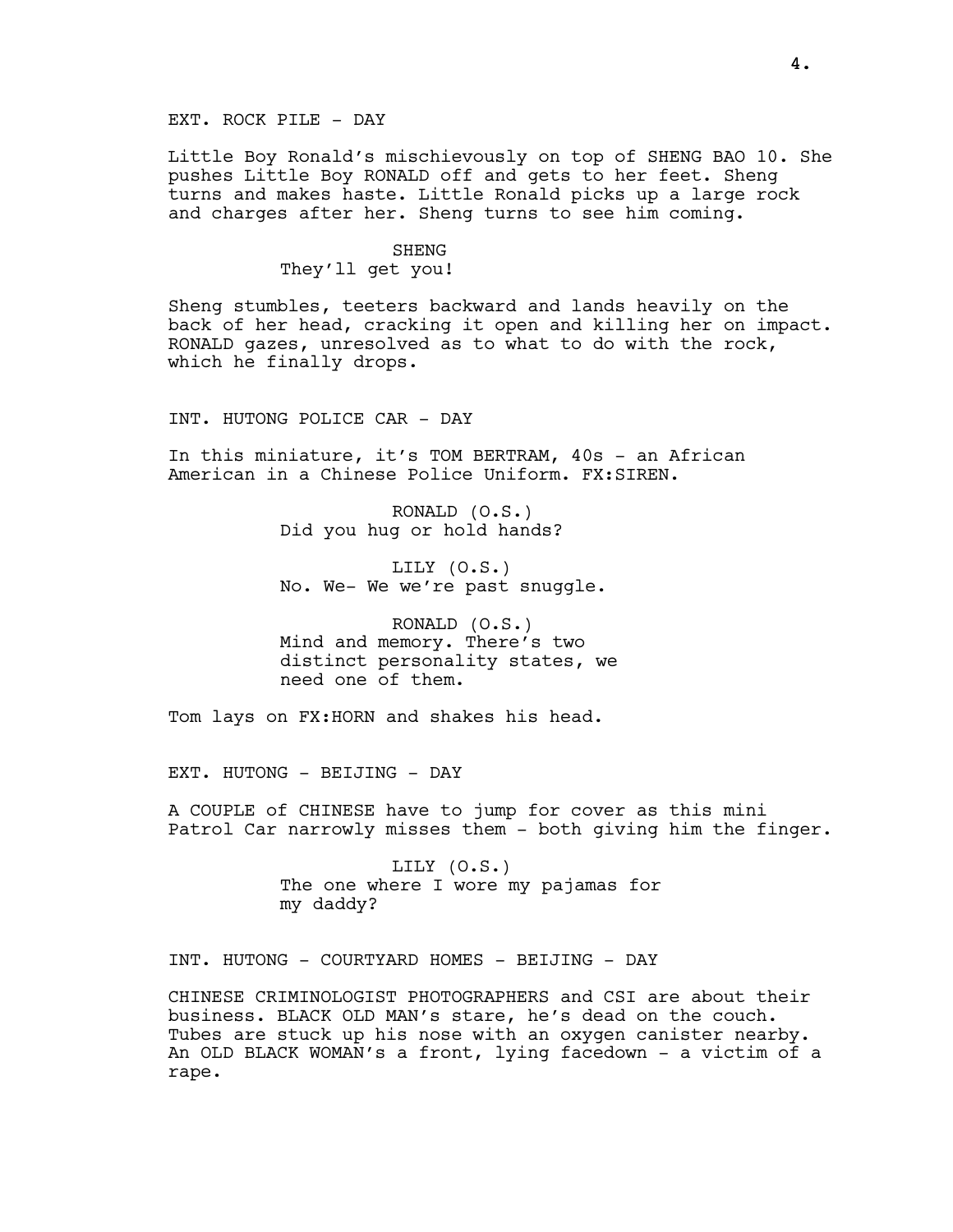#### EXT. ROCK PILE - DAY

Little Boy Ronald's mischievously on top of SHENG BAO 10. She pushes Little Boy RONALD off and gets to her feet. Sheng turns and makes haste. Little Ronald picks up a large rock and charges after her. Sheng turns to see him coming.

## SHENG

## They'll get you!

Sheng stumbles, teeters backward and lands heavily on the back of her head, cracking it open and killing her on impact. RONALD gazes, unresolved as to what to do with the rock, which he finally drops.

INT. HUTONG POLICE CAR - DAY

In this miniature, it's TOM BERTRAM, 40s - an African American in a Chinese Police Uniform. FX:SIREN.

> RONALD (O.S.) Did you hug or hold hands?

LILY (O.S.) No. We- We we're past snuggle.

RONALD (O.S.) Mind and memory. There's two distinct personality states, we need one of them.

Tom lays on FX:HORN and shakes his head.

EXT. HUTONG - BEIJING - DAY

A COUPLE of CHINESE have to jump for cover as this mini Patrol Car narrowly misses them - both giving him the finger.

> LILY (O.S.) The one where I wore my pajamas for my daddy?

INT. HUTONG - COURTYARD HOMES - BEIJING - DAY

CHINESE CRIMINOLOGIST PHOTOGRAPHERS and CSI are about their business. BLACK OLD MAN's stare, he's dead on the couch. Tubes are stuck up his nose with an oxygen canister nearby. An OLD BLACK WOMAN's a front, lying facedown - a victim of a rape.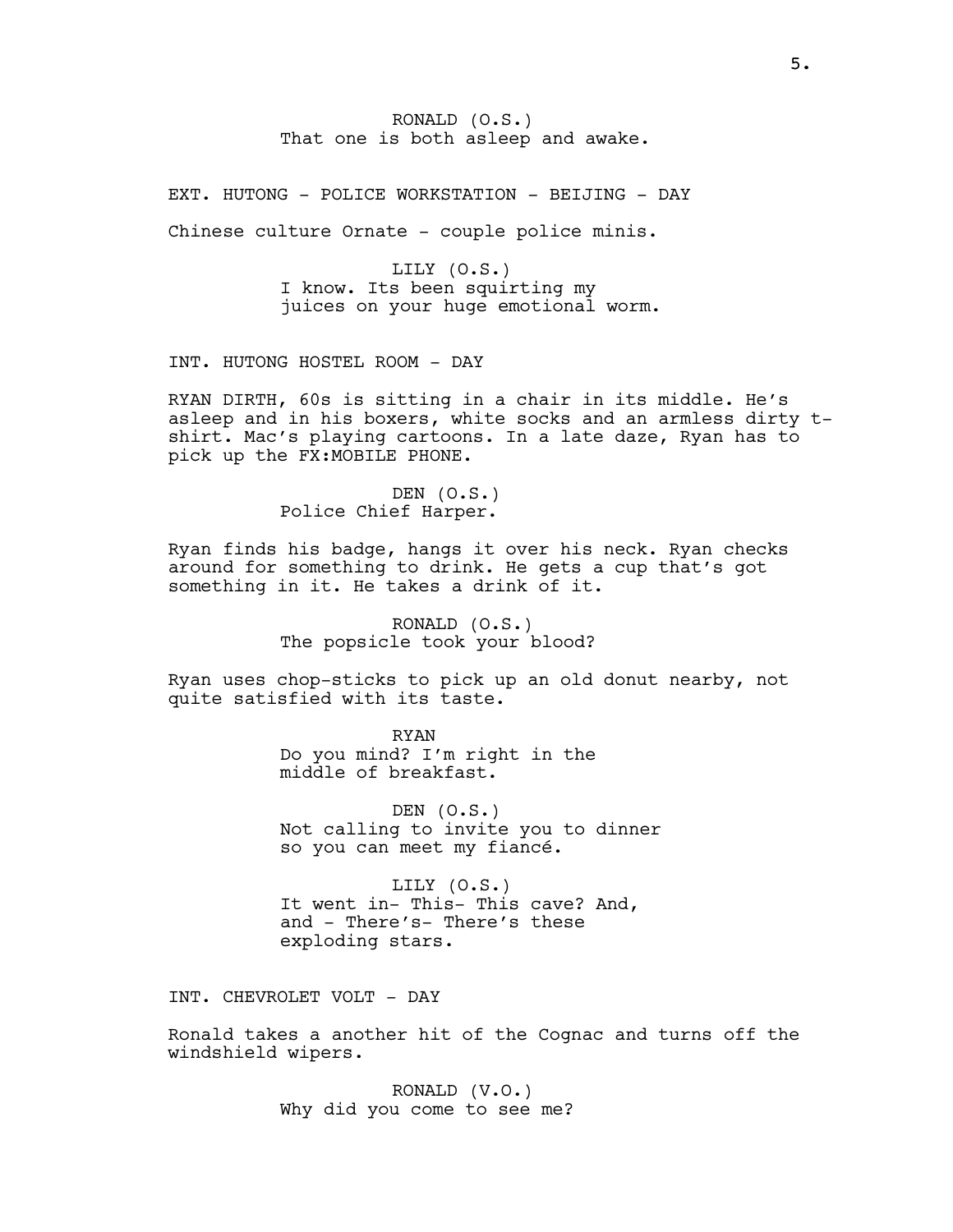RONALD (O.S.) That one is both asleep and awake.

EXT. HUTONG - POLICE WORKSTATION - BEIJING - DAY

Chinese culture Ornate - couple police minis.

LILY (O.S.) I know. Its been squirting my juices on your huge emotional worm.

INT. HUTONG HOSTEL ROOM - DAY

RYAN DIRTH, 60s is sitting in a chair in its middle. He's asleep and in his boxers, white socks and an armless dirty tshirt. Mac's playing cartoons. In a late daze, Ryan has to pick up the FX:MOBILE PHONE.

> DEN (O.S.) Police Chief Harper.

Ryan finds his badge, hangs it over his neck. Ryan checks around for something to drink. He gets a cup that's got something in it. He takes a drink of it.

> RONALD (O.S.) The popsicle took your blood?

Ryan uses chop-sticks to pick up an old donut nearby, not quite satisfied with its taste.

> RYAN Do you mind? I'm right in the middle of breakfast.

DEN (O.S.) Not calling to invite you to dinner so you can meet my fiancé.

LILY (O.S.) It went in- This- This cave? And, and - There's- There's these exploding stars.

INT. CHEVROLET VOLT - DAY

Ronald takes a another hit of the Cognac and turns off the windshield wipers.

> RONALD (V.O.) Why did you come to see me?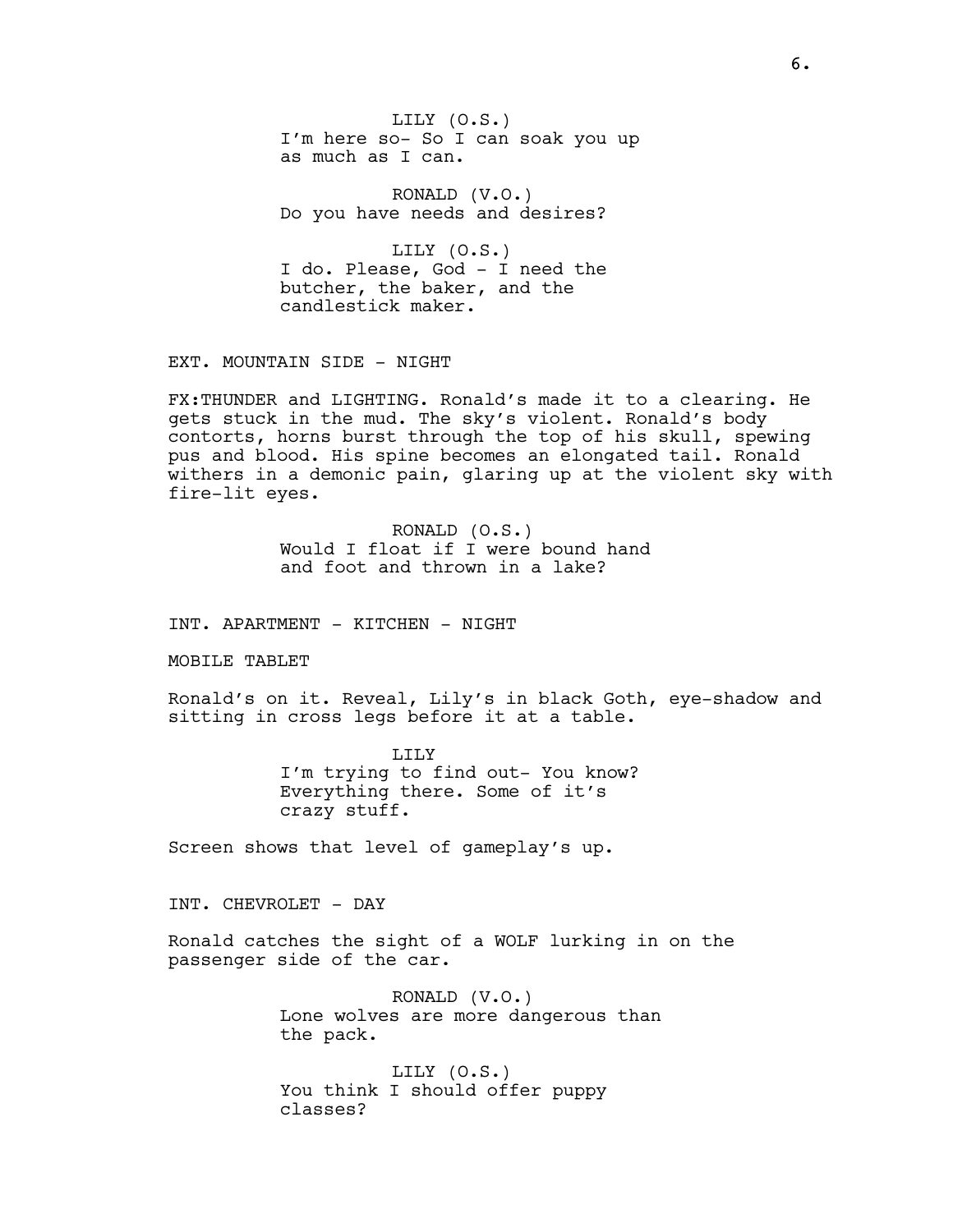LILY (O.S.) I'm here so- So I can soak you up as much as I can.

RONALD (V.O.) Do you have needs and desires?

LILY (O.S.) I do. Please, God - I need the butcher, the baker, and the candlestick maker.

EXT. MOUNTAIN SIDE - NIGHT

FX:THUNDER and LIGHTING. Ronald's made it to a clearing. He gets stuck in the mud. The sky's violent. Ronald's body contorts, horns burst through the top of his skull, spewing pus and blood. His spine becomes an elongated tail. Ronald withers in a demonic pain, glaring up at the violent sky with fire-lit eyes.

> RONALD (O.S.) Would I float if I were bound hand and foot and thrown in a lake?

INT. APARTMENT - KITCHEN - NIGHT

MOBILE TABLET

Ronald's on it. Reveal, Lily's in black Goth, eye-shadow and sitting in cross legs before it at a table.

> LILY I'm trying to find out- You know? Everything there. Some of it's crazy stuff.

Screen shows that level of gameplay's up.

INT. CHEVROLET - DAY

Ronald catches the sight of a WOLF lurking in on the passenger side of the car.

> RONALD (V.O.) Lone wolves are more dangerous than the pack.

LILY (O.S.) You think I should offer puppy classes?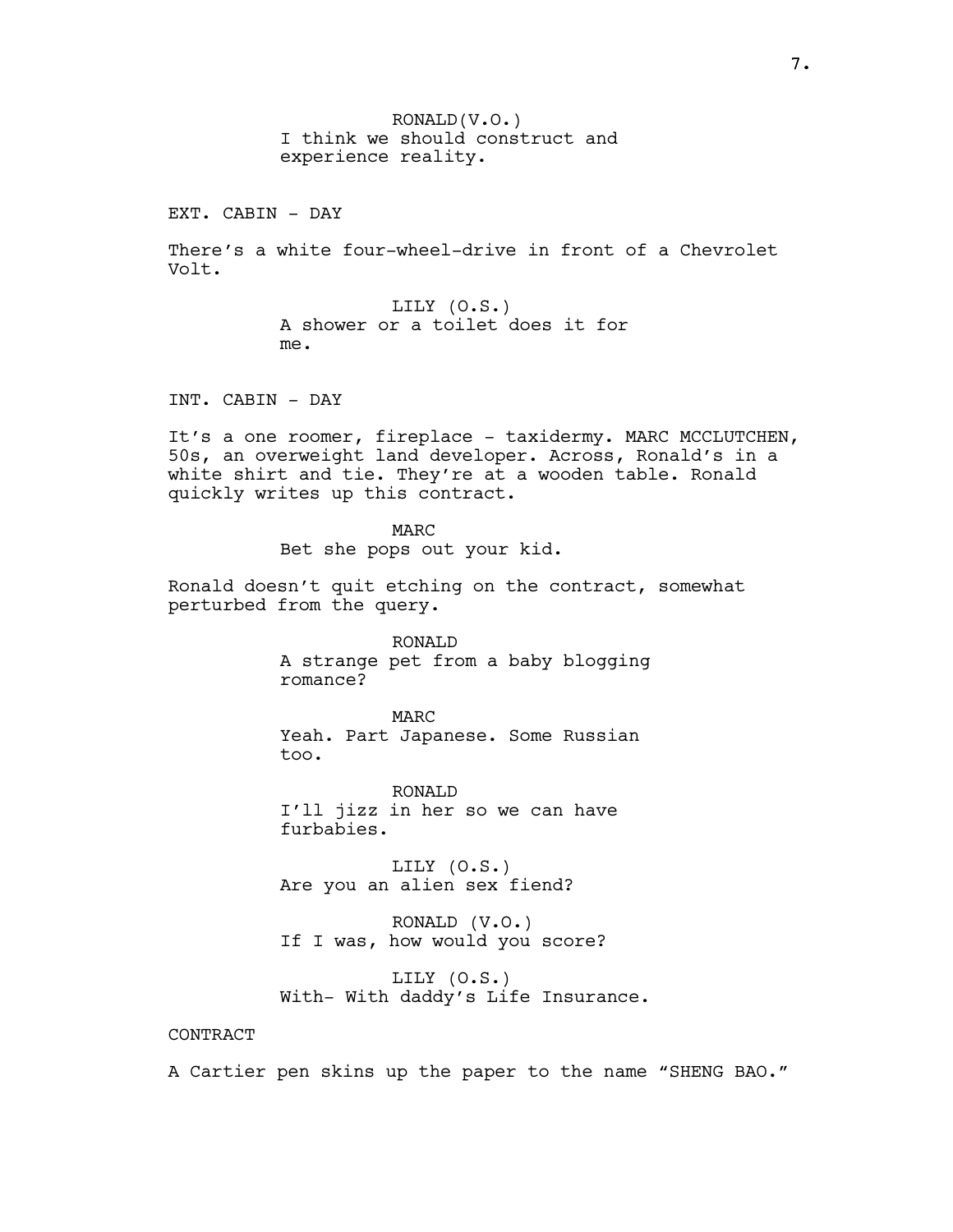RONALD(V.O.) I think we should construct and experience reality.

EXT. CABIN - DAY

There's a white four-wheel-drive in front of a Chevrolet Volt.

> LILY (O.S.) A shower or a toilet does it for me.

INT. CABIN - DAY

It's a one roomer, fireplace - taxidermy. MARC MCCLUTCHEN, 50s, an overweight land developer. Across, Ronald's in a white shirt and tie. They're at a wooden table. Ronald quickly writes up this contract.

> MARC Bet she pops out your kid.

Ronald doesn't quit etching on the contract, somewhat perturbed from the query.

> RONALD A strange pet from a baby blogging romance?

MARC Yeah. Part Japanese. Some Russian too.

RONALD I'll jizz in her so we can have furbabies.

LILY (O.S.) Are you an alien sex fiend?

RONALD (V.O.) If I was, how would you score?

LILY (O.S.) With- With daddy's Life Insurance.

## CONTRACT

A Cartier pen skins up the paper to the name "SHENG BAO."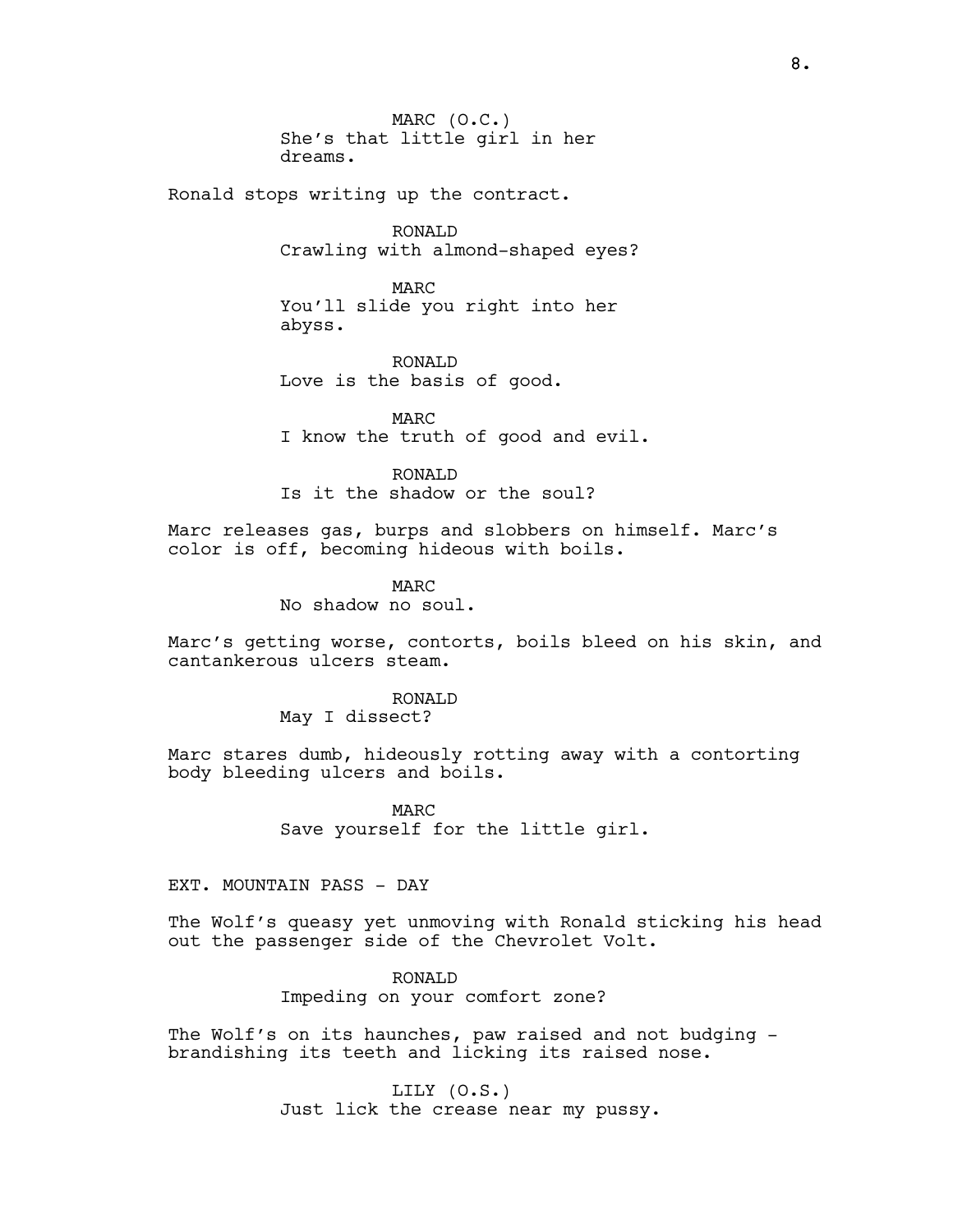MARC (O.C.) She's that little girl in her dreams.

Ronald stops writing up the contract.

RONALD Crawling with almond-shaped eyes?

MARC You'll slide you right into her abyss.

RONALD Love is the basis of good.

MARC I know the truth of good and evil.

RONALD Is it the shadow or the soul?

Marc releases gas, burps and slobbers on himself. Marc's color is off, becoming hideous with boils.

MARC

No shadow no soul.

Marc's getting worse, contorts, boils bleed on his skin, and cantankerous ulcers steam.

> RONALD May I dissect?

Marc stares dumb, hideously rotting away with a contorting body bleeding ulcers and boils.

> MARC Save yourself for the little girl.

EXT. MOUNTAIN PASS - DAY

The Wolf's queasy yet unmoving with Ronald sticking his head out the passenger side of the Chevrolet Volt.

> RONALD Impeding on your comfort zone?

The Wolf's on its haunches, paw raised and not budging brandishing its teeth and licking its raised nose.

> LILY (O.S.) Just lick the crease near my pussy.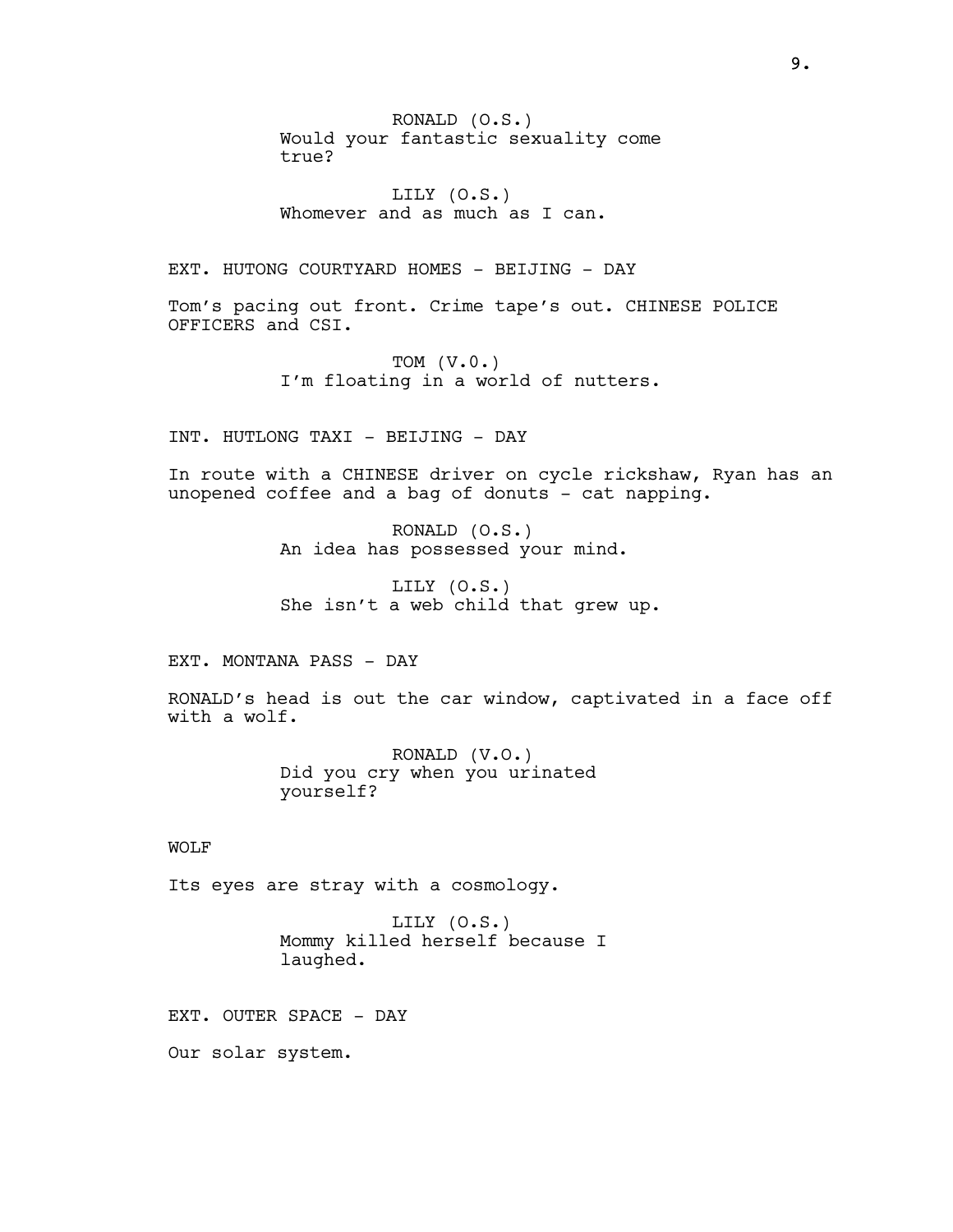RONALD (O.S.) Would your fantastic sexuality come true?

LILY (O.S.) Whomever and as much as I can.

EXT. HUTONG COURTYARD HOMES - BEIJING - DAY

Tom's pacing out front. Crime tape's out. CHINESE POLICE OFFICERS and CSI.

> TOM (V.0.) I'm floating in a world of nutters.

INT. HUTLONG TAXI - BEIJING - DAY

In route with a CHINESE driver on cycle rickshaw, Ryan has an unopened coffee and a bag of donuts - cat napping.

> RONALD (O.S.) An idea has possessed your mind.

LILY (O.S.) She isn't a web child that grew up.

EXT. MONTANA PASS - DAY

RONALD's head is out the car window, captivated in a face off with a wolf.

> RONALD (V.O.) Did you cry when you urinated yourself?

WOLF

Its eyes are stray with a cosmology.

LILY (O.S.) Mommy killed herself because I laughed.

EXT. OUTER SPACE - DAY

Our solar system.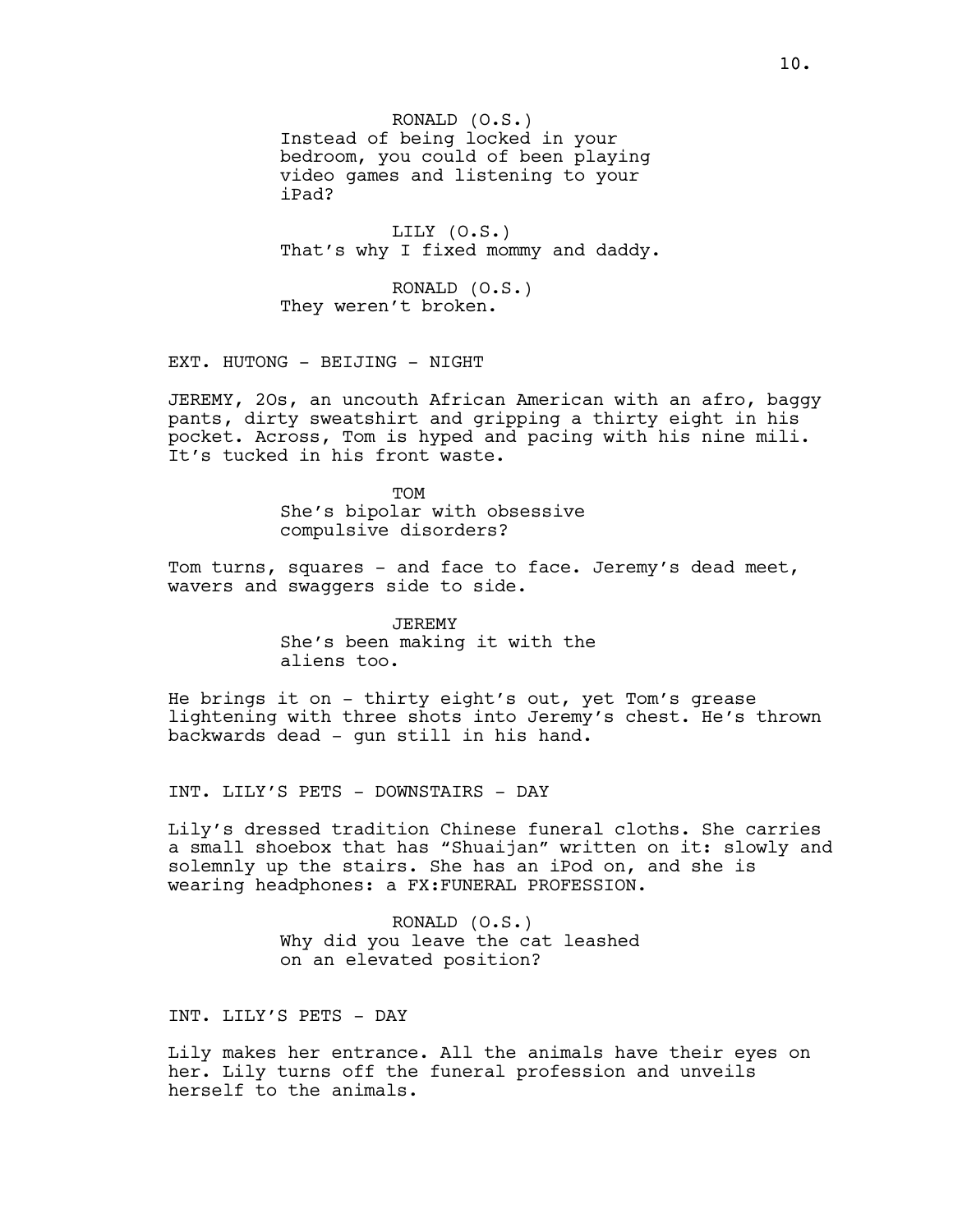RONALD (O.S.) Instead of being locked in your bedroom, you could of been playing video games and listening to your iPad?

LILY (O.S.) That's why I fixed mommy and daddy.

RONALD (O.S.) They weren't broken.

EXT. HUTONG - BEIJING - NIGHT

JEREMY, 2Os, an uncouth African American with an afro, baggy pants, dirty sweatshirt and gripping a thirty eight in his pocket. Across, Tom is hyped and pacing with his nine mili. It's tucked in his front waste.

> **TOM** She's bipolar with obsessive compulsive disorders?

Tom turns, squares - and face to face. Jeremy's dead meet, wavers and swaggers side to side.

> JEREMY She's been making it with the aliens too.

He brings it on - thirty eight's out, yet Tom's grease lightening with three shots into Jeremy's chest. He's thrown backwards dead - gun still in his hand.

INT. LILY'S PETS - DOWNSTAIRS - DAY

Lily's dressed tradition Chinese funeral cloths. She carries a small shoebox that has "Shuaijan" written on it: slowly and solemnly up the stairs. She has an iPod on, and she is wearing headphones: a FX:FUNERAL PROFESSION.

> RONALD (O.S.) Why did you leave the cat leashed on an elevated position?

INT. LILY'S PETS - DAY

Lily makes her entrance. All the animals have their eyes on her. Lily turns off the funeral profession and unveils herself to the animals.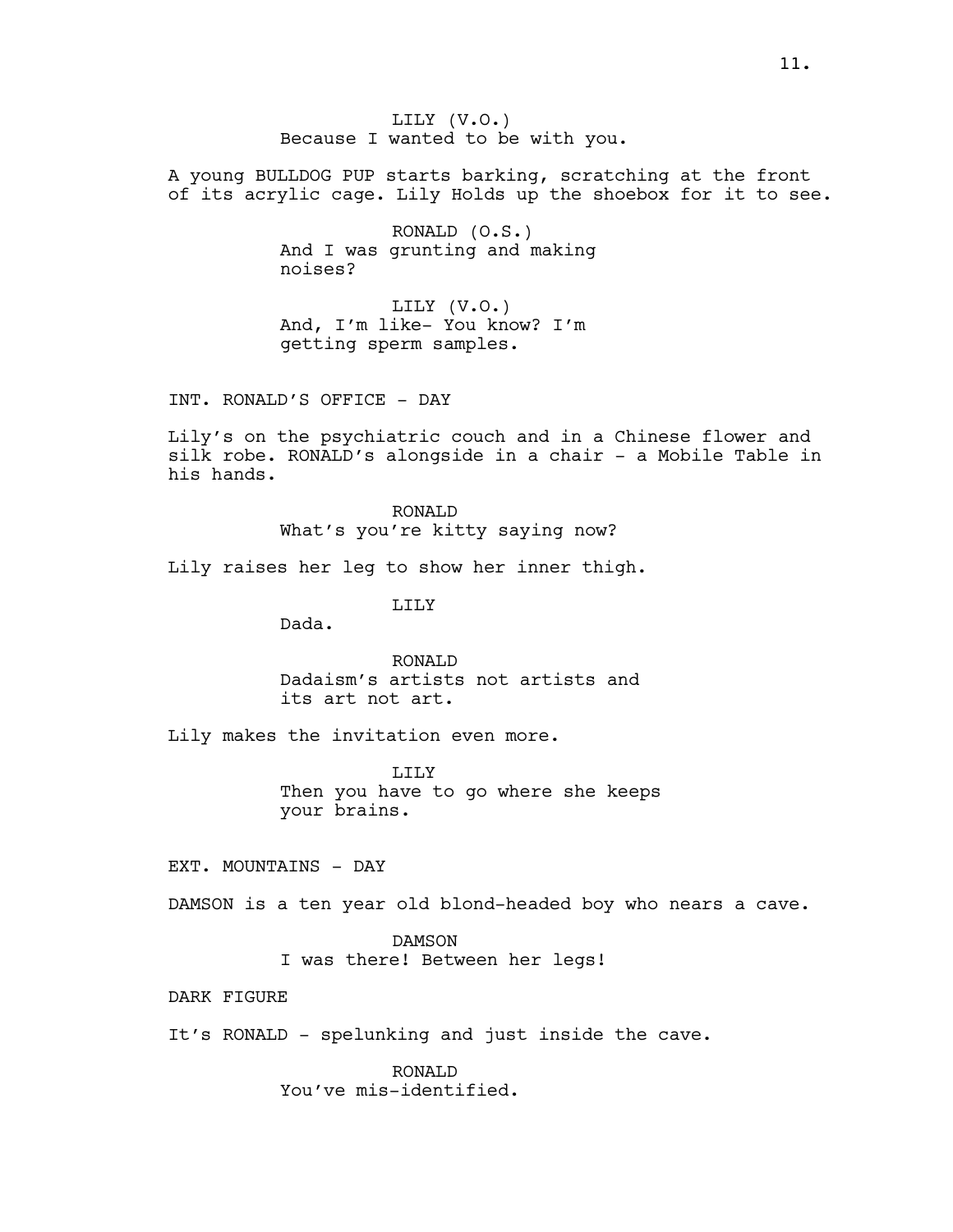LILY (V.O.) Because I wanted to be with you.

A young BULLDOG PUP starts barking, scratching at the front of its acrylic cage. Lily Holds up the shoebox for it to see.

> RONALD (O.S.) And I was grunting and making noises?

LILY (V.O.) And, I'm like- You know? I'm getting sperm samples.

INT. RONALD'S OFFICE - DAY

Lily's on the psychiatric couch and in a Chinese flower and silk robe. RONALD's alongside in a chair - a Mobile Table in his hands.

> RONALD What's you're kitty saying now?

Lily raises her leg to show her inner thigh.

LILY

Dada.

RONALD Dadaism's artists not artists and its art not art.

Lily makes the invitation even more.

LILY Then you have to go where she keeps your brains.

EXT. MOUNTAINS - DAY

DAMSON is a ten year old blond-headed boy who nears a cave.

DAMSON

I was there! Between her legs!

DARK FIGURE

It's RONALD - spelunking and just inside the cave.

RONALD You've mis-identified.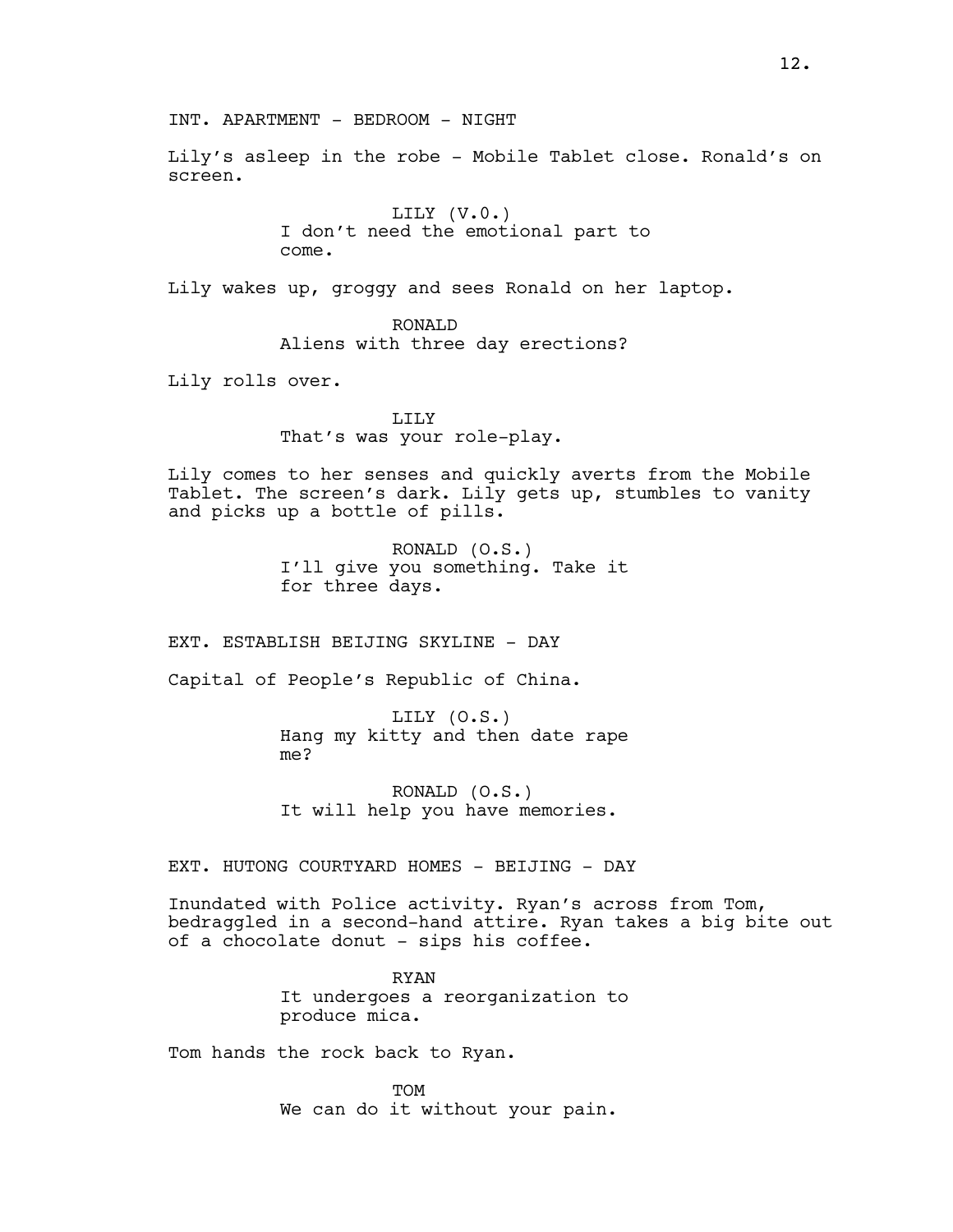Lily's asleep in the robe - Mobile Tablet close. Ronald's on screen.

> LILY (V.0.) I don't need the emotional part to come.

Lily wakes up, groggy and sees Ronald on her laptop.

RONALD Aliens with three day erections?

Lily rolls over.

LILY That's was your role-play.

Lily comes to her senses and quickly averts from the Mobile Tablet. The screen's dark. Lily gets up, stumbles to vanity and picks up a bottle of pills.

> RONALD (O.S.) I'll give you something. Take it for three days.

EXT. ESTABLISH BEIJING SKYLINE - DAY

Capital of People's Republic of China.

LILY (O.S.) Hang my kitty and then date rape me?

RONALD (O.S.) It will help you have memories.

EXT. HUTONG COURTYARD HOMES - BEIJING - DAY

Inundated with Police activity. Ryan's across from Tom, bedraggled in a second-hand attire. Ryan takes a big bite out of a chocolate donut - sips his coffee.

> RYAN It undergoes a reorganization to produce mica.

Tom hands the rock back to Ryan.

**TOM** We can do it without your pain.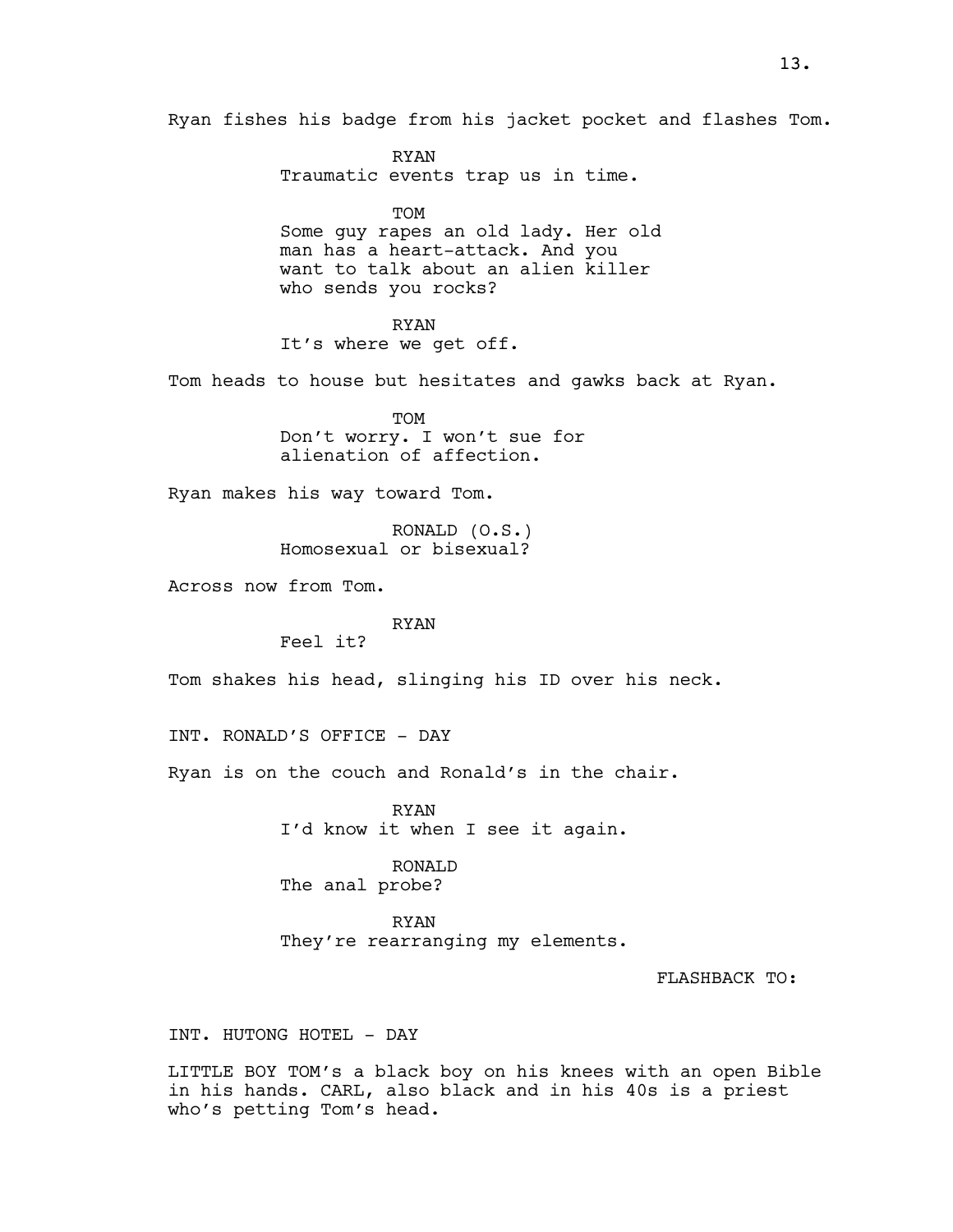Ryan fishes his badge from his jacket pocket and flashes Tom.

RYAN Traumatic events trap us in time.

TOM

Some guy rapes an old lady. Her old man has a heart-attack. And you want to talk about an alien killer who sends you rocks?

## RYAN

It's where we get off.

Tom heads to house but hesitates and gawks back at Ryan.

TOM Don't worry. I won't sue for alienation of affection.

Ryan makes his way toward Tom.

RONALD (O.S.) Homosexual or bisexual?

Across now from Tom.

#### RYAN

Feel it?

Tom shakes his head, slinging his ID over his neck.

INT. RONALD'S OFFICE - DAY

Ryan is on the couch and Ronald's in the chair.

RYAN I'd know it when I see it again.

RONALD The anal probe?

RYAN They're rearranging my elements.

FLASHBACK TO:

INT. HUTONG HOTEL - DAY

LITTLE BOY TOM's a black boy on his knees with an open Bible in his hands. CARL, also black and in his 40s is a priest who's petting Tom's head.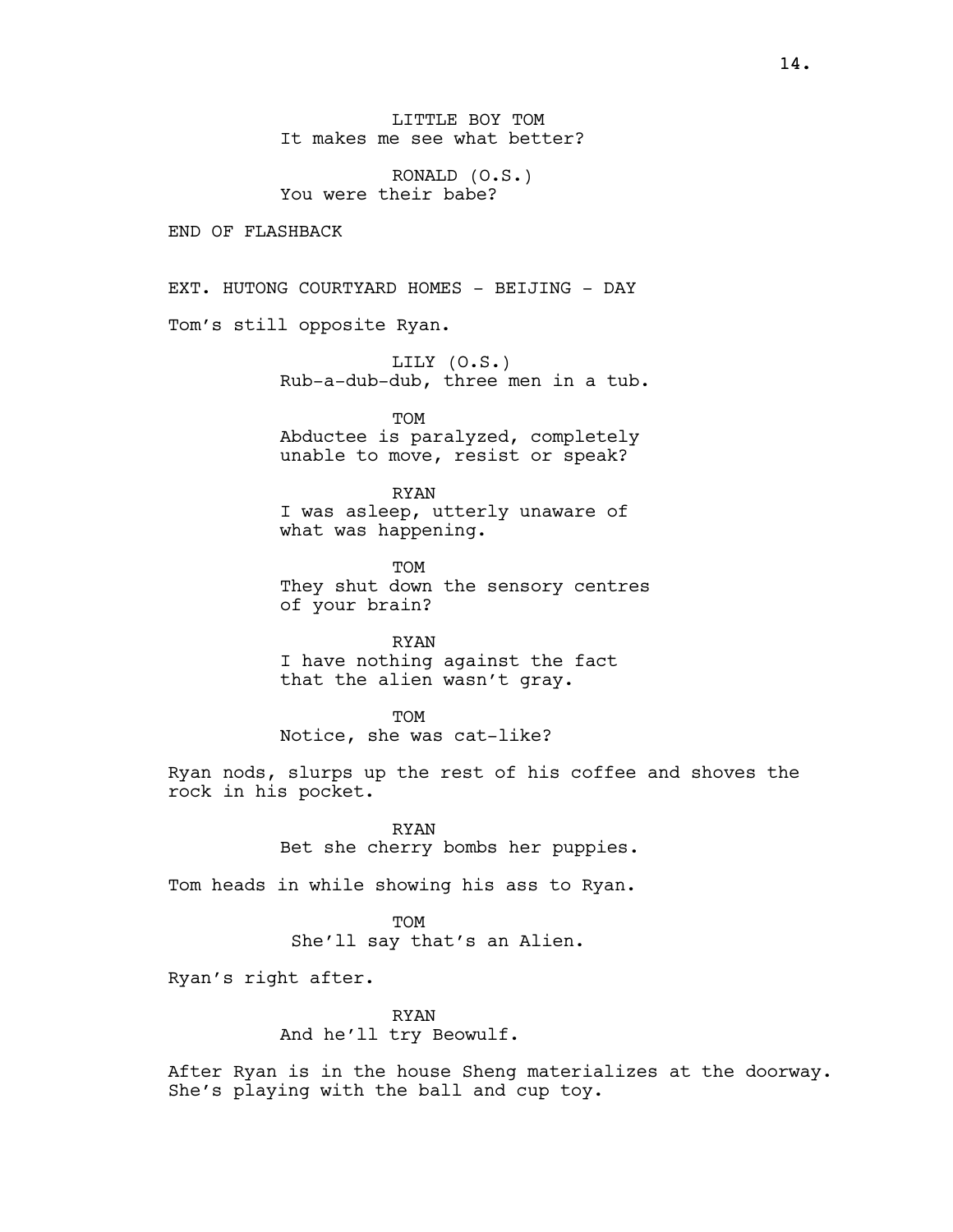LITTLE BOY TOM It makes me see what better?

RONALD (O.S.) You were their babe?

END OF FLASHBACK

EXT. HUTONG COURTYARD HOMES - BEIJING - DAY

Tom's still opposite Ryan.

LILY (O.S.) Rub-a-dub-dub, three men in a tub.

TOM Abductee is paralyzed, completely unable to move, resist or speak?

RYAN I was asleep, utterly unaware of what was happening.

TOM They shut down the sensory centres of your brain?

RYAN I have nothing against the fact that the alien wasn't gray.

TOM

Notice, she was cat-like?

Ryan nods, slurps up the rest of his coffee and shoves the rock in his pocket.

> RYAN Bet she cherry bombs her puppies.

Tom heads in while showing his ass to Ryan.

TOM She'll say that's an Alien.

Ryan's right after.

RYAN And he'll try Beowulf.

After Ryan is in the house Sheng materializes at the doorway. She's playing with the ball and cup toy.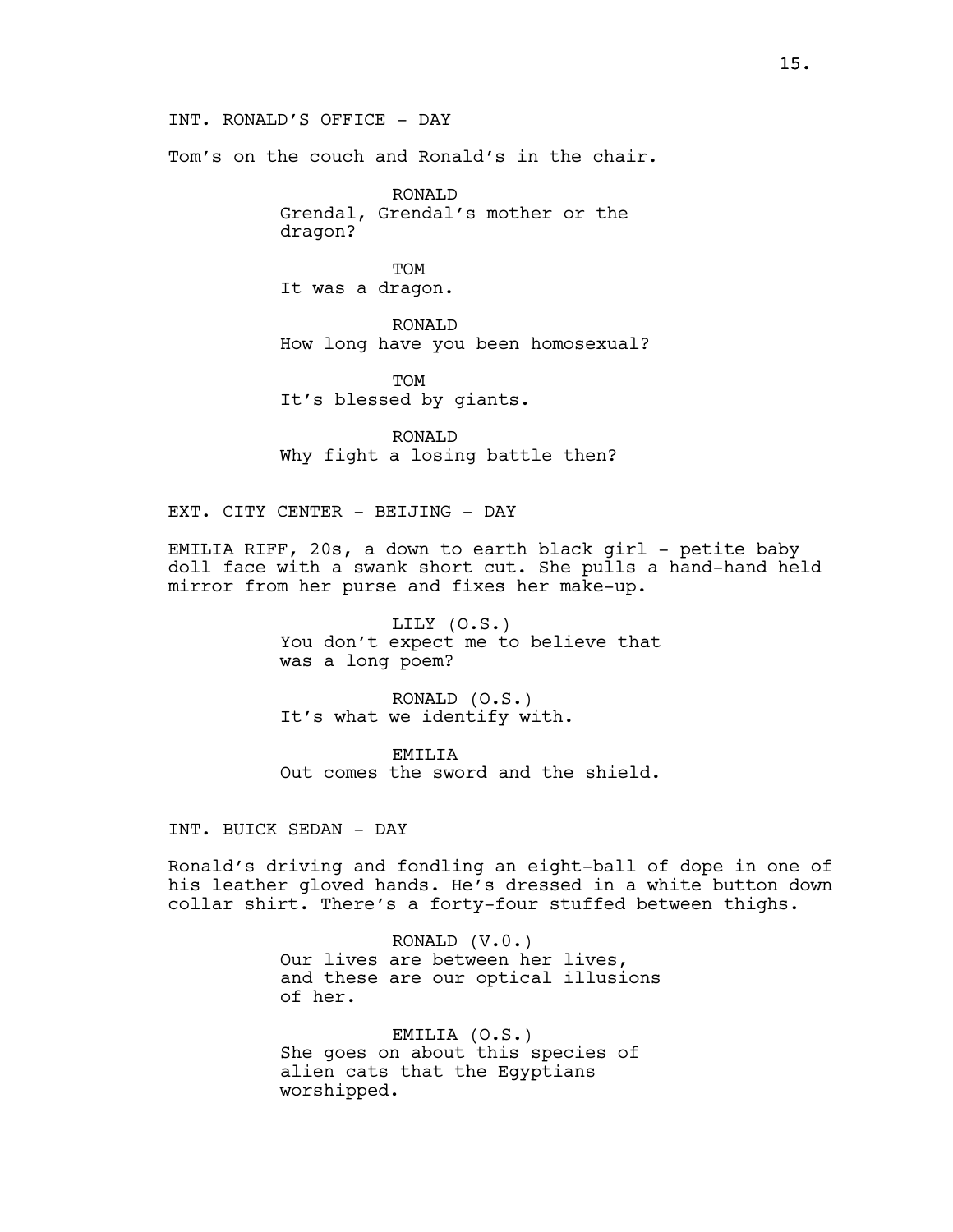#### INT. RONALD'S OFFICE - DAY

Tom's on the couch and Ronald's in the chair.

RONALD Grendal, Grendal's mother or the dragon?

**TOM** It was a dragon.

RONALD How long have you been homosexual?

TOM It's blessed by giants.

RONALD Why fight a losing battle then?

EXT. CITY CENTER - BEIJING - DAY

EMILIA RIFF, 20s, a down to earth black girl - petite baby doll face with a swank short cut. She pulls a hand-hand held mirror from her purse and fixes her make-up.

> LILY (O.S.) You don't expect me to believe that was a long poem?

RONALD (O.S.) It's what we identify with.

EMILIA Out comes the sword and the shield.

INT. BUICK SEDAN - DAY

Ronald's driving and fondling an eight-ball of dope in one of his leather gloved hands. He's dressed in a white button down collar shirt. There's a forty-four stuffed between thighs.

> RONALD (V.0.) Our lives are between her lives, and these are our optical illusions of her.

EMILIA (O.S.) She goes on about this species of alien cats that the Egyptians worshipped.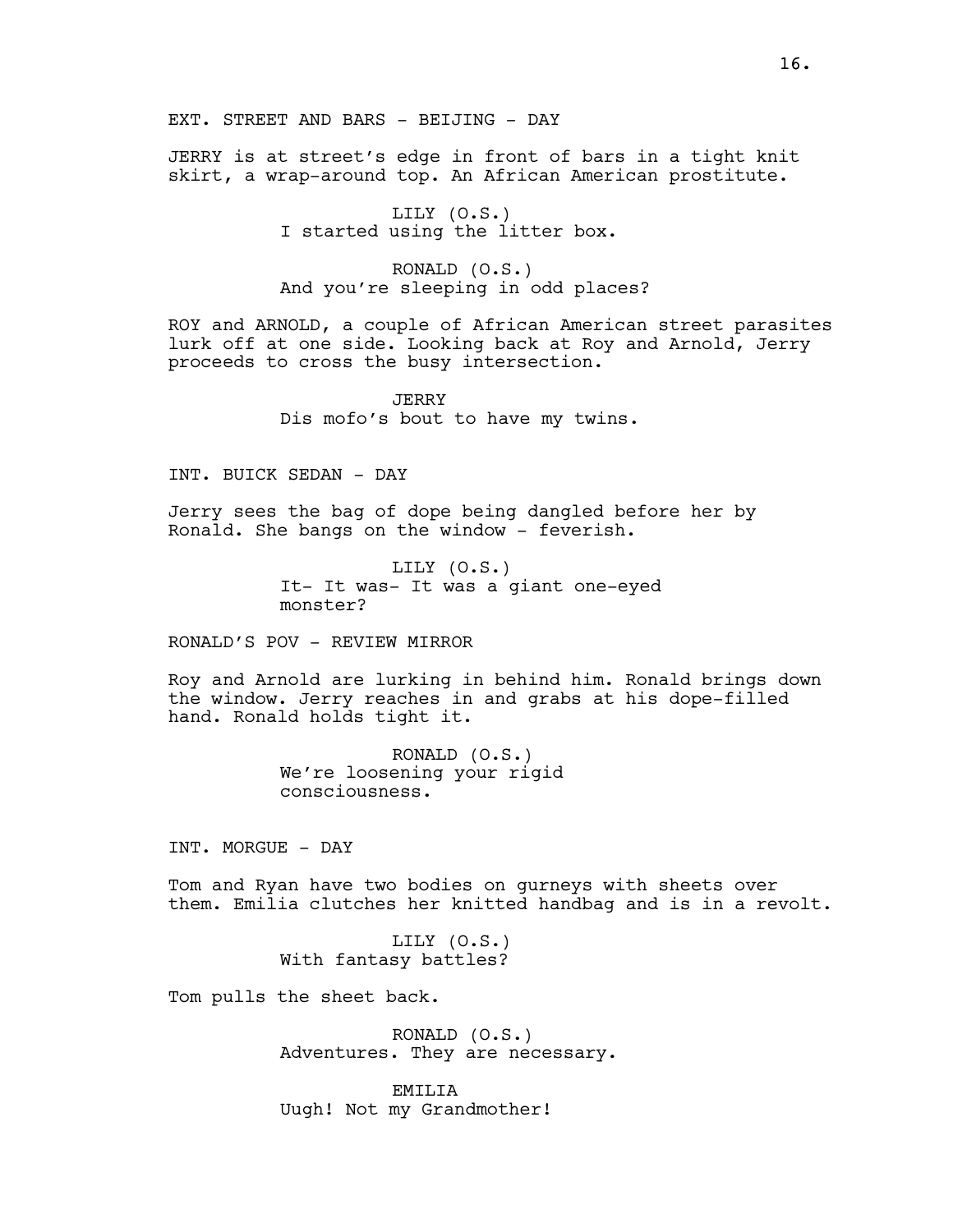JERRY is at street's edge in front of bars in a tight knit skirt, a wrap-around top. An African American prostitute.

> LILY (O.S.) I started using the litter box.

RONALD (O.S.) And you're sleeping in odd places?

ROY and ARNOLD, a couple of African American street parasites lurk off at one side. Looking back at Roy and Arnold, Jerry proceeds to cross the busy intersection.

> JERRY Dis mofo's bout to have my twins.

## INT. BUICK SEDAN - DAY

Jerry sees the bag of dope being dangled before her by Ronald. She bangs on the window - feverish.

> LILY (O.S.) It- It was- It was a giant one-eyed monster?

RONALD'S POV - REVIEW MIRROR

Roy and Arnold are lurking in behind him. Ronald brings down the window. Jerry reaches in and grabs at his dope-filled hand. Ronald holds tight it.

> RONALD (O.S.) We're loosening your rigid consciousness.

INT. MORGUE - DAY

Tom and Ryan have two bodies on gurneys with sheets over them. Emilia clutches her knitted handbag and is in a revolt.

> LILY (O.S.) With fantasy battles?

Tom pulls the sheet back.

RONALD (O.S.) Adventures. They are necessary.

EMILIA Uugh! Not my Grandmother!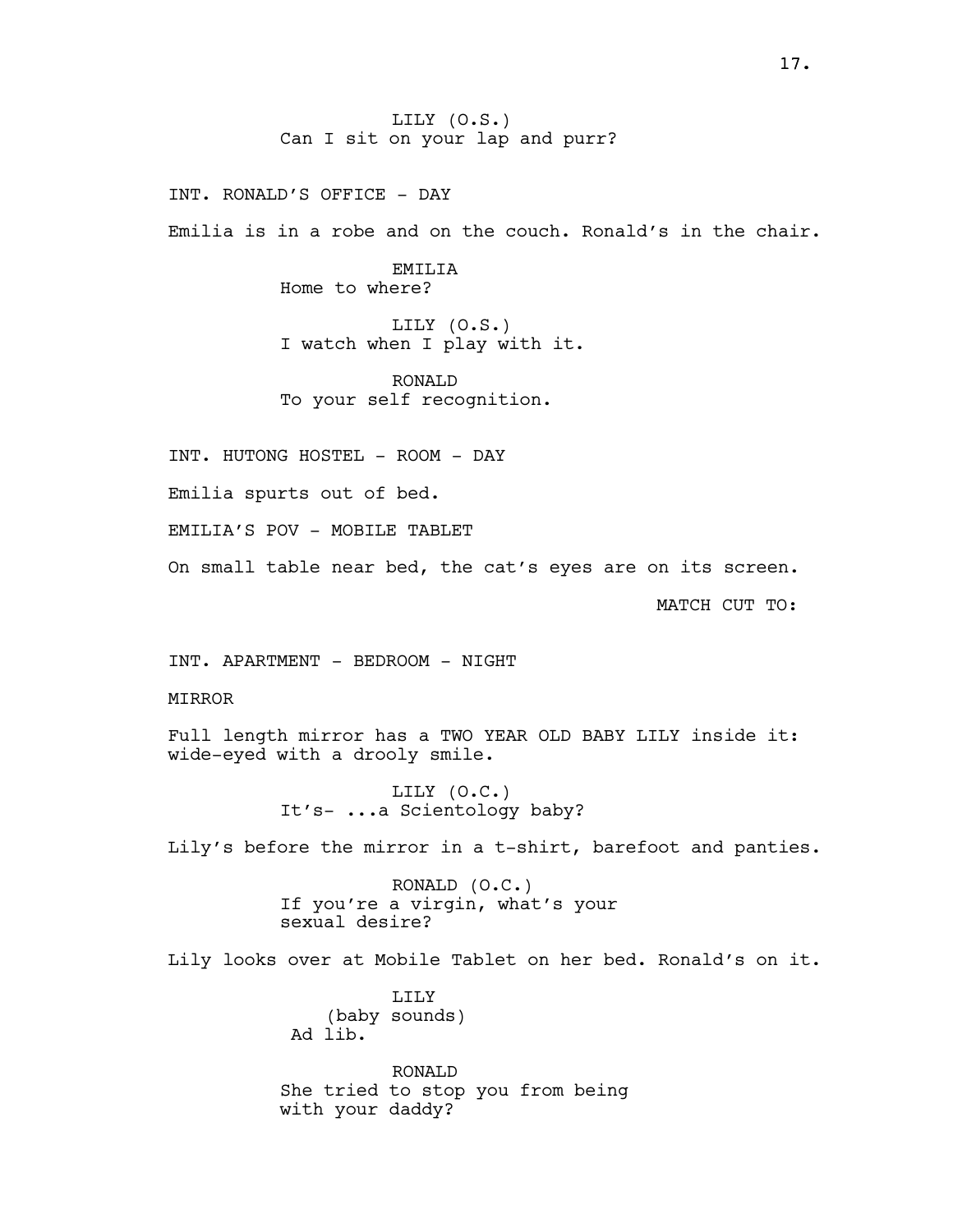LILY (O.S.) Can I sit on your lap and purr?

INT. RONALD'S OFFICE - DAY

Emilia is in a robe and on the couch. Ronald's in the chair.

EMILIA Home to where?

LILY (O.S.) I watch when I play with it.

RONALD To your self recognition.

INT. HUTONG HOSTEL - ROOM - DAY

Emilia spurts out of bed.

EMILIA'S POV - MOBILE TABLET

On small table near bed, the cat's eyes are on its screen.

MATCH CUT TO:

INT. APARTMENT - BEDROOM - NIGHT

MIRROR

Full length mirror has a TWO YEAR OLD BABY LILY inside it: wide-eyed with a drooly smile.

> LILY (O.C.) It's- ...a Scientology baby?

Lily's before the mirror in a t-shirt, barefoot and panties.

RONALD (O.C.) If you're a virgin, what's your sexual desire?

Lily looks over at Mobile Tablet on her bed. Ronald's on it.

LILY (baby sounds) Ad lib.

RONALD She tried to stop you from being with your daddy?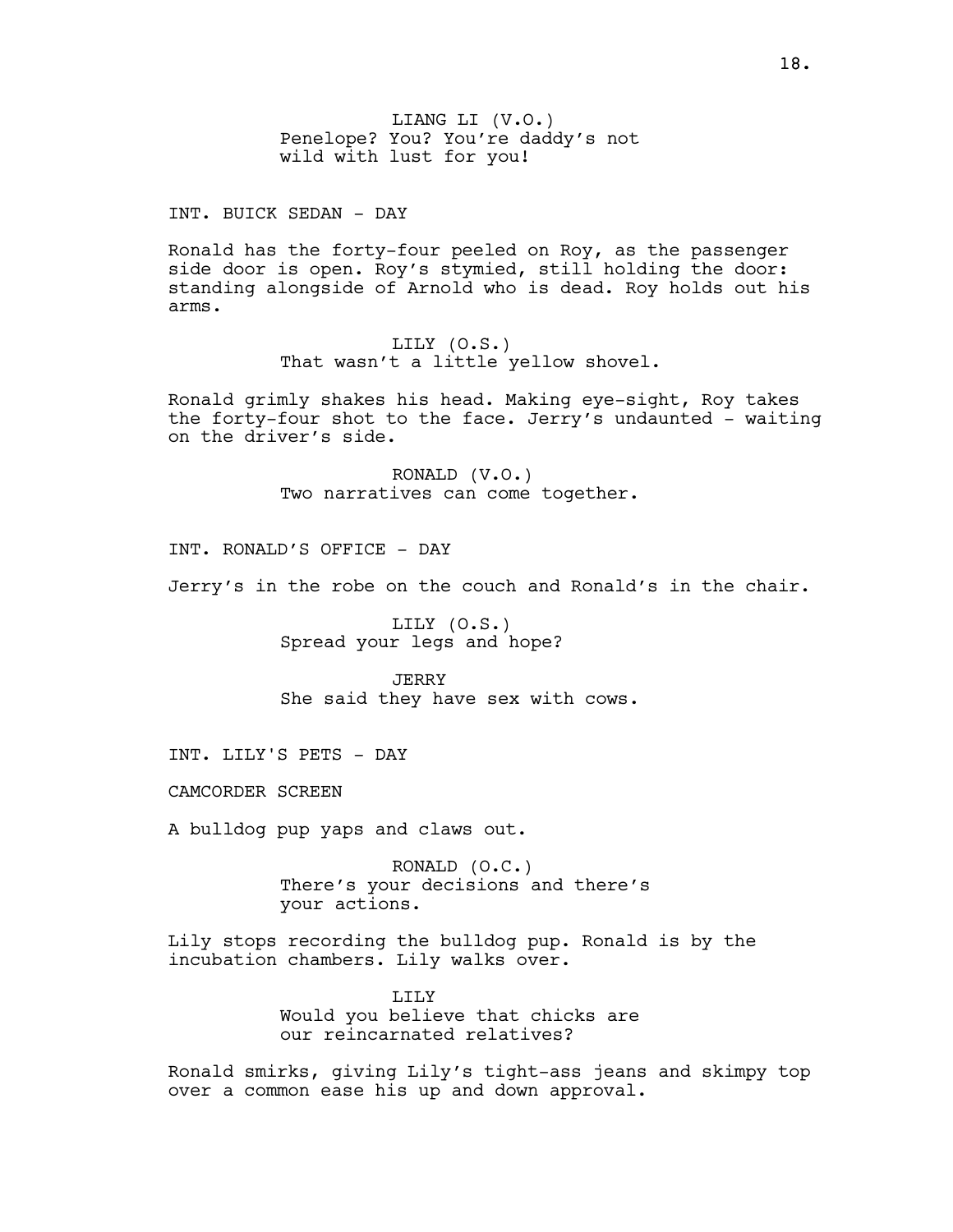LIANG LI (V.O.) Penelope? You? You're daddy's not wild with lust for you!

INT. BUICK SEDAN - DAY

Ronald has the forty-four peeled on Roy, as the passenger side door is open. Roy's stymied, still holding the door: standing alongside of Arnold who is dead. Roy holds out his arms.

> LILY (O.S.) That wasn't a little yellow shovel.

Ronald grimly shakes his head. Making eye-sight, Roy takes the forty-four shot to the face. Jerry's undaunted - waiting on the driver's side.

> RONALD (V.O.) Two narratives can come together.

INT. RONALD'S OFFICE - DAY

Jerry's in the robe on the couch and Ronald's in the chair.

LILY (O.S.) Spread your legs and hope?

JERRY She said they have sex with cows.

INT. LILY'S PETS - DAY

CAMCORDER SCREEN

A bulldog pup yaps and claws out.

RONALD (O.C.) There's your decisions and there's your actions.

Lily stops recording the bulldog pup. Ronald is by the incubation chambers. Lily walks over.

> T.TT.Y Would you believe that chicks are our reincarnated relatives?

Ronald smirks, giving Lily's tight-ass jeans and skimpy top over a common ease his up and down approval.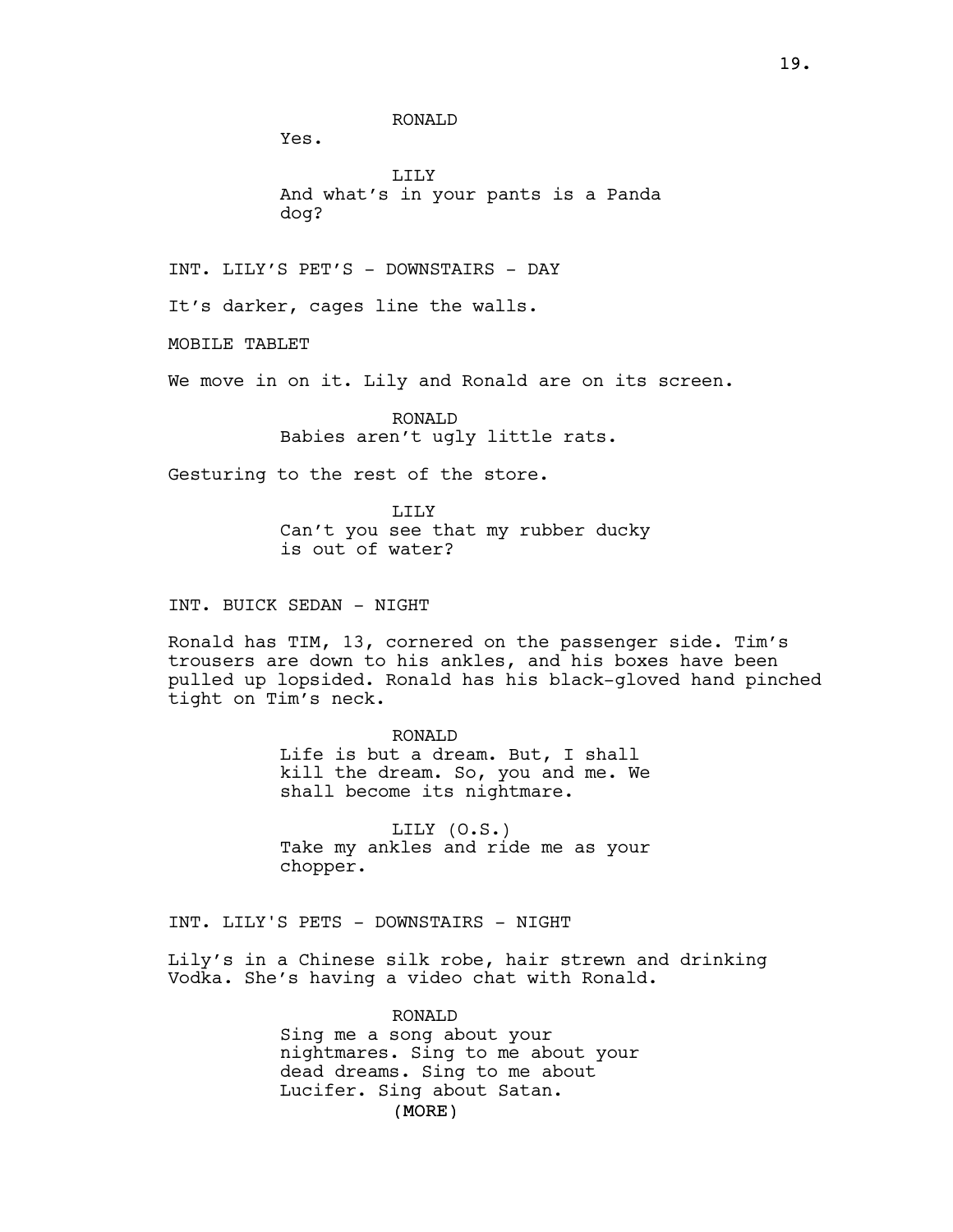RONALD

Yes.

LILY And what's in your pants is a Panda dog?

INT. LILY'S PET'S - DOWNSTAIRS - DAY

It's darker, cages line the walls.

MOBILE TABLET

We move in on it. Lily and Ronald are on its screen.

RONALD Babies aren't ugly little rats.

Gesturing to the rest of the store.

LILY Can't you see that my rubber ducky is out of water?

INT. BUICK SEDAN - NIGHT

Ronald has TIM, 13, cornered on the passenger side. Tim's trousers are down to his ankles, and his boxes have been pulled up lopsided. Ronald has his black-gloved hand pinched tight on Tim's neck.

> RONALD Life is but a dream. But, I shall kill the dream. So, you and me. We shall become its nightmare.

> LILY (O.S.) Take my ankles and ride me as your chopper.

INT. LILY'S PETS - DOWNSTAIRS - NIGHT

Lily's in a Chinese silk robe, hair strewn and drinking Vodka. She's having a video chat with Ronald.

> (MORE) RONALD Sing me a song about your nightmares. Sing to me about your dead dreams. Sing to me about Lucifer. Sing about Satan.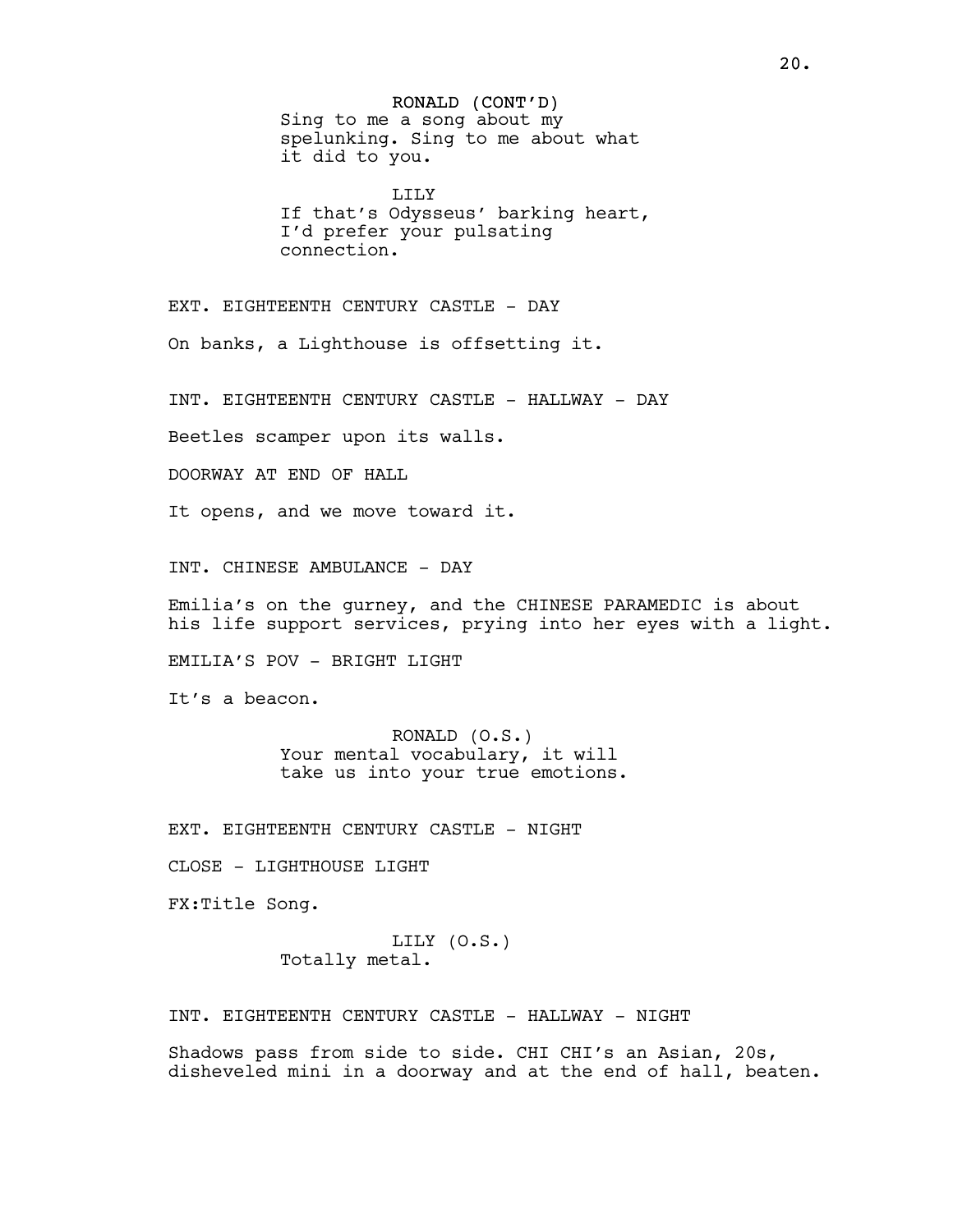RONALD (CONT'D) Sing to me a song about my spelunking. Sing to me about what it did to you.

LILY If that's Odysseus' barking heart, I'd prefer your pulsating connection.

EXT. EIGHTEENTH CENTURY CASTLE - DAY

On banks, a Lighthouse is offsetting it.

INT. EIGHTEENTH CENTURY CASTLE - HALLWAY - DAY

Beetles scamper upon its walls.

DOORWAY AT END OF HALL

It opens, and we move toward it.

INT. CHINESE AMBULANCE - DAY

Emilia's on the gurney, and the CHINESE PARAMEDIC is about his life support services, prying into her eyes with a light.

EMILIA'S POV - BRIGHT LIGHT

It's a beacon.

RONALD (O.S.) Your mental vocabulary, it will take us into your true emotions.

EXT. EIGHTEENTH CENTURY CASTLE - NIGHT

CLOSE - LIGHTHOUSE LIGHT

FX:Title Song.

LILY (O.S.) Totally metal.

INT. EIGHTEENTH CENTURY CASTLE - HALLWAY - NIGHT

Shadows pass from side to side. CHI CHI's an Asian, 20s, disheveled mini in a doorway and at the end of hall, beaten.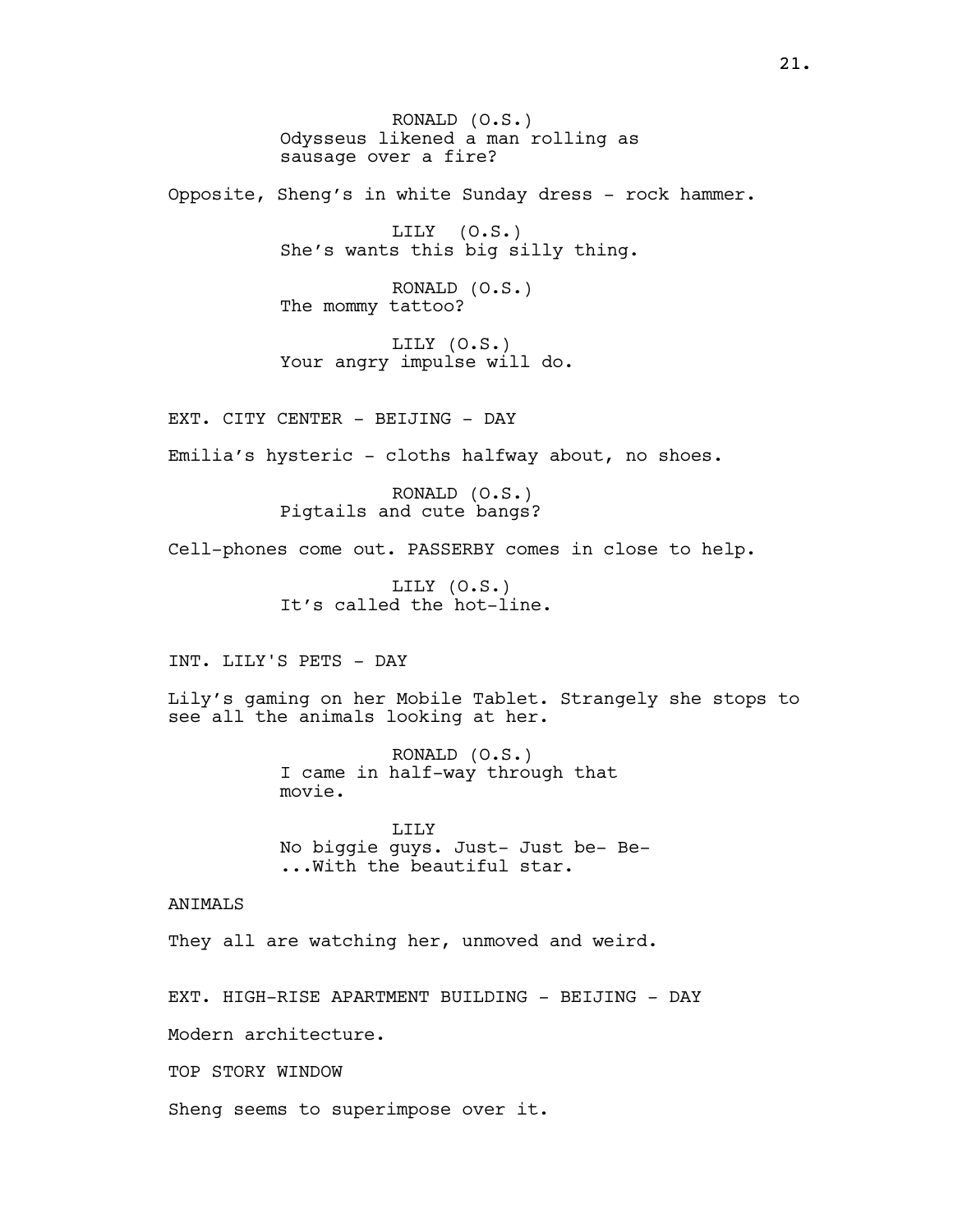RONALD (O.S.) Odysseus likened a man rolling as sausage over a fire?

Opposite, Sheng's in white Sunday dress - rock hammer.

LILY (O.S.) She's wants this big silly thing.

RONALD (O.S.) The mommy tattoo?

LILY (O.S.) Your angry impulse will do.

EXT. CITY CENTER - BEIJING - DAY

Emilia's hysteric - cloths halfway about, no shoes.

RONALD (O.S.) Pigtails and cute bangs?

Cell-phones come out. PASSERBY comes in close to help.

LILY (O.S.) It's called the hot-line.

INT. LILY'S PETS - DAY

Lily's gaming on her Mobile Tablet. Strangely she stops to see all the animals looking at her.

> RONALD (O.S.) I came in half-way through that movie.

LILY No biggie guys. Just- Just be- Be- ...With the beautiful star.

#### ANIMALS

They all are watching her, unmoved and weird.

EXT. HIGH-RISE APARTMENT BUILDING - BEIJING - DAY

Modern architecture.

TOP STORY WINDOW

Sheng seems to superimpose over it.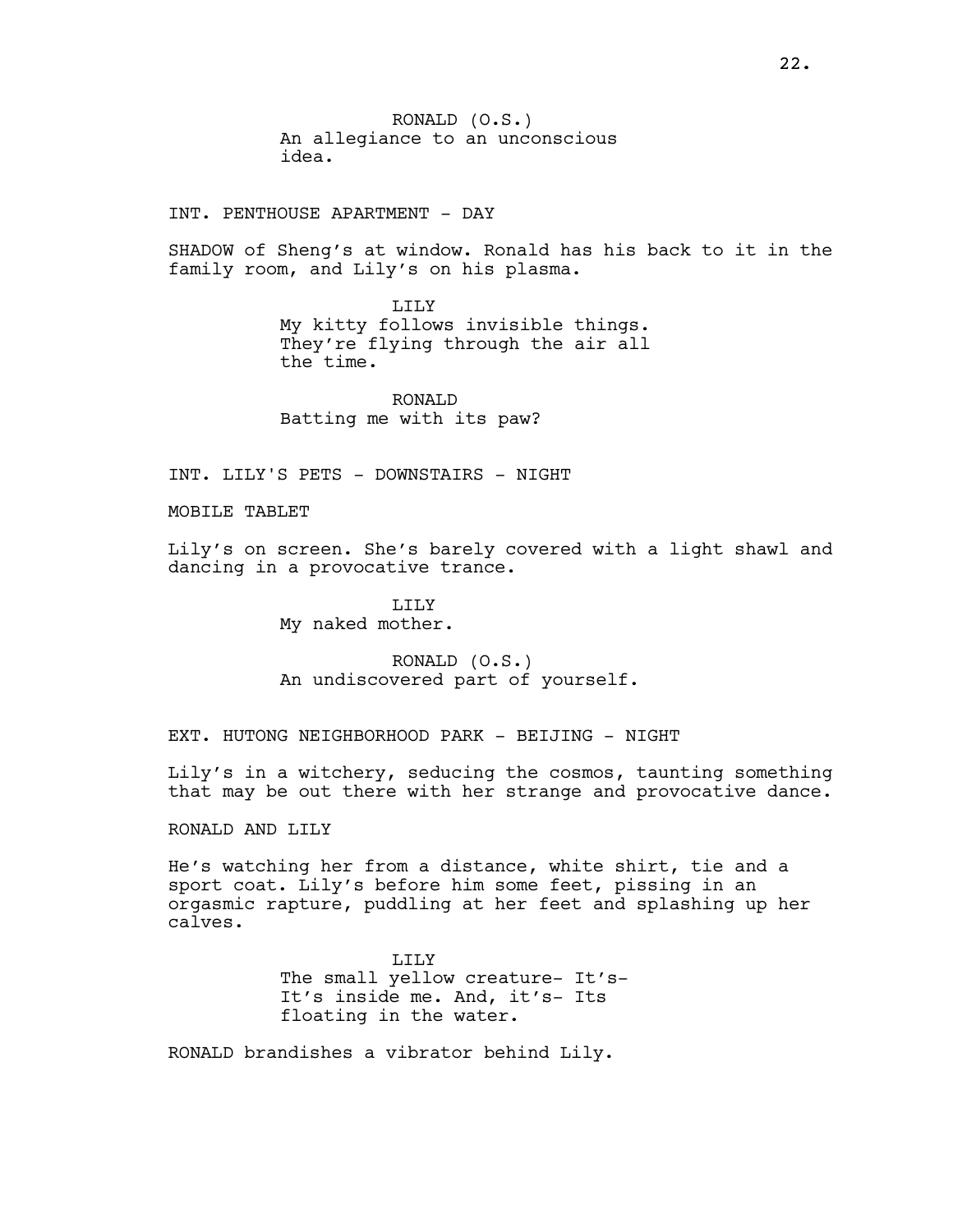RONALD (O.S.) An allegiance to an unconscious idea.

INT. PENTHOUSE APARTMENT - DAY

SHADOW of Sheng's at window. Ronald has his back to it in the family room, and Lily's on his plasma.

> T.TT.Y My kitty follows invisible things. They're flying through the air all the time.

RONAT<sub>D</sub> Batting me with its paw?

INT. LILY'S PETS - DOWNSTAIRS - NIGHT

MOBILE TABLET

Lily's on screen. She's barely covered with a light shawl and dancing in a provocative trance.

> T.TT.Y My naked mother.

RONALD (O.S.) An undiscovered part of yourself.

EXT. HUTONG NEIGHBORHOOD PARK - BEIJING - NIGHT

Lily's in a witchery, seducing the cosmos, taunting something that may be out there with her strange and provocative dance.

RONALD AND LILY

He's watching her from a distance, white shirt, tie and a sport coat. Lily's before him some feet, pissing in an orgasmic rapture, puddling at her feet and splashing up her calves.

> LILY The small yellow creature- It's-It's inside me. And, it's- Its floating in the water.

RONALD brandishes a vibrator behind Lily.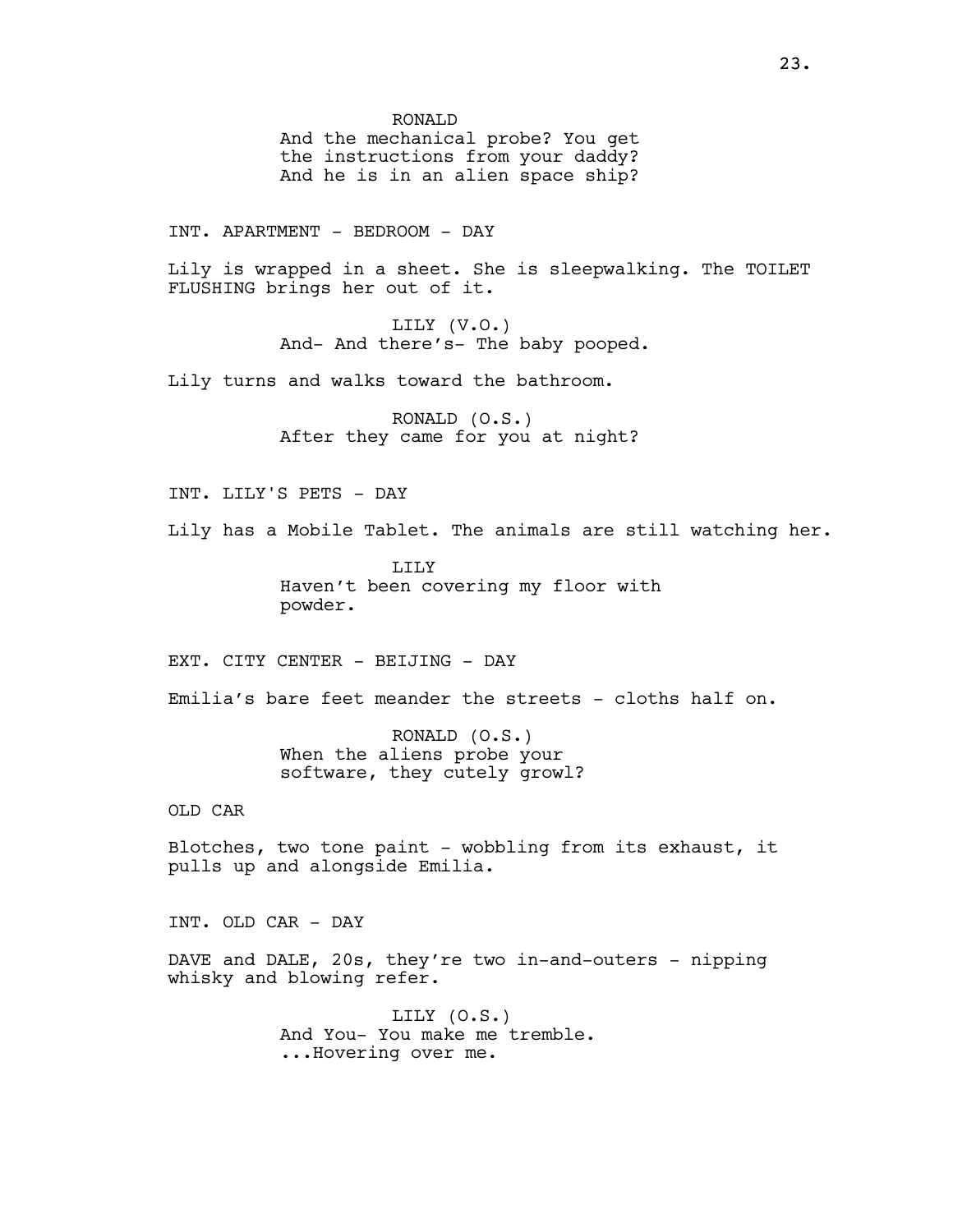RONALD And the mechanical probe? You get the instructions from your daddy? And he is in an alien space ship?

INT. APARTMENT - BEDROOM - DAY

Lily is wrapped in a sheet. She is sleepwalking. The TOILET FLUSHING brings her out of it.

> LILY (V.O.) And- And there's- The baby pooped.

Lily turns and walks toward the bathroom.

RONALD (O.S.) After they came for you at night?

INT. LILY'S PETS - DAY

Lily has a Mobile Tablet. The animals are still watching her.

LILY Haven't been covering my floor with powder.

EXT. CITY CENTER - BEIJING - DAY

Emilia's bare feet meander the streets - cloths half on.

RONALD (O.S.) When the aliens probe your software, they cutely growl?

OLD CAR

Blotches, two tone paint - wobbling from its exhaust, it pulls up and alongside Emilia.

INT. OLD CAR - DAY

DAVE and DALE, 20s, they're two in-and-outers - nipping whisky and blowing refer.

> LILY (O.S.) And You- You make me tremble. ...Hovering over me.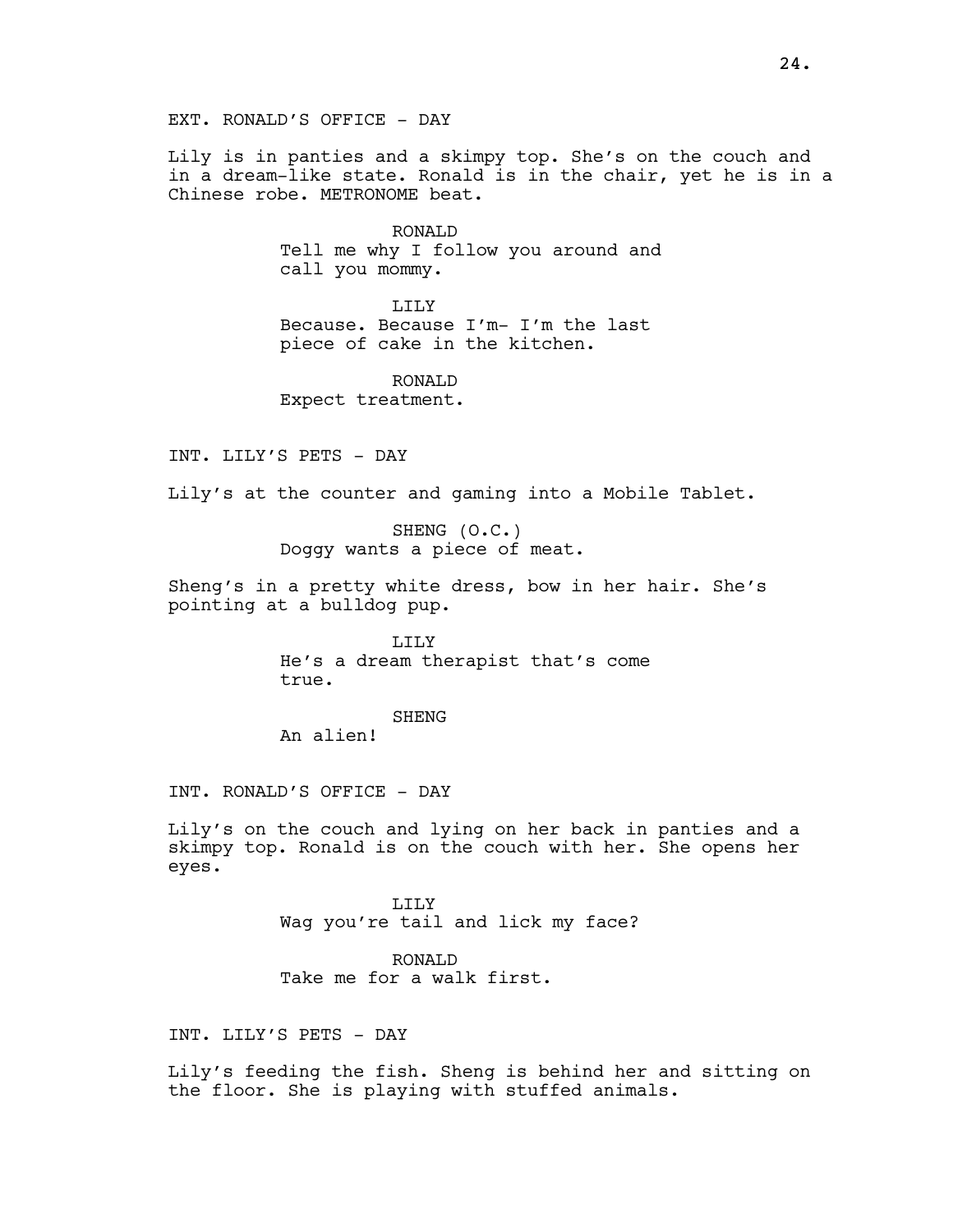Lily is in panties and a skimpy top. She's on the couch and in a dream-like state. Ronald is in the chair, yet he is in a Chinese robe. METRONOME beat.

> RONALD Tell me why I follow you around and call you mommy.

T.TT.Y Because. Because I'm- I'm the last piece of cake in the kitchen.

RONALD Expect treatment.

INT. LILY'S PETS - DAY

Lily's at the counter and gaming into a Mobile Tablet.

SHENG (O.C.) Doggy wants a piece of meat.

Sheng's in a pretty white dress, bow in her hair. She's pointing at a bulldog pup.

> LILY He's a dream therapist that's come true.

SHENG An alien!

INT. RONALD'S OFFICE - DAY

Lily's on the couch and lying on her back in panties and a skimpy top. Ronald is on the couch with her. She opens her eyes.

> LILY Wag you're tail and lick my face?

RONALD Take me for a walk first.

INT. LILY'S PETS - DAY

Lily's feeding the fish. Sheng is behind her and sitting on the floor. She is playing with stuffed animals.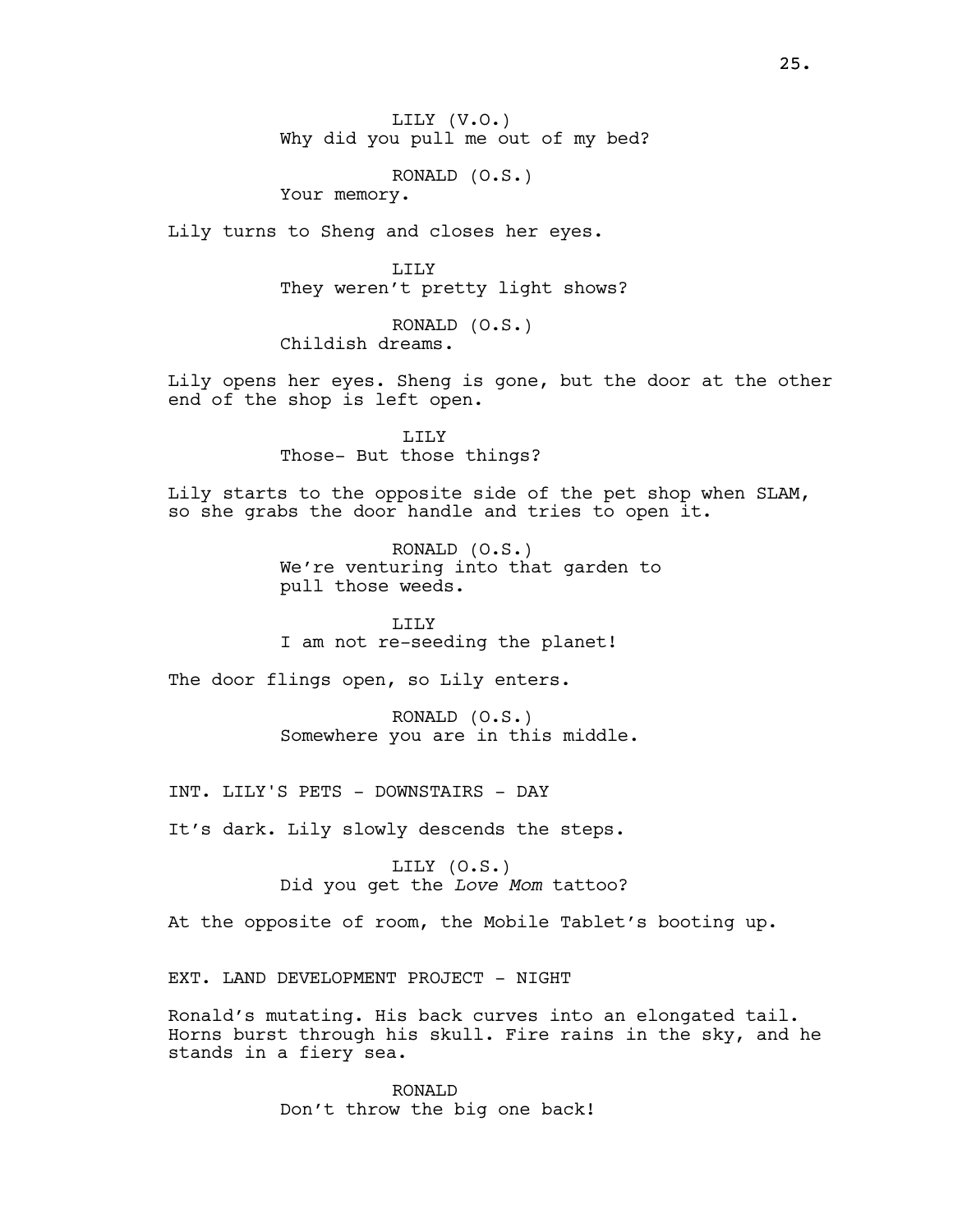LILY (V.O.) Why did you pull me out of my bed?

RONALD (O.S.)

Your memory.

Lily turns to Sheng and closes her eyes.

T.TT.Y They weren't pretty light shows?

RONALD (O.S.) Childish dreams.

Lily opens her eyes. Sheng is gone, but the door at the other end of the shop is left open.

> T.TT.Y Those- But those things?

Lily starts to the opposite side of the pet shop when SLAM, so she grabs the door handle and tries to open it.

> RONALD (O.S.) We're venturing into that garden to pull those weeds.

LILY I am not re-seeding the planet!

The door flings open, so Lily enters.

RONALD (O.S.) Somewhere you are in this middle.

INT. LILY'S PETS - DOWNSTAIRS - DAY

It's dark. Lily slowly descends the steps.

LILY (O.S.) Did you get the Love Mom tattoo?

At the opposite of room, the Mobile Tablet's booting up.

EXT. LAND DEVELOPMENT PROJECT - NIGHT

Ronald's mutating. His back curves into an elongated tail. Horns burst through his skull. Fire rains in the sky, and he stands in a fiery sea.

> RONALD Don't throw the big one back!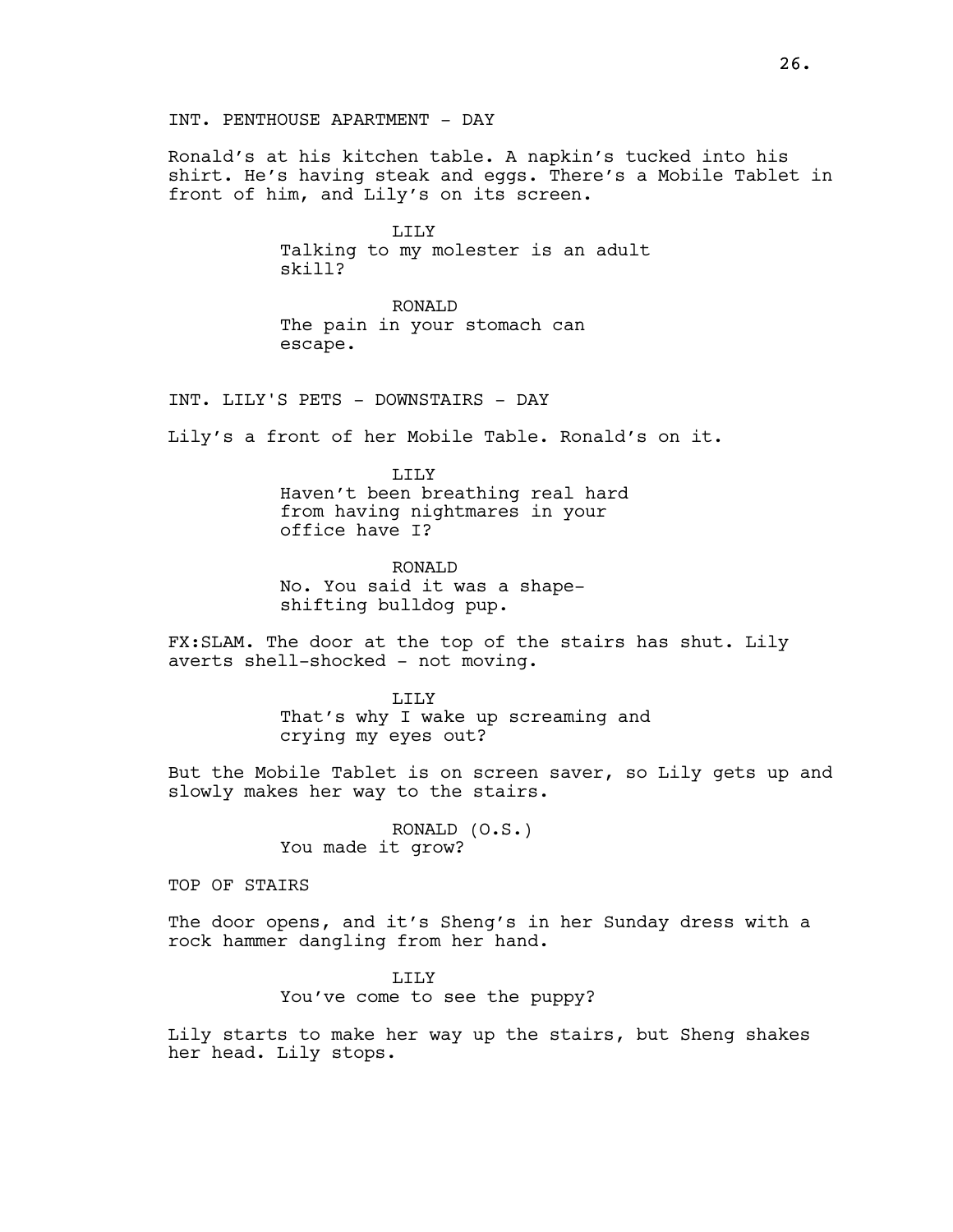Ronald's at his kitchen table. A napkin's tucked into his shirt. He's having steak and eggs. There's a Mobile Tablet in front of him, and Lily's on its screen.

> T.TT.Y Talking to my molester is an adult skill?

RONALD The pain in your stomach can escape.

INT. LILY'S PETS - DOWNSTAIRS - DAY

Lily's a front of her Mobile Table. Ronald's on it.

T.TT.Y Haven't been breathing real hard from having nightmares in your office have I?

RONALD No. You said it was a shapeshifting bulldog pup.

FX:SLAM. The door at the top of the stairs has shut. Lily averts shell-shocked - not moving.

> LILY That's why I wake up screaming and crying my eyes out?

But the Mobile Tablet is on screen saver, so Lily gets up and slowly makes her way to the stairs.

> RONALD (O.S.) You made it grow?

TOP OF STAIRS

The door opens, and it's Sheng's in her Sunday dress with a rock hammer dangling from her hand.

> LILY You've come to see the puppy?

Lily starts to make her way up the stairs, but Sheng shakes her head. Lily stops.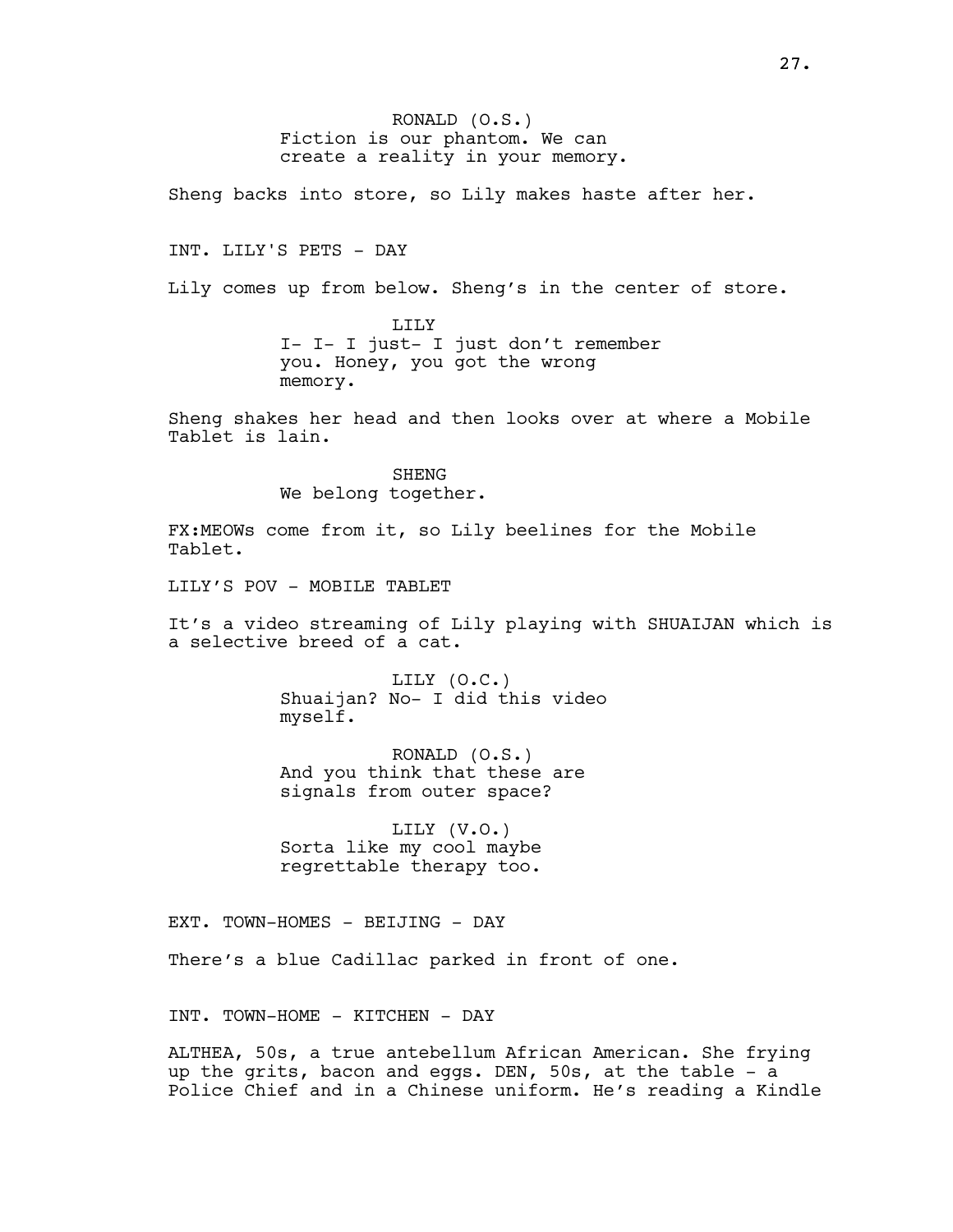RONALD (O.S.) Fiction is our phantom. We can create a reality in your memory.

Sheng backs into store, so Lily makes haste after her.

INT. LILY'S PETS - DAY

Lily comes up from below. Sheng's in the center of store.

LILY I- I- I just- I just don't remember you. Honey, you got the wrong memory.

Sheng shakes her head and then looks over at where a Mobile Tablet is lain.

> SHENG We belong together.

FX:MEOWs come from it, so Lily beelines for the Mobile Tablet.

LILY'S POV - MOBILE TABLET

It's a video streaming of Lily playing with SHUAIJAN which is a selective breed of a cat.

> LILY (O.C.) Shuaijan? No- I did this video myself.

RONALD (O.S.) And you think that these are signals from outer space?

LILY (V.O.) Sorta like my cool maybe regrettable therapy too.

EXT. TOWN-HOMES - BEIJING - DAY

There's a blue Cadillac parked in front of one.

INT. TOWN-HOME - KITCHEN - DAY

ALTHEA, 50s, a true antebellum African American. She frying up the grits, bacon and eggs. DEN, 50s, at the table - a Police Chief and in a Chinese uniform. He's reading a Kindle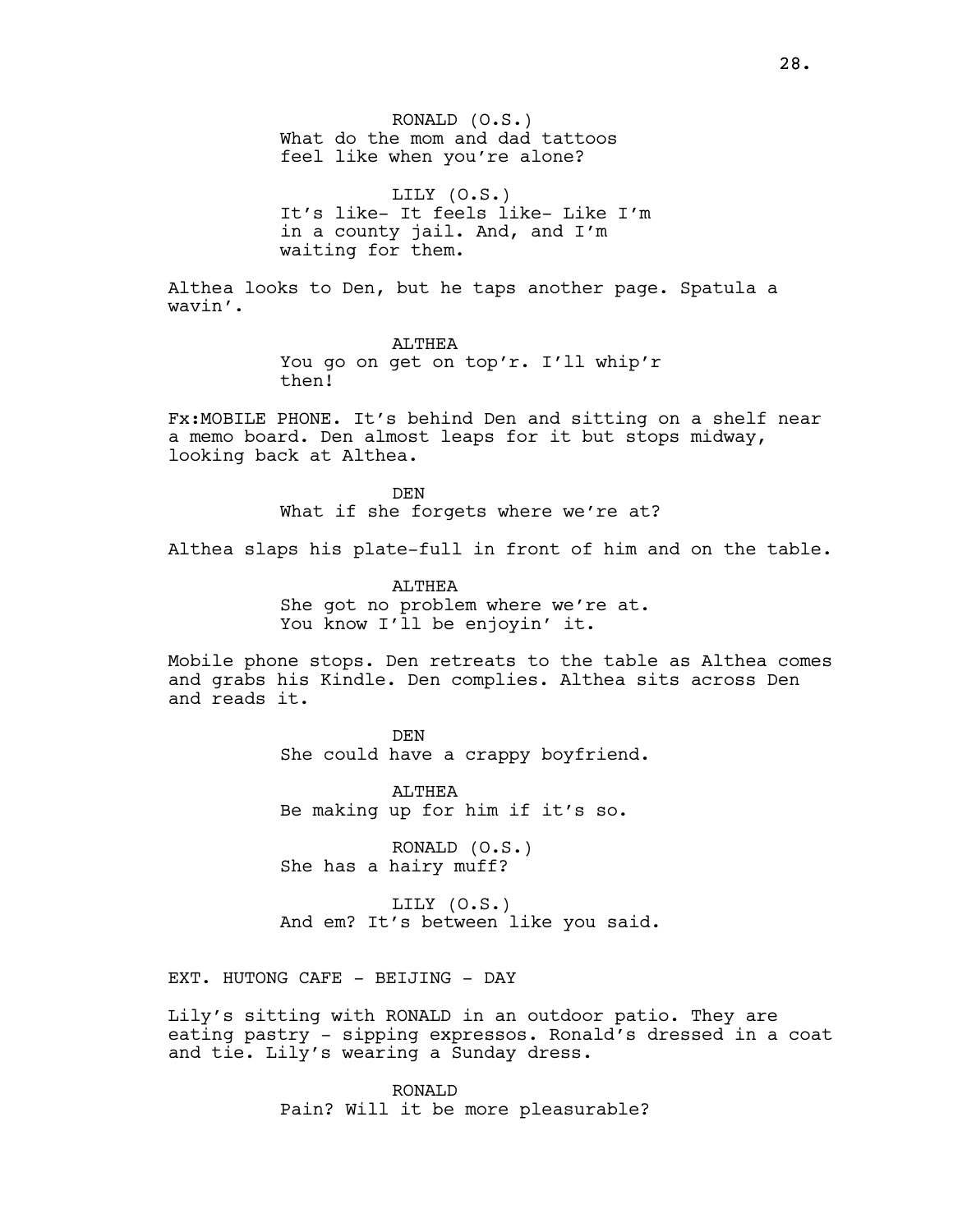RONALD (O.S.) What do the mom and dad tattoos feel like when you're alone?

LILY (O.S.) It's like- It feels like- Like I'm in a county jail. And, and I'm waiting for them.

Althea looks to Den, but he taps another page. Spatula a wavin'.

> **ALTHEA** You go on get on top'r. I'll whip'r then!

Fx:MOBILE PHONE. It's behind Den and sitting on a shelf near a memo board. Den almost leaps for it but stops midway, looking back at Althea.

> DEN What if she forgets where we're at?

Althea slaps his plate-full in front of him and on the table.

ALTHEA She got no problem where we're at. You know I'll be enjoyin' it.

Mobile phone stops. Den retreats to the table as Althea comes and grabs his Kindle. Den complies. Althea sits across Den and reads it.

> DEN She could have a crappy boyfriend.

ALTHEA Be making up for him if it's so.

RONALD (O.S.) She has a hairy muff?

LILY (O.S.) And em? It's between like you said.

EXT. HUTONG CAFE - BEIJING - DAY

Lily's sitting with RONALD in an outdoor patio. They are eating pastry - sipping expressos. Ronald's dressed in a coat and tie. Lily's wearing a Sunday dress.

> RONALD Pain? Will it be more pleasurable?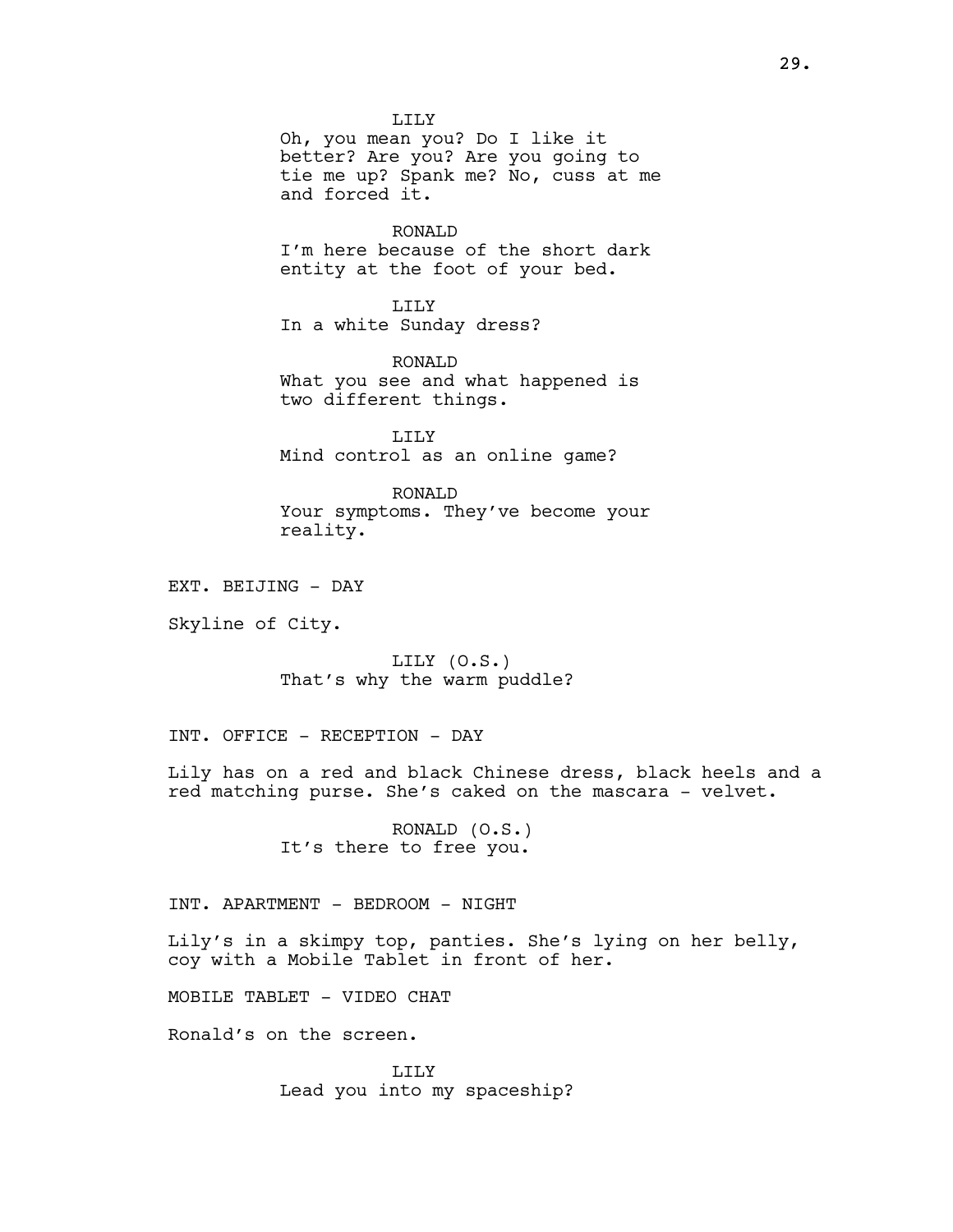LILY Oh, you mean you? Do I like it better? Are you? Are you going to tie me up? Spank me? No, cuss at me and forced it.

RONALD

I'm here because of the short dark entity at the foot of your bed.

LILY In a white Sunday dress?

RONALD What you see and what happened is two different things.

LILY Mind control as an online game?

RONALD Your symptoms. They've become your reality.

EXT. BEIJING - DAY

Skyline of City.

LILY (O.S.) That's why the warm puddle?

INT. OFFICE - RECEPTION - DAY

Lily has on a red and black Chinese dress, black heels and a red matching purse. She's caked on the mascara - velvet.

> RONALD (O.S.) It's there to free you.

INT. APARTMENT - BEDROOM - NIGHT

Lily's in a skimpy top, panties. She's lying on her belly, coy with a Mobile Tablet in front of her.

MOBILE TABLET - VIDEO CHAT

Ronald's on the screen.

LILY Lead you into my spaceship?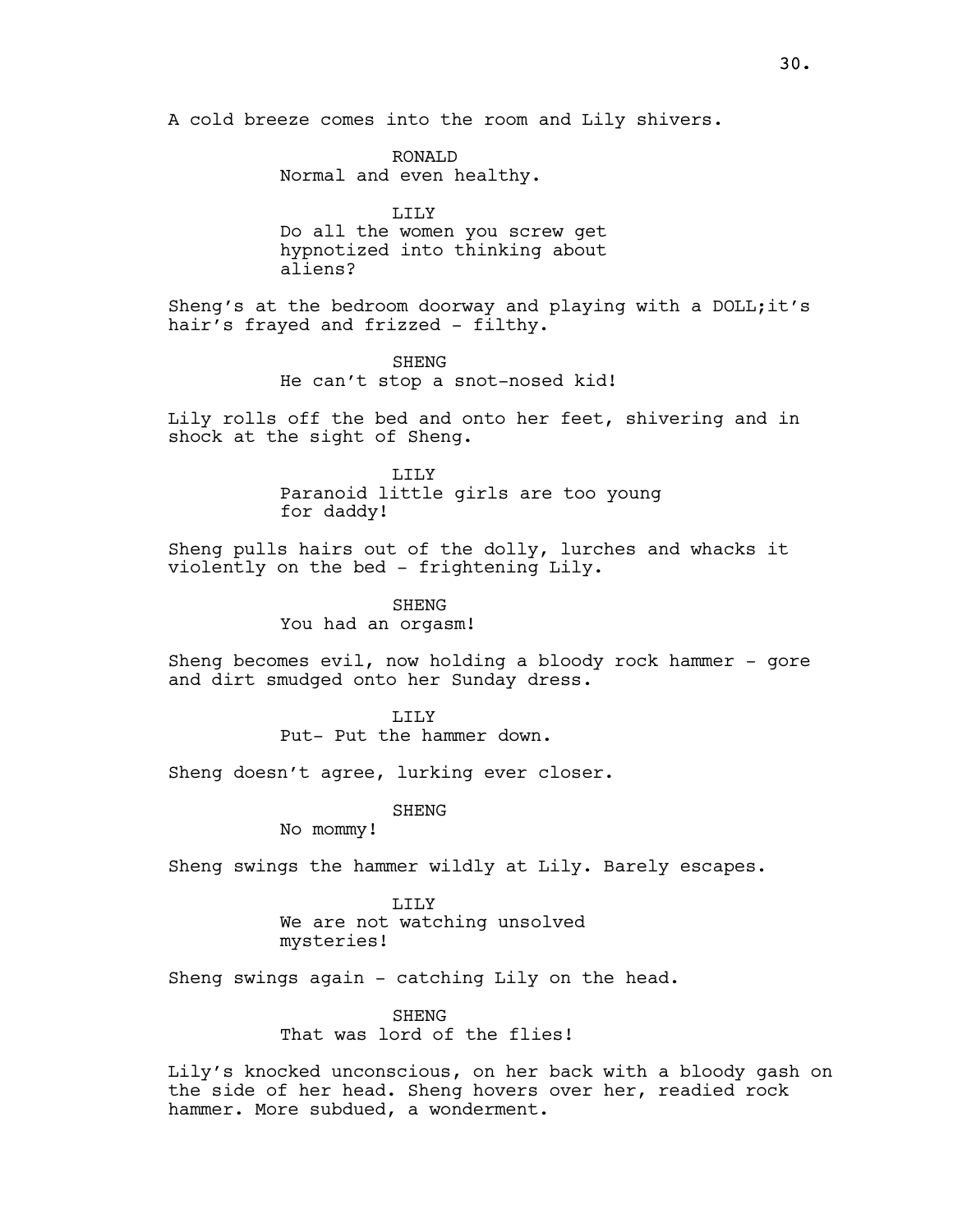A cold breeze comes into the room and Lily shivers.

RONALD Normal and even healthy.

LILY Do all the women you screw get hypnotized into thinking about aliens?

Sheng's at the bedroom doorway and playing with a DOLL;it's hair's frayed and frizzed - filthy.

> SHENG He can't stop a snot-nosed kid!

Lily rolls off the bed and onto her feet, shivering and in shock at the sight of Sheng.

> T.TT.Y Paranoid little girls are too young for daddy!

Sheng pulls hairs out of the dolly, lurches and whacks it violently on the bed - frightening Lily.

> **SHENG** You had an orgasm!

Sheng becomes evil, now holding a bloody rock hammer - gore and dirt smudged onto her Sunday dress.

> T.TT.Y Put- Put the hammer down.

Sheng doesn't agree, lurking ever closer.

SHENG

No mommy!

Sheng swings the hammer wildly at Lily. Barely escapes.

LILY We are not watching unsolved mysteries!

Sheng swings again - catching Lily on the head.

SHENG That was lord of the flies!

Lily's knocked unconscious, on her back with a bloody gash on the side of her head. Sheng hovers over her, readied rock hammer. More subdued, a wonderment.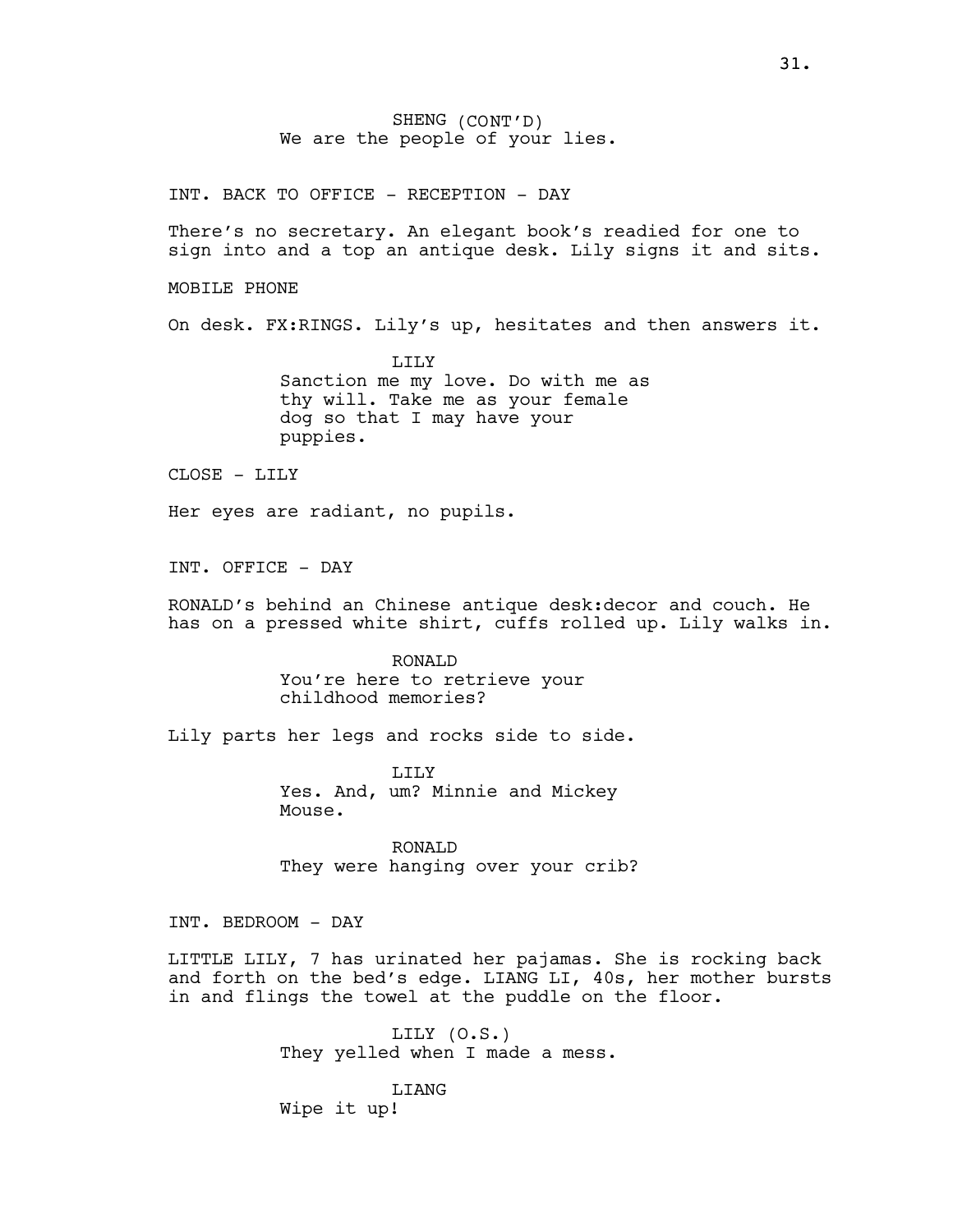SHENG (CONT'D) We are the people of your lies.

INT. BACK TO OFFICE - RECEPTION - DAY

There's no secretary. An elegant book's readied for one to sign into and a top an antique desk. Lily signs it and sits.

#### MOBILE PHONE

On desk. FX:RINGS. Lily's up, hesitates and then answers it.

LILY Sanction me my love. Do with me as thy will. Take me as your female dog so that I may have your puppies.

CLOSE - LILY

Her eyes are radiant, no pupils.

INT. OFFICE - DAY

RONALD's behind an Chinese antique desk:decor and couch. He has on a pressed white shirt, cuffs rolled up. Lily walks in.

> RONALD You're here to retrieve your childhood memories?

Lily parts her legs and rocks side to side.

LILY Yes. And, um? Minnie and Mickey Mouse.

RONALD They were hanging over your crib?

#### INT. BEDROOM - DAY

LITTLE LILY, 7 has urinated her pajamas. She is rocking back and forth on the bed's edge. LIANG LI, 40s, her mother bursts in and flings the towel at the puddle on the floor.

> LILY (O.S.) They yelled when I made a mess.

**LIANG** Wipe it up!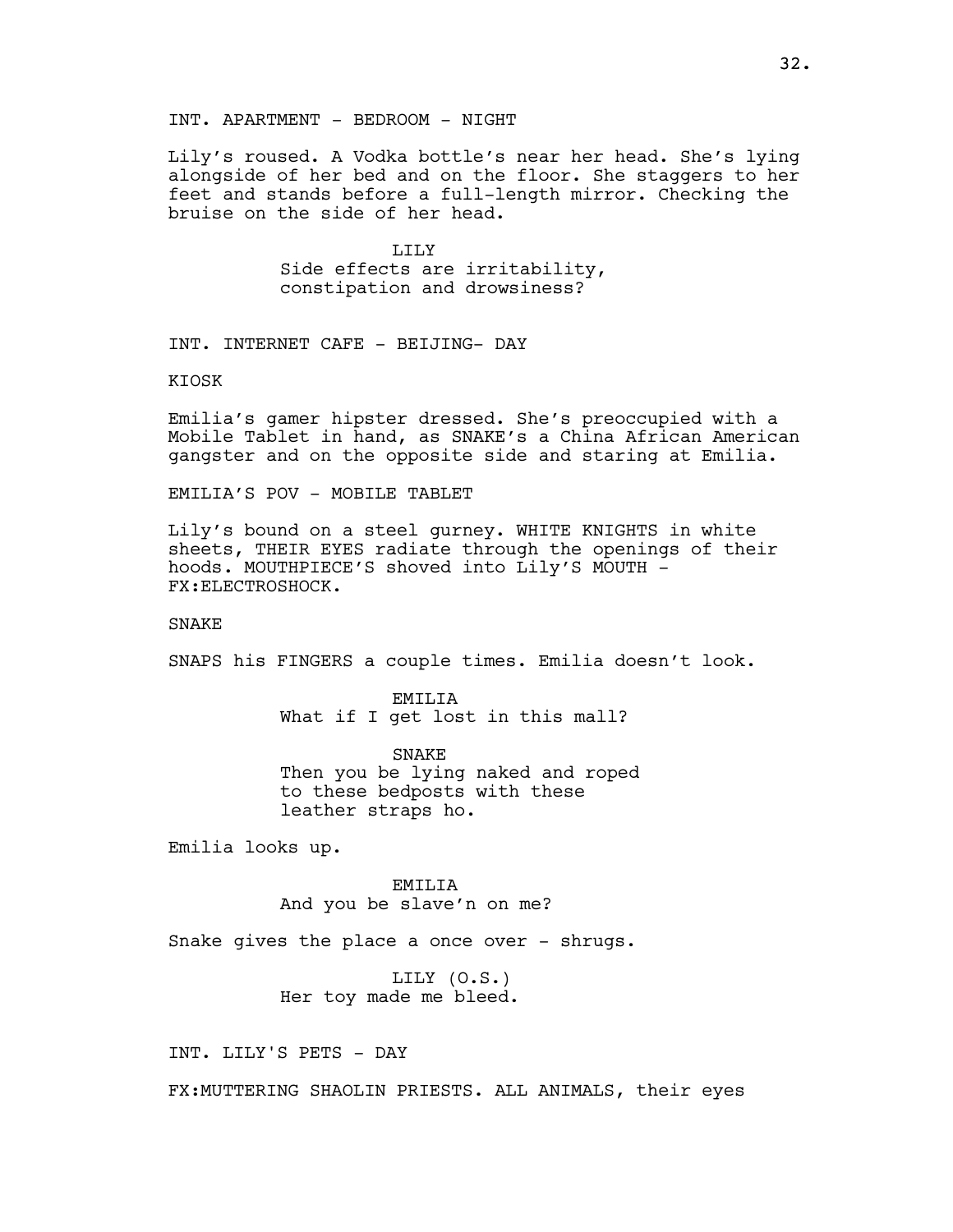Lily's roused. A Vodka bottle's near her head. She's lying alongside of her bed and on the floor. She staggers to her feet and stands before a full-length mirror. Checking the bruise on the side of her head.

> LILY Side effects are irritability, constipation and drowsiness?

INT. INTERNET CAFE - BEIJING- DAY

KIOSK

Emilia's gamer hipster dressed. She's preoccupied with a Mobile Tablet in hand, as SNAKE's a China African American gangster and on the opposite side and staring at Emilia.

EMILIA'S POV - MOBILE TABLET

Lily's bound on a steel gurney. WHITE KNIGHTS in white sheets, THEIR EYES radiate through the openings of their hoods. MOUTHPIECE'S shoved into Lily'S MOUTH -FX:ELECTROSHOCK.

#### SNAKE

SNAPS his FINGERS a couple times. Emilia doesn't look.

EMILIA What if I get lost in this mall?

SNAKE Then you be lying naked and roped to these bedposts with these leather straps ho.

Emilia looks up.

#### EMTT.TA

And you be slave'n on me?

Snake gives the place a once over - shrugs.

LILY (O.S.) Her toy made me bleed.

INT. LILY'S PETS - DAY

FX:MUTTERING SHAOLIN PRIESTS. ALL ANIMALS, their eyes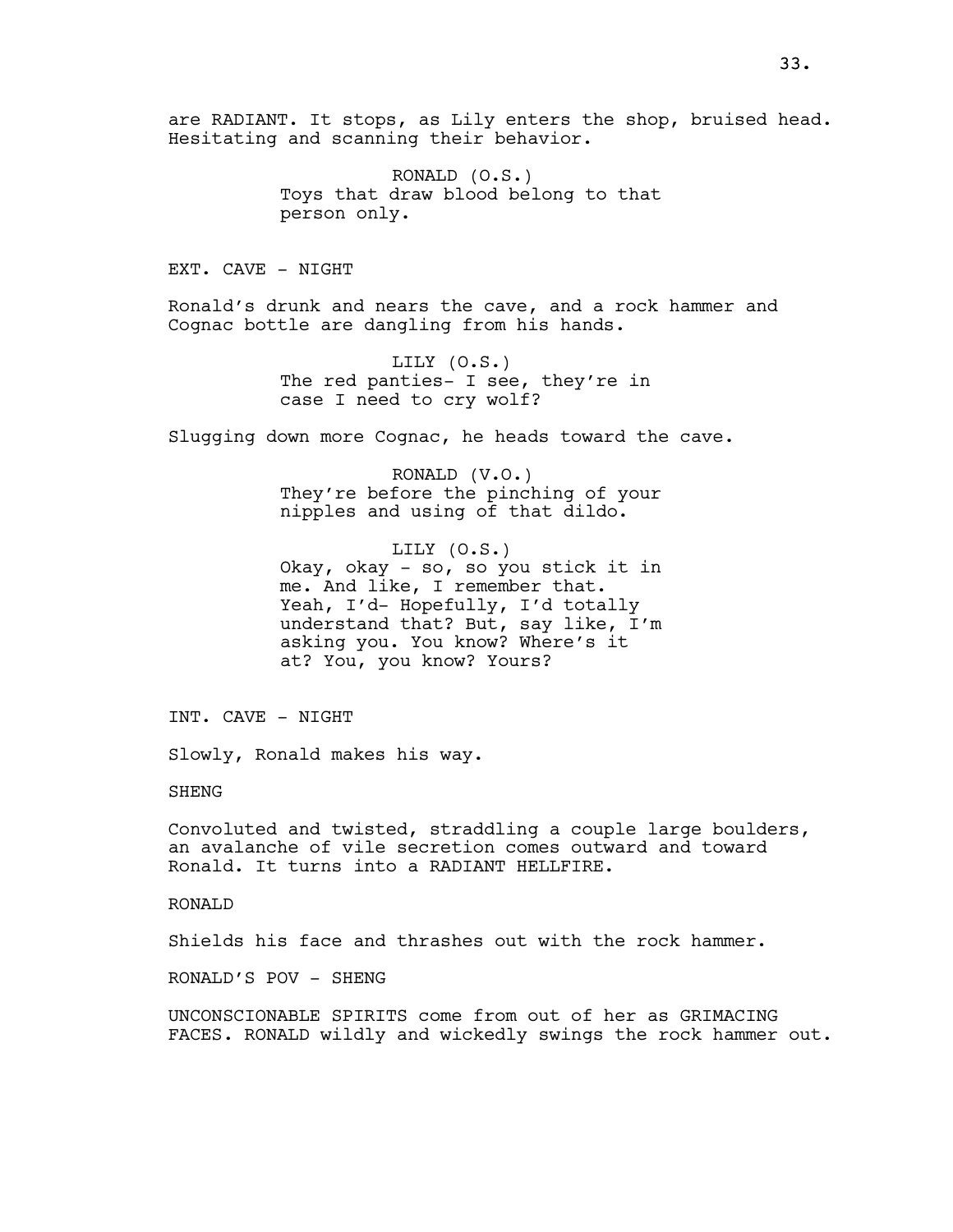are RADIANT. It stops, as Lily enters the shop, bruised head. Hesitating and scanning their behavior.

> RONALD (O.S.) Toys that draw blood belong to that person only.

EXT. CAVE - NIGHT

Ronald's drunk and nears the cave, and a rock hammer and Cognac bottle are dangling from his hands.

> LILY (O.S.) The red panties- I see, they're in case I need to cry wolf?

Slugging down more Cognac, he heads toward the cave.

RONALD (V.O.) They're before the pinching of your nipples and using of that dildo.

LILY (O.S.) Okay, okay - so, so you stick it in me. And like, I remember that. Yeah, I'd- Hopefully, I'd totally understand that? But, say like, I'm asking you. You know? Where's it at? You, you know? Yours?

INT. CAVE - NIGHT

Slowly, Ronald makes his way.

SHENG

Convoluted and twisted, straddling a couple large boulders, an avalanche of vile secretion comes outward and toward Ronald. It turns into a RADIANT HELLFIRE.

RONALD

Shields his face and thrashes out with the rock hammer.

RONALD'S POV - SHENG

UNCONSCIONABLE SPIRITS come from out of her as GRIMACING FACES. RONALD wildly and wickedly swings the rock hammer out.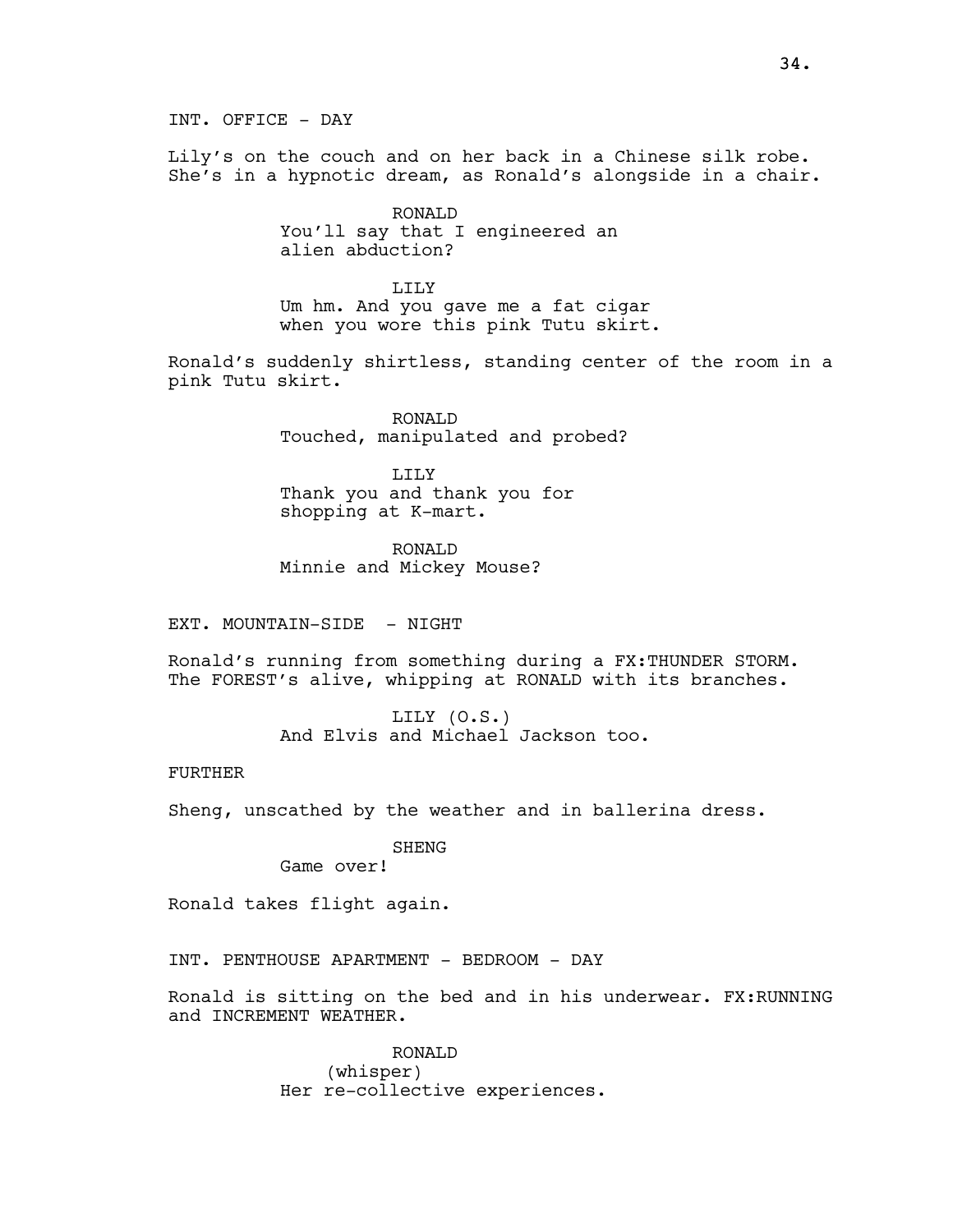INT. OFFICE - DAY

Lily's on the couch and on her back in a Chinese silk robe. She's in a hypnotic dream, as Ronald's alongside in a chair.

> RONALD You'll say that I engineered an alien abduction?

T.TT.Y Um hm. And you gave me a fat cigar when you wore this pink Tutu skirt.

Ronald's suddenly shirtless, standing center of the room in a pink Tutu skirt.

> RONALD Touched, manipulated and probed?

T.TT.Y Thank you and thank you for shopping at K-mart.

RONALD Minnie and Mickey Mouse?

EXT. MOUNTAIN-SIDE - NIGHT

Ronald's running from something during a FX:THUNDER STORM. The FOREST's alive, whipping at RONALD with its branches.

> LILY (O.S.) And Elvis and Michael Jackson too.

FURTHER

Sheng, unscathed by the weather and in ballerina dress.

SHENG

Game over!

Ronald takes flight again.

INT. PENTHOUSE APARTMENT - BEDROOM - DAY

Ronald is sitting on the bed and in his underwear. FX:RUNNING and INCREMENT WEATHER.

> RONALD (whisper) Her re-collective experiences.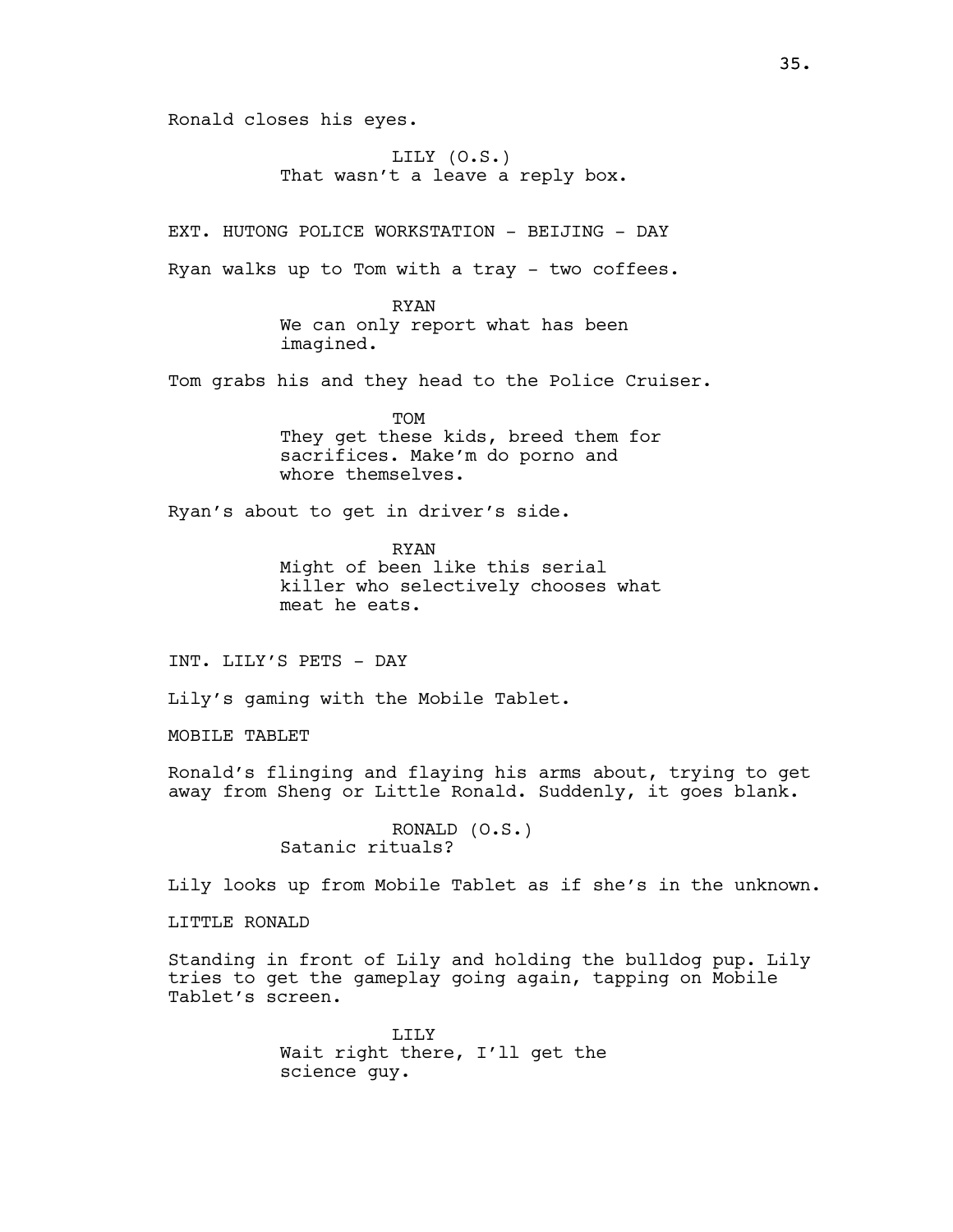Ronald closes his eyes.

LILY (O.S.) That wasn't a leave a reply box.

EXT. HUTONG POLICE WORKSTATION - BEIJING - DAY

Ryan walks up to Tom with a tray - two coffees.

RYAN We can only report what has been imagined.

Tom grabs his and they head to the Police Cruiser.

TOM They get these kids, breed them for sacrifices. Make'm do porno and whore themselves.

Ryan's about to get in driver's side.

RYAN Might of been like this serial killer who selectively chooses what meat he eats.

INT. LILY'S PETS - DAY

Lily's gaming with the Mobile Tablet.

MOBILE TABLET

Ronald's flinging and flaying his arms about, trying to get away from Sheng or Little Ronald. Suddenly, it goes blank.

> RONALD (O.S.) Satanic rituals?

Lily looks up from Mobile Tablet as if she's in the unknown.

LITTLE RONALD

Standing in front of Lily and holding the bulldog pup. Lily tries to get the gameplay going again, tapping on Mobile Tablet's screen.

> LILY Wait right there, I'll get the science guy.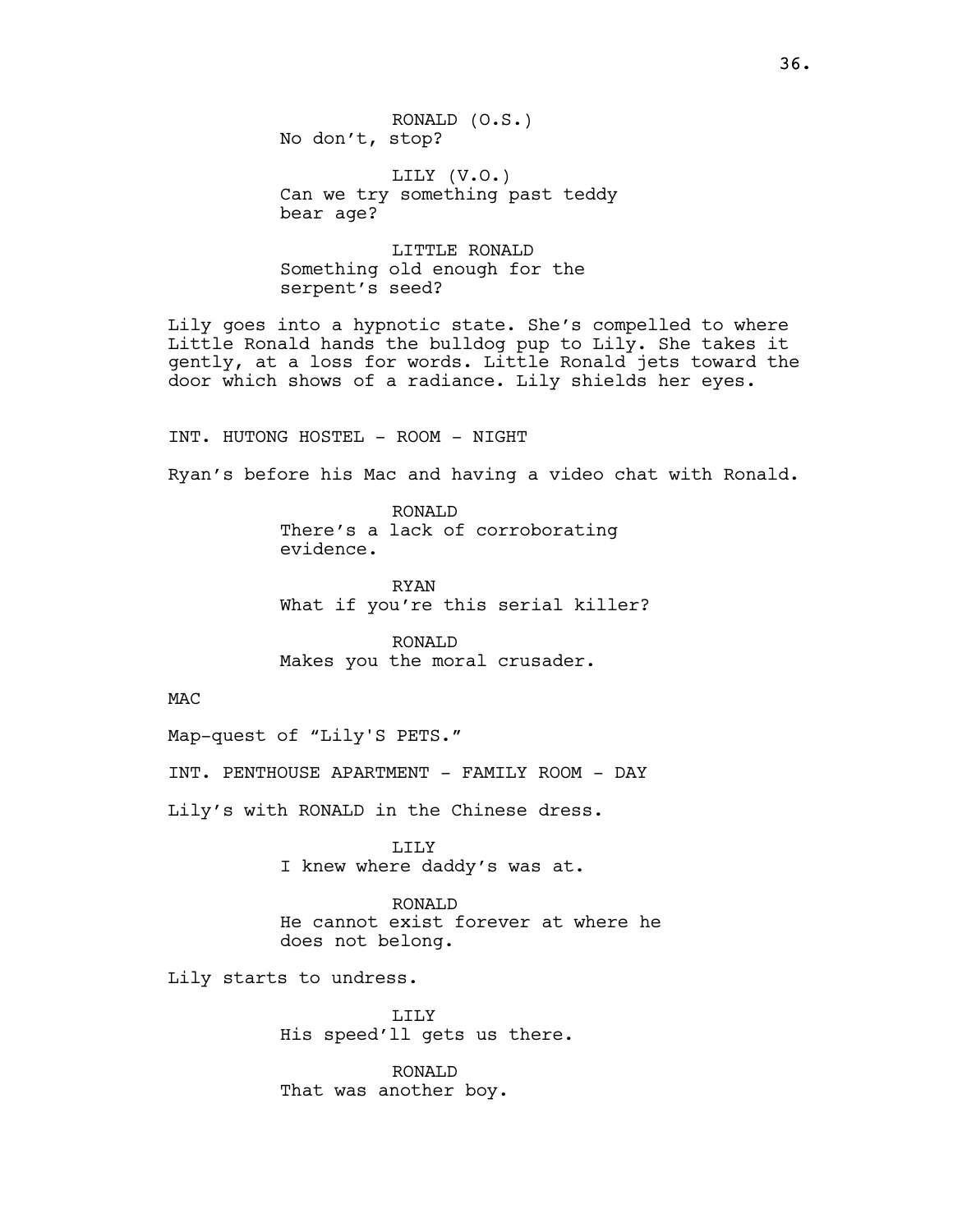RONALD (O.S.) No don't, stop?

LILY (V.O.) Can we try something past teddy bear age?

LITTLE RONALD Something old enough for the serpent's seed?

Lily goes into a hypnotic state. She's compelled to where Little Ronald hands the bulldog pup to Lily. She takes it gently, at a loss for words. Little Ronald jets toward the door which shows of a radiance. Lily shields her eyes.

INT. HUTONG HOSTEL - ROOM - NIGHT

Ryan's before his Mac and having a video chat with Ronald.

RONALD There's a lack of corroborating evidence.

RYAN What if you're this serial killer?

RONALD Makes you the moral crusader.

MAC

Map-quest of "Lily'S PETS."

INT. PENTHOUSE APARTMENT - FAMILY ROOM - DAY

Lily's with RONALD in the Chinese dress.

LILY I knew where daddy's was at.

RONALD He cannot exist forever at where he does not belong.

Lily starts to undress.

LILY His speed'll gets us there.

RONALD That was another boy.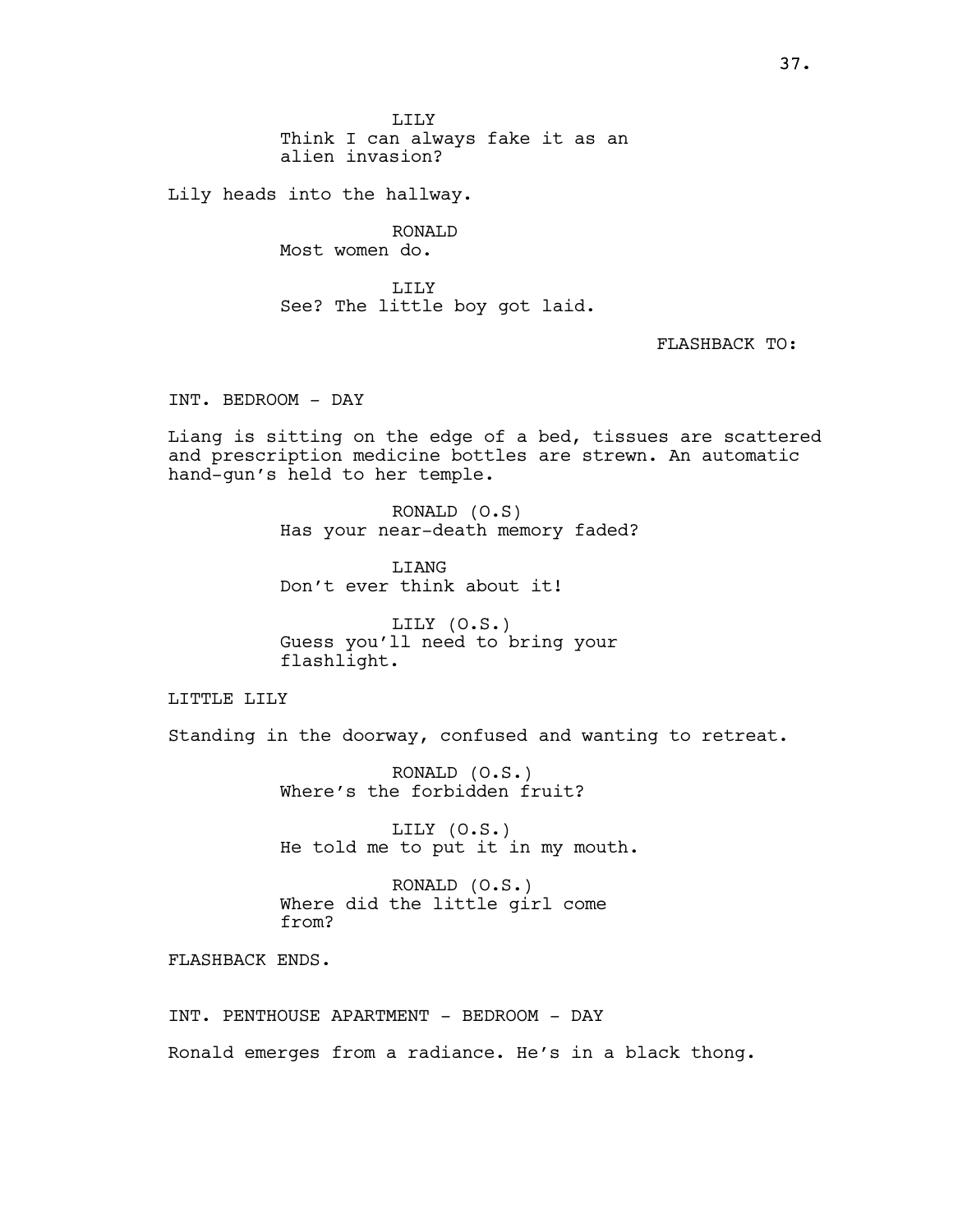LILY Think I can always fake it as an alien invasion?

Lily heads into the hallway.

RONALD Most women do.

T.TT.Y See? The little boy got laid.

FLASHBACK TO:

INT. BEDROOM - DAY

Liang is sitting on the edge of a bed, tissues are scattered and prescription medicine bottles are strewn. An automatic hand-gun's held to her temple.

> RONALD (O.S) Has your near-death memory faded?

LIANG Don't ever think about it!

LILY (O.S.) Guess you'll need to bring your flashlight.

LITTLE LILY

Standing in the doorway, confused and wanting to retreat.

RONALD (O.S.) Where's the forbidden fruit?

LILY (O.S.) He told me to put it in my mouth.

RONALD (O.S.) Where did the little girl come from?

FLASHBACK ENDS.

INT. PENTHOUSE APARTMENT - BEDROOM - DAY

Ronald emerges from a radiance. He's in a black thong.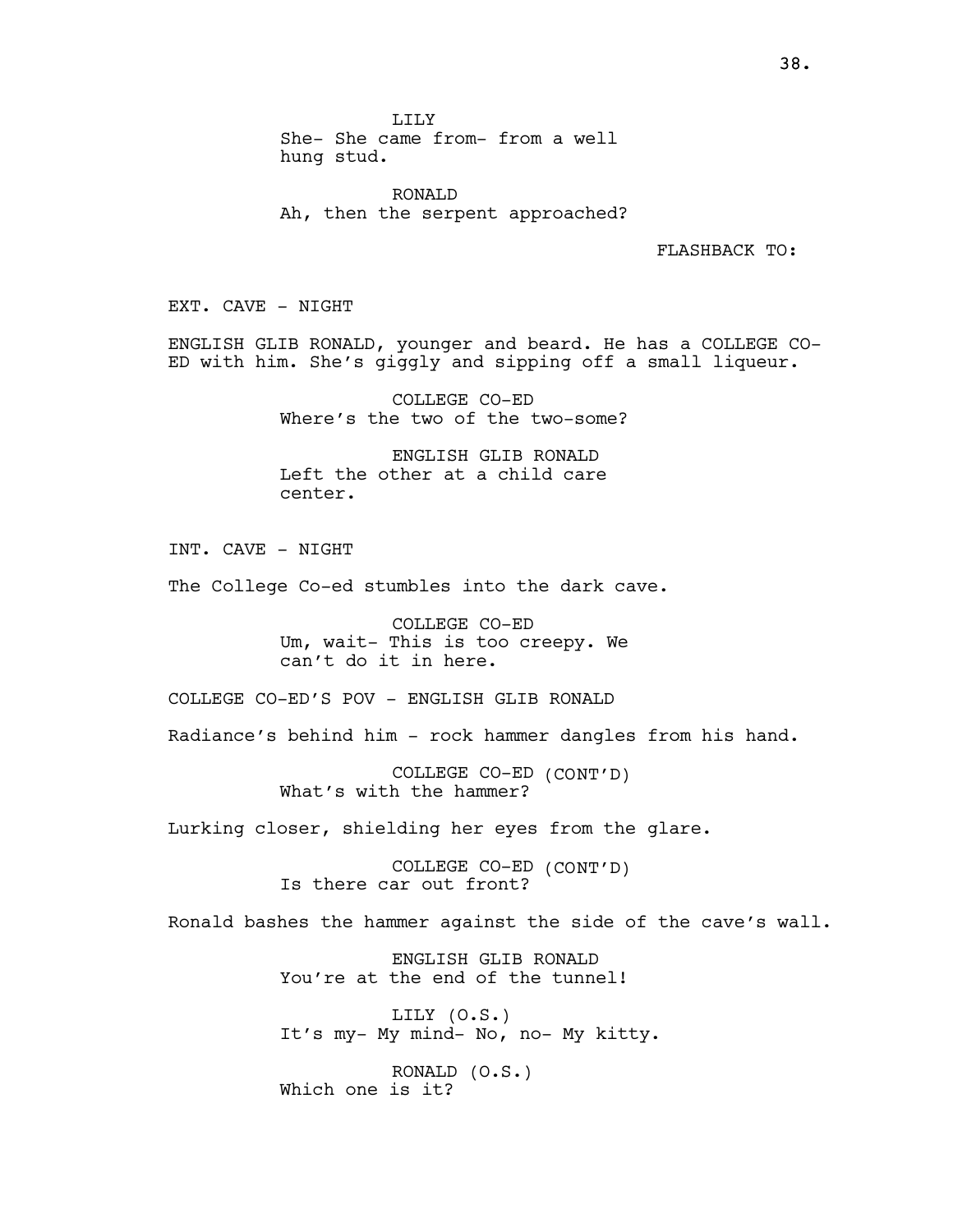LILY She- She came from- from a well hung stud.

RONALD Ah, then the serpent approached?

FLASHBACK TO:

EXT. CAVE - NIGHT

ENGLISH GLIB RONALD, younger and beard. He has a COLLEGE CO-ED with him. She's giggly and sipping off a small liqueur.

> COLLEGE CO-ED Where's the two of the two-some?

ENGLISH GLIB RONALD Left the other at a child care center.

INT. CAVE - NIGHT

The College Co-ed stumbles into the dark cave.

COLLEGE CO-ED Um, wait- This is too creepy. We can't do it in here.

COLLEGE CO-ED'S POV - ENGLISH GLIB RONALD

Radiance's behind him - rock hammer dangles from his hand.

COLLEGE CO-ED (CONT'D) What's with the hammer?

Lurking closer, shielding her eyes from the glare.

COLLEGE CO-ED (CONT'D) Is there car out front?

Ronald bashes the hammer against the side of the cave's wall.

ENGLISH GLIB RONALD You're at the end of the tunnel!

LILY (O.S.) It's my- My mind- No, no- My kitty.

RONALD (O.S.) Which one is it?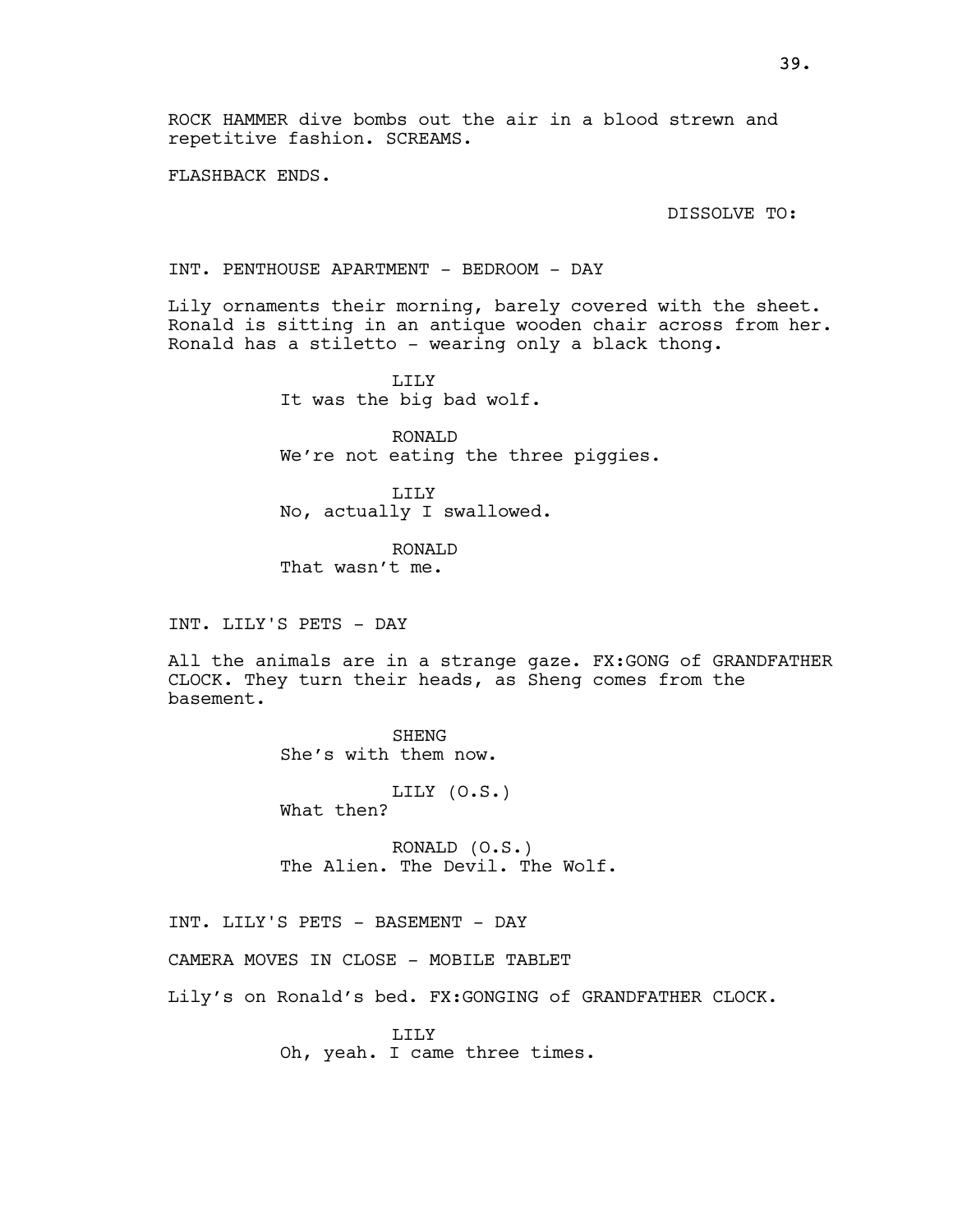ROCK HAMMER dive bombs out the air in a blood strewn and repetitive fashion. SCREAMS.

FLASHBACK ENDS.

DISSOLVE TO:

INT. PENTHOUSE APARTMENT - BEDROOM - DAY

Lily ornaments their morning, barely covered with the sheet. Ronald is sitting in an antique wooden chair across from her. Ronald has a stiletto - wearing only a black thong.

> LILY It was the big bad wolf.

RONALD We're not eating the three piggies.

LILY No, actually I swallowed.

RONALD That wasn't me.

INT. LILY'S PETS - DAY

All the animals are in a strange gaze. FX:GONG of GRANDFATHER CLOCK. They turn their heads, as Sheng comes from the basement.

> SHENG She's with them now.

LILY (O.S.) What then?

RONALD (O.S.) The Alien. The Devil. The Wolf.

INT. LILY'S PETS - BASEMENT - DAY

CAMERA MOVES IN CLOSE - MOBILE TABLET

Lily's on Ronald's bed. FX:GONGING of GRANDFATHER CLOCK.

LILY Oh, yeah. I came three times.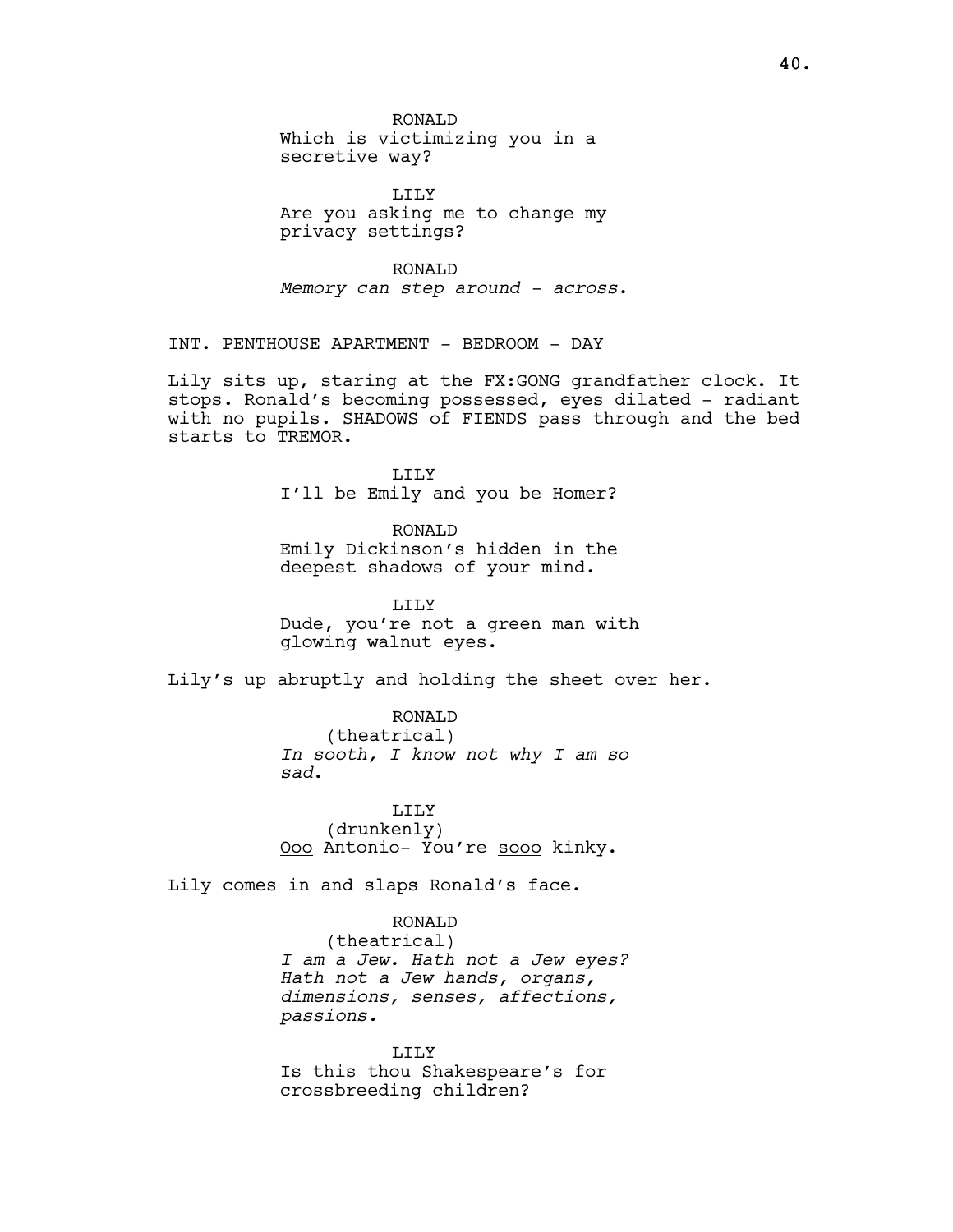RONALD Which is victimizing you in a secretive way?

LILY Are you asking me to change my privacy settings?

RONAT<sub>D</sub> Memory can step around - across.

INT. PENTHOUSE APARTMENT - BEDROOM - DAY

Lily sits up, staring at the FX:GONG grandfather clock. It stops. Ronald's becoming possessed, eyes dilated - radiant with no pupils. SHADOWS of FIENDS pass through and the bed starts to TREMOR.

> T.TT.Y I'll be Emily and you be Homer?

> RONALD Emily Dickinson's hidden in the deepest shadows of your mind.

T.TT.Y Dude, you're not a green man with glowing walnut eyes.

Lily's up abruptly and holding the sheet over her.

RONALD

(theatrical) In sooth, I know not why I am so sad.

T.TT.Y (drunkenly) Ooo Antonio- You're sooo kinky.

Lily comes in and slaps Ronald's face.

RONALD

(theatrical) I am a Jew. Hath not a Jew eyes? Hath not a Jew hands, organs, dimensions, senses, affections, passions.

LILY Is this thou Shakespeare's for crossbreeding children?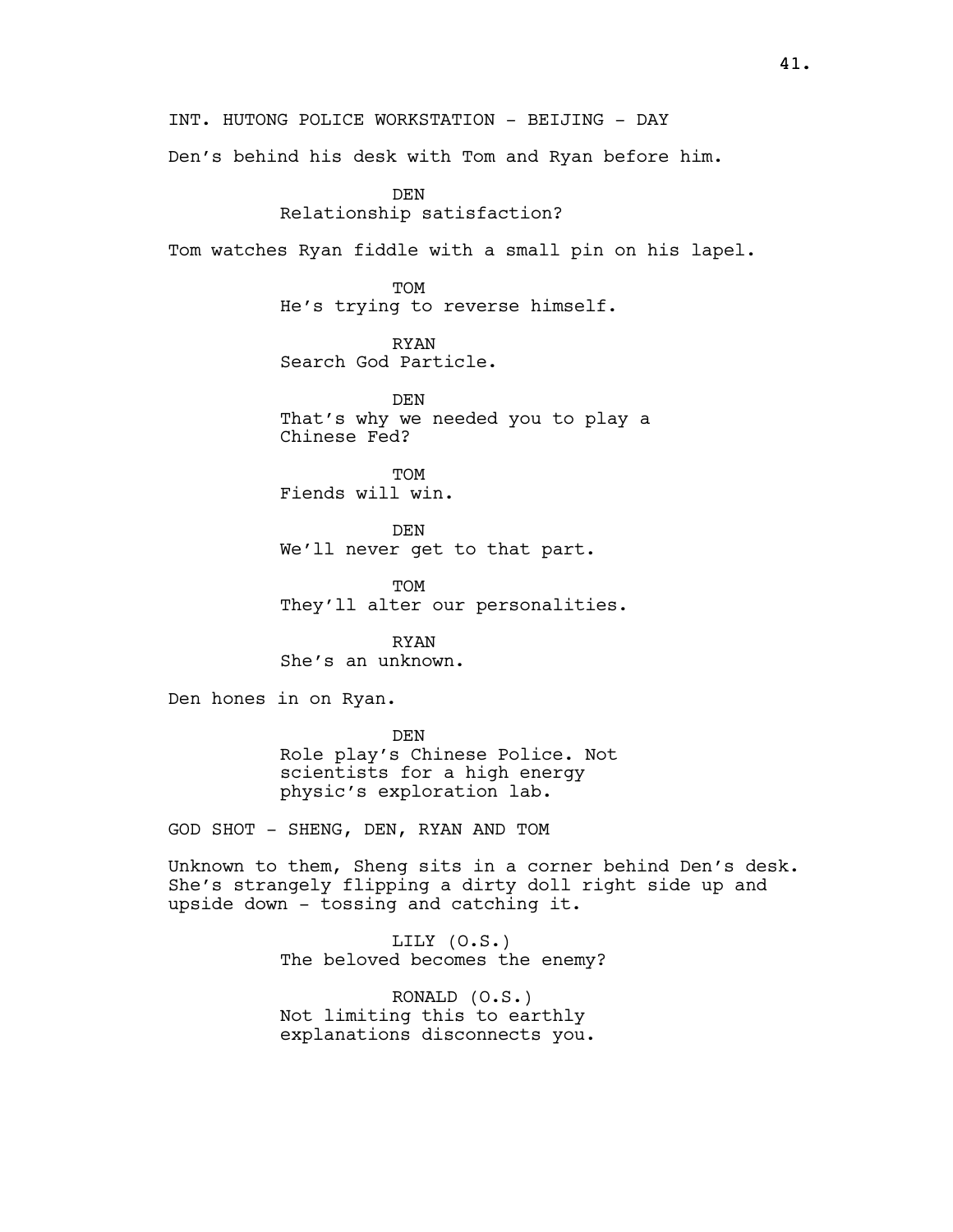INT. HUTONG POLICE WORKSTATION - BEIJING - DAY

Den's behind his desk with Tom and Ryan before him.

DEN Relationship satisfaction?

Tom watches Ryan fiddle with a small pin on his lapel.

TOM He's trying to reverse himself.

RYAN Search God Particle.

DEN That's why we needed you to play a Chinese Fed?

**TOM** Fiends will win.

DEN We'll never get to that part.

TOM They'll alter our personalities.

RYAN She's an unknown.

Den hones in on Ryan.

DEN Role play's Chinese Police. Not scientists for a high energy physic's exploration lab.

GOD SHOT - SHENG, DEN, RYAN AND TOM

Unknown to them, Sheng sits in a corner behind Den's desk. She's strangely flipping a dirty doll right side up and upside down - tossing and catching it.

> LILY (O.S.) The beloved becomes the enemy?

RONALD (O.S.) Not limiting this to earthly explanations disconnects you.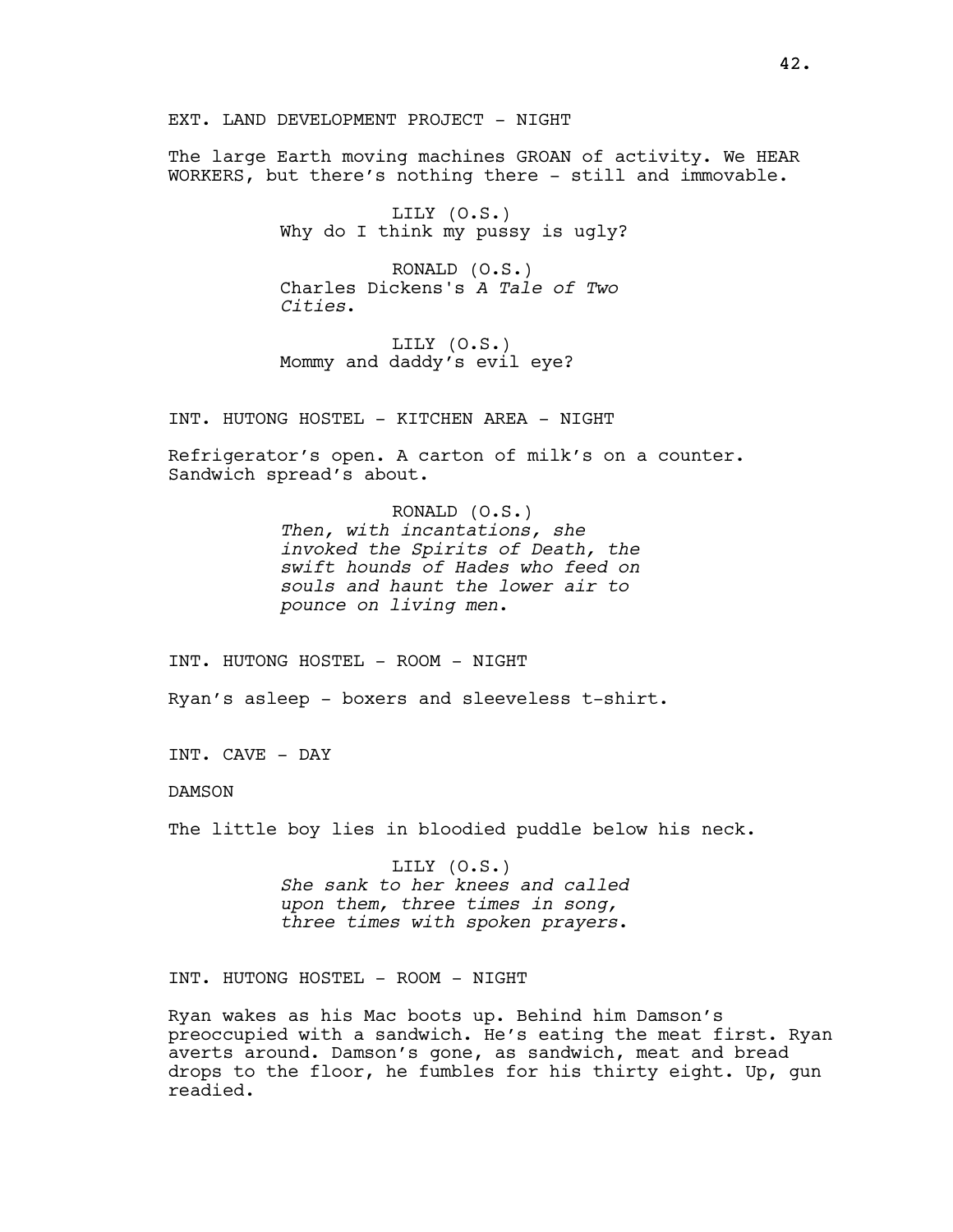EXT. LAND DEVELOPMENT PROJECT - NIGHT

The large Earth moving machines GROAN of activity. We HEAR WORKERS, but there's nothing there - still and immovable.

> LILY (O.S.) Why do I think my pussy is ugly?

RONALD (O.S.) Charles Dickens's A Tale of Two Cities.

LILY (O.S.) Mommy and daddy's evil eye?

INT. HUTONG HOSTEL - KITCHEN AREA - NIGHT

Refrigerator's open. A carton of milk's on a counter. Sandwich spread's about.

> RONALD (O.S.) Then, with incantations, she invoked the Spirits of Death, the swift hounds of Hades who feed on souls and haunt the lower air to pounce on living men.

INT. HUTONG HOSTEL - ROOM - NIGHT

Ryan's asleep - boxers and sleeveless t-shirt.

INT. CAVE - DAY

DAMSON

The little boy lies in bloodied puddle below his neck.

LILY (O.S.) She sank to her knees and called upon them, three times in song, three times with spoken prayers.

INT. HUTONG HOSTEL - ROOM - NIGHT

Ryan wakes as his Mac boots up. Behind him Damson's preoccupied with a sandwich. He's eating the meat first. Ryan averts around. Damson's gone, as sandwich, meat and bread drops to the floor, he fumbles for his thirty eight. Up, gun readied.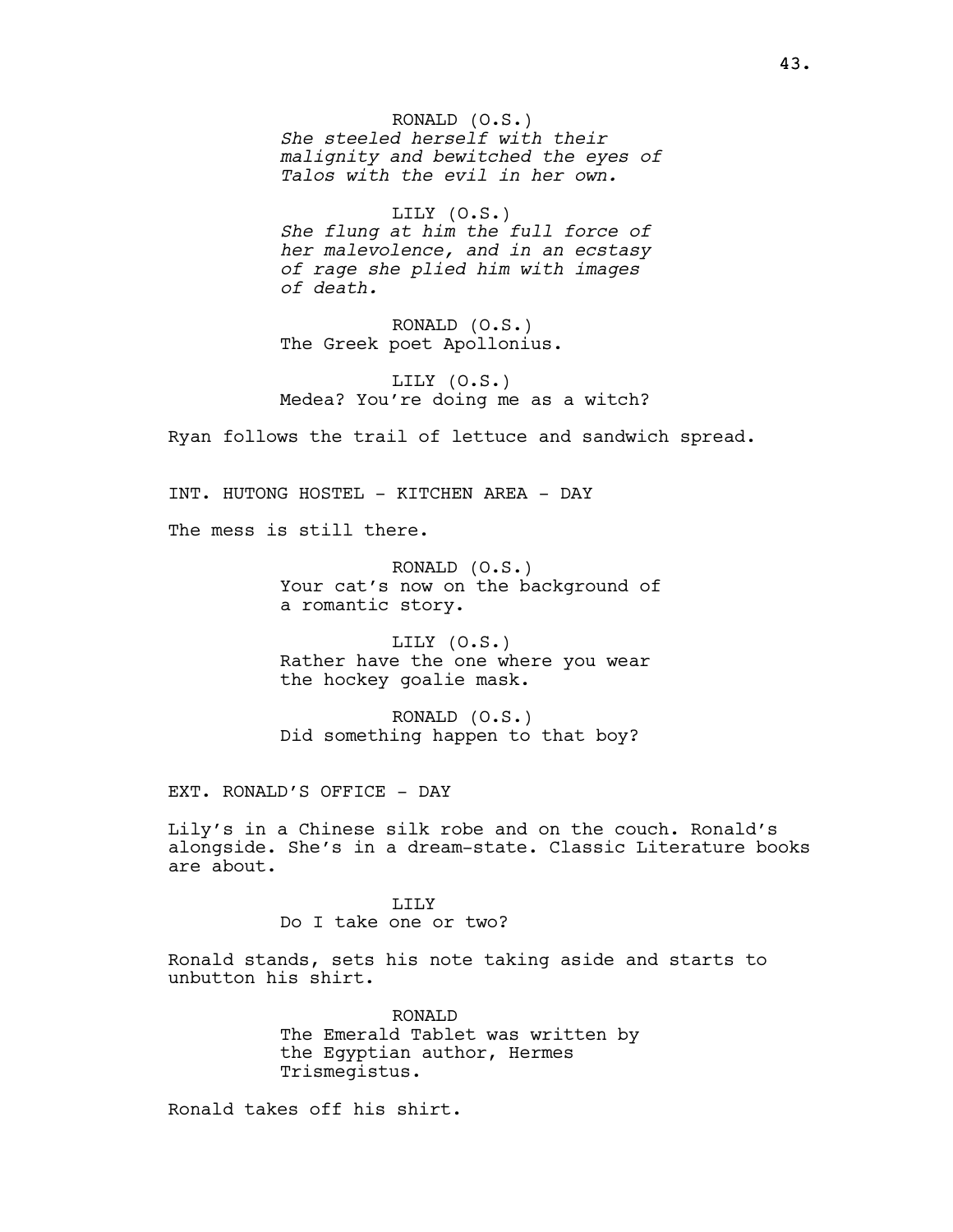RONALD (O.S.) She steeled herself with their malignity and bewitched the eyes of Talos with the evil in her own.

LILY (O.S.) She flung at him the full force of her malevolence, and in an ecstasy of rage she plied him with images of death.

RONALD (O.S.) The Greek poet Apollonius.

LILY (O.S.) Medea? You're doing me as a witch?

Ryan follows the trail of lettuce and sandwich spread.

INT. HUTONG HOSTEL - KITCHEN AREA - DAY

The mess is still there.

RONALD (O.S.) Your cat's now on the background of a romantic story.

LILY (O.S.) Rather have the one where you wear the hockey goalie mask.

RONALD (O.S.) Did something happen to that boy?

EXT. RONALD'S OFFICE - DAY

Lily's in a Chinese silk robe and on the couch. Ronald's alongside. She's in a dream-state. Classic Literature books are about.

> T.TT.Y Do I take one or two?

Ronald stands, sets his note taking aside and starts to unbutton his shirt.

> RONALD The Emerald Tablet was written by the Egyptian author, Hermes Trismegistus.

Ronald takes off his shirt.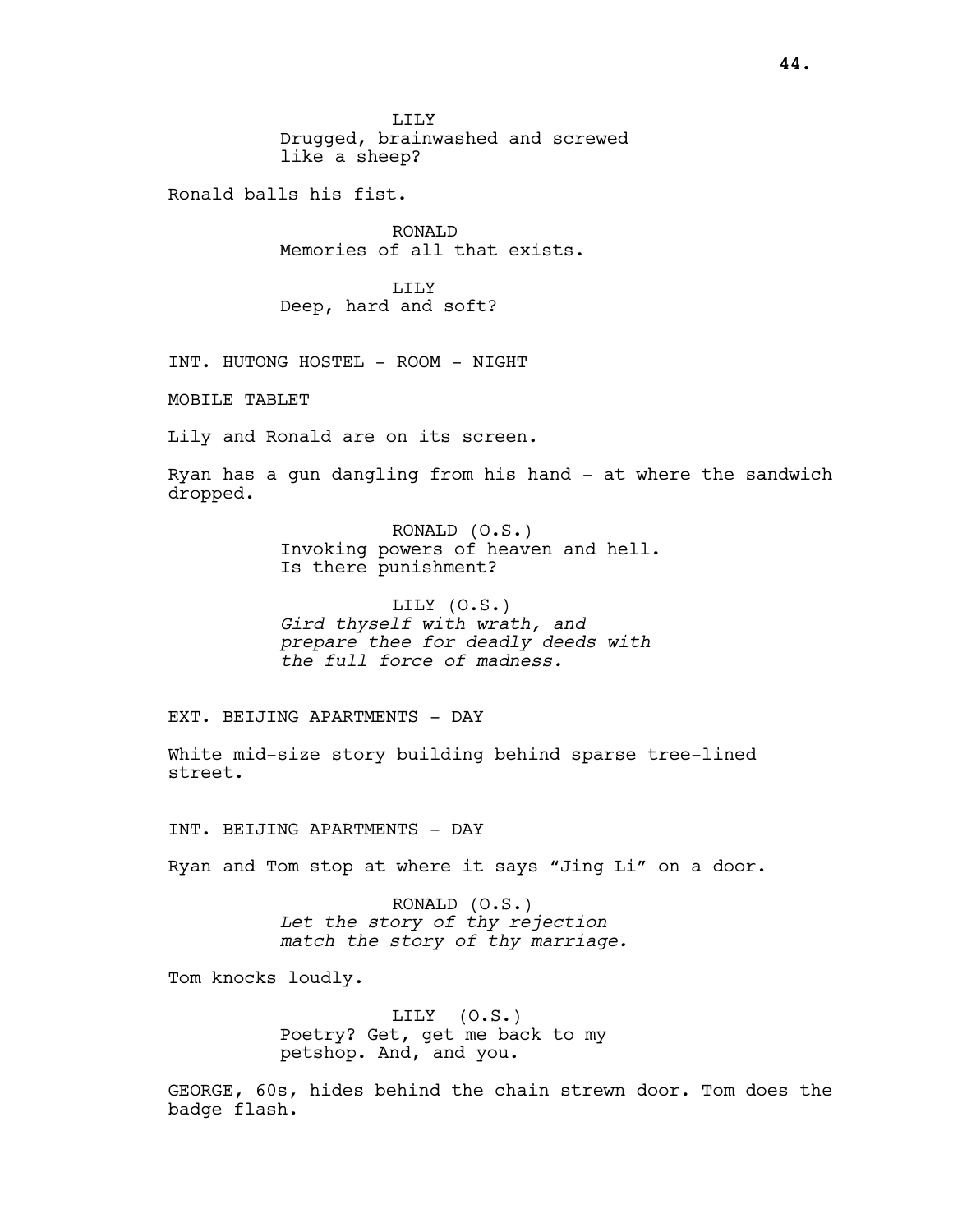LILY Drugged, brainwashed and screwed like a sheep?

Ronald balls his fist.

RONALD Memories of all that exists.

T.TT.Y Deep, hard and soft?

INT. HUTONG HOSTEL - ROOM - NIGHT

MOBILE TABLET

Lily and Ronald are on its screen.

Ryan has a gun dangling from his hand - at where the sandwich dropped.

> RONALD (O.S.) Invoking powers of heaven and hell. Is there punishment?

LILY (O.S.) Gird thyself with wrath, and prepare thee for deadly deeds with the full force of madness.

EXT. BEIJING APARTMENTS - DAY

White mid-size story building behind sparse tree-lined street.

INT. BEIJING APARTMENTS - DAY

Ryan and Tom stop at where it says "Jing Li" on a door.

RONALD (O.S.) Let the story of thy rejection match the story of thy marriage.

Tom knocks loudly.

LILY (O.S.) Poetry? Get, get me back to my petshop. And, and you.

GEORGE, 60s, hides behind the chain strewn door. Tom does the badge flash.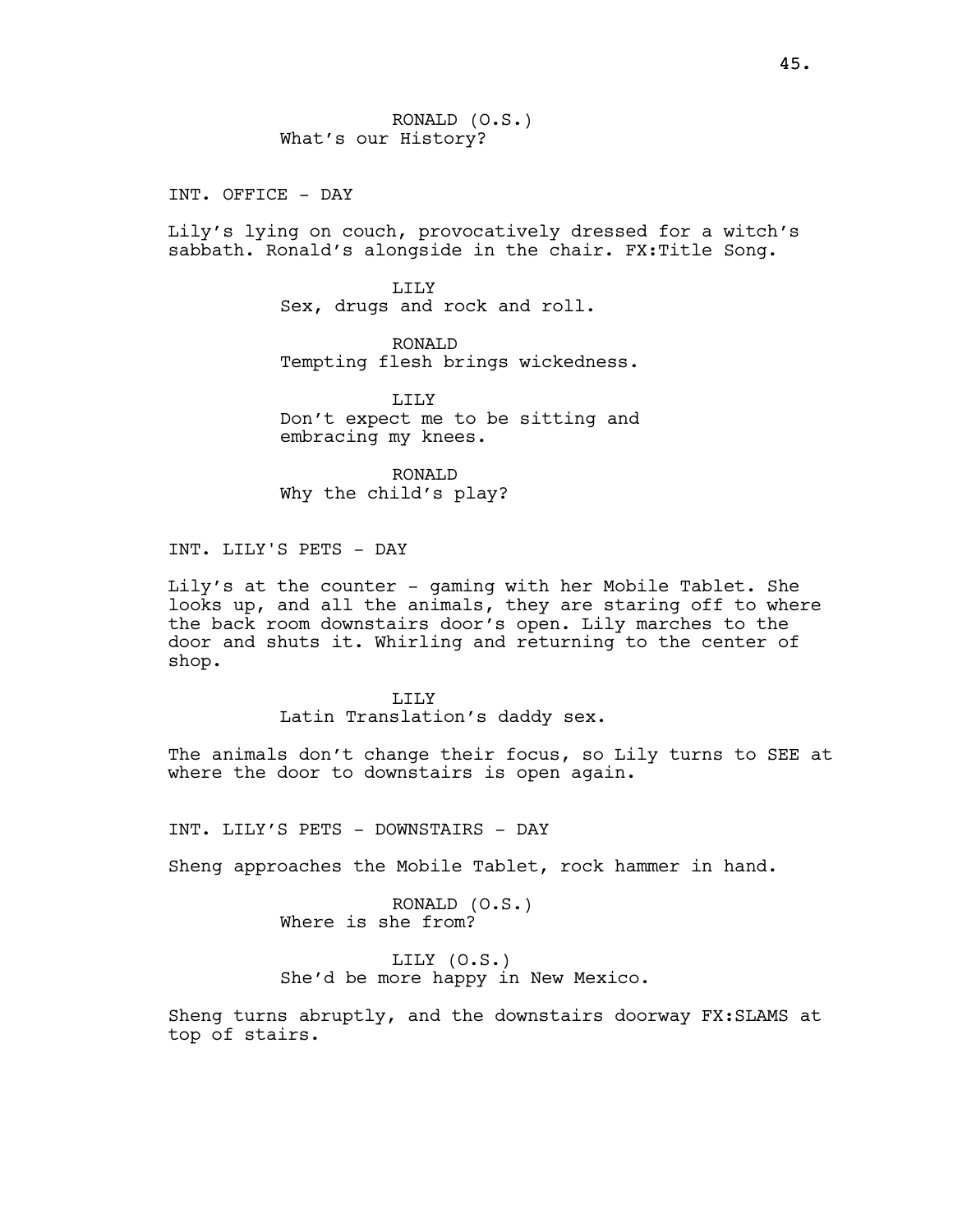INT. OFFICE - DAY

Lily's lying on couch, provocatively dressed for a witch's sabbath. Ronald's alongside in the chair. FX:Title Song.

> LILY Sex, drugs and rock and roll.

RONALD Tempting flesh brings wickedness.

T.TT.Y Don't expect me to be sitting and embracing my knees.

RONAT<sub>D</sub> Why the child's play?

INT. LILY'S PETS - DAY

Lily's at the counter - gaming with her Mobile Tablet. She looks up, and all the animals, they are staring off to where the back room downstairs door's open. Lily marches to the door and shuts it. Whirling and returning to the center of shop.

> T.TT.Y Latin Translation's daddy sex.

The animals don't change their focus, so Lily turns to SEE at where the door to downstairs is open again.

INT. LILY'S PETS - DOWNSTAIRS - DAY

Sheng approaches the Mobile Tablet, rock hammer in hand.

RONALD (O.S.) Where is she from?

LILY (O.S.) She'd be more happy in New Mexico.

Sheng turns abruptly, and the downstairs doorway FX:SLAMS at top of stairs.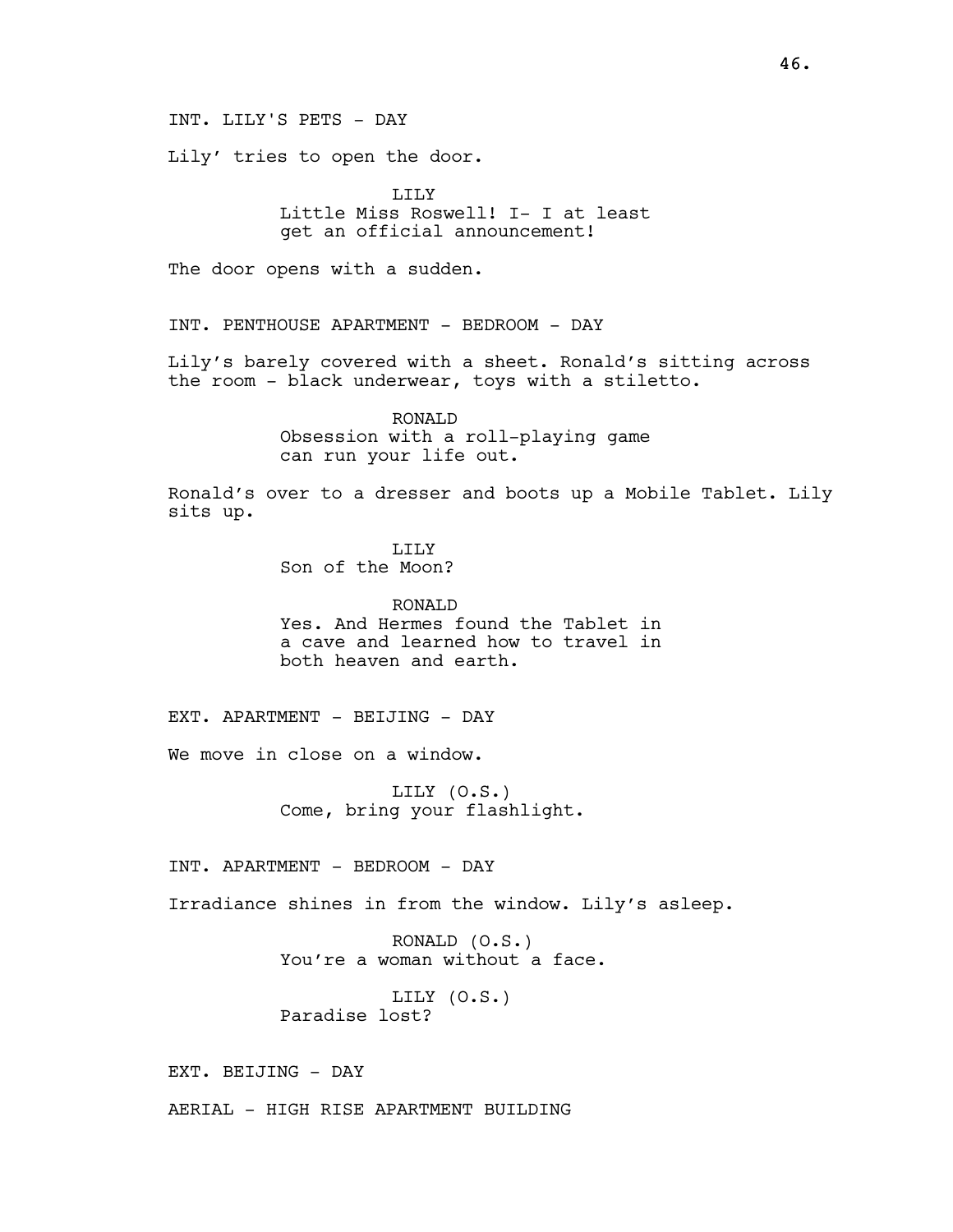INT. LILY'S PETS - DAY

Lily' tries to open the door.

T.TT.Y Little Miss Roswell! I- I at least get an official announcement!

The door opens with a sudden.

INT. PENTHOUSE APARTMENT - BEDROOM - DAY

Lily's barely covered with a sheet. Ronald's sitting across the room - black underwear, toys with a stiletto.

> RONALD Obsession with a roll-playing game can run your life out.

Ronald's over to a dresser and boots up a Mobile Tablet. Lily sits up.

> T.TT.Y Son of the Moon?

RONALD Yes. And Hermes found the Tablet in a cave and learned how to travel in both heaven and earth.

EXT. APARTMENT - BEIJING - DAY

We move in close on a window.

LILY (O.S.) Come, bring your flashlight.

INT. APARTMENT - BEDROOM - DAY

Irradiance shines in from the window. Lily's asleep.

RONALD (O.S.) You're a woman without a face.

LILY (O.S.) Paradise lost?

EXT. BEIJING - DAY

AERIAL - HIGH RISE APARTMENT BUILDING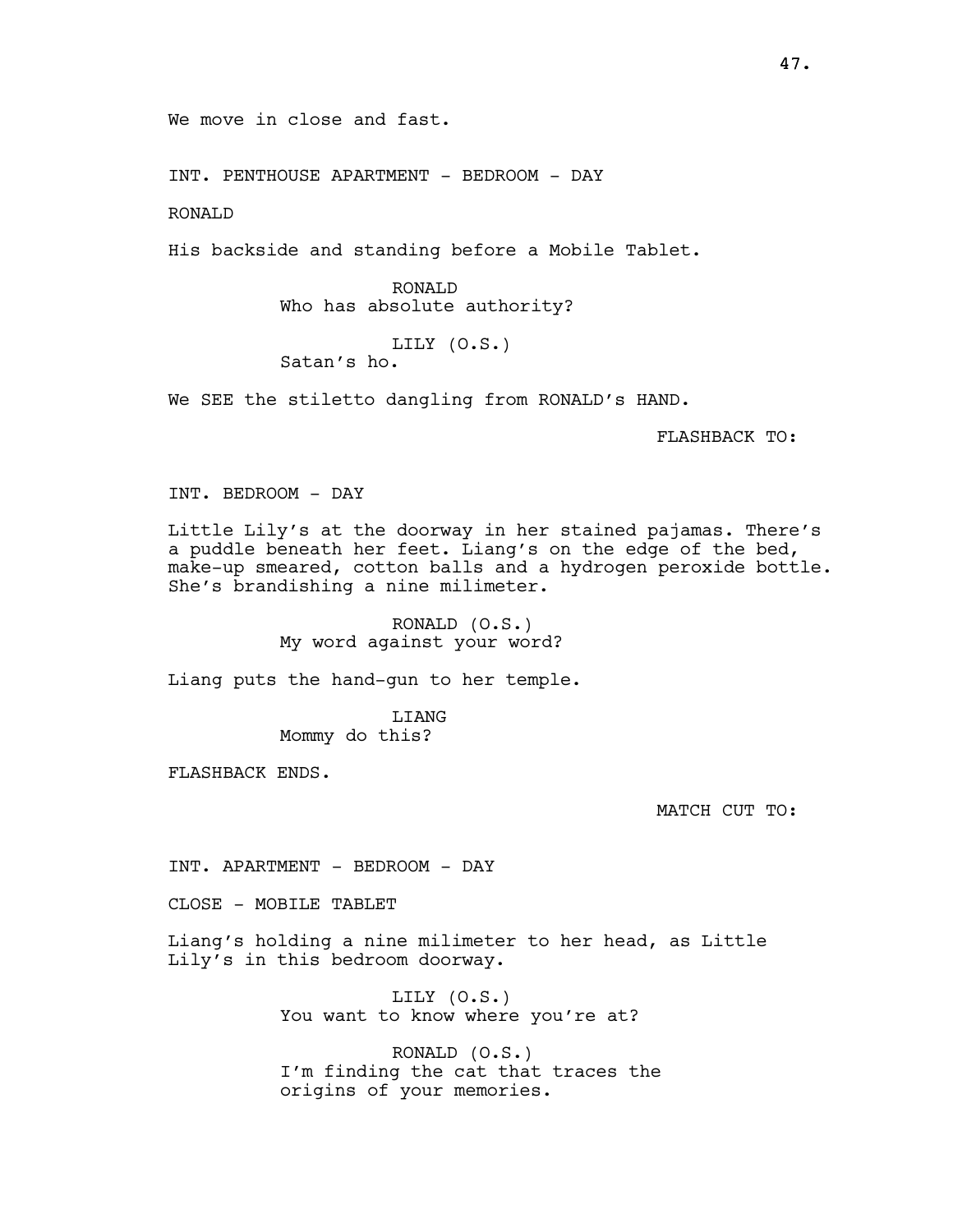We move in close and fast.

INT. PENTHOUSE APARTMENT - BEDROOM - DAY

RONALD

His backside and standing before a Mobile Tablet.

RONALD Who has absolute authority?

LILY (O.S.) Satan's ho.

We SEE the stiletto dangling from RONALD's HAND.

FLASHBACK TO:

INT. BEDROOM - DAY

Little Lily's at the doorway in her stained pajamas. There's a puddle beneath her feet. Liang's on the edge of the bed, make-up smeared, cotton balls and a hydrogen peroxide bottle. She's brandishing a nine milimeter.

> RONALD (O.S.) My word against your word?

Liang puts the hand-gun to her temple.

LIANG Mommy do this?

FLASHBACK ENDS.

MATCH CUT TO:

INT. APARTMENT - BEDROOM - DAY

CLOSE - MOBILE TABLET

Liang's holding a nine milimeter to her head, as Little Lily's in this bedroom doorway.

> LILY (O.S.) You want to know where you're at?

RONALD (O.S.) I'm finding the cat that traces the origins of your memories.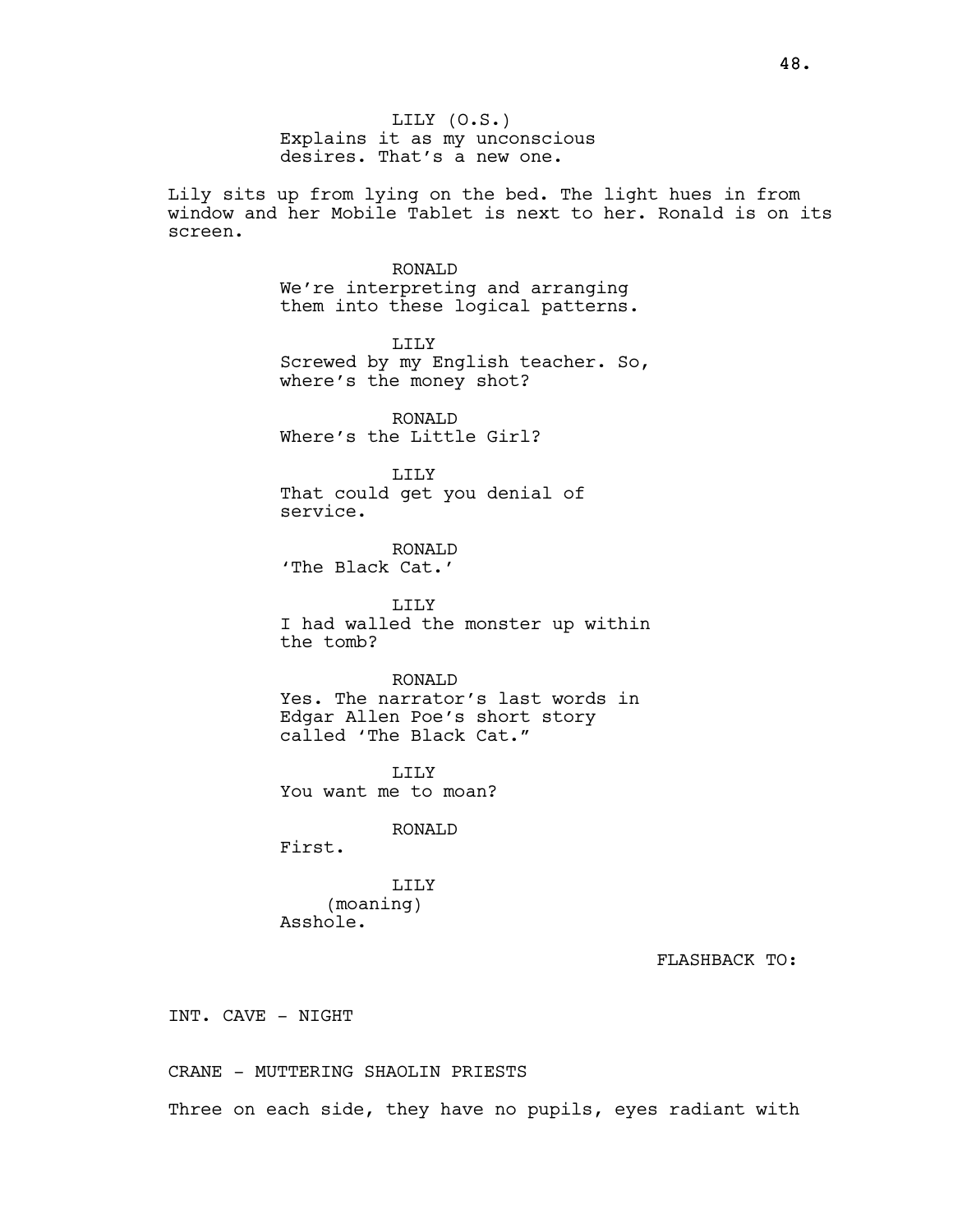LILY (O.S.) Explains it as my unconscious desires. That's a new one.

Lily sits up from lying on the bed. The light hues in from window and her Mobile Tablet is next to her. Ronald is on its screen.

## RONAT<sub>D</sub>

We're interpreting and arranging them into these logical patterns.

LILY Screwed by my English teacher. So, where's the money shot?

RONALD Where's the Little Girl?

T.TT.Y That could get you denial of service.

RONALD 'The Black Cat.'

T.TT.Y I had walled the monster up within the tomb?

RONALD

Yes. The narrator's last words in Edgar Allen Poe's short story called 'The Black Cat."

LILY You want me to moan?

RONALD

First.

T.TT.Y (moaning) Asshole.

FLASHBACK TO:

INT. CAVE - NIGHT

CRANE - MUTTERING SHAOLIN PRIESTS

Three on each side, they have no pupils, eyes radiant with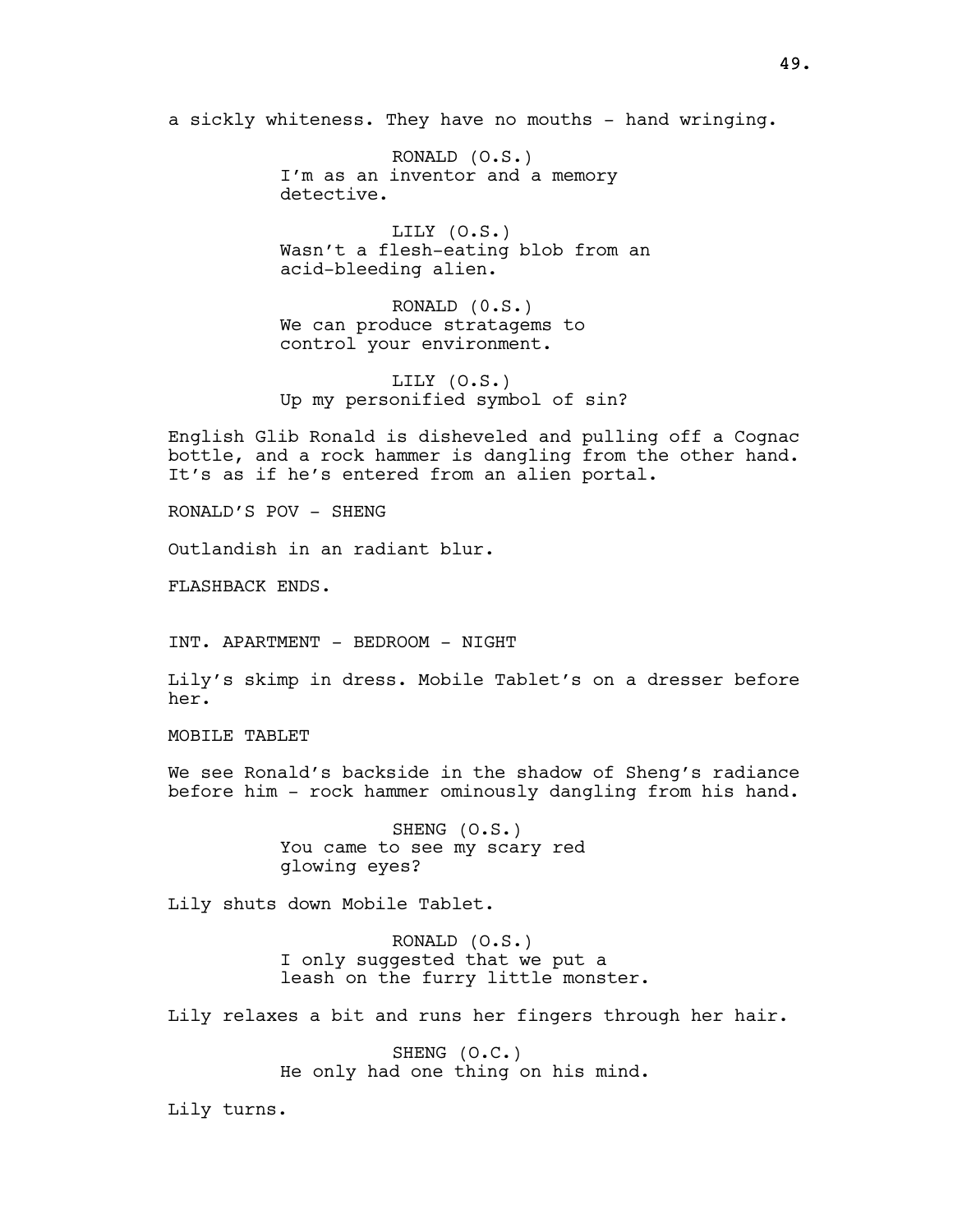a sickly whiteness. They have no mouths - hand wringing.

RONALD (O.S.) I'm as an inventor and a memory detective.

LILY (O.S.) Wasn't a flesh-eating blob from an acid-bleeding alien.

RONALD (0.S.) We can produce stratagems to control your environment.

LILY (O.S.) Up my personified symbol of sin?

English Glib Ronald is disheveled and pulling off a Cognac bottle, and a rock hammer is dangling from the other hand. It's as if he's entered from an alien portal.

RONALD'S POV - SHENG

Outlandish in an radiant blur.

FLASHBACK ENDS.

INT. APARTMENT - BEDROOM - NIGHT

Lily's skimp in dress. Mobile Tablet's on a dresser before her.

MOBILE TABLET

We see Ronald's backside in the shadow of Sheng's radiance before him - rock hammer ominously dangling from his hand.

> SHENG (O.S.) You came to see my scary red glowing eyes?

Lily shuts down Mobile Tablet.

RONALD (O.S.) I only suggested that we put a leash on the furry little monster.

Lily relaxes a bit and runs her fingers through her hair.

SHENG (O.C.) He only had one thing on his mind.

Lily turns.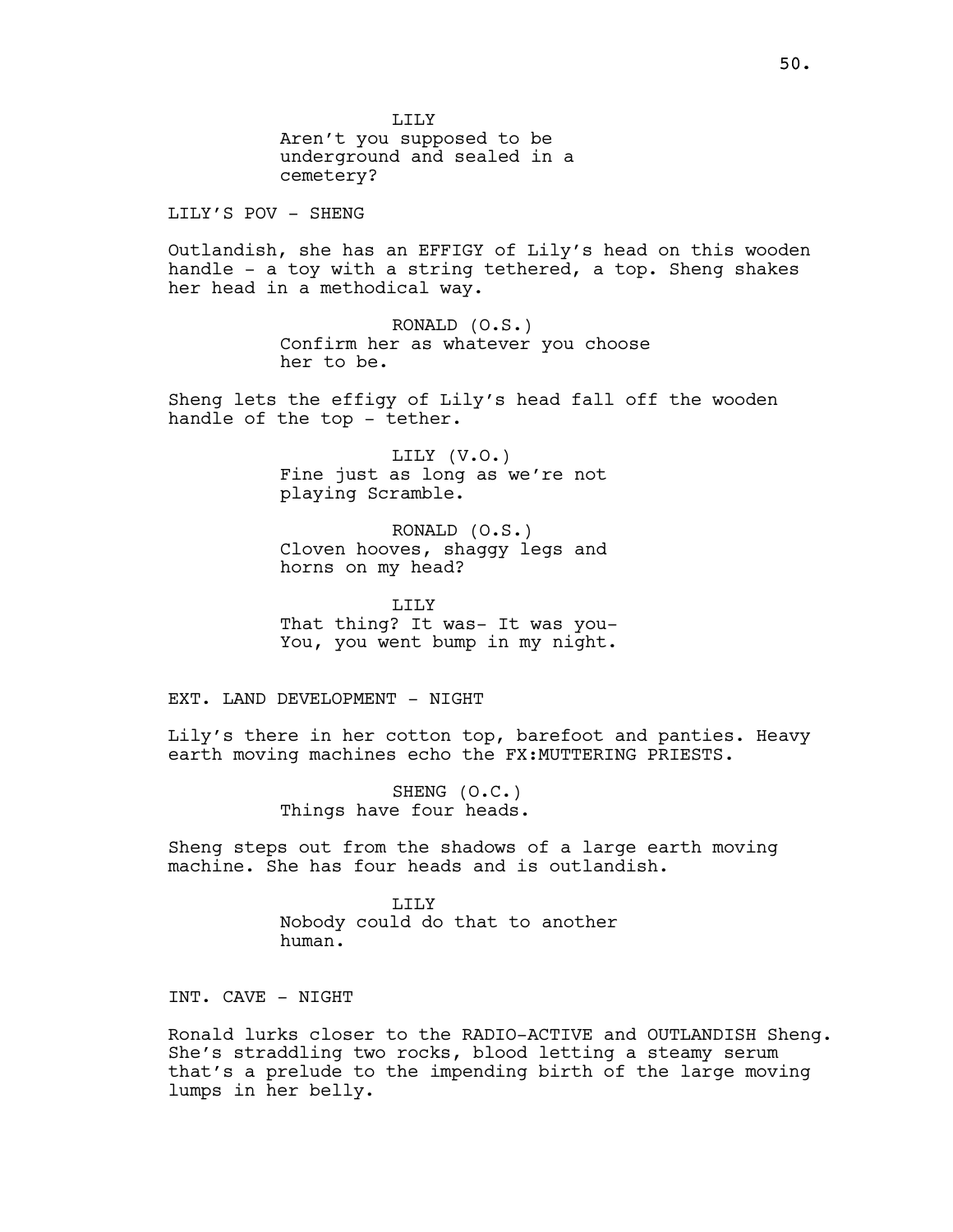LILY Aren't you supposed to be underground and sealed in a cemetery?

LILY'S POV - SHENG

Outlandish, she has an EFFIGY of Lily's head on this wooden handle - a toy with a string tethered, a top. Sheng shakes her head in a methodical way.

> RONALD (O.S.) Confirm her as whatever you choose her to be.

Sheng lets the effigy of Lily's head fall off the wooden handle of the top - tether.

> LILY (V.O.) Fine just as long as we're not playing Scramble.

> RONALD (O.S.) Cloven hooves, shaggy legs and horns on my head?

T.TT.Y That thing? It was- It was you-You, you went bump in my night.

#### EXT. LAND DEVELOPMENT - NIGHT

Lily's there in her cotton top, barefoot and panties. Heavy earth moving machines echo the FX:MUTTERING PRIESTS.

> SHENG (O.C.) Things have four heads.

Sheng steps out from the shadows of a large earth moving machine. She has four heads and is outlandish.

> T.TT.Y Nobody could do that to another human.

INT. CAVE - NIGHT

Ronald lurks closer to the RADIO-ACTIVE and OUTLANDISH Sheng. She's straddling two rocks, blood letting a steamy serum that's a prelude to the impending birth of the large moving lumps in her belly.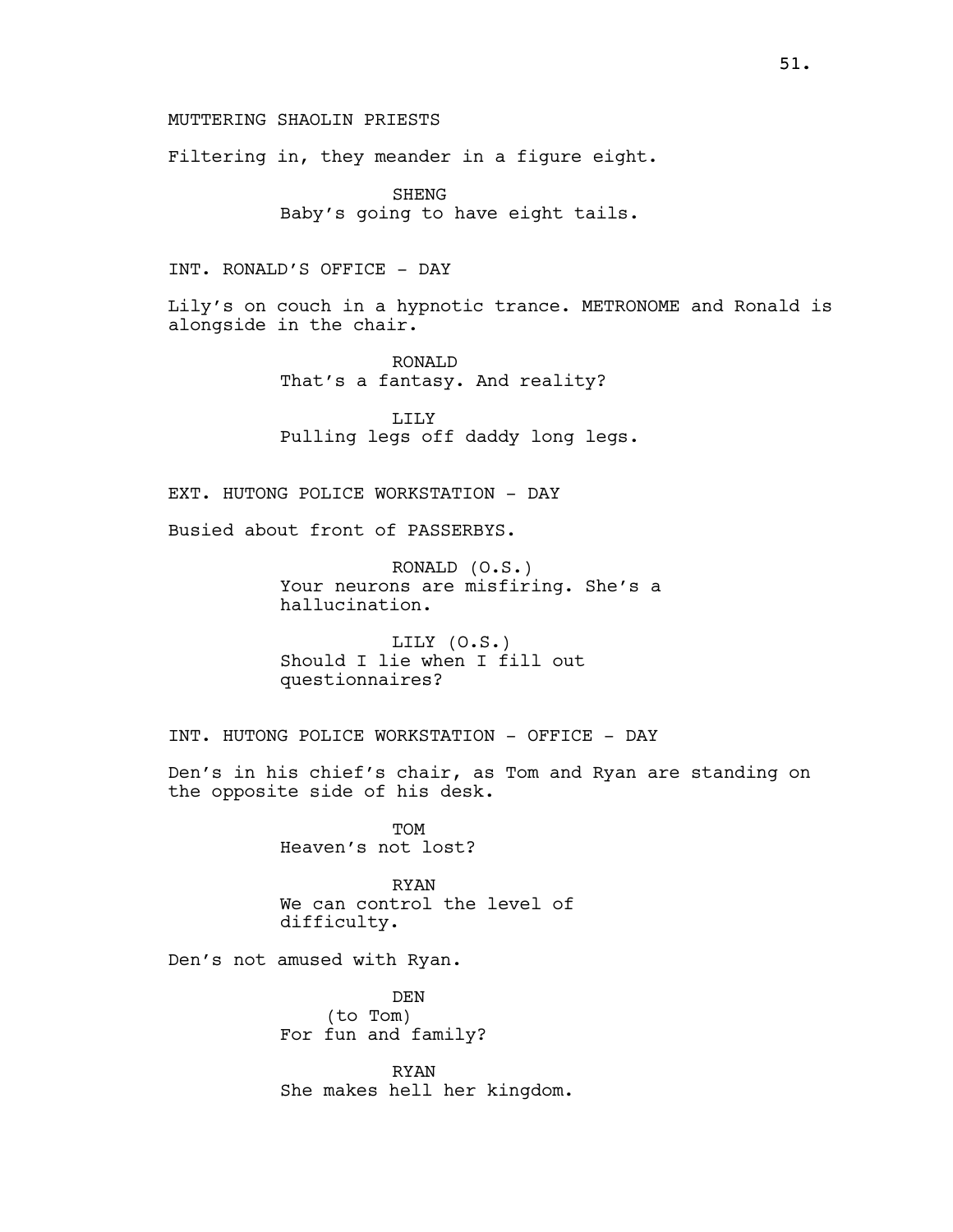## MUTTERING SHAOLIN PRIESTS

Filtering in, they meander in a figure eight.

SHENG Baby's going to have eight tails.

# INT. RONALD'S OFFICE - DAY

Lily's on couch in a hypnotic trance. METRONOME and Ronald is alongside in the chair.

> RONALD That's a fantasy. And reality?

LILY Pulling legs off daddy long legs.

## EXT. HUTONG POLICE WORKSTATION - DAY

Busied about front of PASSERBYS.

RONALD (O.S.) Your neurons are misfiring. She's a hallucination.

LILY (O.S.) Should I lie when I fill out questionnaires?

INT. HUTONG POLICE WORKSTATION - OFFICE - DAY

Den's in his chief's chair, as Tom and Ryan are standing on the opposite side of his desk.

> TOM Heaven's not lost?

RYAN We can control the level of difficulty.

Den's not amused with Ryan.

DEN (to Tom) For fun and family?

RYAN She makes hell her kingdom.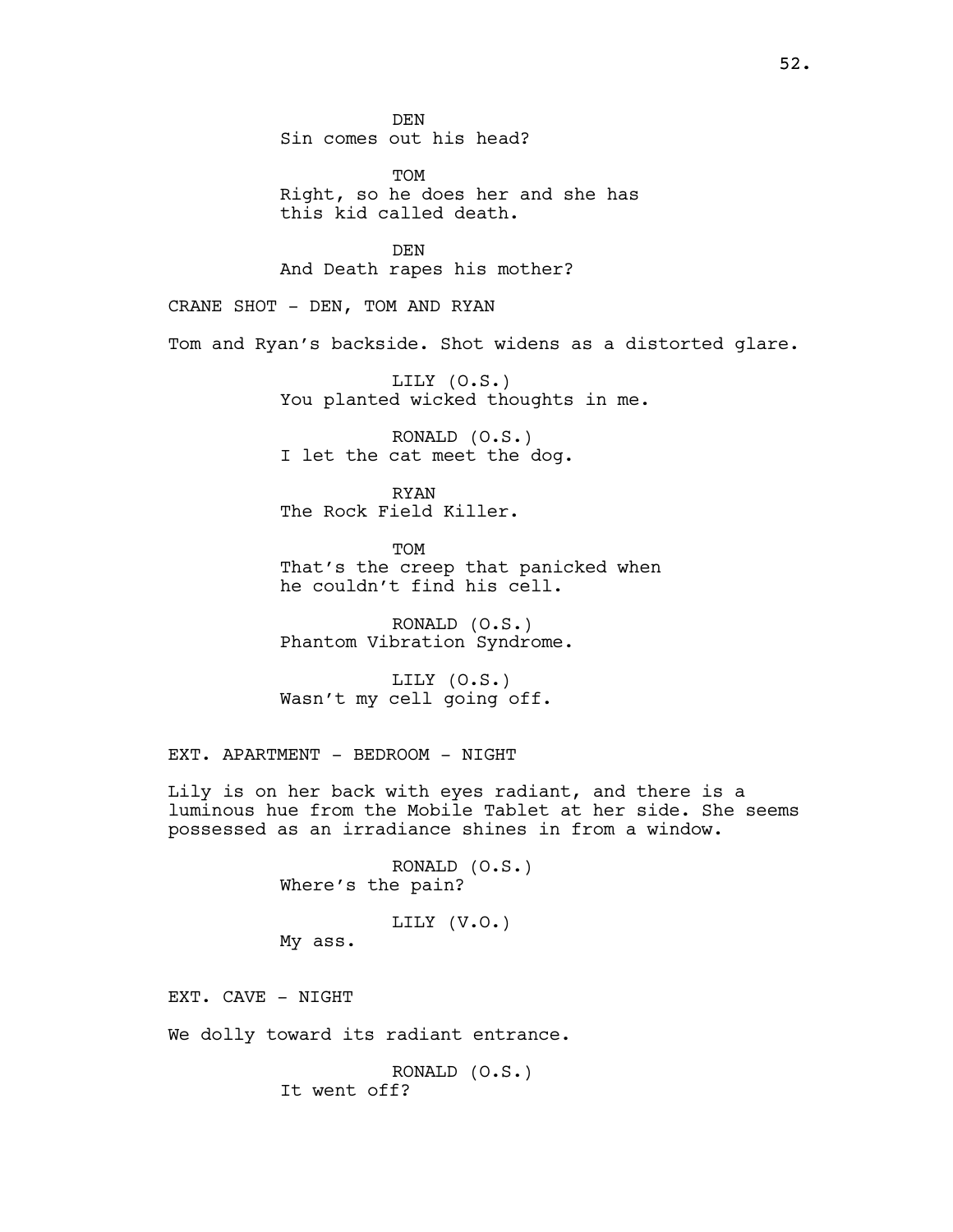DEN Sin comes out his head?

TOM Right, so he does her and she has this kid called death.

DEN And Death rapes his mother?

CRANE SHOT - DEN, TOM AND RYAN

Tom and Ryan's backside. Shot widens as a distorted glare.

LILY (O.S.) You planted wicked thoughts in me.

RONALD (O.S.) I let the cat meet the dog.

RYAN The Rock Field Killer.

TOM That's the creep that panicked when he couldn't find his cell.

RONALD (O.S.) Phantom Vibration Syndrome.

LILY (O.S.) Wasn't my cell going off.

EXT. APARTMENT - BEDROOM - NIGHT

Lily is on her back with eyes radiant, and there is a luminous hue from the Mobile Tablet at her side. She seems possessed as an irradiance shines in from a window.

> RONALD (O.S.) Where's the pain?

> > LILY (V.O.)

My ass.

EXT. CAVE - NIGHT

We dolly toward its radiant entrance.

RONALD (O.S.) It went off?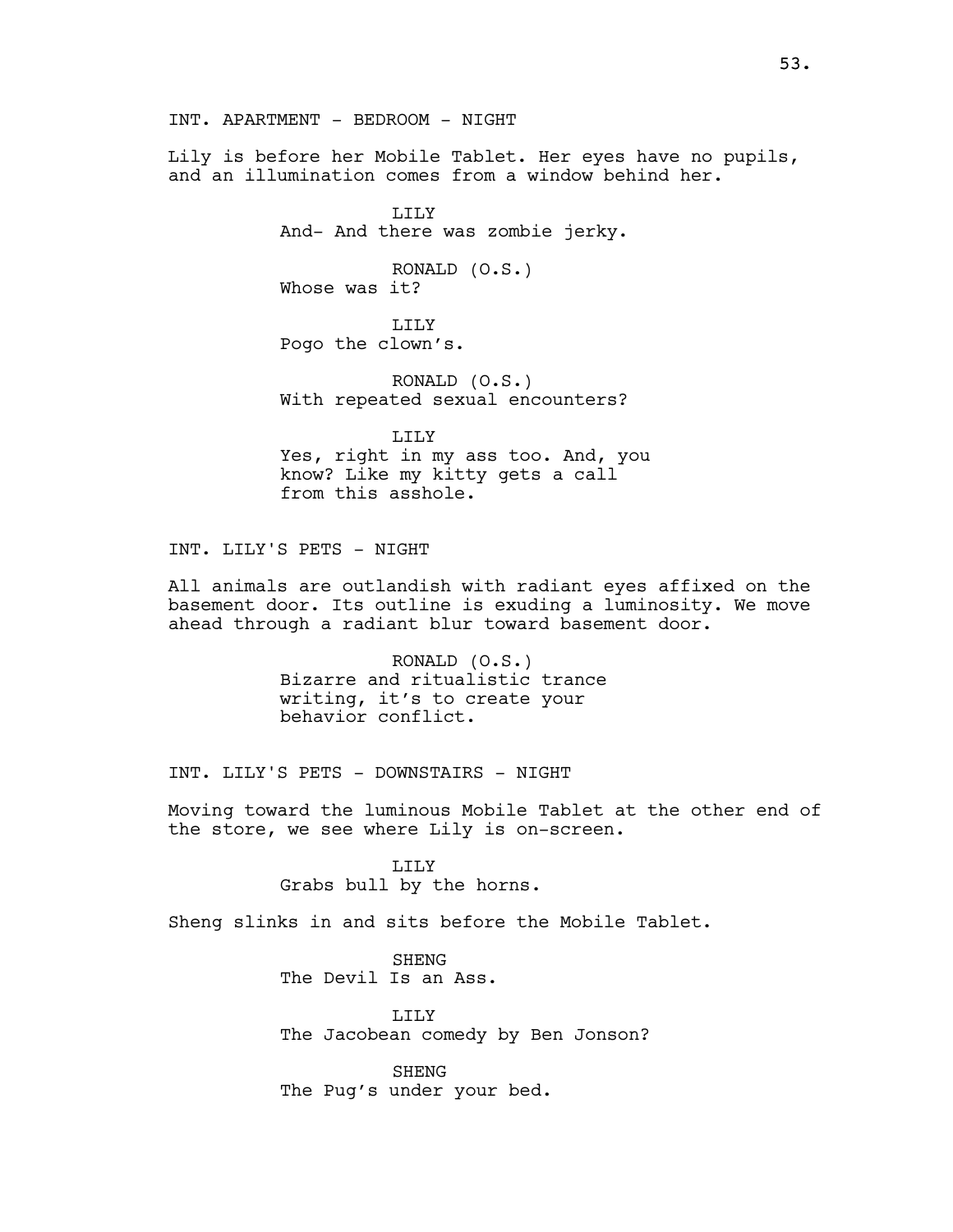INT. APARTMENT - BEDROOM - NIGHT

Lily is before her Mobile Tablet. Her eyes have no pupils, and an illumination comes from a window behind her.

> T.TT.Y And- And there was zombie jerky.

RONALD (O.S.) Whose was it?

LILY Pogo the clown's.

RONALD (O.S.) With repeated sexual encounters?

LILY Yes, right in my ass too. And, you know? Like my kitty gets a call from this asshole.

INT. LILY'S PETS - NIGHT

All animals are outlandish with radiant eyes affixed on the basement door. Its outline is exuding a luminosity. We move ahead through a radiant blur toward basement door.

> RONALD (O.S.) Bizarre and ritualistic trance writing, it's to create your behavior conflict.

INT. LILY'S PETS - DOWNSTAIRS - NIGHT

Moving toward the luminous Mobile Tablet at the other end of the store, we see where Lily is on-screen.

> LILY Grabs bull by the horns.

Sheng slinks in and sits before the Mobile Tablet.

SHENG The Devil Is an Ass.

T.TT.Y The Jacobean comedy by Ben Jonson?

SHENG The Pug's under your bed.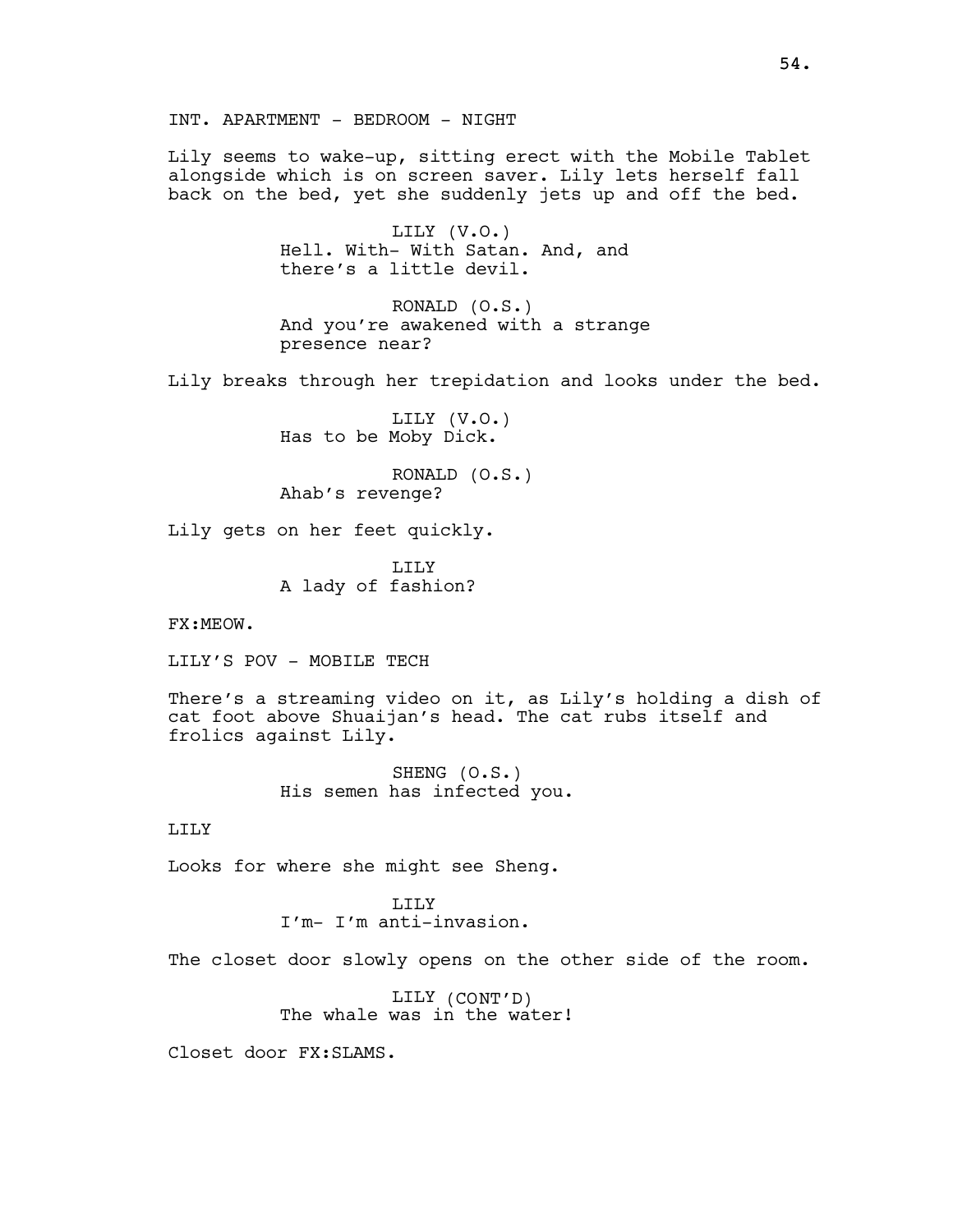INT. APARTMENT - BEDROOM - NIGHT

Lily seems to wake-up, sitting erect with the Mobile Tablet alongside which is on screen saver. Lily lets herself fall back on the bed, yet she suddenly jets up and off the bed.

> LILY (V.O.) Hell. With- With Satan. And, and there's a little devil.

RONALD (O.S.) And you're awakened with a strange presence near?

Lily breaks through her trepidation and looks under the bed.

LILY (V.O.) Has to be Moby Dick.

RONALD (O.S.) Ahab's revenge?

Lily gets on her feet quickly.

LILY A lady of fashion?

FX:MEOW.

LILY'S POV - MOBILE TECH

There's a streaming video on it, as Lily's holding a dish of cat foot above Shuaijan's head. The cat rubs itself and frolics against Lily.

> SHENG (O.S.) His semen has infected you.

## LILY

Looks for where she might see Sheng.

T.TT.Y I'm- I'm anti-invasion.

The closet door slowly opens on the other side of the room.

LILY (CONT'D) The whale was in the water!

Closet door FX:SLAMS.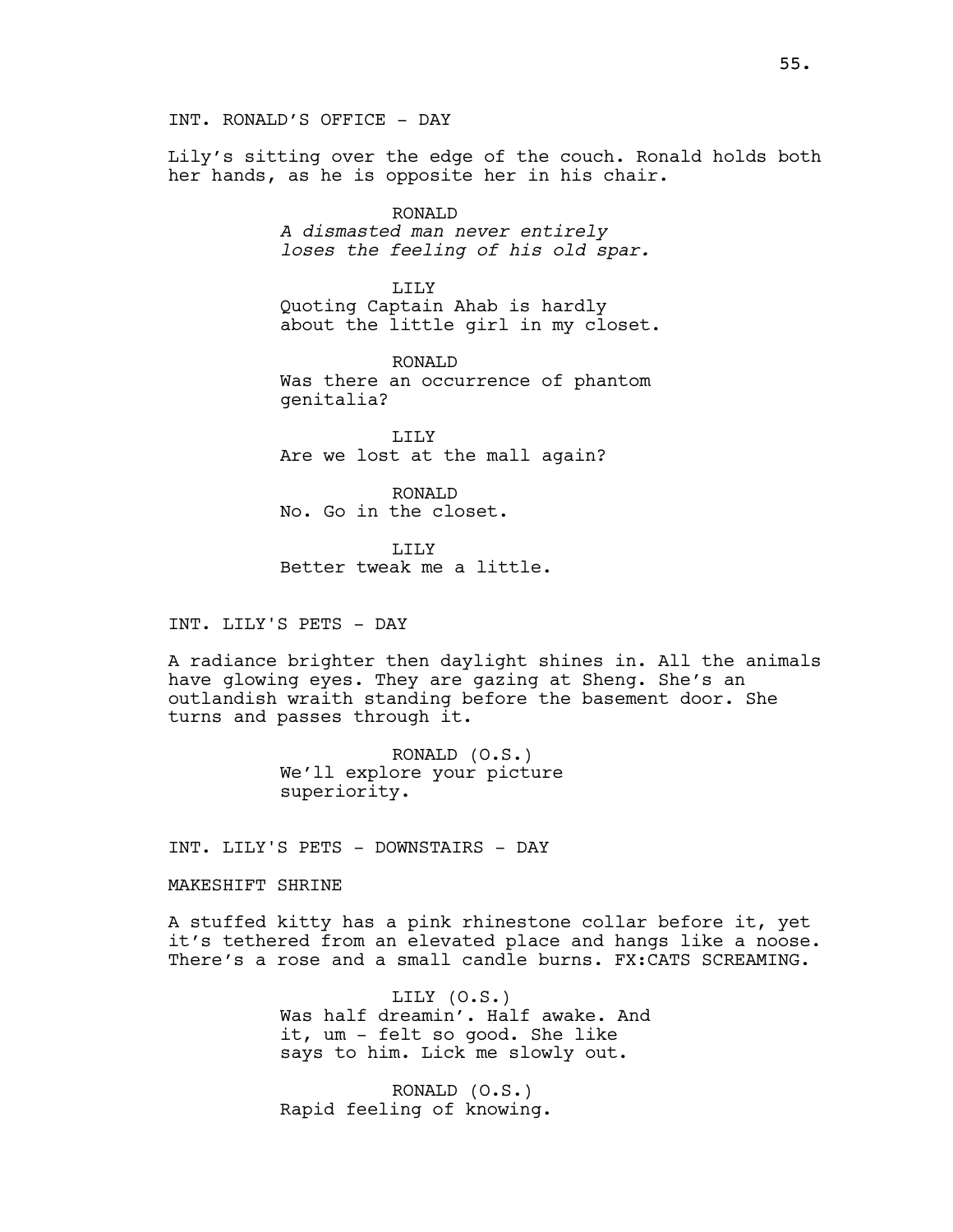Lily's sitting over the edge of the couch. Ronald holds both her hands, as he is opposite her in his chair.

> RONALD A dismasted man never entirely loses the feeling of his old spar.

LILY Quoting Captain Ahab is hardly about the little girl in my closet.

RONALD Was there an occurrence of phantom genitalia?

T.TT.Y Are we lost at the mall again?

RONALD No. Go in the closet.

T.TT.Y Better tweak me a little.

INT. LILY'S PETS - DAY

A radiance brighter then daylight shines in. All the animals have glowing eyes. They are gazing at Sheng. She's an outlandish wraith standing before the basement door. She turns and passes through it.

> RONALD (O.S.) We'll explore your picture superiority.

INT. LILY'S PETS - DOWNSTAIRS - DAY

MAKESHIFT SHRINE

A stuffed kitty has a pink rhinestone collar before it, yet it's tethered from an elevated place and hangs like a noose. There's a rose and a small candle burns. FX:CATS SCREAMING.

> LILY (O.S.) Was half dreamin'. Half awake. And it, um - felt so good. She like says to him. Lick me slowly out.

RONALD (O.S.) Rapid feeling of knowing.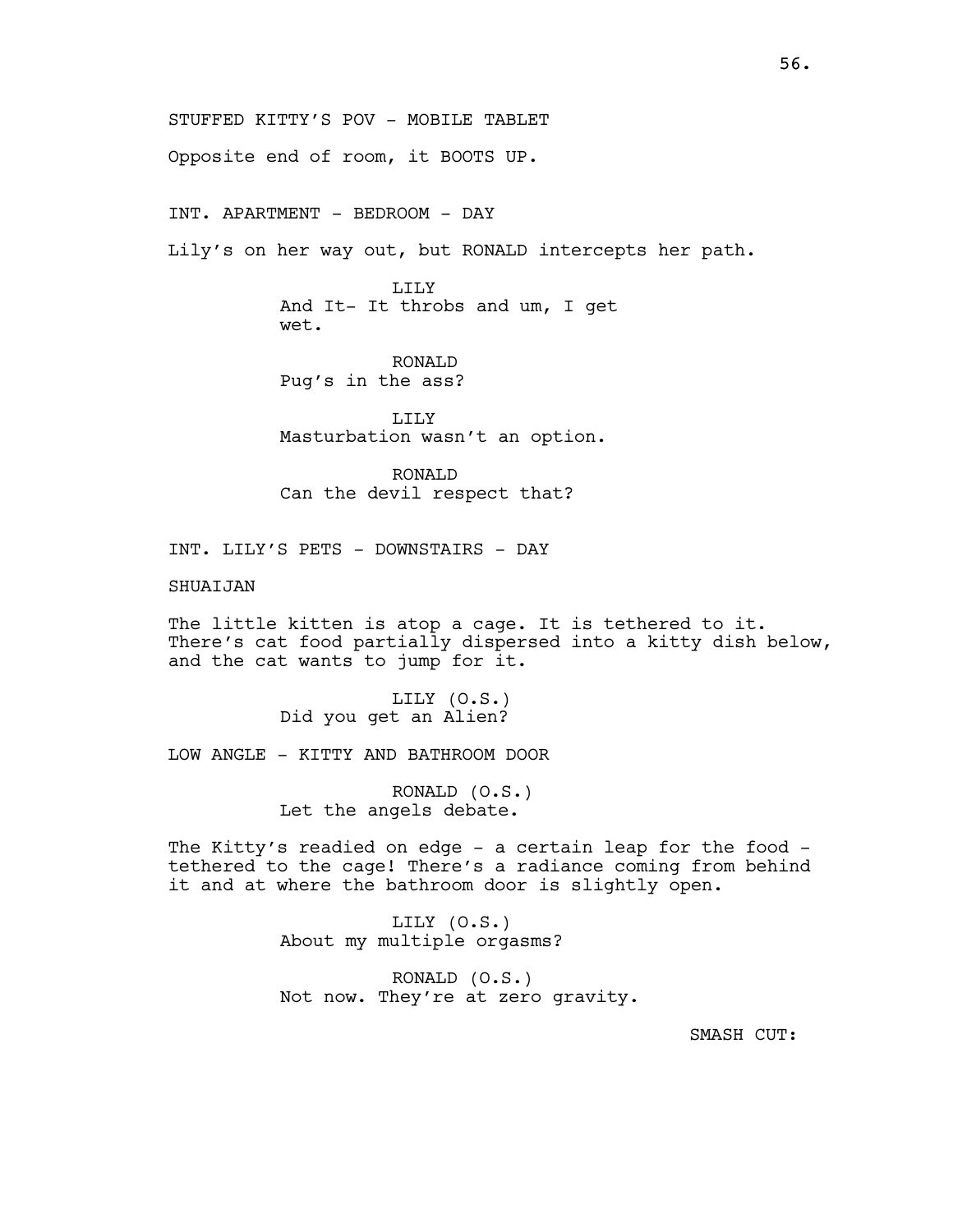STUFFED KITTY'S POV - MOBILE TABLET

Opposite end of room, it BOOTS UP.

INT. APARTMENT - BEDROOM - DAY

Lily's on her way out, but RONALD intercepts her path.

LILY And It- It throbs and um, I get wet.

RONALD Pug's in the ass?

LILY Masturbation wasn't an option.

RONAT<sub>D</sub> Can the devil respect that?

INT. LILY'S PETS - DOWNSTAIRS - DAY

SHUAIJAN

The little kitten is atop a cage. It is tethered to it. There's cat food partially dispersed into a kitty dish below, and the cat wants to jump for it.

> LILY (O.S.) Did you get an Alien?

LOW ANGLE - KITTY AND BATHROOM DOOR

RONALD (O.S.) Let the angels debate.

The Kitty's readied on edge - a certain leap for the food tethered to the cage! There's a radiance coming from behind it and at where the bathroom door is slightly open.

> LILY (O.S.) About my multiple orgasms?

RONALD (O.S.) Not now. They're at zero gravity.

SMASH CUT: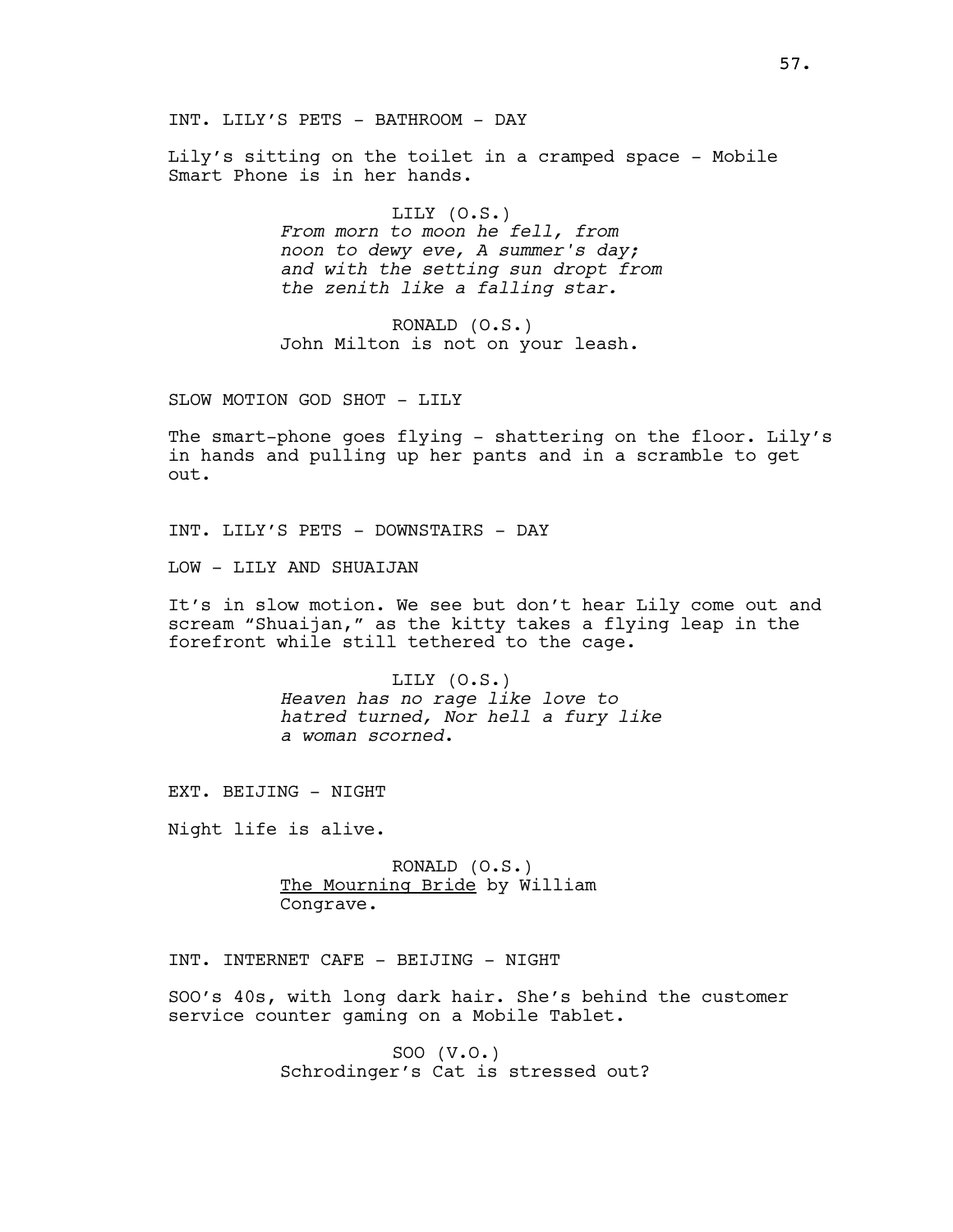Lily's sitting on the toilet in a cramped space - Mobile Smart Phone is in her hands.

> LILY (O.S.) From morn to moon he fell, from noon to dewy eve, A summer's day; and with the setting sun dropt from the zenith like a falling star.

RONALD (O.S.) John Milton is not on your leash.

SLOW MOTION GOD SHOT - LILY

The smart-phone goes flying - shattering on the floor. Lily's in hands and pulling up her pants and in a scramble to get out.

INT. LILY'S PETS - DOWNSTAIRS - DAY

LOW - LILY AND SHUAIJAN

It's in slow motion. We see but don't hear Lily come out and scream "Shuaijan," as the kitty takes a flying leap in the forefront while still tethered to the cage.

> LILY (O.S.) Heaven has no rage like love to hatred turned, Nor hell a fury like a woman scorned.

EXT. BEIJING - NIGHT

Night life is alive.

RONALD (O.S.) The Mourning Bride by William Congrave.

INT. INTERNET CAFE - BEIJING - NIGHT

SOO's 40s, with long dark hair. She's behind the customer service counter gaming on a Mobile Tablet.

> SOO (V.O.) Schrodinger's Cat is stressed out?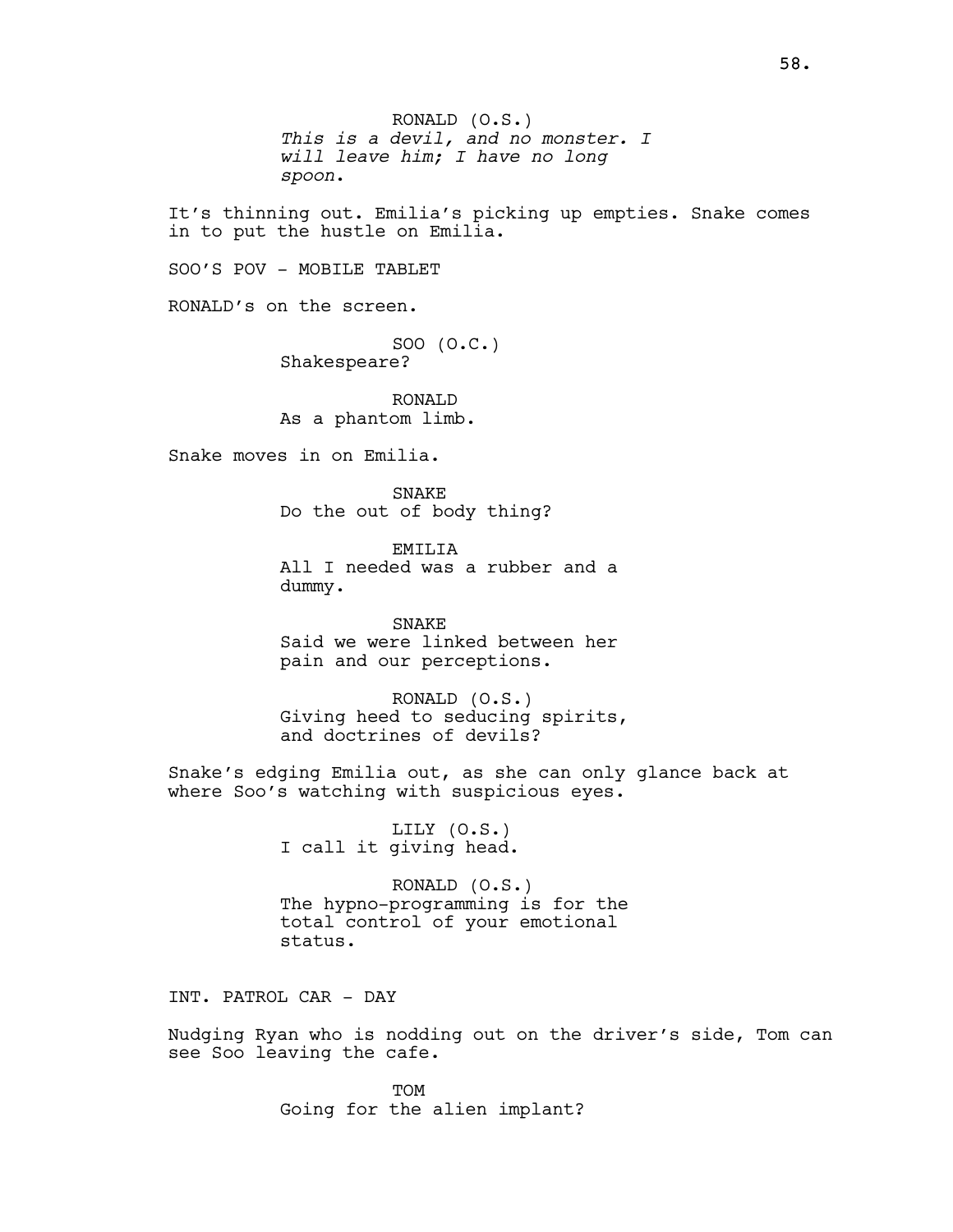RONALD (O.S.) This is a devil, and no monster. I will leave him; I have no long spoon.

It's thinning out. Emilia's picking up empties. Snake comes in to put the hustle on Emilia.

SOO'S POV - MOBILE TABLET

RONALD's on the screen.

SOO (O.C.) Shakespeare?

RONAT<sub>D</sub> As a phantom limb.

Snake moves in on Emilia.

SNAKE Do the out of body thing?

EMILIA All I needed was a rubber and a dummy.

SNAKE Said we were linked between her pain and our perceptions.

RONALD (O.S.) Giving heed to seducing spirits, and doctrines of devils?

Snake's edging Emilia out, as she can only glance back at where Soo's watching with suspicious eyes.

> LILY (O.S.) I call it giving head.

RONALD (O.S.) The hypno-programming is for the total control of your emotional status.

INT. PATROL CAR - DAY

Nudging Ryan who is nodding out on the driver's side, Tom can see Soo leaving the cafe.

> **TOM** Going for the alien implant?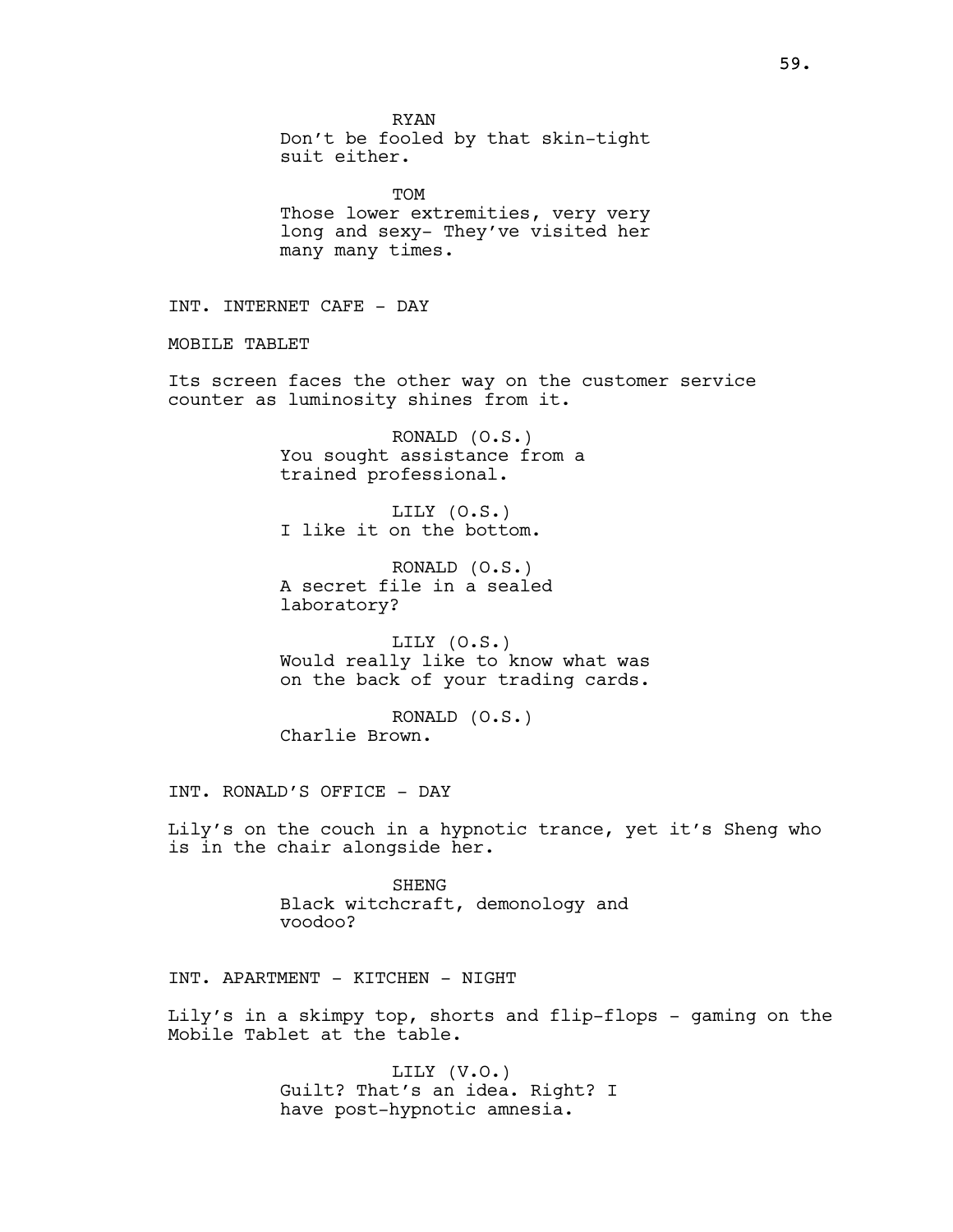RYAN Don't be fooled by that skin-tight suit either. **TOM** Those lower extremities, very very long and sexy- They've visited her many many times. INT. INTERNET CAFE - DAY MOBILE TABLET Its screen faces the other way on the customer service counter as luminosity shines from it. RONALD (O.S.) You sought assistance from a trained professional. LILY (O.S.) I like it on the bottom. RONALD (O.S.) A secret file in a sealed laboratory? LILY (O.S.) Would really like to know what was on the back of your trading cards. RONALD (O.S.) Charlie Brown. INT. RONALD'S OFFICE - DAY Lily's on the couch in a hypnotic trance, yet it's Sheng who is in the chair alongside her.

> **SHENG** Black witchcraft, demonology and voodoo?

INT. APARTMENT - KITCHEN - NIGHT

Lily's in a skimpy top, shorts and flip-flops - gaming on the Mobile Tablet at the table.

> LILY (V.O.) Guilt? That's an idea. Right? I have post-hypnotic amnesia.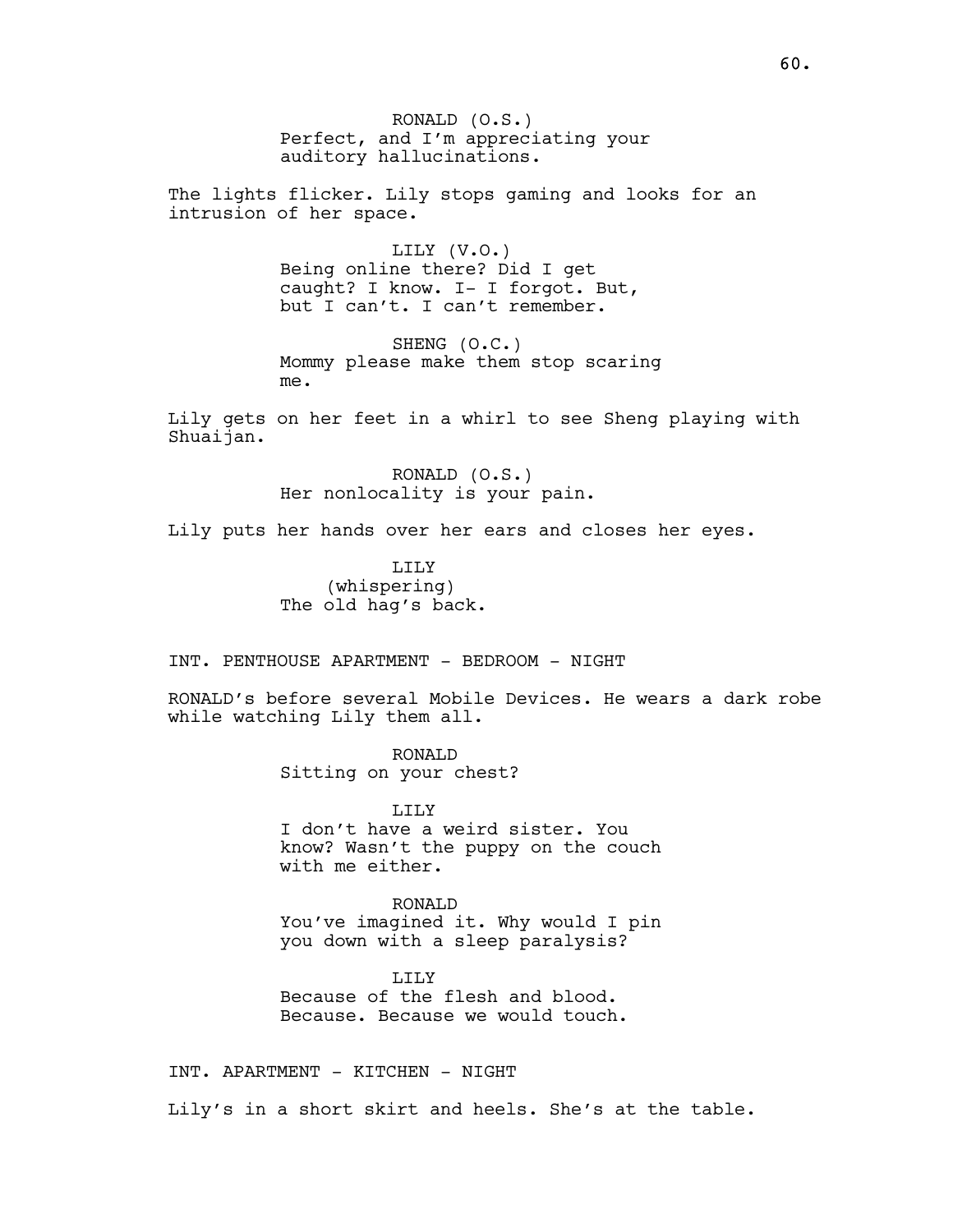RONALD (O.S.) Perfect, and I'm appreciating your auditory hallucinations.

The lights flicker. Lily stops gaming and looks for an intrusion of her space.

> LILY (V.O.) Being online there? Did I get caught? I know. I- I forgot. But, but I can't. I can't remember.

SHENG (O.C.) Mommy please make them stop scaring me.

Lily gets on her feet in a whirl to see Sheng playing with Shuaijan.

> RONALD (O.S.) Her nonlocality is your pain.

Lily puts her hands over her ears and closes her eyes.

LILY (whispering) The old hag's back.

INT. PENTHOUSE APARTMENT - BEDROOM - NIGHT

RONALD's before several Mobile Devices. He wears a dark robe while watching Lily them all.

> RONALD Sitting on your chest?

T.TT.Y I don't have a weird sister. You know? Wasn't the puppy on the couch with me either.

RONALD You've imagined it. Why would I pin you down with a sleep paralysis?

LILY Because of the flesh and blood. Because. Because we would touch.

INT. APARTMENT - KITCHEN - NIGHT

Lily's in a short skirt and heels. She's at the table.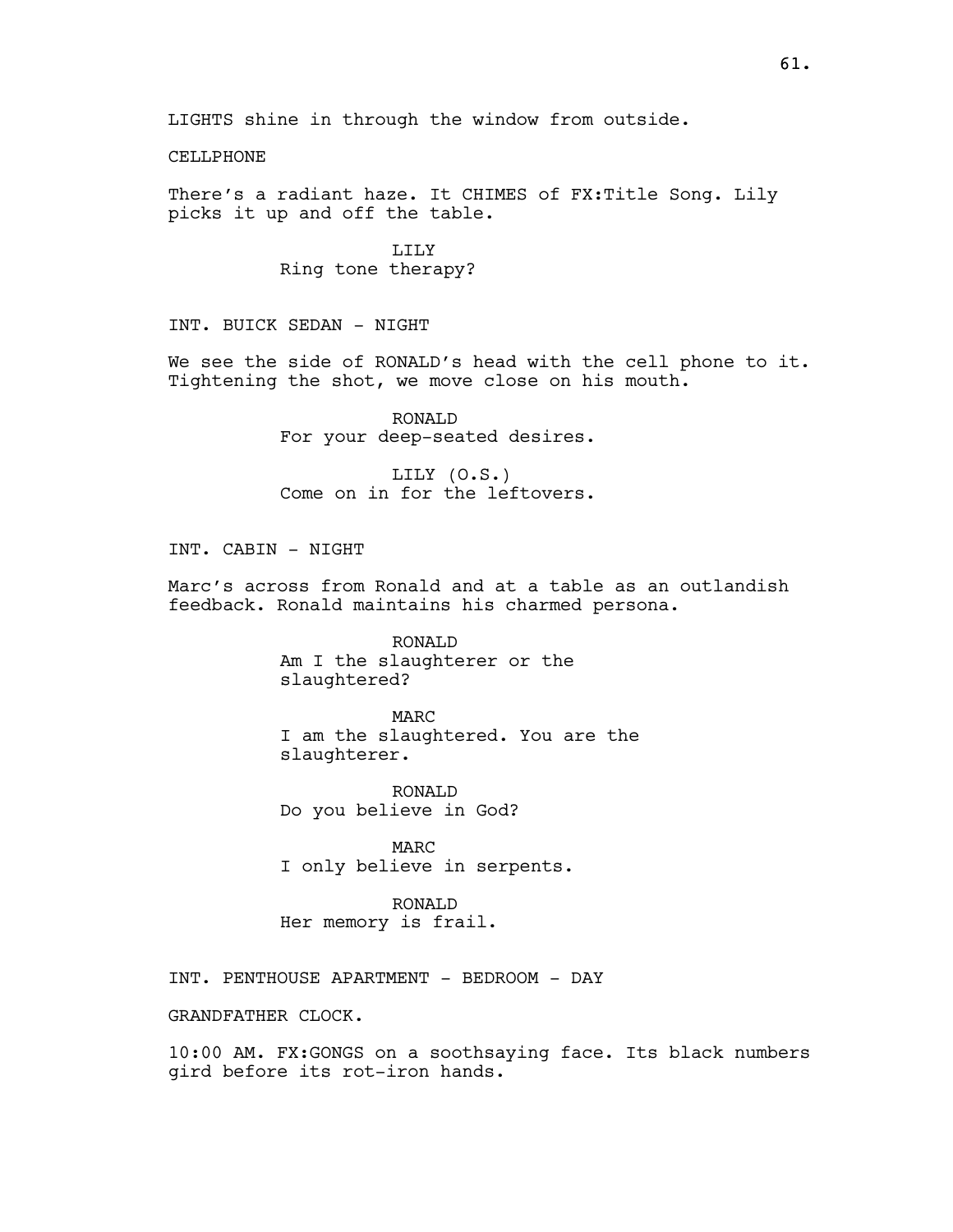LIGHTS shine in through the window from outside.

CELLPHONE

There's a radiant haze. It CHIMES of FX: Title Song. Lily picks it up and off the table.

> LILY Ring tone therapy?

INT. BUICK SEDAN - NIGHT

We see the side of RONALD's head with the cell phone to it. Tightening the shot, we move close on his mouth.

> RONALD For your deep-seated desires.

> LILY (O.S.) Come on in for the leftovers.

INT. CABIN - NIGHT

Marc's across from Ronald and at a table as an outlandish feedback. Ronald maintains his charmed persona.

> RONALD Am I the slaughterer or the slaughtered?

MARC I am the slaughtered. You are the slaughterer.

RONALD Do you believe in God?

MARC I only believe in serpents.

RONALD Her memory is frail.

INT. PENTHOUSE APARTMENT - BEDROOM - DAY

GRANDFATHER CLOCK.

10:00 AM. FX:GONGS on a soothsaying face. Its black numbers gird before its rot-iron hands.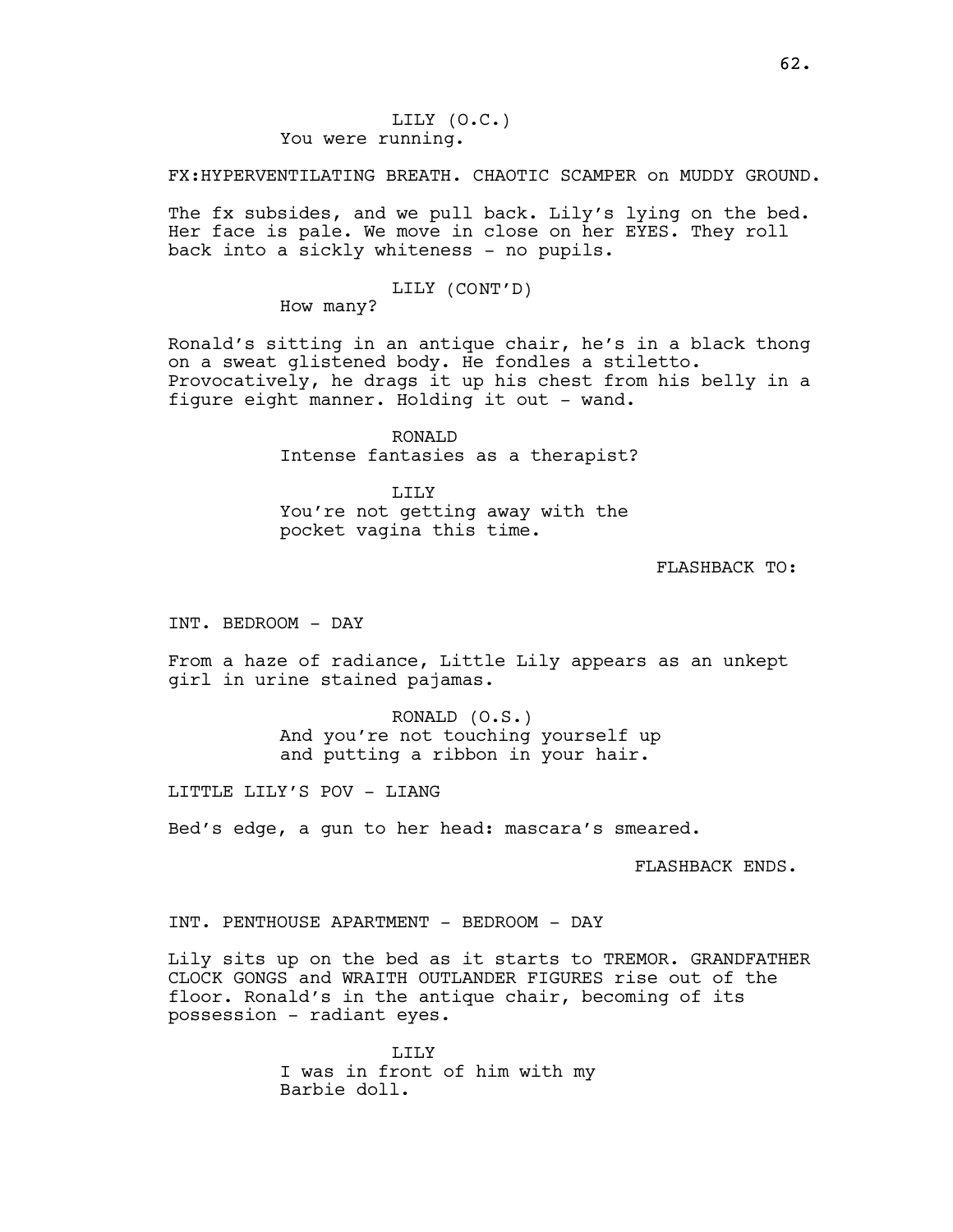LILY (O.C.) You were running.

# FX:HYPERVENTILATING BREATH. CHAOTIC SCAMPER on MUDDY GROUND.

The fx subsides, and we pull back. Lily's lying on the bed. Her face is pale. We move in close on her EYES. They roll back into a sickly whiteness - no pupils.

## LILY (CONT'D)

How many?

Ronald's sitting in an antique chair, he's in a black thong on a sweat glistened body. He fondles a stiletto. Provocatively, he drags it up his chest from his belly in a figure eight manner. Holding it out - wand.

> RONALD Intense fantasies as a therapist?

LILY You're not getting away with the pocket vagina this time.

FLASHBACK TO:

INT. BEDROOM - DAY

From a haze of radiance, Little Lily appears as an unkept girl in urine stained pajamas.

> RONALD (O.S.) And you're not touching yourself up and putting a ribbon in your hair.

LITTLE LILY'S POV - LIANG

Bed's edge, a gun to her head: mascara's smeared.

FLASHBACK ENDS.

INT. PENTHOUSE APARTMENT - BEDROOM - DAY

Lily sits up on the bed as it starts to TREMOR. GRANDFATHER CLOCK GONGS and WRAITH OUTLANDER FIGURES rise out of the floor. Ronald's in the antique chair, becoming of its possession - radiant eyes.

> T.TT.Y I was in front of him with my Barbie doll.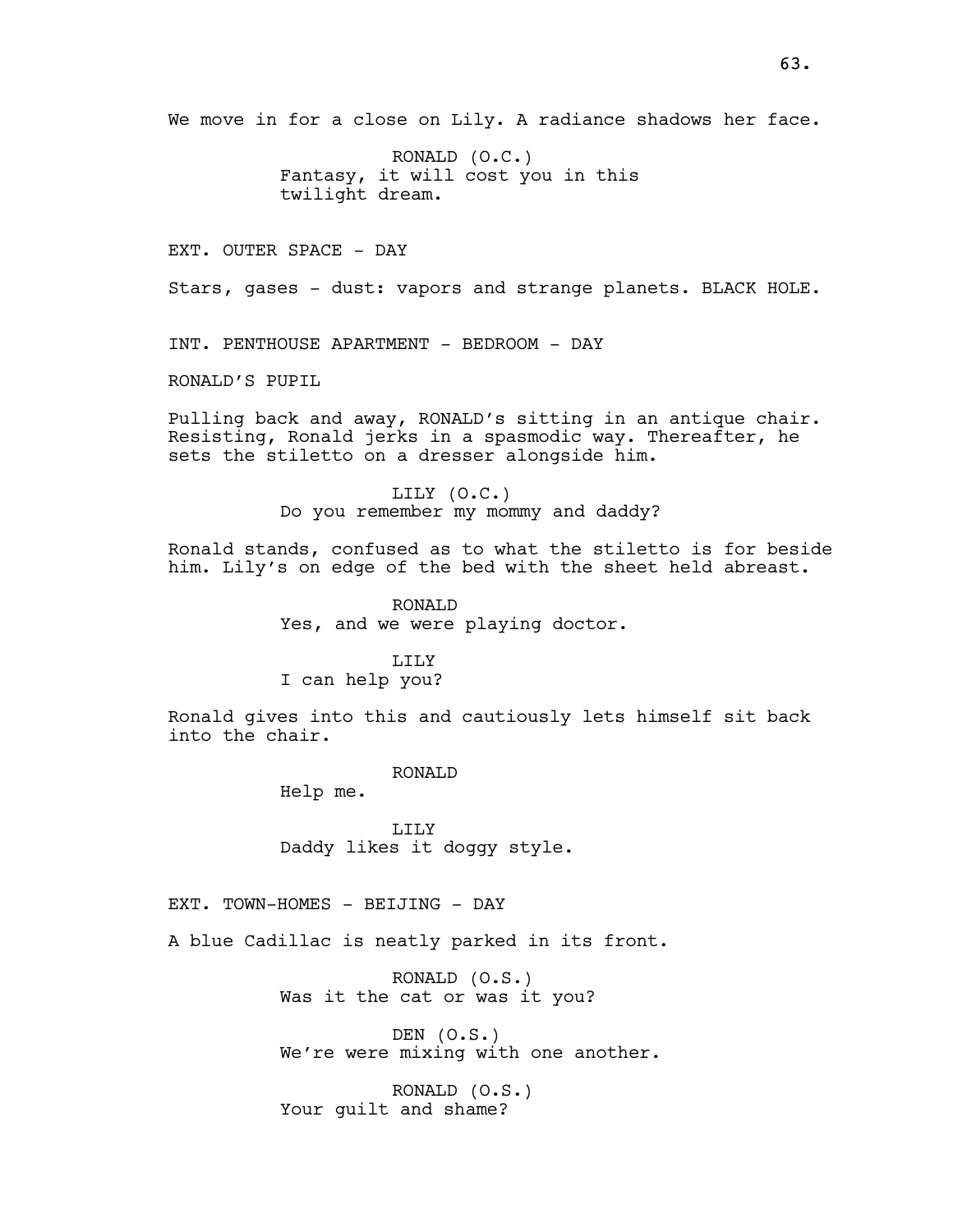We move in for a close on Lily. A radiance shadows her face.

RONALD (O.C.) Fantasy, it will cost you in this twilight dream.

EXT. OUTER SPACE - DAY

Stars, gases - dust: vapors and strange planets. BLACK HOLE.

INT. PENTHOUSE APARTMENT - BEDROOM - DAY

RONALD'S PUPIL

Pulling back and away, RONALD's sitting in an antique chair. Resisting, Ronald jerks in a spasmodic way. Thereafter, he sets the stiletto on a dresser alongside him.

> LILY (O.C.) Do you remember my mommy and daddy?

Ronald stands, confused as to what the stiletto is for beside him. Lily's on edge of the bed with the sheet held abreast.

> RONAT<sub>D</sub> Yes, and we were playing doctor.

> > LILY

I can help you?

Ronald gives into this and cautiously lets himself sit back into the chair.

RONALD

Help me.

LILY Daddy likes it doggy style.

EXT. TOWN-HOMES - BEIJING - DAY

A blue Cadillac is neatly parked in its front.

RONALD (O.S.) Was it the cat or was it you?

DEN (O.S.) We're were mixing with one another.

RONALD (O.S.) Your guilt and shame?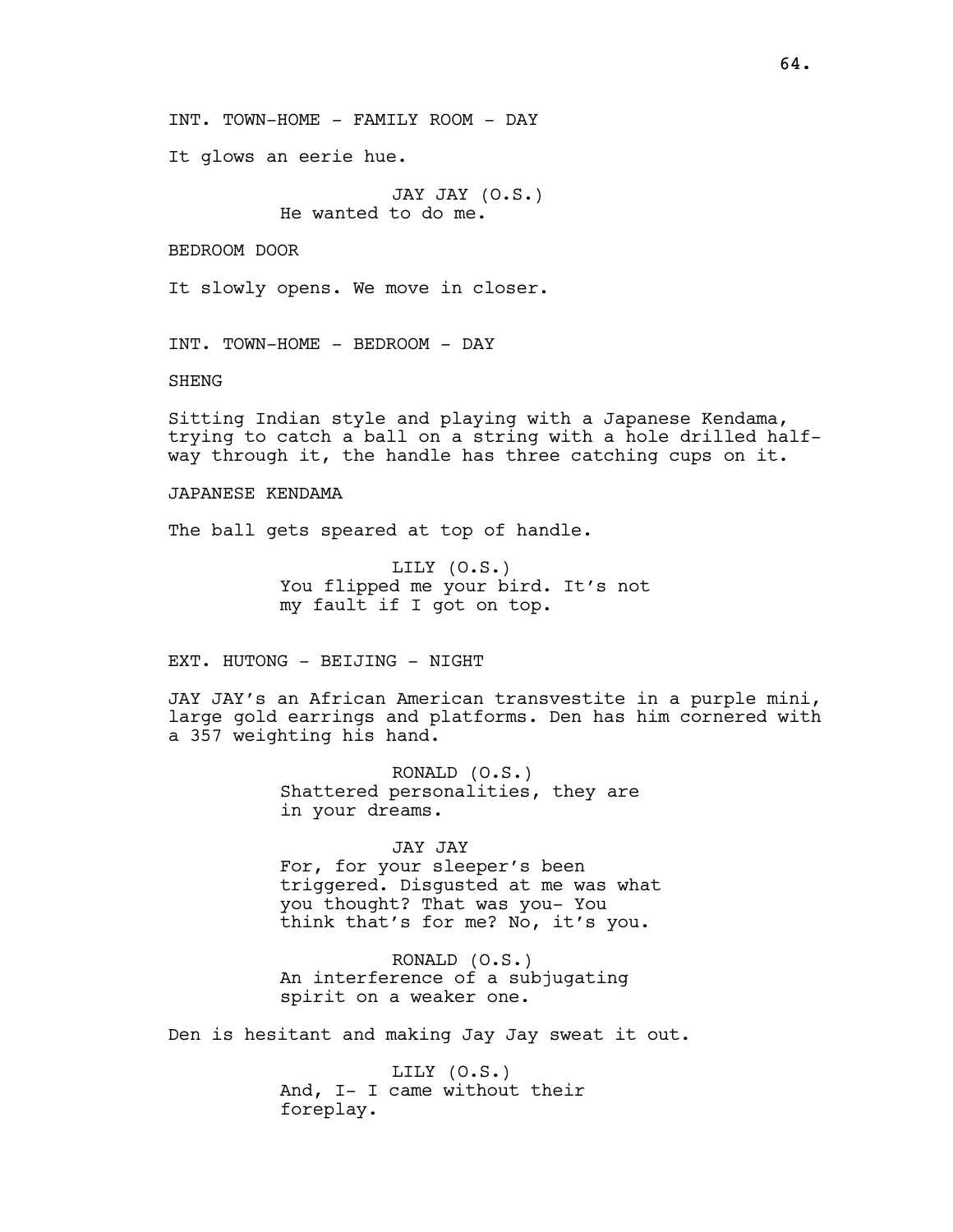INT. TOWN-HOME - FAMILY ROOM - DAY

It glows an eerie hue.

JAY JAY (O.S.) He wanted to do me.

BEDROOM DOOR

It slowly opens. We move in closer.

INT. TOWN-HOME - BEDROOM - DAY

**SHENG** 

Sitting Indian style and playing with a Japanese Kendama, trying to catch a ball on a string with a hole drilled halfway through it, the handle has three catching cups on it.

JAPANESE KENDAMA

The ball gets speared at top of handle.

LILY (O.S.) You flipped me your bird. It's not my fault if I got on top.

EXT. HUTONG - BEIJING - NIGHT

JAY JAY's an African American transvestite in a purple mini, large gold earrings and platforms. Den has him cornered with a 357 weighting his hand.

> RONALD (O.S.) Shattered personalities, they are in your dreams.

JAY JAY For, for your sleeper's been triggered. Disgusted at me was what you thought? That was you- You think that's for me? No, it's you.

RONALD (O.S.) An interference of a subjugating spirit on a weaker one.

Den is hesitant and making Jay Jay sweat it out.

LILY (O.S.) And, I- I came without their foreplay.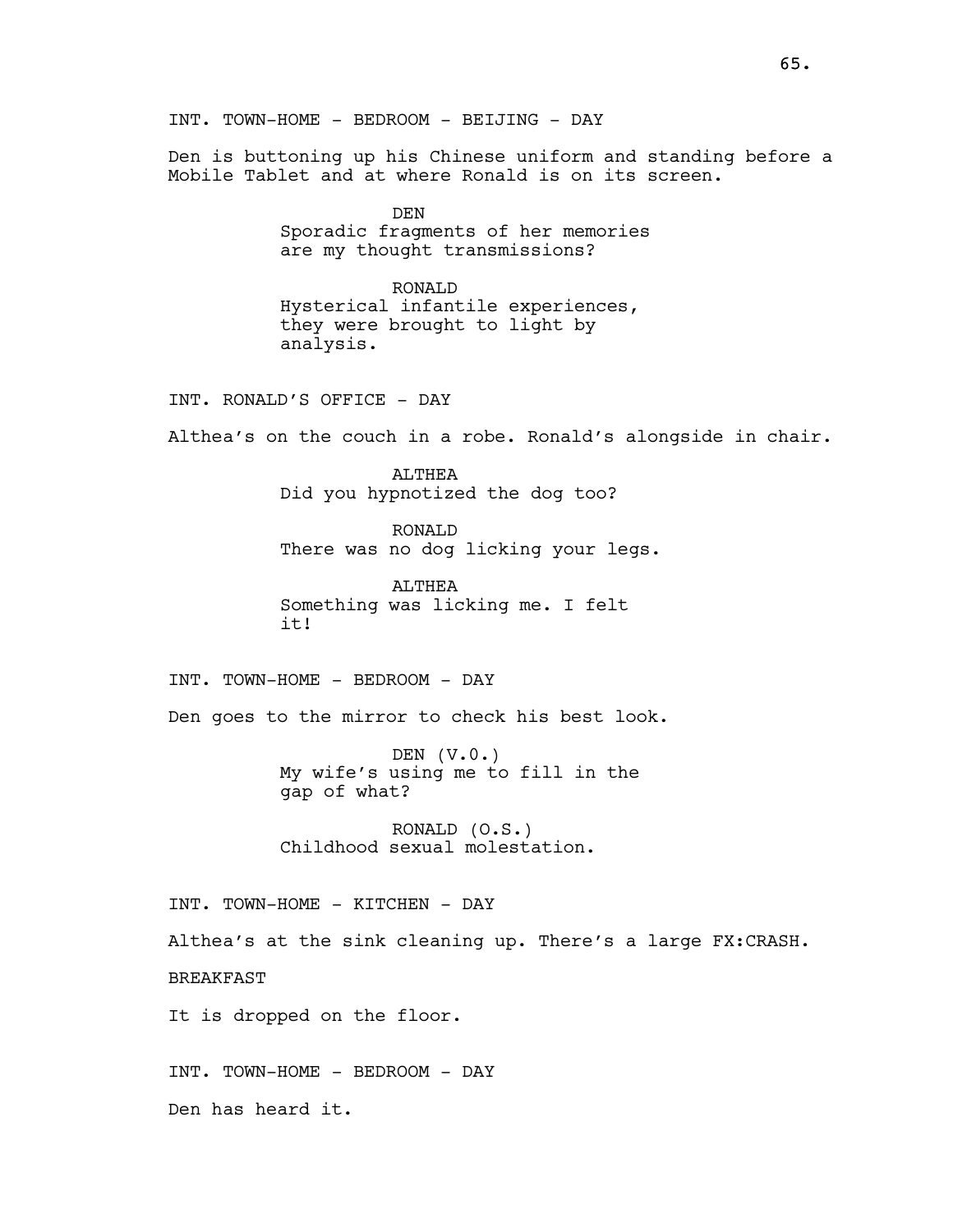Den is buttoning up his Chinese uniform and standing before a Mobile Tablet and at where Ronald is on its screen.

> DEN Sporadic fragments of her memories are my thought transmissions?

RONALD Hysterical infantile experiences, they were brought to light by analysis.

INT. RONALD'S OFFICE - DAY

Althea's on the couch in a robe. Ronald's alongside in chair.

ALTHEA Did you hypnotized the dog too?

RONALD There was no dog licking your legs.

ALTHEA Something was licking me. I felt it!

INT. TOWN-HOME - BEDROOM - DAY

Den goes to the mirror to check his best look.

DEN (V.0.) My wife's using me to fill in the gap of what?

RONALD (O.S.) Childhood sexual molestation.

INT. TOWN-HOME - KITCHEN - DAY

Althea's at the sink cleaning up. There's a large FX:CRASH.

BREAKFAST

It is dropped on the floor.

INT. TOWN-HOME - BEDROOM - DAY

Den has heard it.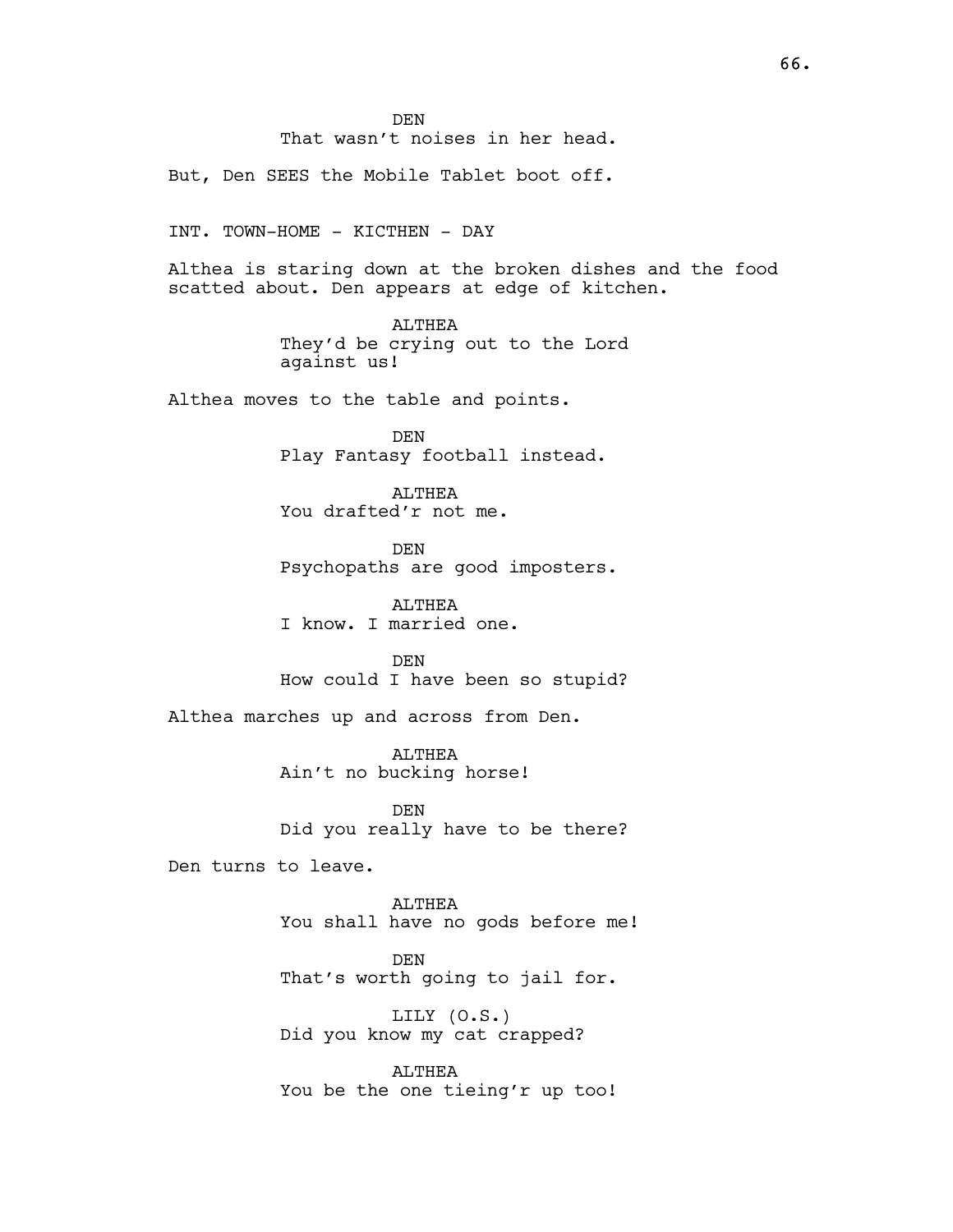DEN That wasn't noises in her head.

But, Den SEES the Mobile Tablet boot off.

INT. TOWN-HOME - KICTHEN - DAY

Althea is staring down at the broken dishes and the food scatted about. Den appears at edge of kitchen.

> ALTHEA They'd be crying out to the Lord against us!

Althea moves to the table and points.

DEN Play Fantasy football instead.

ALTHEA You drafted'r not me.

DEN Psychopaths are good imposters.

ALTHEA I know. I married one.

DEN How could I have been so stupid?

Althea marches up and across from Den.

ALTHEA Ain't no bucking horse!

DEN Did you really have to be there?

Den turns to leave.

ALTHEA You shall have no gods before me!

DEN That's worth going to jail for.

LILY (O.S.) Did you know my cat crapped?

ALTHEA You be the one tieing'r up too!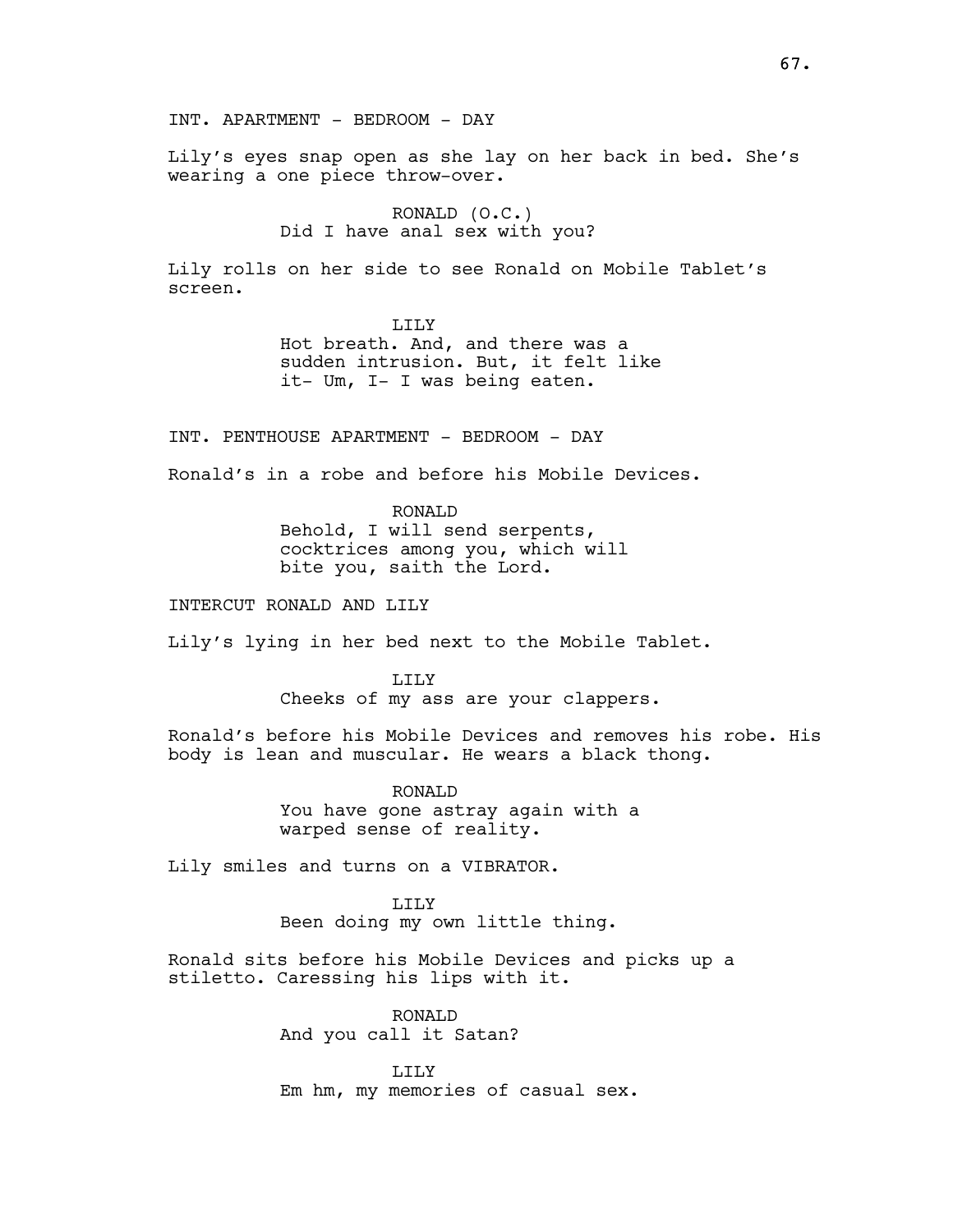Lily's eyes snap open as she lay on her back in bed. She's wearing a one piece throw-over.

> RONALD (O.C.) Did I have anal sex with you?

Lily rolls on her side to see Ronald on Mobile Tablet's screen.

> LILY Hot breath. And, and there was a sudden intrusion. But, it felt like it- Um, I- I was being eaten.

INT. PENTHOUSE APARTMENT - BEDROOM - DAY

Ronald's in a robe and before his Mobile Devices.

RONALD Behold, I will send serpents, cocktrices among you, which will bite you, saith the Lord.

INTERCUT RONALD AND LILY

Lily's lying in her bed next to the Mobile Tablet.

T.TT.Y

Cheeks of my ass are your clappers.

Ronald's before his Mobile Devices and removes his robe. His body is lean and muscular. He wears a black thong.

> RONALD You have gone astray again with a warped sense of reality.

Lily smiles and turns on a VIBRATOR.

LILY Been doing my own little thing.

Ronald sits before his Mobile Devices and picks up a stiletto. Caressing his lips with it.

> RONALD And you call it Satan?

LILY Em hm, my memories of casual sex.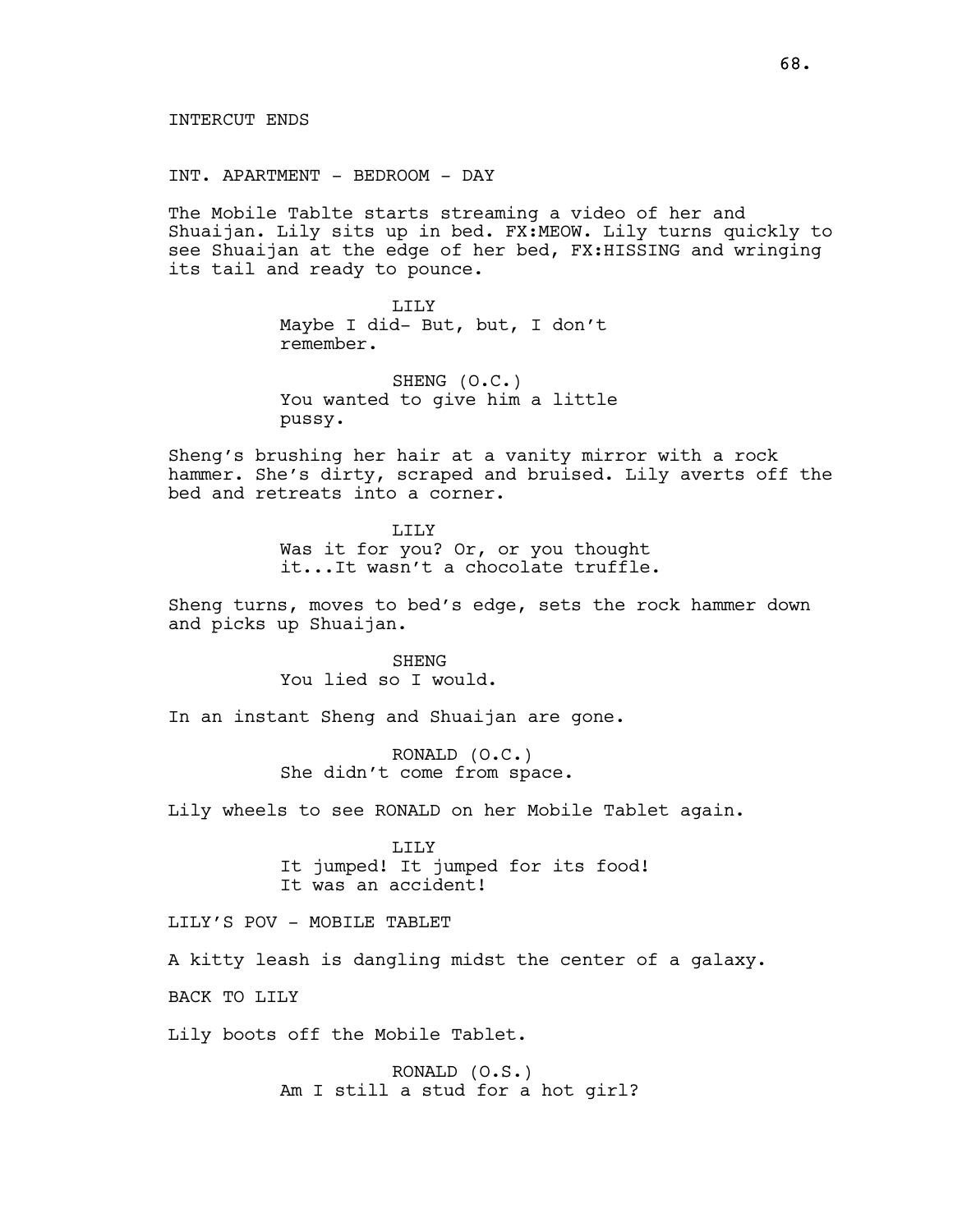INTERCUT ENDS

INT. APARTMENT - BEDROOM - DAY

The Mobile Tablte starts streaming a video of her and Shuaijan. Lily sits up in bed. FX:MEOW. Lily turns quickly to see Shuaijan at the edge of her bed, FX:HISSING and wringing its tail and ready to pounce.

> LILY Maybe I did- But, but, I don't remember.

SHENG (O.C.) You wanted to give him a little pussy.

Sheng's brushing her hair at a vanity mirror with a rock hammer. She's dirty, scraped and bruised. Lily averts off the bed and retreats into a corner.

> LILY Was it for you? Or, or you thought it...It wasn't a chocolate truffle.

Sheng turns, moves to bed's edge, sets the rock hammer down and picks up Shuaijan.

> SHENG You lied so I would.

In an instant Sheng and Shuaijan are gone.

RONALD (O.C.) She didn't come from space.

Lily wheels to see RONALD on her Mobile Tablet again.

LILY

It jumped! It jumped for its food! It was an accident!

LILY'S POV - MOBILE TABLET

A kitty leash is dangling midst the center of a galaxy.

BACK TO LILY

Lily boots off the Mobile Tablet.

RONALD (O.S.) Am I still a stud for a hot girl?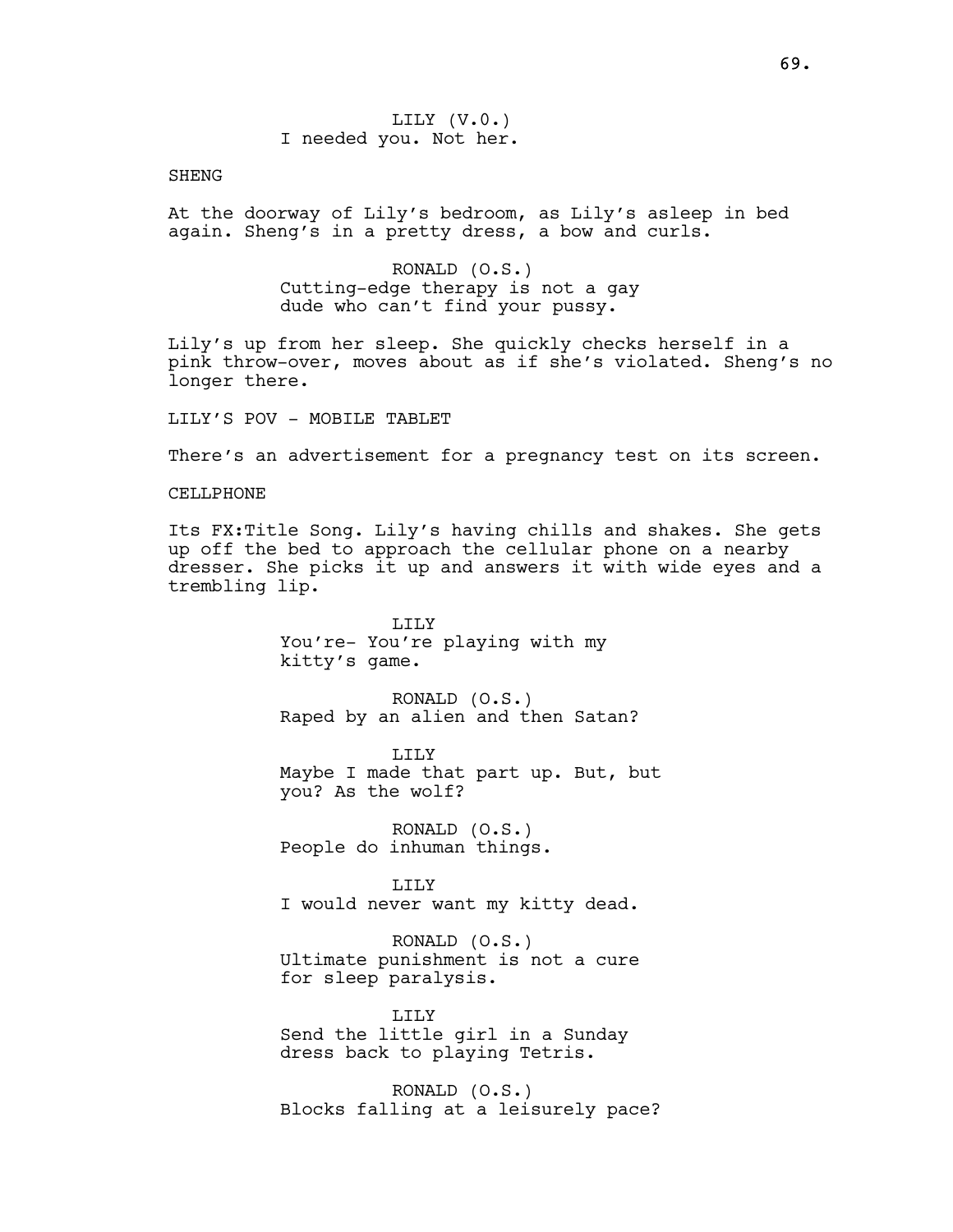#### SHENG

At the doorway of Lily's bedroom, as Lily's asleep in bed again. Sheng's in a pretty dress, a bow and curls.

> RONALD (O.S.) Cutting-edge therapy is not a gay dude who can't find your pussy.

Lily's up from her sleep. She quickly checks herself in a pink throw-over, moves about as if she's violated. Sheng's no longer there.

LILY'S POV - MOBILE TABLET

There's an advertisement for a pregnancy test on its screen.

CELLPHONE

Its FX:Title Song. Lily's having chills and shakes. She gets up off the bed to approach the cellular phone on a nearby dresser. She picks it up and answers it with wide eyes and a trembling lip.

> LILY You're- You're playing with my kitty's game.

RONALD (O.S.) Raped by an alien and then Satan?

LILY Maybe I made that part up. But, but you? As the wolf?

RONALD (O.S.) People do inhuman things.

T.TT.Y I would never want my kitty dead.

RONALD (O.S.) Ultimate punishment is not a cure for sleep paralysis.

T.TT.Y Send the little girl in a Sunday dress back to playing Tetris.

RONALD (O.S.) Blocks falling at a leisurely pace?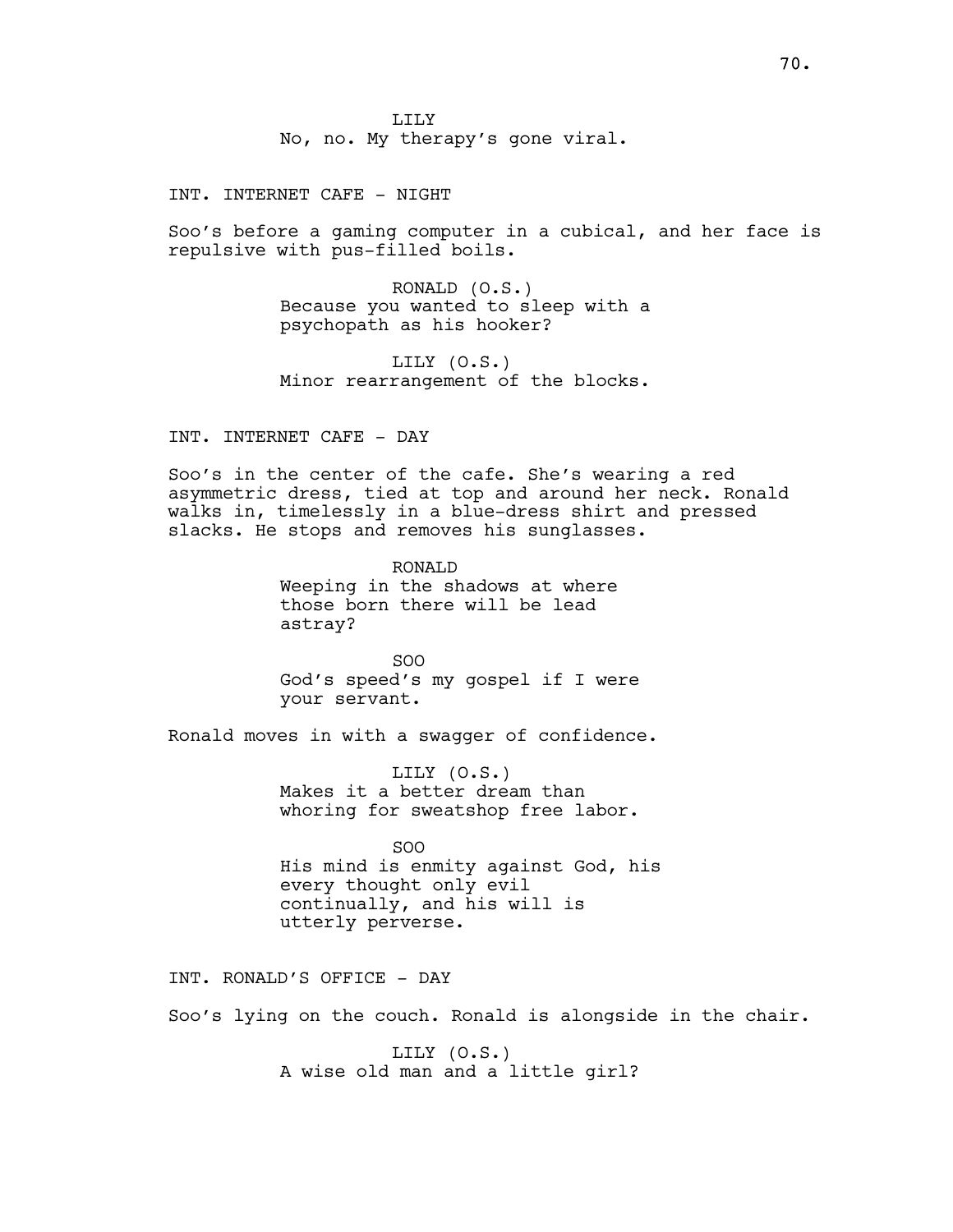INT. INTERNET CAFE - NIGHT

Soo's before a gaming computer in a cubical, and her face is repulsive with pus-filled boils.

> RONALD (O.S.) Because you wanted to sleep with a psychopath as his hooker?

> LILY (O.S.) Minor rearrangement of the blocks.

INT. INTERNET CAFE - DAY

Soo's in the center of the cafe. She's wearing a red asymmetric dress, tied at top and around her neck. Ronald walks in, timelessly in a blue-dress shirt and pressed slacks. He stops and removes his sunglasses.

> RONALD Weeping in the shadows at where those born there will be lead astray?

SOO God's speed's my gospel if I were your servant.

Ronald moves in with a swagger of confidence.

LILY (O.S.) Makes it a better dream than whoring for sweatshop free labor.

SOO His mind is enmity against God, his every thought only evil continually, and his will is utterly perverse.

INT. RONALD'S OFFICE - DAY

Soo's lying on the couch. Ronald is alongside in the chair.

LILY (O.S.) A wise old man and a little girl?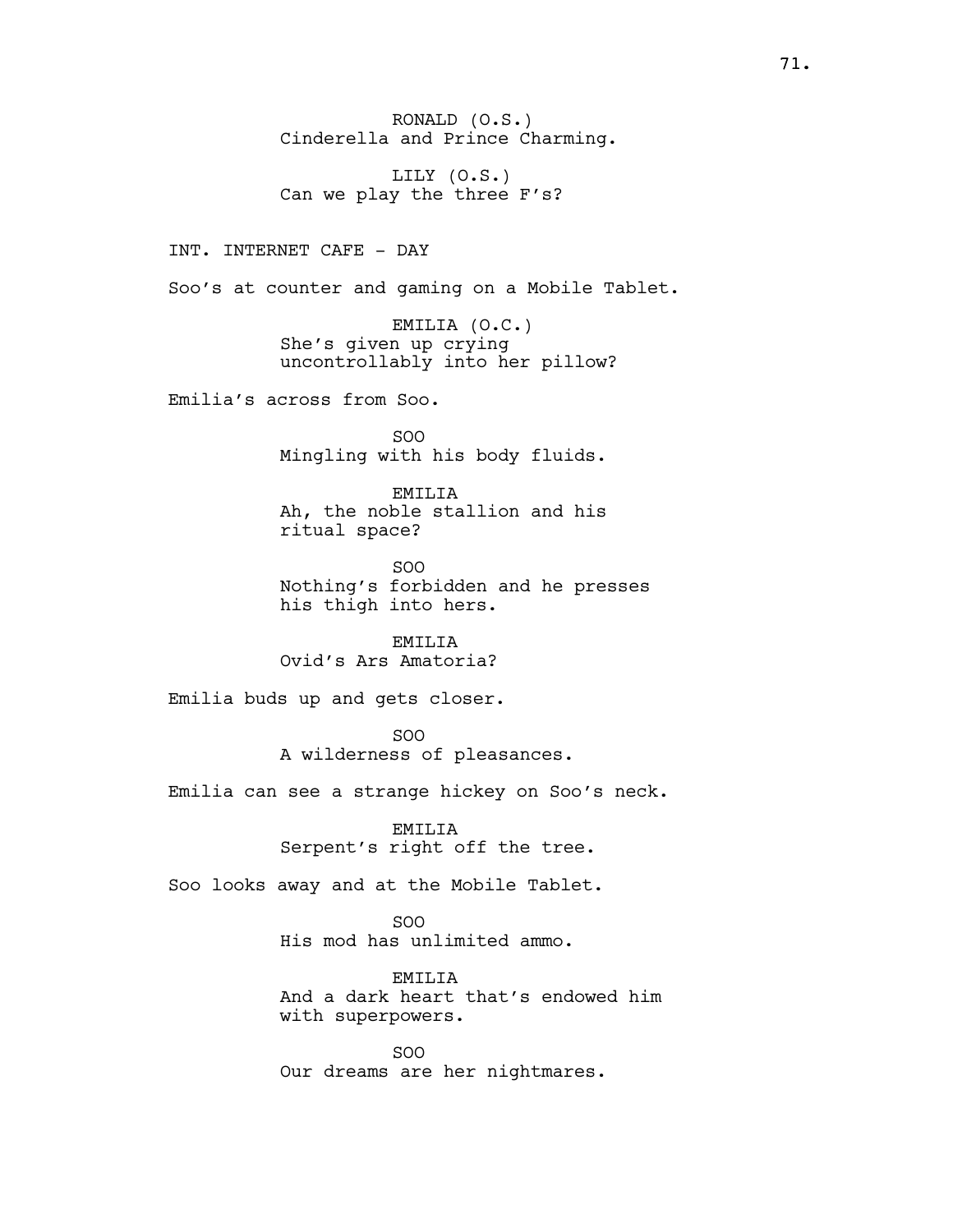RONALD (O.S.) Cinderella and Prince Charming.

LILY (O.S.) Can we play the three F's?

INT. INTERNET CAFE - DAY

Soo's at counter and gaming on a Mobile Tablet.

EMILIA (O.C.) She's given up crying uncontrollably into her pillow?

Emilia's across from Soo.

SOO Mingling with his body fluids.

EMILIA Ah, the noble stallion and his ritual space?

SOO Nothing's forbidden and he presses his thigh into hers.

EMILIA Ovid's Ars Amatoria?

Emilia buds up and gets closer.

SOO A wilderness of pleasances.

Emilia can see a strange hickey on Soo's neck.

EMILIA Serpent's right off the tree.

Soo looks away and at the Mobile Tablet.

SOO His mod has unlimited ammo.

EMILIA And a dark heart that's endowed him with superpowers.

SOO Our dreams are her nightmares.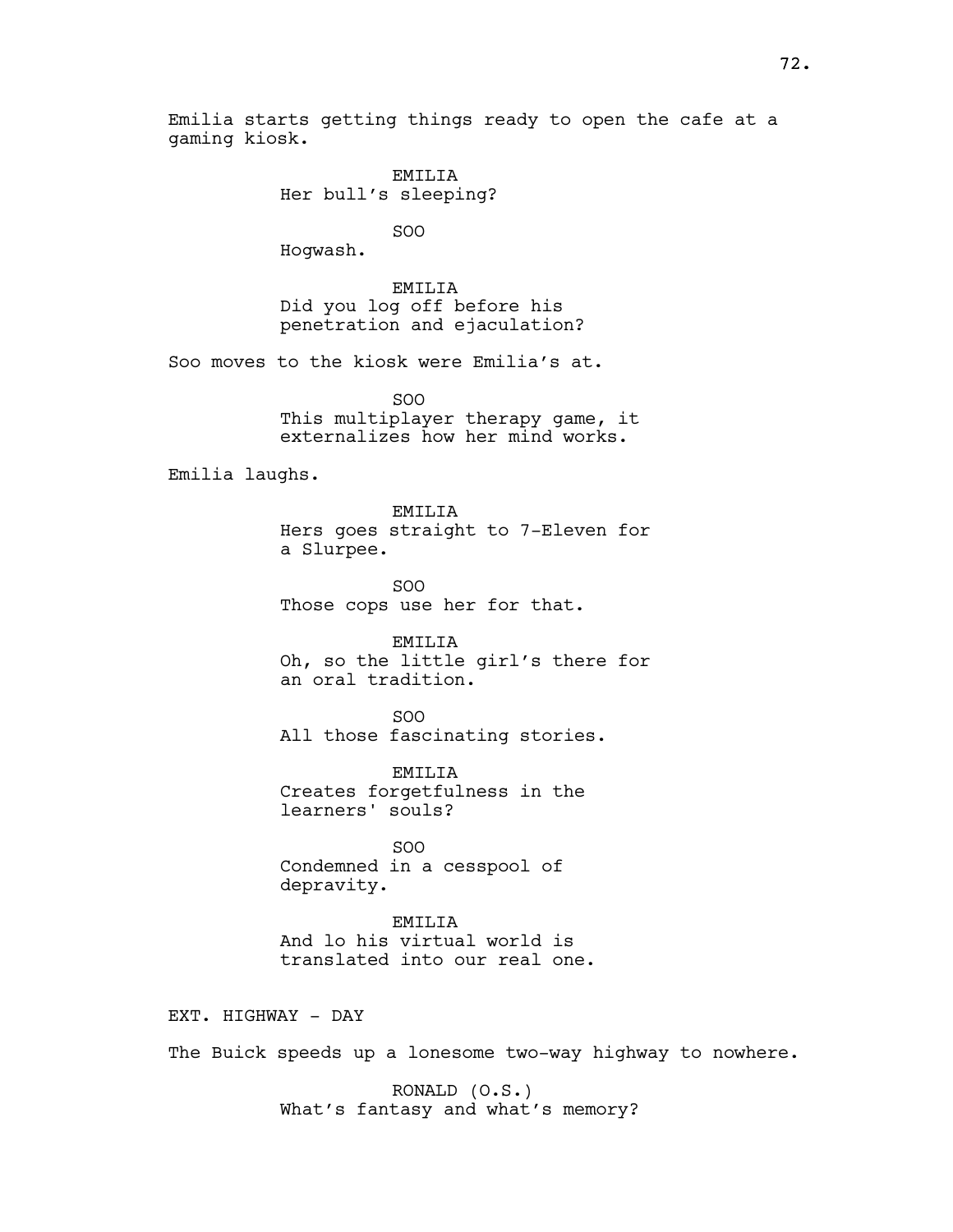Emilia starts getting things ready to open the cafe at a gaming kiosk.

> EMILIA Her bull's sleeping?

> > SOO

Hogwash.

EMILIA Did you log off before his penetration and ejaculation?

Soo moves to the kiosk were Emilia's at.

SOO This multiplayer therapy game, it externalizes how her mind works.

Emilia laughs.

EMILIA Hers goes straight to 7-Eleven for a Slurpee.

SOO Those cops use her for that.

EMILIA Oh, so the little girl's there for an oral tradition.

SOO All those fascinating stories.

EMILIA Creates forgetfulness in the learners' souls?

SOO Condemned in a cesspool of depravity.

EMILIA And lo his virtual world is translated into our real one.

EXT. HIGHWAY - DAY

The Buick speeds up a lonesome two-way highway to nowhere.

RONALD (O.S.) What's fantasy and what's memory?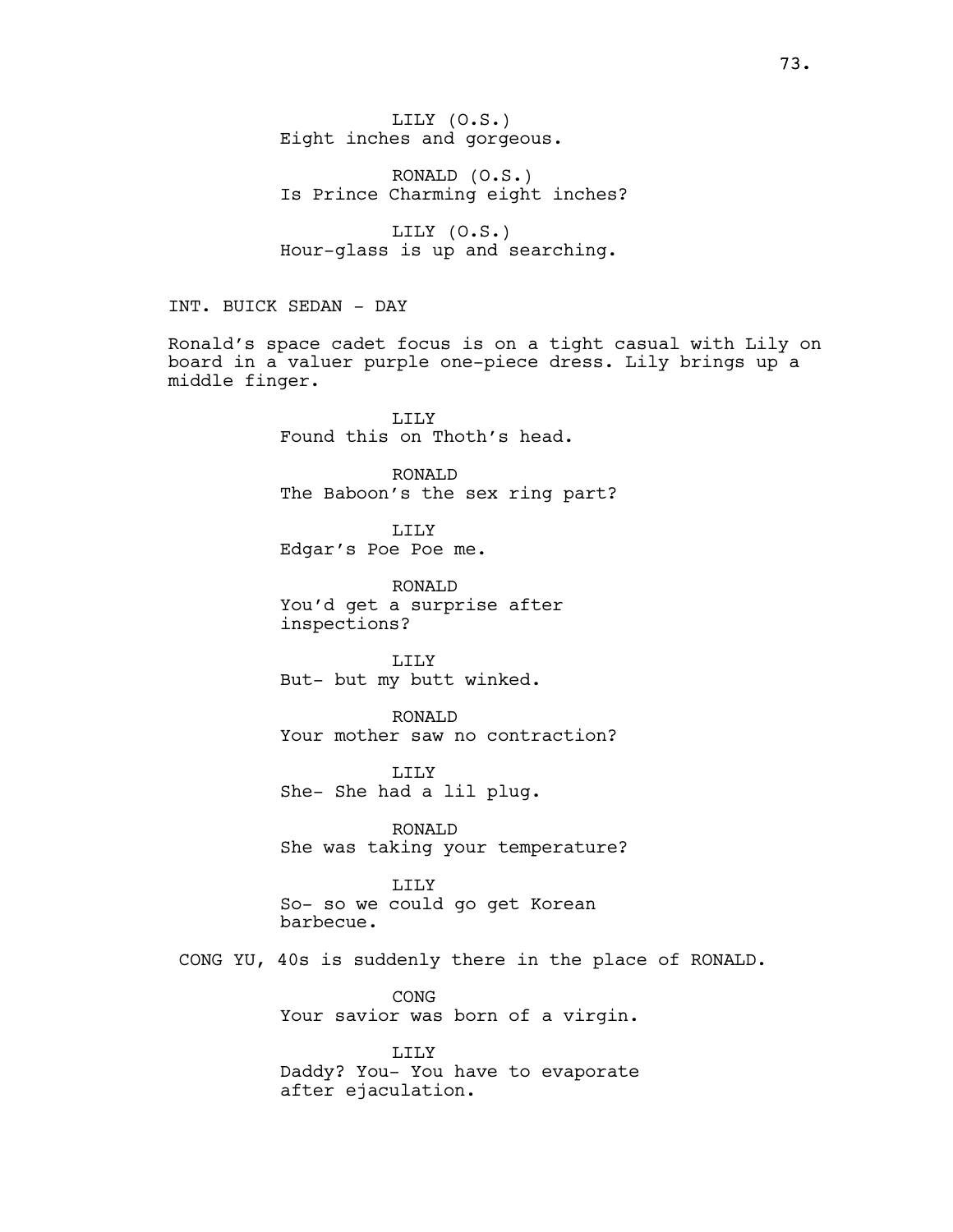LILY (O.S.) Eight inches and gorgeous.

RONALD (O.S.) Is Prince Charming eight inches?

LILY (O.S.) Hour-glass is up and searching.

INT. BUICK SEDAN - DAY

Ronald's space cadet focus is on a tight casual with Lily on board in a valuer purple one-piece dress. Lily brings up a middle finger.

> LILY Found this on Thoth's head.

RONALD The Baboon's the sex ring part?

LILY Edgar's Poe Poe me.

RONALD You'd get a surprise after inspections?

LILY But- but my butt winked.

RONALD Your mother saw no contraction?

LILY She- She had a lil plug.

RONALD She was taking your temperature?

T.TT.Y So- so we could go get Korean barbecue.

CONG YU, 40s is suddenly there in the place of RONALD.

CONG Your savior was born of a virgin.

LILY Daddy? You- You have to evaporate after ejaculation.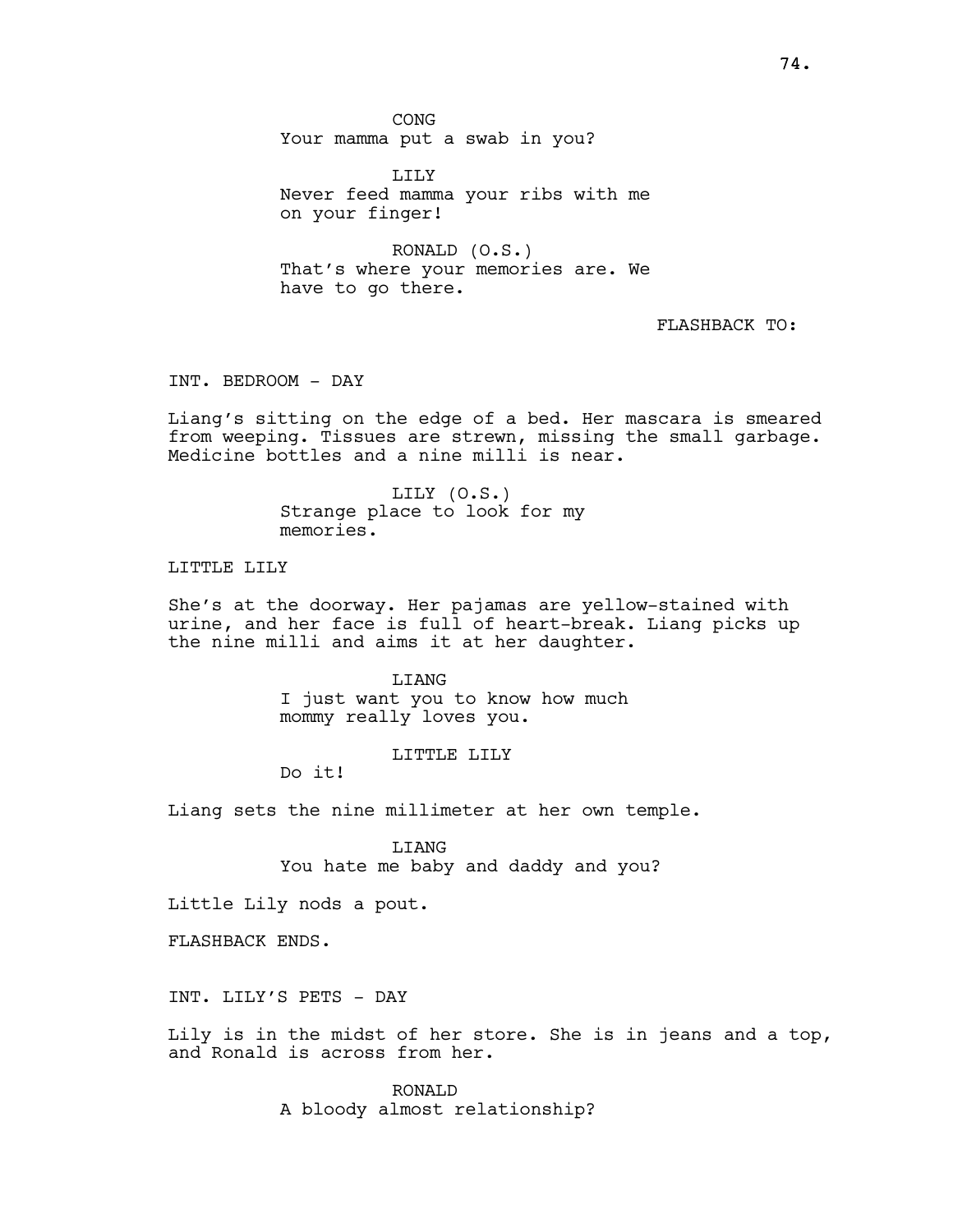CONG Your mamma put a swab in you?

LILY Never feed mamma your ribs with me on your finger!

RONALD (O.S.) That's where your memories are. We have to go there.

FLASHBACK TO:

INT. BEDROOM - DAY

Liang's sitting on the edge of a bed. Her mascara is smeared from weeping. Tissues are strewn, missing the small garbage. Medicine bottles and a nine milli is near.

> LILY (O.S.) Strange place to look for my memories.

LITTLE LILY

She's at the doorway. Her pajamas are yellow-stained with urine, and her face is full of heart-break. Liang picks up the nine milli and aims it at her daughter.

> **T.TANG** I just want you to know how much mommy really loves you.

> > LITTLE LILY

Do it!

Liang sets the nine millimeter at her own temple.

LIANG You hate me baby and daddy and you?

Little Lily nods a pout.

FLASHBACK ENDS.

INT. LILY'S PETS - DAY

Lily is in the midst of her store. She is in jeans and a top, and Ronald is across from her.

> RONAT<sub>D</sub> A bloody almost relationship?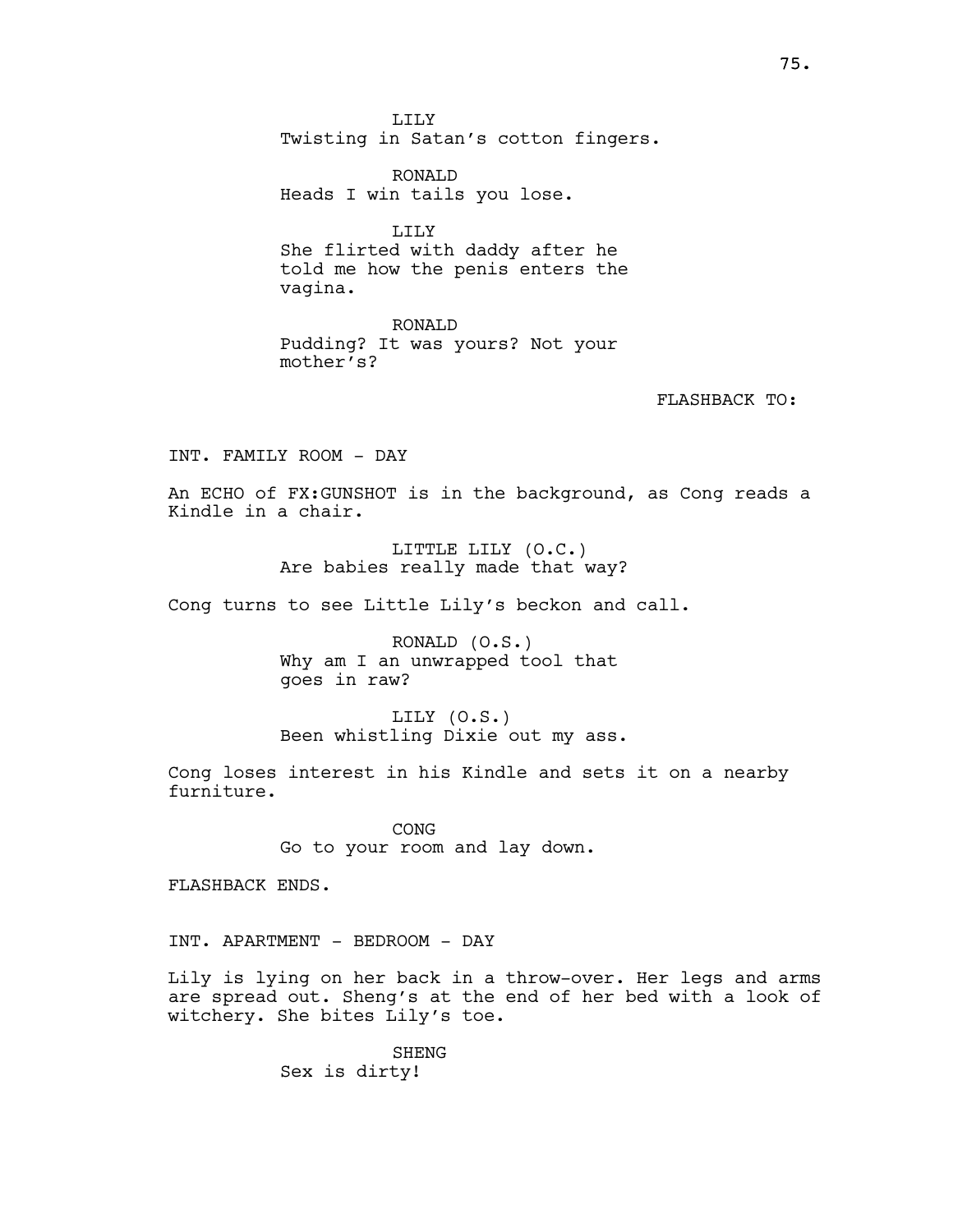LILY Twisting in Satan's cotton fingers.

RONALD Heads I win tails you lose.

LILY She flirted with daddy after he told me how the penis enters the vagina.

RONALD Pudding? It was yours? Not your mother's?

FLASHBACK TO:

INT. FAMILY ROOM - DAY

An ECHO of FX:GUNSHOT is in the background, as Cong reads a Kindle in a chair.

> LITTLE LILY (O.C.) Are babies really made that way?

Cong turns to see Little Lily's beckon and call.

RONALD (O.S.) Why am I an unwrapped tool that goes in raw?

LILY (O.S.) Been whistling Dixie out my ass.

Cong loses interest in his Kindle and sets it on a nearby furniture.

> CONG Go to your room and lay down.

FLASHBACK ENDS.

INT. APARTMENT - BEDROOM - DAY

Lily is lying on her back in a throw-over. Her legs and arms are spread out. Sheng's at the end of her bed with a look of witchery. She bites Lily's toe.

> **SHENG** Sex is dirty!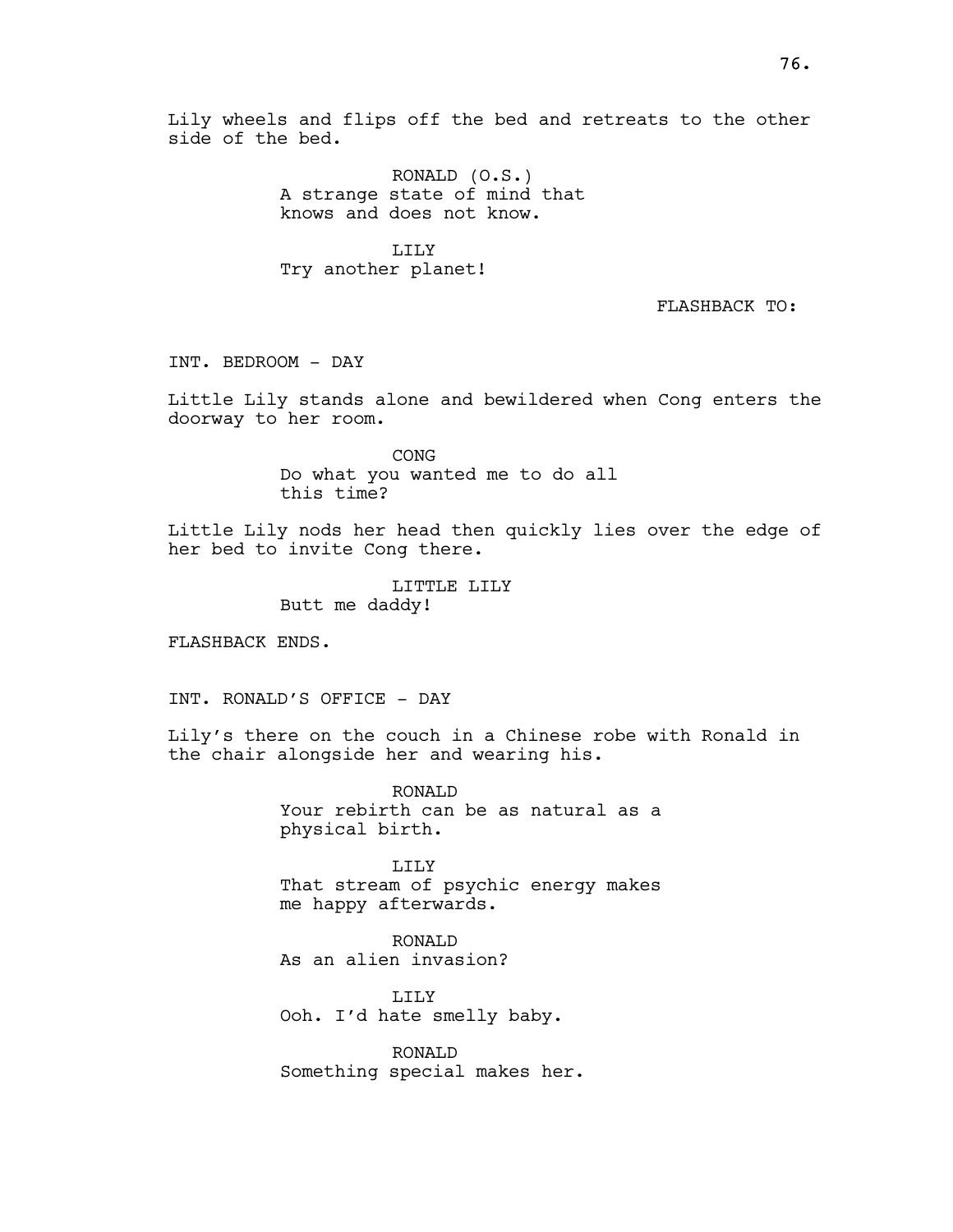RONALD (O.S.) A strange state of mind that knows and does not know.

LILY Try another planet!

FLASHBACK TO:

INT. BEDROOM - DAY

Little Lily stands alone and bewildered when Cong enters the doorway to her room.

> CONG Do what you wanted me to do all this time?

Little Lily nods her head then quickly lies over the edge of her bed to invite Cong there.

> LITTLE LILY Butt me daddy!

FLASHBACK ENDS.

INT. RONALD'S OFFICE - DAY

Lily's there on the couch in a Chinese robe with Ronald in the chair alongside her and wearing his.

> RONALD Your rebirth can be as natural as a physical birth.

> LILY That stream of psychic energy makes me happy afterwards.

RONALD As an alien invasion?

LILY Ooh. I'd hate smelly baby.

RONALD Something special makes her.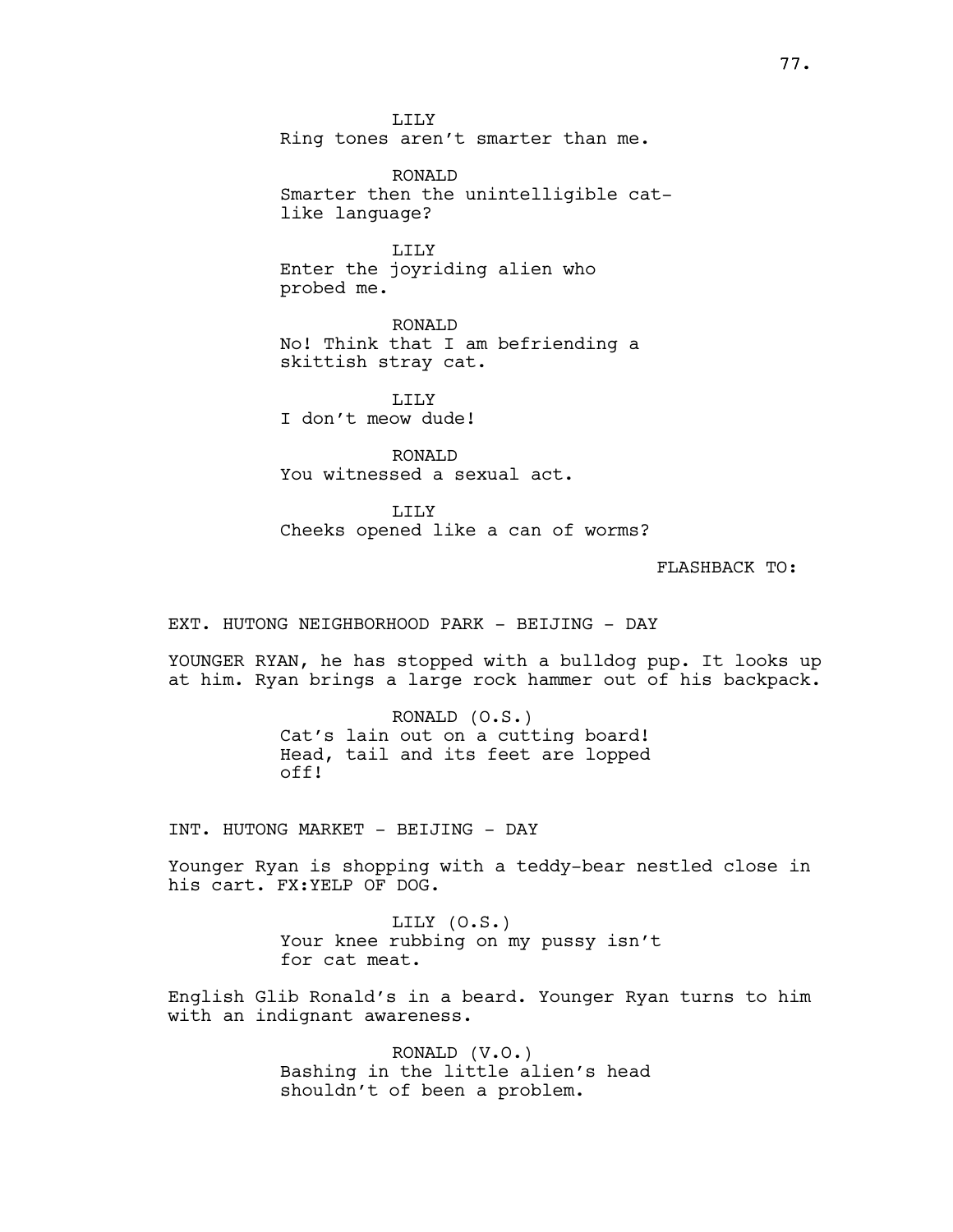LILY Ring tones aren't smarter than me.

RONALD Smarter then the unintelligible catlike language?

LILY Enter the joyriding alien who probed me.

RONALD No! Think that I am befriending a skittish stray cat.

T.TT.Y I don't meow dude!

RONALD You witnessed a sexual act.

T.TT.Y Cheeks opened like a can of worms?

FLASHBACK TO:

EXT. HUTONG NEIGHBORHOOD PARK - BEIJING - DAY

YOUNGER RYAN, he has stopped with a bulldog pup. It looks up at him. Ryan brings a large rock hammer out of his backpack.

> RONALD (O.S.) Cat's lain out on a cutting board! Head, tail and its feet are lopped off!

INT. HUTONG MARKET - BEIJING - DAY

Younger Ryan is shopping with a teddy-bear nestled close in his cart. FX:YELP OF DOG.

> LILY (O.S.) Your knee rubbing on my pussy isn't for cat meat.

English Glib Ronald's in a beard. Younger Ryan turns to him with an indignant awareness.

> RONALD (V.O.) Bashing in the little alien's head shouldn't of been a problem.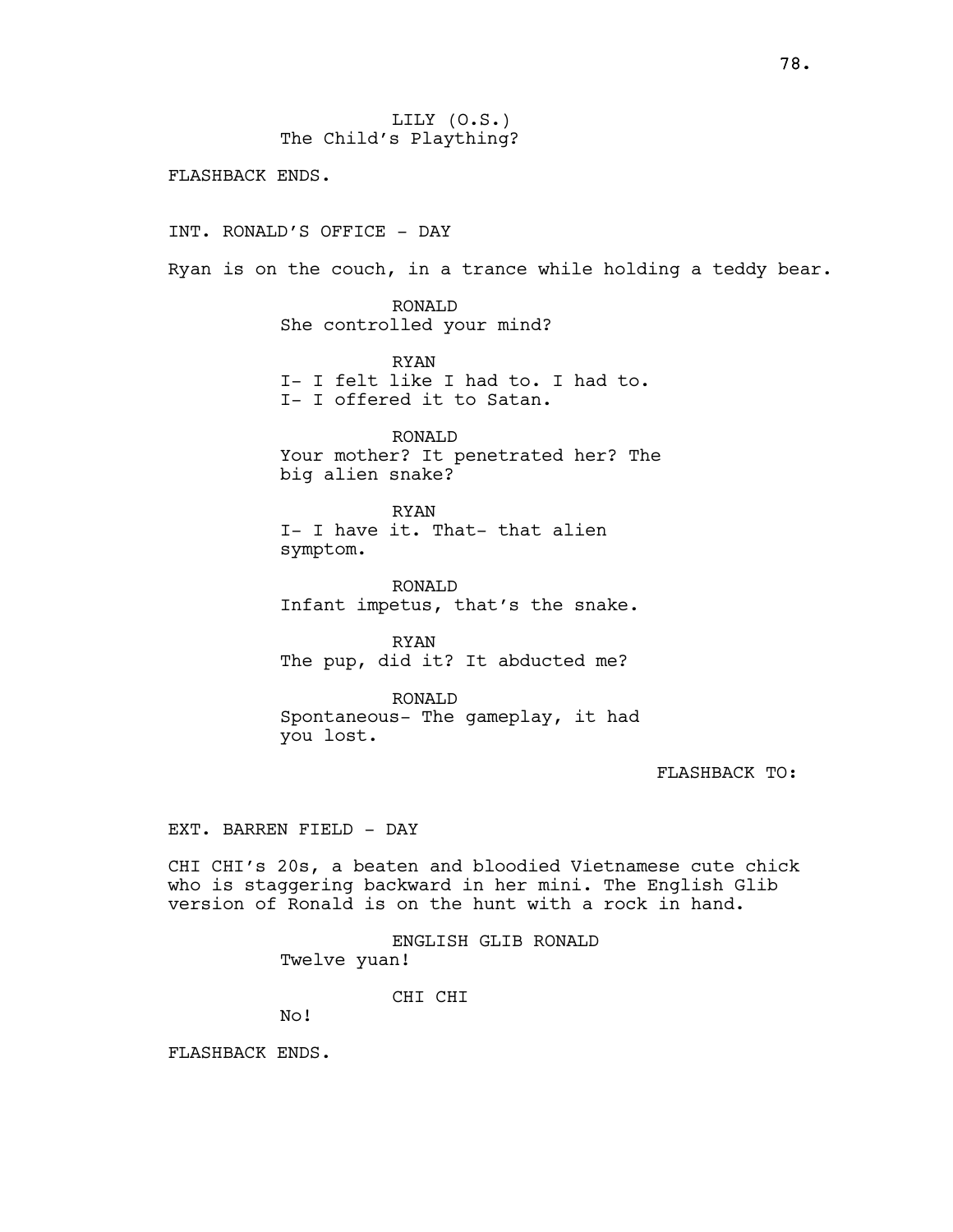LILY (O.S.) The Child's Plaything?

FLASHBACK ENDS.

INT. RONALD'S OFFICE - DAY

Ryan is on the couch, in a trance while holding a teddy bear.

RONALD She controlled your mind?

RYAN I- I felt like I had to. I had to. I- I offered it to Satan.

RONALD Your mother? It penetrated her? The big alien snake?

RYAN I- I have it. That- that alien symptom.

RONALD Infant impetus, that's the snake.

RYAN The pup, did it? It abducted me?

RONALD Spontaneous- The gameplay, it had you lost.

FLASHBACK TO:

EXT. BARREN FIELD - DAY

CHI CHI's 20s, a beaten and bloodied Vietnamese cute chick who is staggering backward in her mini. The English Glib version of Ronald is on the hunt with a rock in hand.

> ENGLISH GLIB RONALD Twelve yuan!

> > CHI CHI

No!

FLASHBACK ENDS.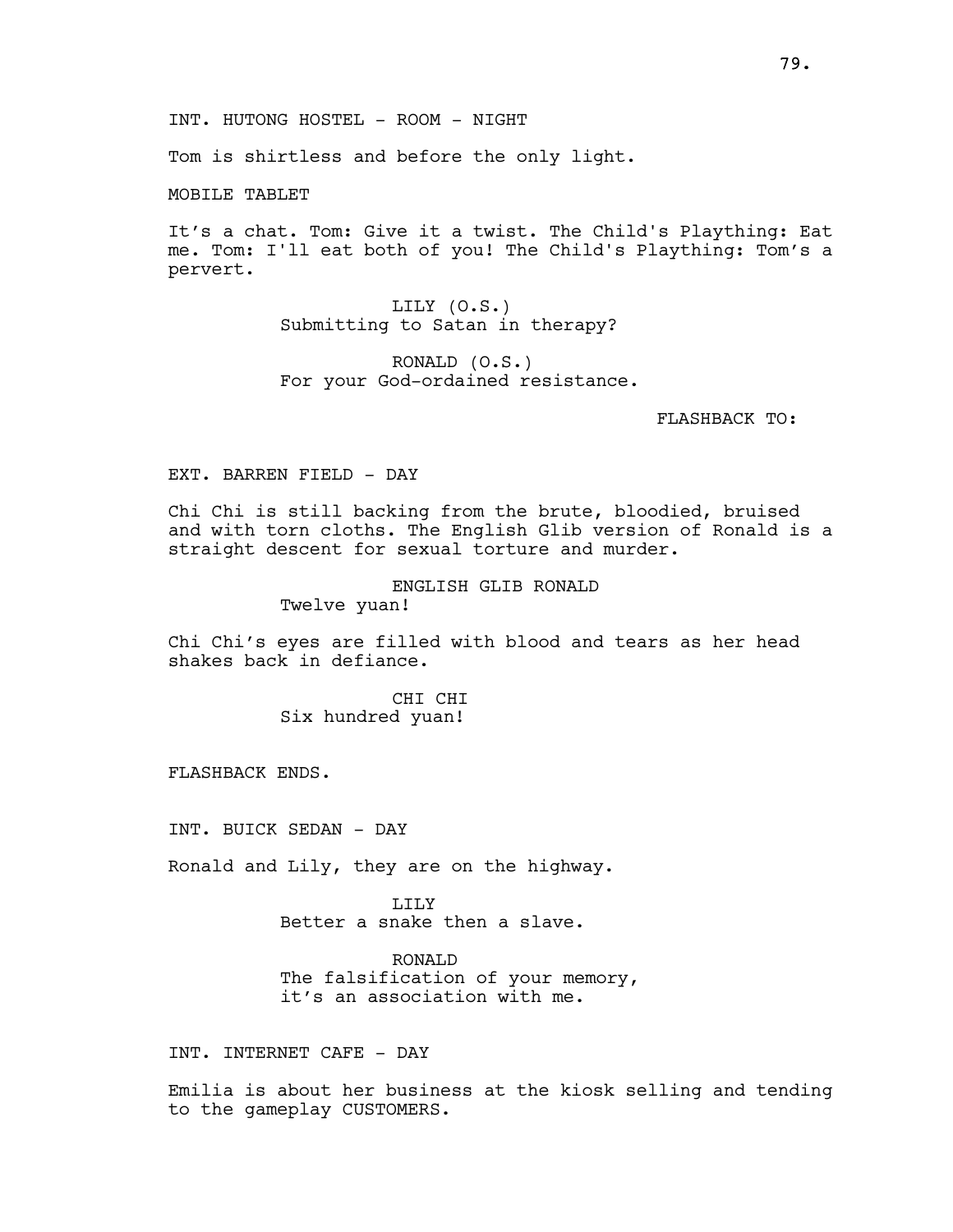INT. HUTONG HOSTEL - ROOM - NIGHT

Tom is shirtless and before the only light.

MOBILE TABLET

It's a chat. Tom: Give it a twist. The Child's Plaything: Eat me. Tom: I'll eat both of you! The Child's Plaything: Tom's a pervert.

> LILY (O.S.) Submitting to Satan in therapy?

RONALD (O.S.) For your God-ordained resistance.

FLASHBACK TO:

EXT. BARREN FIELD - DAY

Chi Chi is still backing from the brute, bloodied, bruised and with torn cloths. The English Glib version of Ronald is a straight descent for sexual torture and murder.

> ENGLISH GLIB RONALD Twelve yuan!

Chi Chi's eyes are filled with blood and tears as her head shakes back in defiance.

> CHI CHI Six hundred yuan!

FLASHBACK ENDS.

INT. BUICK SEDAN - DAY

Ronald and Lily, they are on the highway.

LILY Better a snake then a slave.

RONALD The falsification of your memory, it's an association with me.

INT. INTERNET CAFE - DAY

Emilia is about her business at the kiosk selling and tending to the gameplay CUSTOMERS.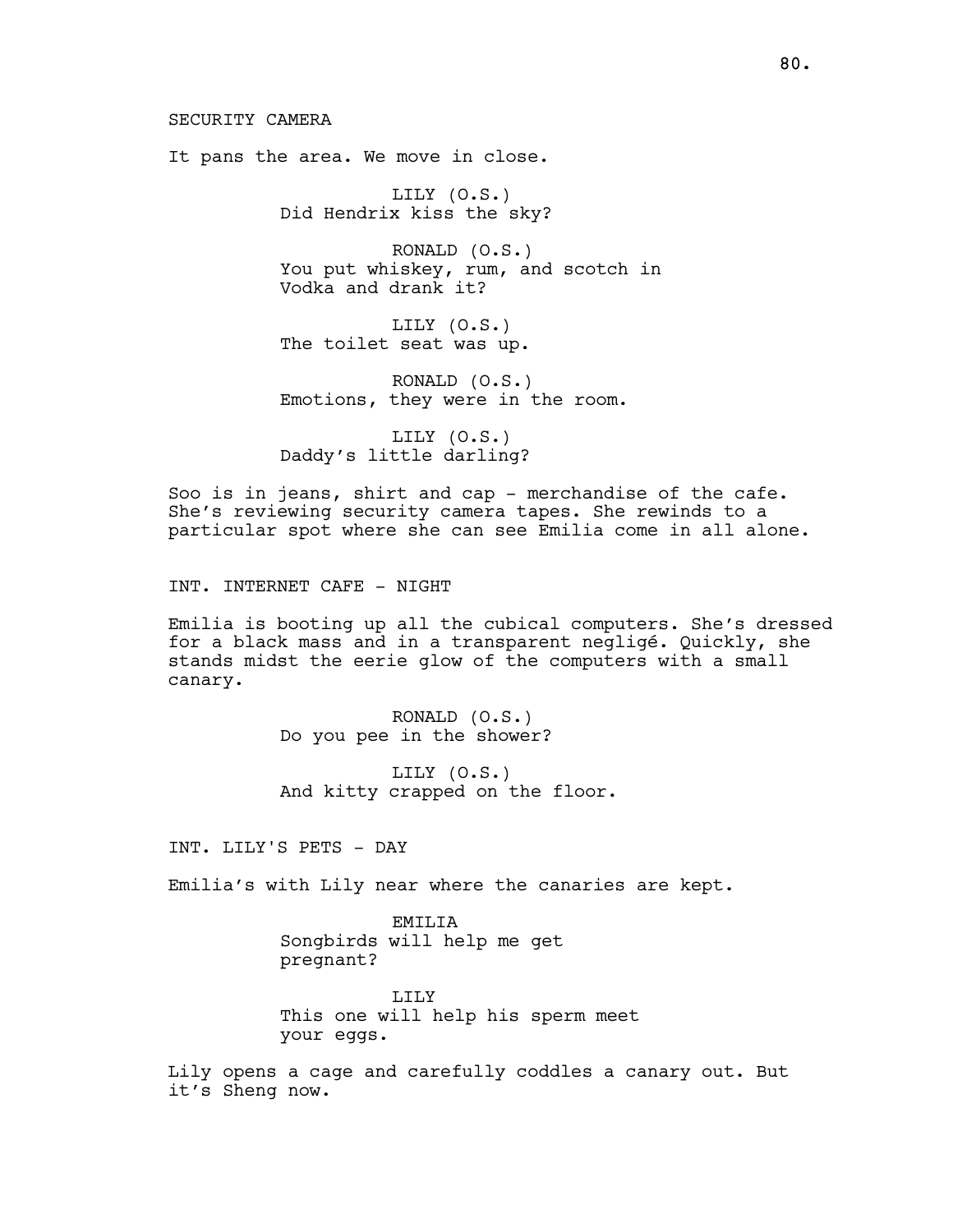It pans the area. We move in close.

LILY (O.S.) Did Hendrix kiss the sky?

RONALD (O.S.) You put whiskey, rum, and scotch in Vodka and drank it?

LILY (O.S.) The toilet seat was up.

RONALD (O.S.) Emotions, they were in the room.

LILY (O.S.) Daddy's little darling?

Soo is in jeans, shirt and cap - merchandise of the cafe. She's reviewing security camera tapes. She rewinds to a particular spot where she can see Emilia come in all alone.

INT. INTERNET CAFE - NIGHT

Emilia is booting up all the cubical computers. She's dressed for a black mass and in a transparent negligé. Quickly, she stands midst the eerie glow of the computers with a small canary.

> RONALD (O.S.) Do you pee in the shower?

LILY (O.S.) And kitty crapped on the floor.

INT. LILY'S PETS - DAY

Emilia's with Lily near where the canaries are kept.

EMILIA Songbirds will help me get pregnant?

LILY This one will help his sperm meet your eggs.

Lily opens a cage and carefully coddles a canary out. But it's Sheng now.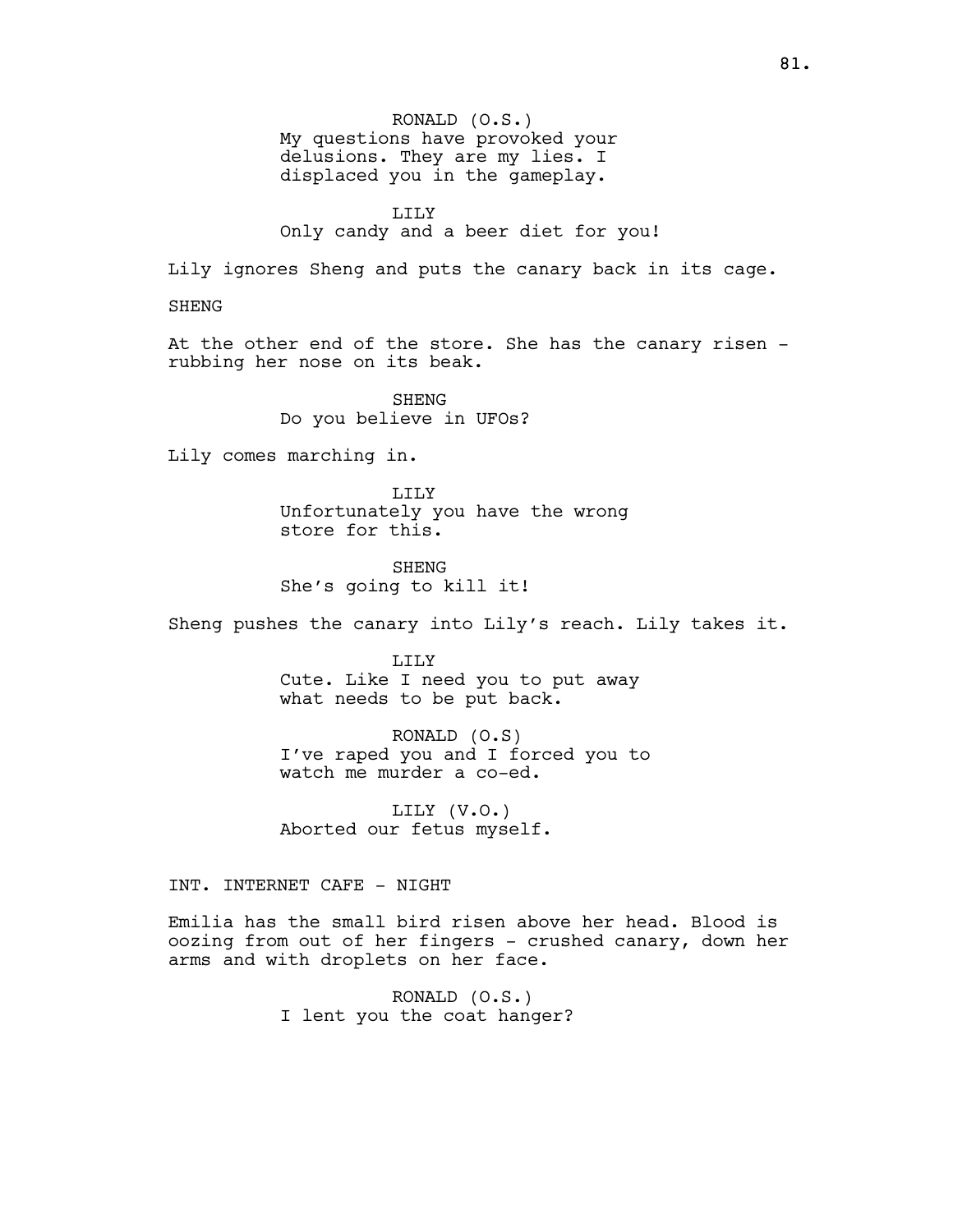RONALD (O.S.) My questions have provoked your delusions. They are my lies. I displaced you in the gameplay.

## LILY

Only candy and a beer diet for you!

Lily ignores Sheng and puts the canary back in its cage.

SHENG

At the other end of the store. She has the canary risen rubbing her nose on its beak.

> **SHENG** Do you believe in UFOs?

Lily comes marching in.

LILY Unfortunately you have the wrong store for this.

SHENG She's going to kill it!

Sheng pushes the canary into Lily's reach. Lily takes it.

LILY Cute. Like I need you to put away what needs to be put back.

RONALD (O.S) I've raped you and I forced you to watch me murder a co-ed.

LILY (V.O.) Aborted our fetus myself.

INT. INTERNET CAFE - NIGHT

Emilia has the small bird risen above her head. Blood is oozing from out of her fingers - crushed canary, down her arms and with droplets on her face.

> RONALD (O.S.) I lent you the coat hanger?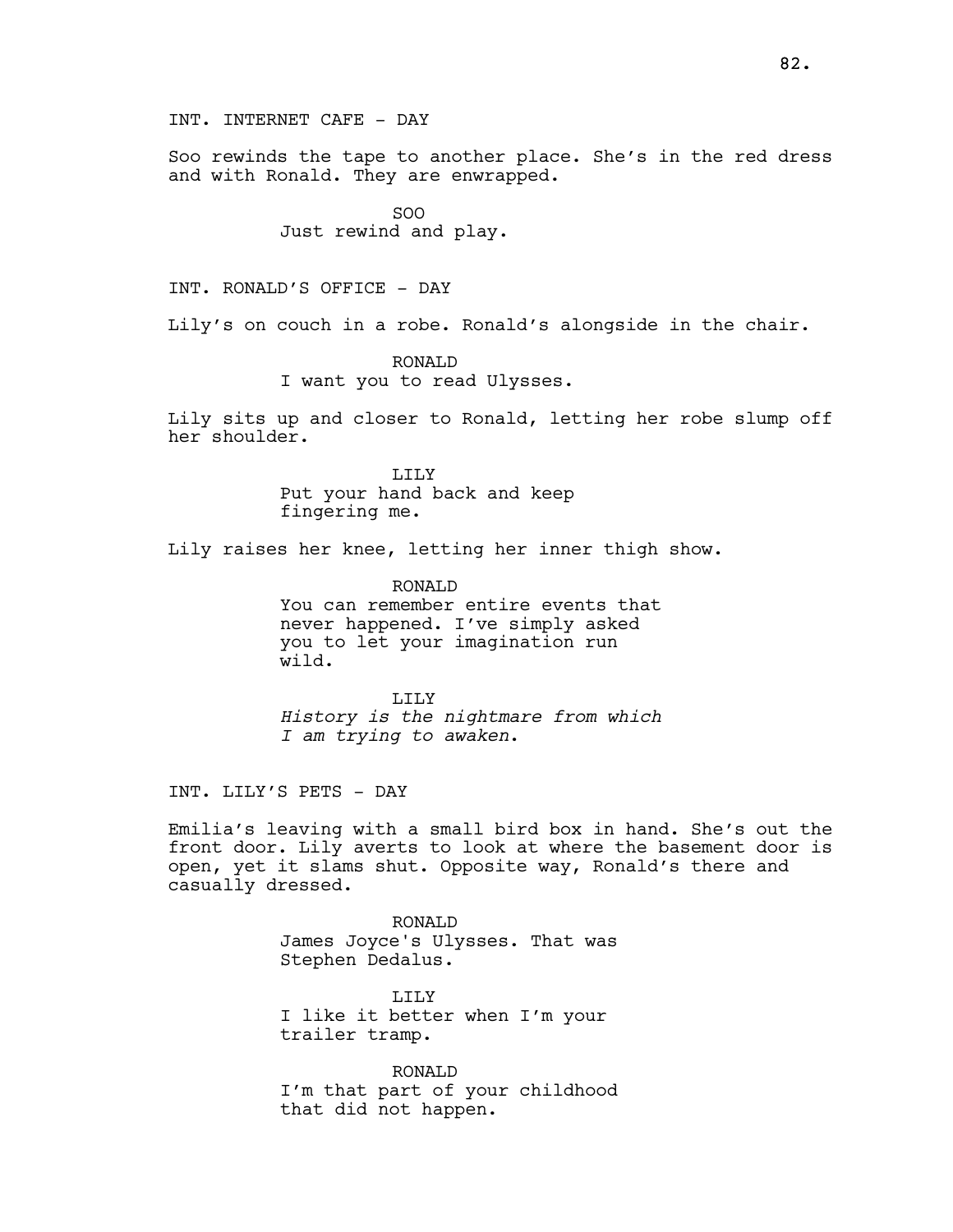Soo rewinds the tape to another place. She's in the red dress and with Ronald. They are enwrapped.

> SOO Just rewind and play.

INT. RONALD'S OFFICE - DAY

Lily's on couch in a robe. Ronald's alongside in the chair.

RONALD I want you to read Ulysses.

Lily sits up and closer to Ronald, letting her robe slump off her shoulder.

> T.TT.Y Put your hand back and keep fingering me.

Lily raises her knee, letting her inner thigh show.

RONALD You can remember entire events that never happened. I've simply asked you to let your imagination run wild.

LILY History is the nightmare from which I am trying to awaken.

INT. LILY'S PETS - DAY

Emilia's leaving with a small bird box in hand. She's out the front door. Lily averts to look at where the basement door is open, yet it slams shut. Opposite way, Ronald's there and casually dressed.

> RONALD James Joyce's Ulysses. That was Stephen Dedalus.

LILY I like it better when I'm your trailer tramp.

RONALD I'm that part of your childhood that did not happen.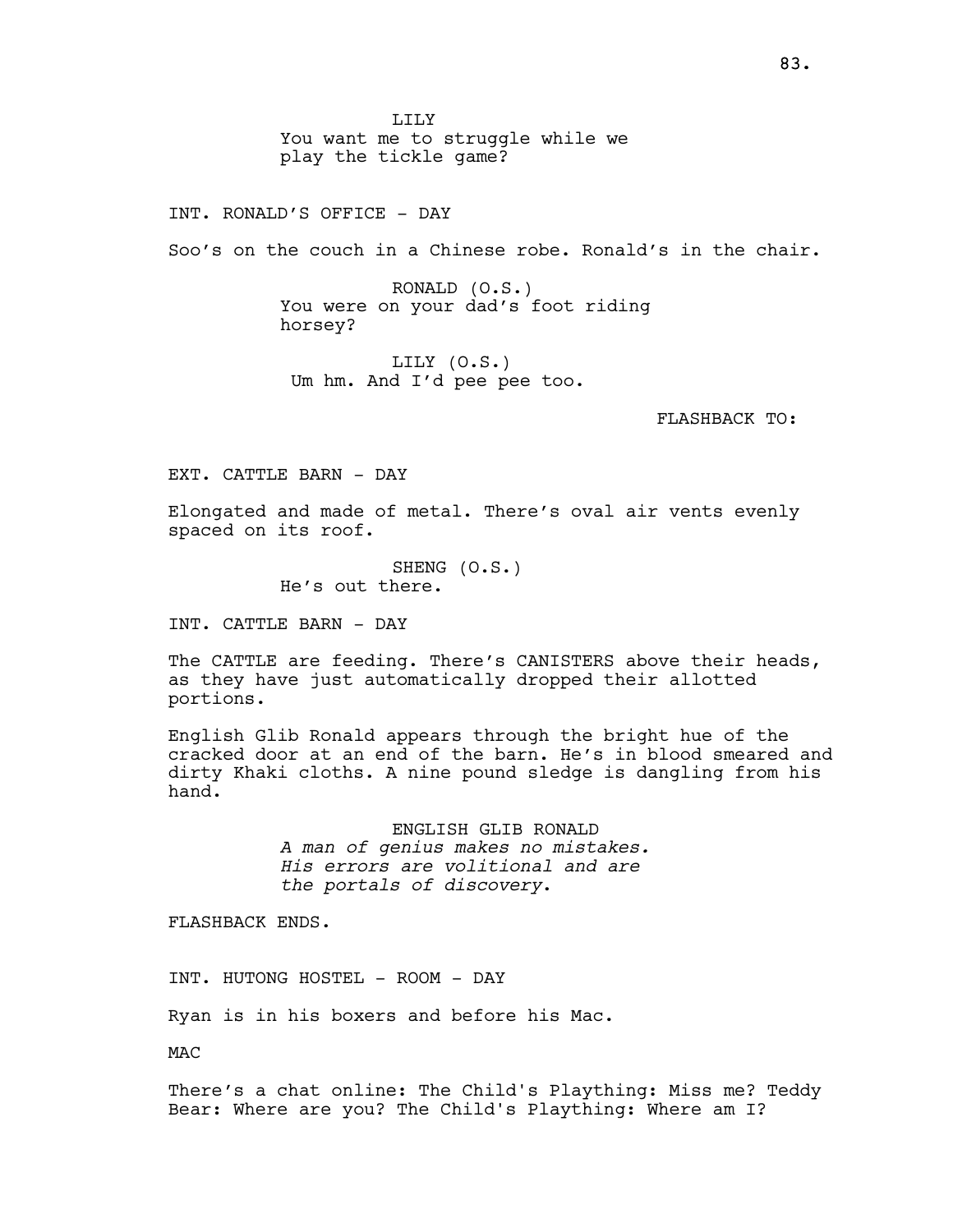T.TT.Y You want me to struggle while we play the tickle game?

INT. RONALD'S OFFICE - DAY

Soo's on the couch in a Chinese robe. Ronald's in the chair.

RONALD (O.S.) You were on your dad's foot riding horsey?

LILY (O.S.) Um hm. And I'd pee pee too.

FLASHBACK TO:

EXT. CATTLE BARN - DAY

Elongated and made of metal. There's oval air vents evenly spaced on its roof.

> SHENG (O.S.) He's out there.

INT. CATTLE BARN - DAY

The CATTLE are feeding. There's CANISTERS above their heads, as they have just automatically dropped their allotted portions.

English Glib Ronald appears through the bright hue of the cracked door at an end of the barn. He's in blood smeared and dirty Khaki cloths. A nine pound sledge is dangling from his hand.

> ENGLISH GLIB RONALD A man of genius makes no mistakes. His errors are volitional and are the portals of discovery.

FLASHBACK ENDS.

INT. HUTONG HOSTEL - ROOM - DAY

Ryan is in his boxers and before his Mac.

M<sub>AC</sub>

There's a chat online: The Child's Plaything: Miss me? Teddy Bear: Where are you? The Child's Plaything: Where am I?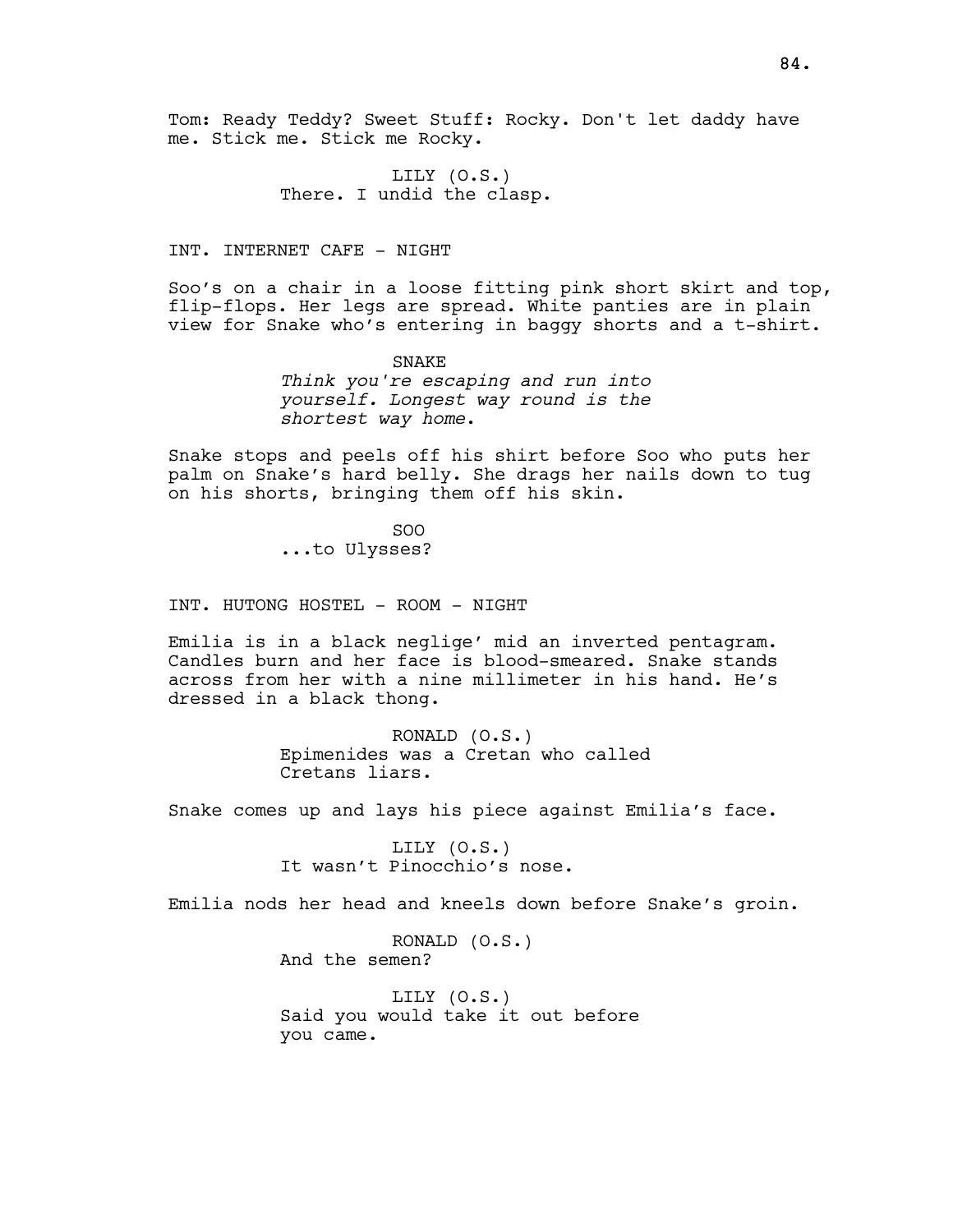Tom: Ready Teddy? Sweet Stuff: Rocky. Don't let daddy have me. Stick me. Stick me Rocky.

> LILY (O.S.) There. I undid the clasp.

## INT. INTERNET CAFE - NIGHT

Soo's on a chair in a loose fitting pink short skirt and top, flip-flops. Her legs are spread. White panties are in plain view for Snake who's entering in baggy shorts and a t-shirt.

> SNAKE Think you're escaping and run into yourself. Longest way round is the shortest way home.

Snake stops and peels off his shirt before Soo who puts her palm on Snake's hard belly. She drags her nails down to tug on his shorts, bringing them off his skin.

> SOO ...to Ulysses?

INT. HUTONG HOSTEL - ROOM - NIGHT

Emilia is in a black neglige' mid an inverted pentagram. Candles burn and her face is blood-smeared. Snake stands across from her with a nine millimeter in his hand. He's dressed in a black thong.

> RONALD (O.S.) Epimenides was a Cretan who called Cretans liars.

Snake comes up and lays his piece against Emilia's face.

LILY (O.S.) It wasn't Pinocchio's nose.

Emilia nods her head and kneels down before Snake's groin.

RONALD (O.S.) And the semen?

LILY (O.S.) Said you would take it out before you came.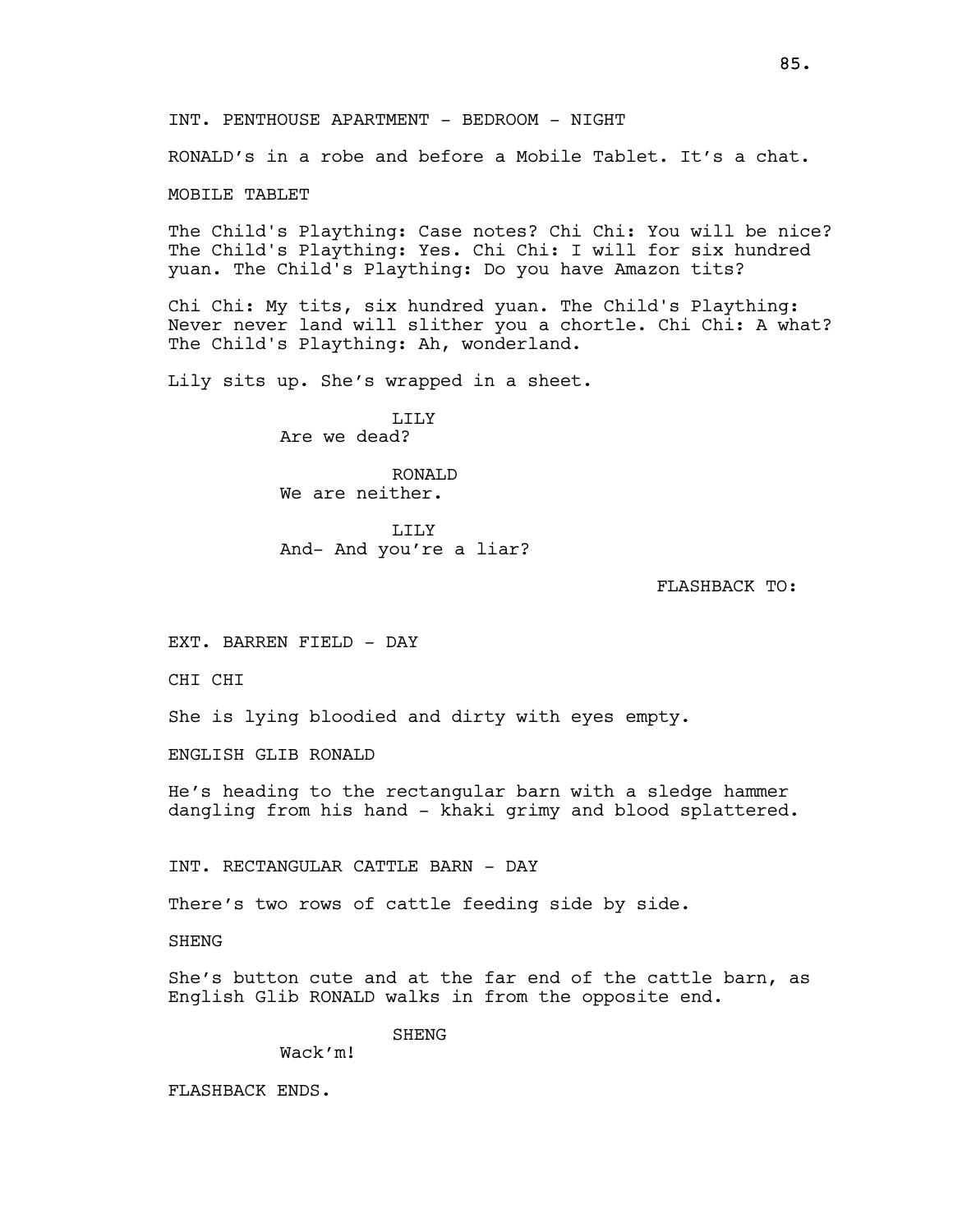INT. PENTHOUSE APARTMENT - BEDROOM - NIGHT

RONALD's in a robe and before a Mobile Tablet. It's a chat.

MOBILE TABLET

The Child's Plaything: Case notes? Chi Chi: You will be nice? The Child's Plaything: Yes. Chi Chi: I will for six hundred yuan. The Child's Plaything: Do you have Amazon tits?

Chi Chi: My tits, six hundred yuan. The Child's Plaything: Never never land will slither you a chortle. Chi Chi: A what? The Child's Plaything: Ah, wonderland.

Lily sits up. She's wrapped in a sheet.

LILY Are we dead?

RONALD We are neither.

T.TT.Y And- And you're a liar?

FLASHBACK TO:

EXT. BARREN FIELD - DAY

CHI CHI

She is lying bloodied and dirty with eyes empty.

ENGLISH GLIB RONALD

He's heading to the rectangular barn with a sledge hammer dangling from his hand - khaki grimy and blood splattered.

INT. RECTANGULAR CATTLE BARN - DAY

There's two rows of cattle feeding side by side.

SHENG

She's button cute and at the far end of the cattle barn, as English Glib RONALD walks in from the opposite end.

SHENG

Wack'm!

FLASHBACK ENDS.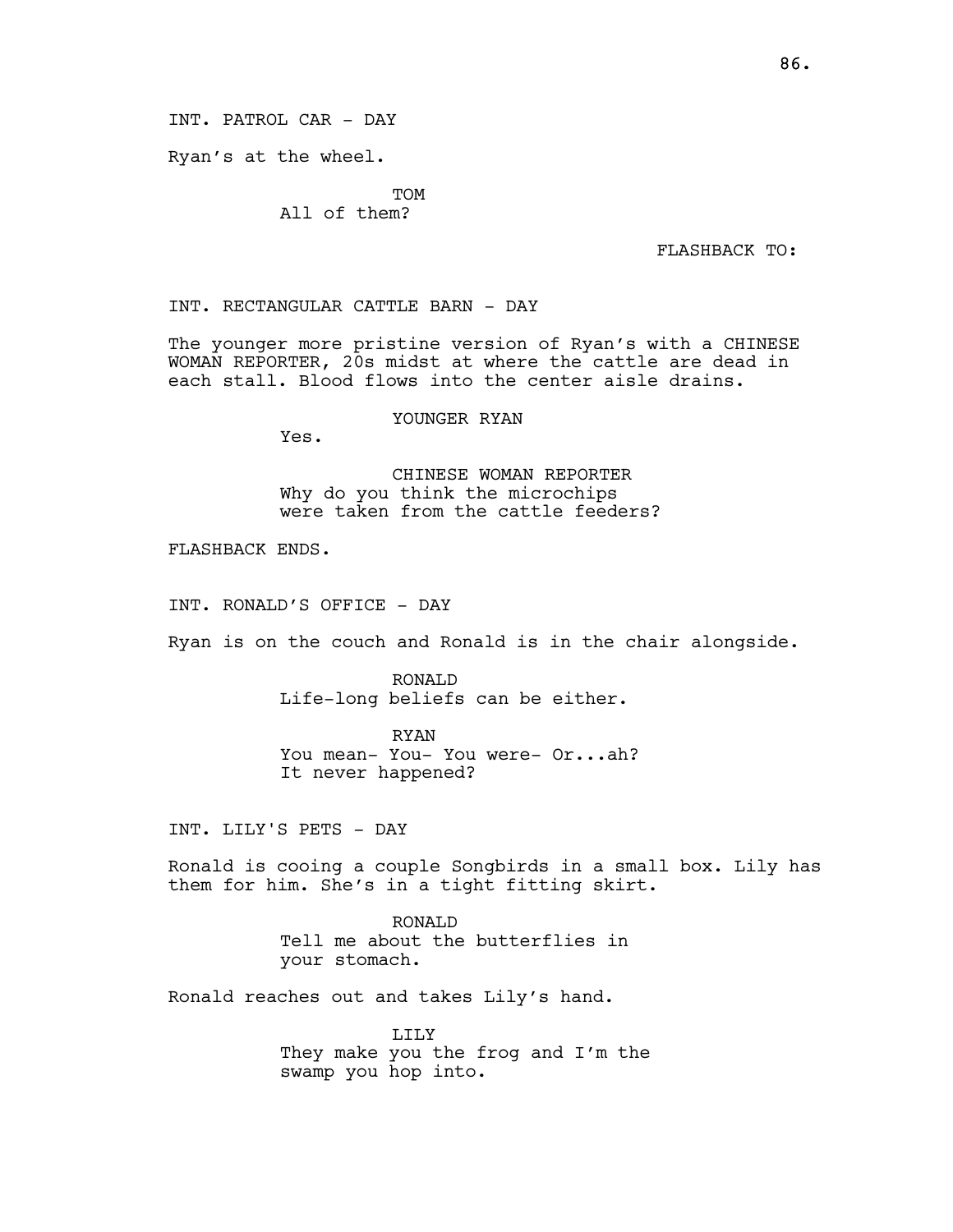INT. PATROL CAR - DAY

Ryan's at the wheel.

**TOM** 

All of them?

FLASHBACK TO:

INT. RECTANGULAR CATTLE BARN - DAY

The younger more pristine version of Ryan's with a CHINESE WOMAN REPORTER, 20s midst at where the cattle are dead in each stall. Blood flows into the center aisle drains.

YOUNGER RYAN

Yes.

CHINESE WOMAN REPORTER Why do you think the microchips were taken from the cattle feeders?

FLASHBACK ENDS.

INT. RONALD'S OFFICE - DAY

Ryan is on the couch and Ronald is in the chair alongside.

RONALD Life-long beliefs can be either.

RYAN You mean- You- You were- Or...ah? It never happened?

INT. LILY'S PETS - DAY

Ronald is cooing a couple Songbirds in a small box. Lily has them for him. She's in a tight fitting skirt.

> RONAT<sub>D</sub> Tell me about the butterflies in your stomach.

Ronald reaches out and takes Lily's hand.

LILY They make you the frog and I'm the swamp you hop into.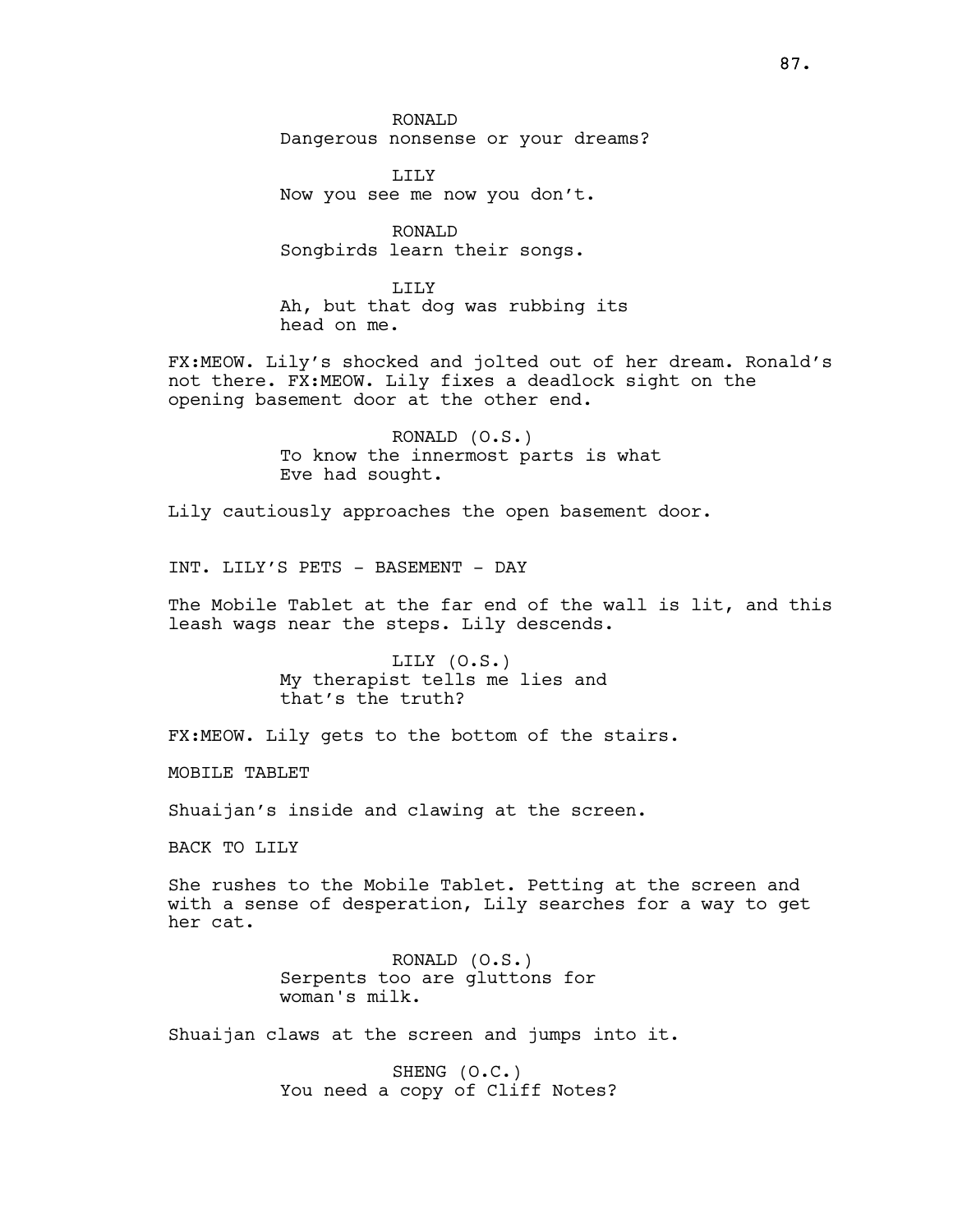RONALD Dangerous nonsense or your dreams?

LILY Now you see me now you don't.

RONALD Songbirds learn their songs.

LILY Ah, but that dog was rubbing its head on me.

FX:MEOW. Lily's shocked and jolted out of her dream. Ronald's not there. FX:MEOW. Lily fixes a deadlock sight on the opening basement door at the other end.

> RONALD (O.S.) To know the innermost parts is what Eve had sought.

Lily cautiously approaches the open basement door.

INT. LILY'S PETS - BASEMENT - DAY

The Mobile Tablet at the far end of the wall is lit, and this leash wags near the steps. Lily descends.

> LILY (O.S.) My therapist tells me lies and that's the truth?

FX:MEOW. Lily gets to the bottom of the stairs.

MOBILE TABLET

Shuaijan's inside and clawing at the screen.

BACK TO LILY

She rushes to the Mobile Tablet. Petting at the screen and with a sense of desperation, Lily searches for a way to get her cat.

> RONALD (O.S.) Serpents too are gluttons for woman's milk.

Shuaijan claws at the screen and jumps into it.

SHENG (O.C.) You need a copy of Cliff Notes?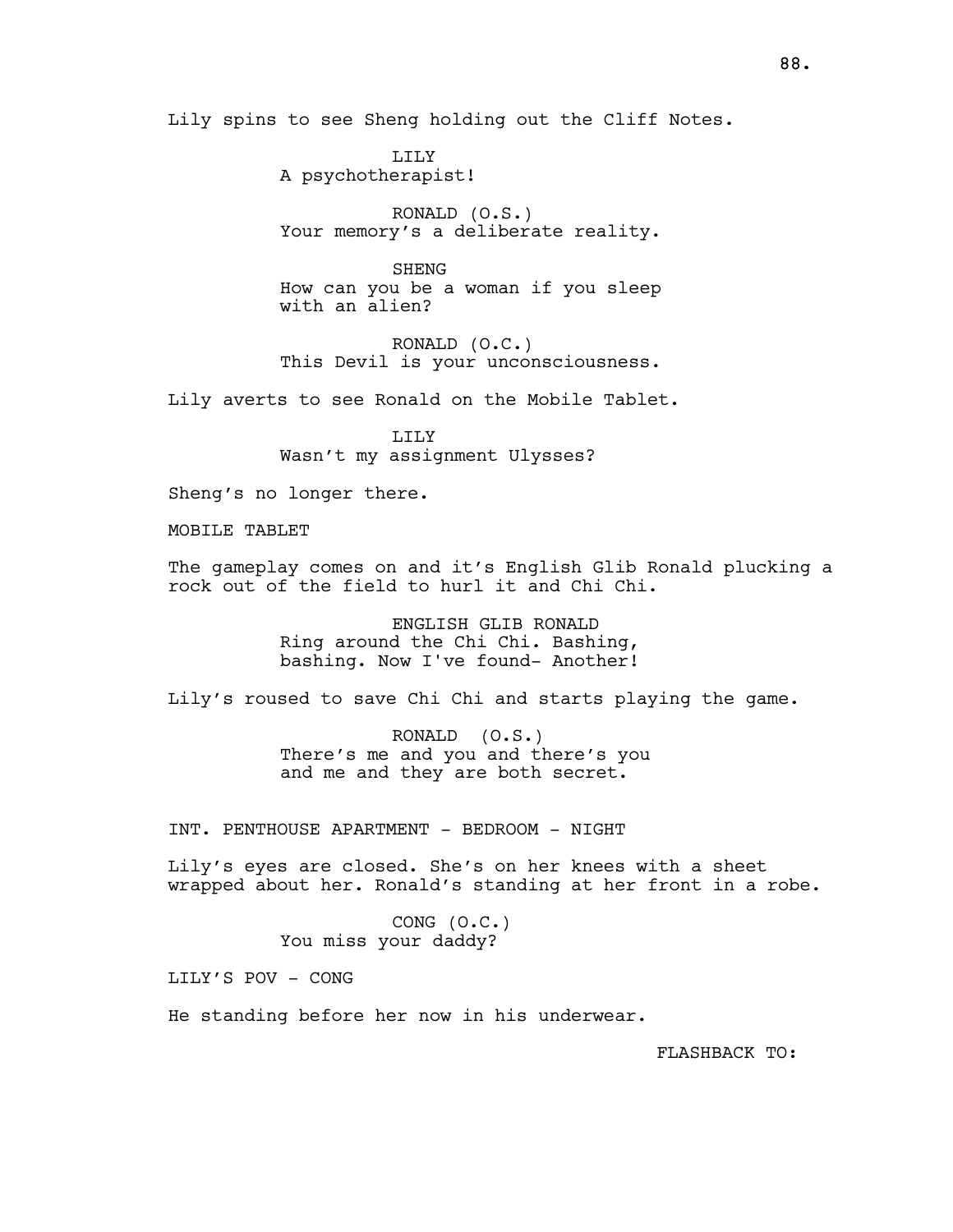Lily spins to see Sheng holding out the Cliff Notes.

LILY A psychotherapist!

RONALD (O.S.) Your memory's a deliberate reality.

**SHENG** How can you be a woman if you sleep with an alien?

RONALD (O.C.) This Devil is your unconsciousness.

Lily averts to see Ronald on the Mobile Tablet.

T.TT.Y Wasn't my assignment Ulysses?

Sheng's no longer there.

MOBILE TABLET

The gameplay comes on and it's English Glib Ronald plucking a rock out of the field to hurl it and Chi Chi.

> ENGLISH GLIB RONALD Ring around the Chi Chi. Bashing, bashing. Now I've found- Another!

Lily's roused to save Chi Chi and starts playing the game.

RONALD (O.S.) There's me and you and there's you and me and they are both secret.

INT. PENTHOUSE APARTMENT - BEDROOM - NIGHT

Lily's eyes are closed. She's on her knees with a sheet wrapped about her. Ronald's standing at her front in a robe.

> CONG (O.C.) You miss your daddy?

LILY'S POV - CONG

He standing before her now in his underwear.

FLASHBACK TO: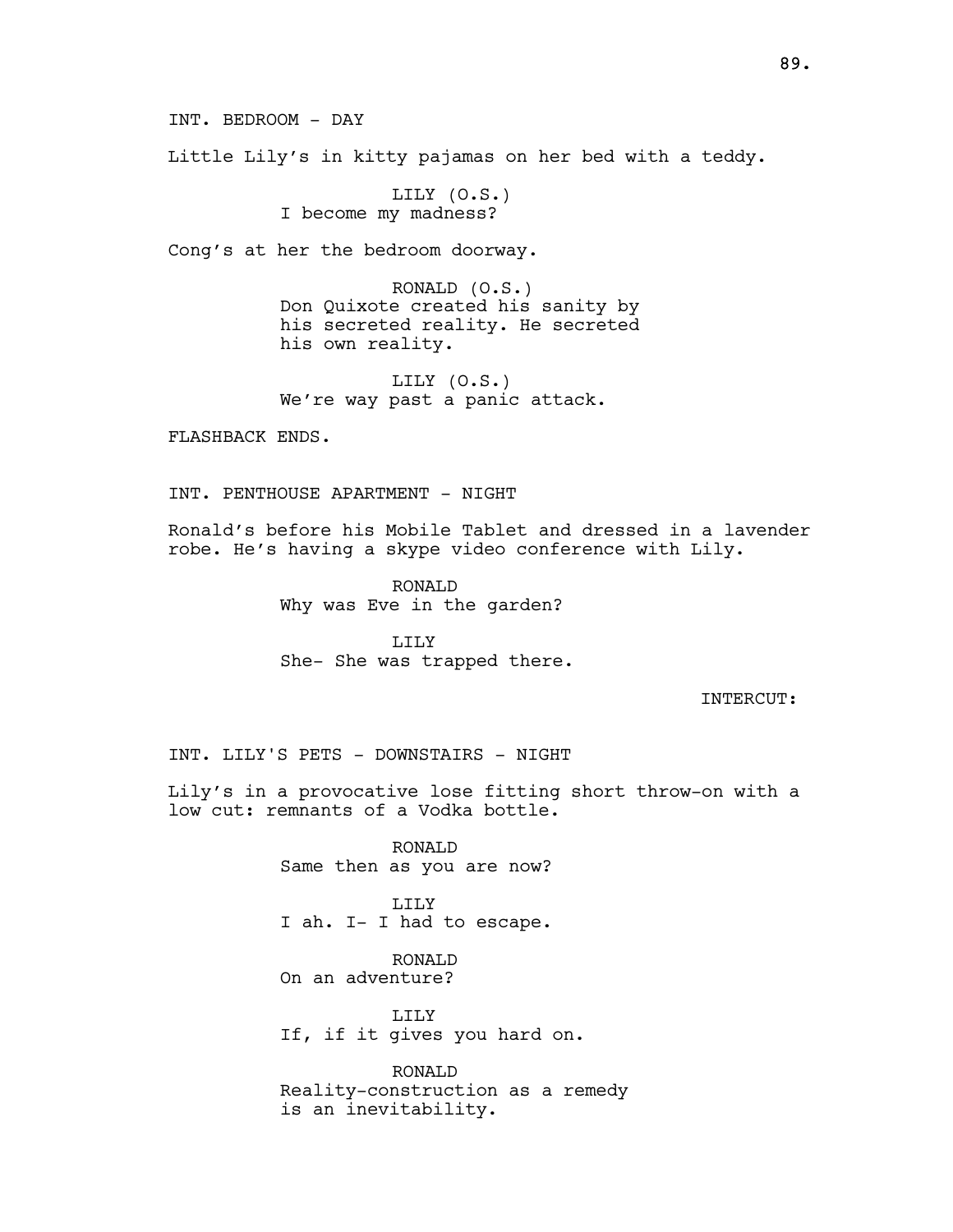INT. BEDROOM - DAY

Little Lily's in kitty pajamas on her bed with a teddy.

LILY (O.S.) I become my madness?

Cong's at her the bedroom doorway.

RONALD (O.S.) Don Quixote created his sanity by his secreted reality. He secreted his own reality.

LILY (O.S.) We're way past a panic attack.

FLASHBACK ENDS.

INT. PENTHOUSE APARTMENT - NIGHT

Ronald's before his Mobile Tablet and dressed in a lavender robe. He's having a skype video conference with Lily.

> RONALD Why was Eve in the garden?

LILY She- She was trapped there.

## INTERCUT:

INT. LILY'S PETS - DOWNSTAIRS - NIGHT

Lily's in a provocative lose fitting short throw-on with a low cut: remnants of a Vodka bottle.

> RONALD Same then as you are now?

> LILY I ah. I- I had to escape.

RONALD On an adventure?

LILY If, if it gives you hard on.

RONALD Reality-construction as a remedy is an inevitability.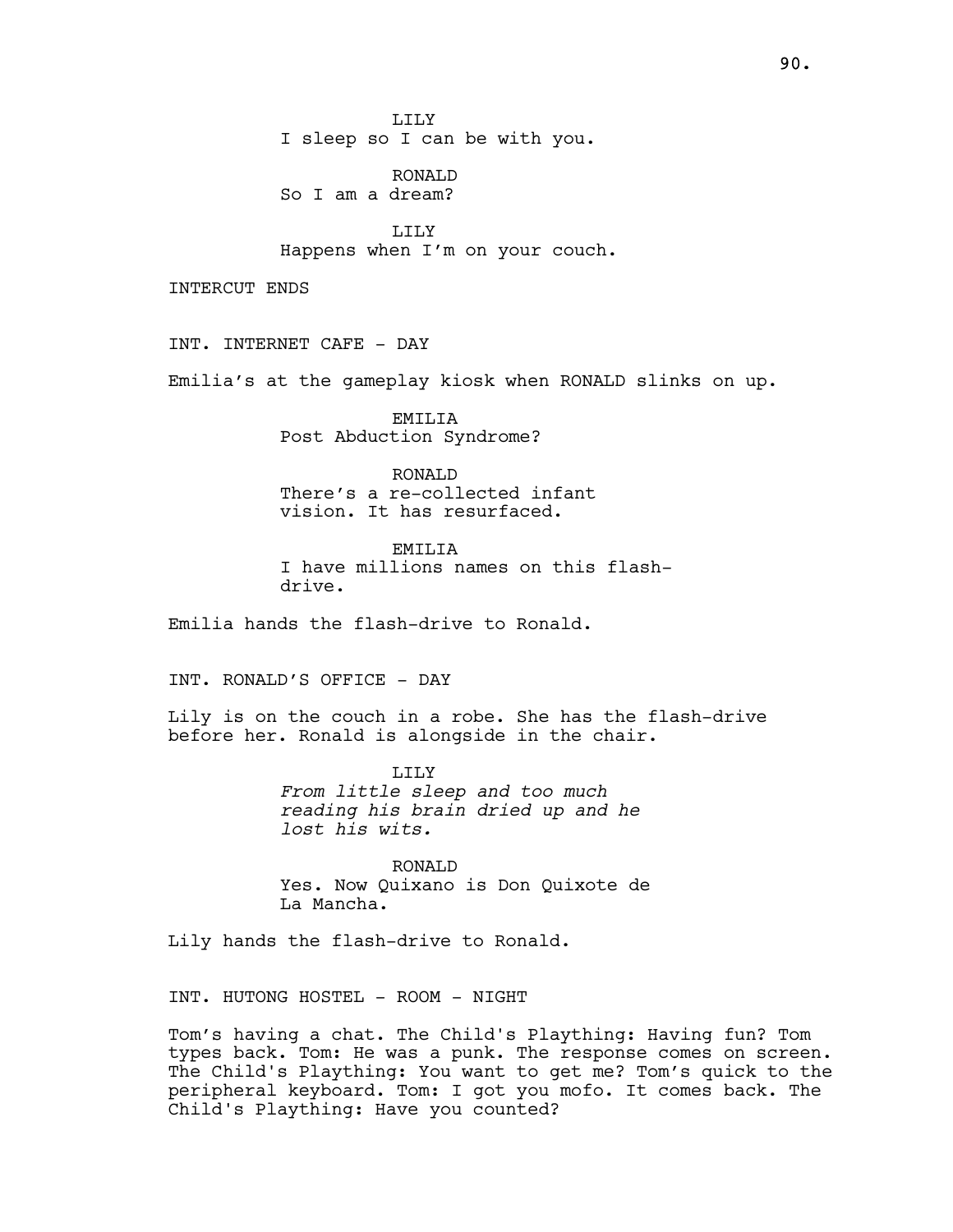LILY I sleep so I can be with you.

RONALD So I am a dream?

LILY Happens when I'm on your couch.

INTERCUT ENDS

INT. INTERNET CAFE - DAY

Emilia's at the gameplay kiosk when RONALD slinks on up.

EMILIA Post Abduction Syndrome?

RONAT<sub>D</sub> There's a re-collected infant vision. It has resurfaced.

EMILIA I have millions names on this flashdrive.

Emilia hands the flash-drive to Ronald.

INT. RONALD'S OFFICE - DAY

Lily is on the couch in a robe. She has the flash-drive before her. Ronald is alongside in the chair.

> LILY From little sleep and too much reading his brain dried up and he lost his wits.

RONALD Yes. Now Quixano is Don Quixote de La Mancha.

Lily hands the flash-drive to Ronald.

INT. HUTONG HOSTEL - ROOM - NIGHT

Tom's having a chat. The Child's Plaything: Having fun? Tom types back. Tom: He was a punk. The response comes on screen. The Child's Plaything: You want to get me? Tom's quick to the peripheral keyboard. Tom: I got you mofo. It comes back. The Child's Plaything: Have you counted?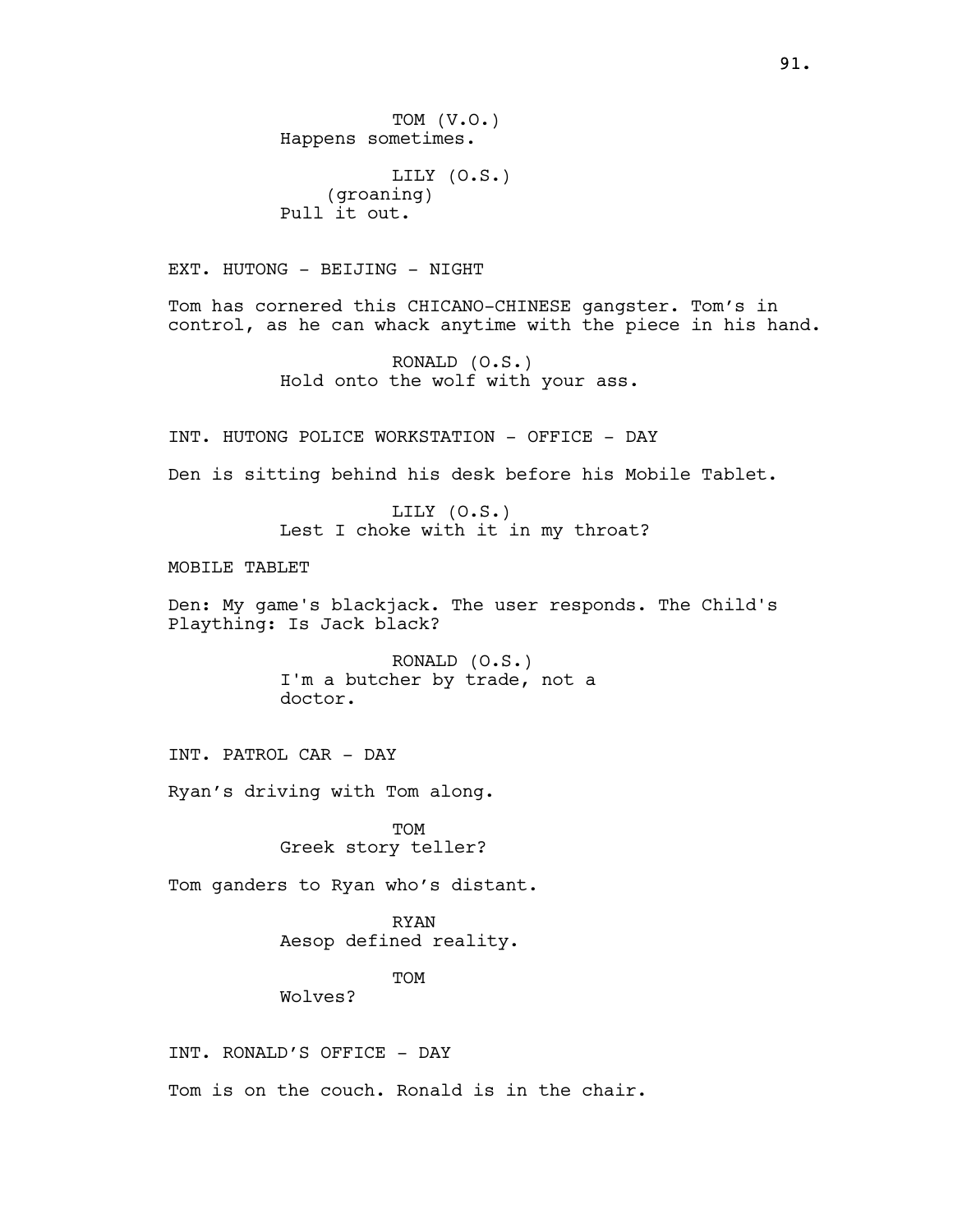TOM (V.O.) Happens sometimes.

LILY (O.S.) (groaning) Pull it out.

EXT. HUTONG - BEIJING - NIGHT

Tom has cornered this CHICANO-CHINESE gangster. Tom's in control, as he can whack anytime with the piece in his hand.

> RONALD (O.S.) Hold onto the wolf with your ass.

INT. HUTONG POLICE WORKSTATION - OFFICE - DAY

Den is sitting behind his desk before his Mobile Tablet.

LILY (O.S.) Lest I choke with it in my throat?

MOBILE TABLET

Den: My game's blackjack. The user responds. The Child's Plaything: Is Jack black?

> RONALD (O.S.) I'm a butcher by trade, not a doctor.

INT. PATROL CAR - DAY

Ryan's driving with Tom along.

TOM Greek story teller?

Tom ganders to Ryan who's distant.

RYAN Aesop defined reality.

TOM

Wolves?

INT. RONALD'S OFFICE - DAY

Tom is on the couch. Ronald is in the chair.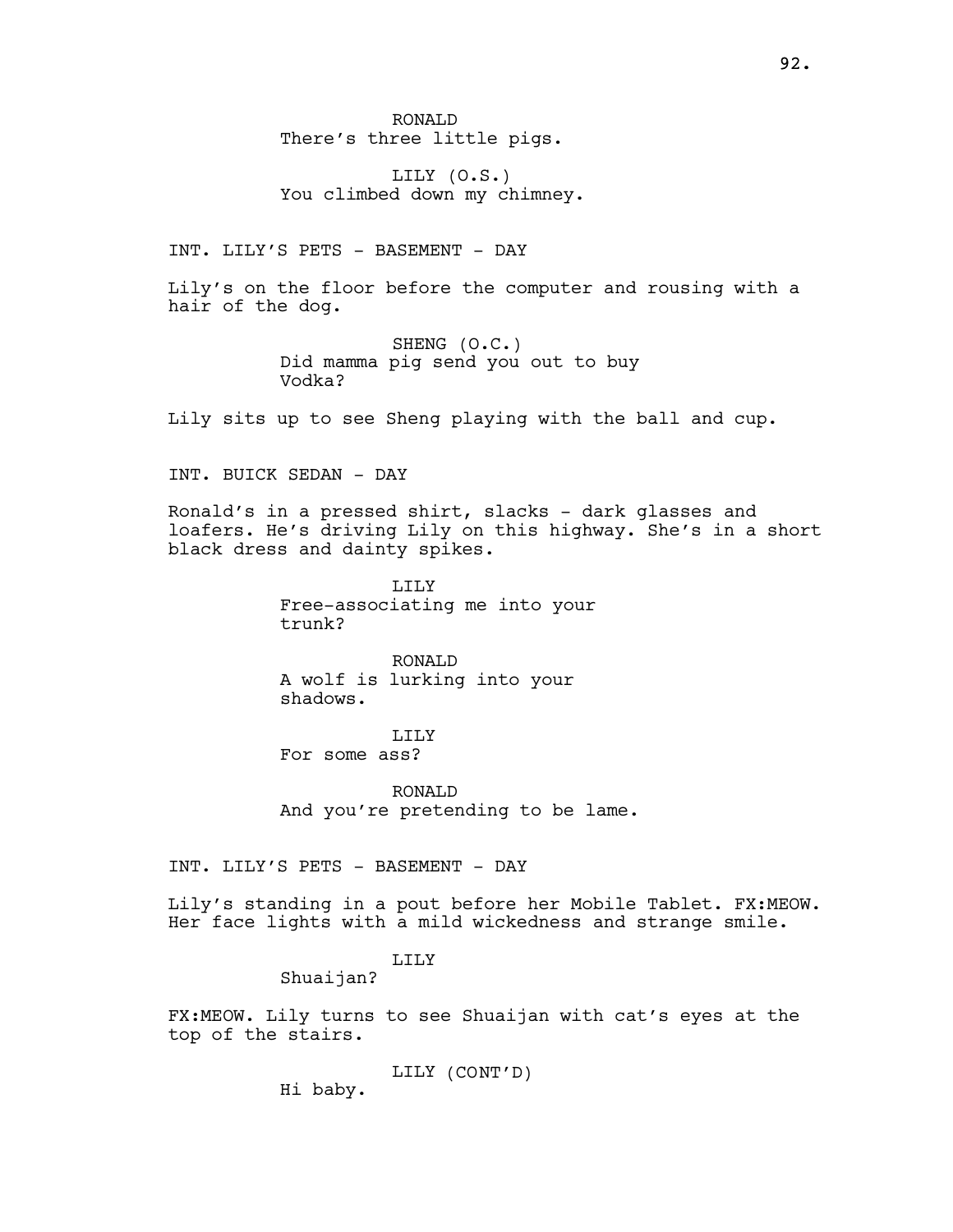RONALD There's three little pigs.

LILY (O.S.) You climbed down my chimney.

INT. LILY'S PETS - BASEMENT - DAY

Lily's on the floor before the computer and rousing with a hair of the dog.

> SHENG (O.C.) Did mamma pig send you out to buy Vodka?

Lily sits up to see Sheng playing with the ball and cup.

INT. BUICK SEDAN - DAY

Ronald's in a pressed shirt, slacks - dark glasses and loafers. He's driving Lily on this highway. She's in a short black dress and dainty spikes.

> LILY Free-associating me into your trunk?

RONALD A wolf is lurking into your shadows.

LILY For some ass?

RONALD And you're pretending to be lame.

INT. LILY'S PETS - BASEMENT - DAY

Lily's standing in a pout before her Mobile Tablet. FX:MEOW. Her face lights with a mild wickedness and strange smile.

LILY

Shuaijan?

FX:MEOW. Lily turns to see Shuaijan with cat's eyes at the top of the stairs.

LILY (CONT'D)

Hi baby.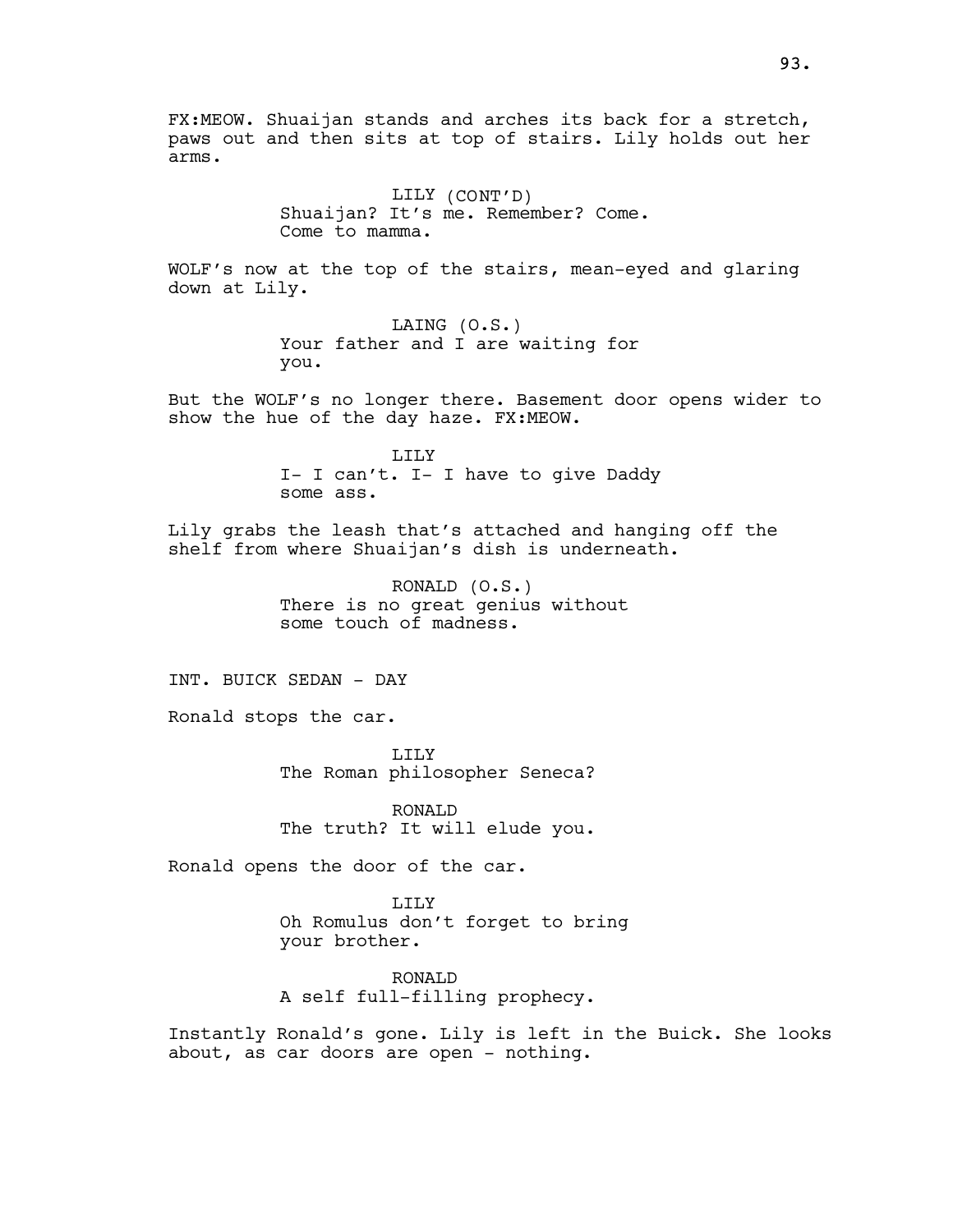FX:MEOW. Shuaijan stands and arches its back for a stretch, paws out and then sits at top of stairs. Lily holds out her arms.

> LILY (CONT'D) Shuaijan? It's me. Remember? Come. Come to mamma.

WOLF's now at the top of the stairs, mean-eyed and glaring down at Lily.

> LAING (O.S.) Your father and I are waiting for you.

But the WOLF's no longer there. Basement door opens wider to show the hue of the day haze. FX:MEOW.

> LILY I- I can't. I- I have to give Daddy some ass.

Lily grabs the leash that's attached and hanging off the shelf from where Shuaijan's dish is underneath.

> RONALD (O.S.) There is no great genius without some touch of madness.

INT. BUICK SEDAN - DAY

Ronald stops the car.

LILY The Roman philosopher Seneca?

RONALD The truth? It will elude you.

Ronald opens the door of the car.

LILY Oh Romulus don't forget to bring your brother.

RONALD A self full-filling prophecy.

Instantly Ronald's gone. Lily is left in the Buick. She looks about, as car doors are open - nothing.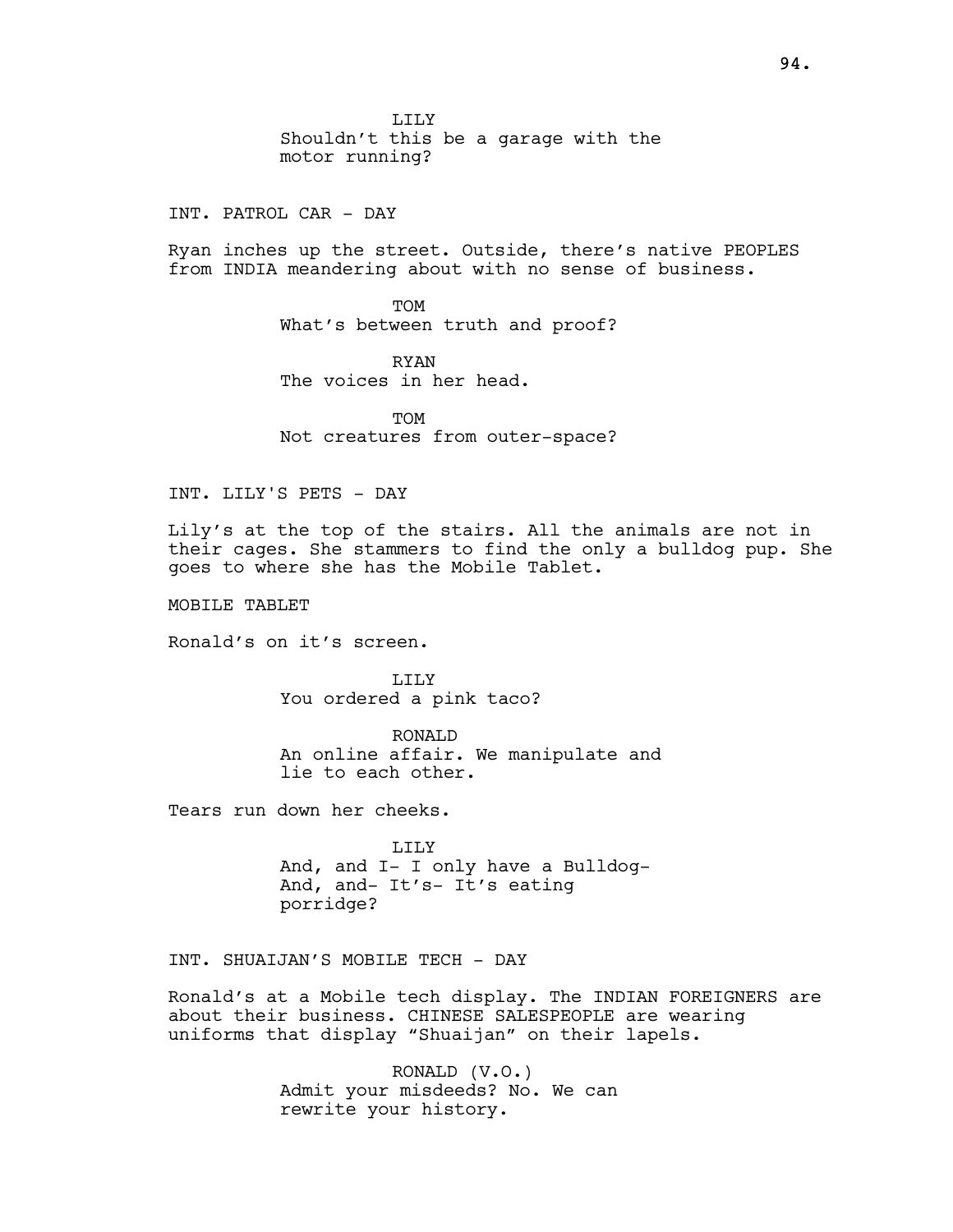INT. PATROL CAR - DAY

Ryan inches up the street. Outside, there's native PEOPLES from INDIA meandering about with no sense of business.

> TOM What's between truth and proof?

RYAN The voices in her head.

TOM Not creatures from outer-space?

INT. LILY'S PETS - DAY

Lily's at the top of the stairs. All the animals are not in their cages. She stammers to find the only a bulldog pup. She goes to where she has the Mobile Tablet.

MOBILE TABLET

Ronald's on it's screen.

T.TT.Y You ordered a pink taco?

RONALD An online affair. We manipulate and lie to each other.

Tears run down her cheeks.

LILY And, and I- I only have a Bulldog-And, and- It's- It's eating porridge?

INT. SHUAIJAN'S MOBILE TECH - DAY

Ronald's at a Mobile tech display. The INDIAN FOREIGNERS are about their business. CHINESE SALESPEOPLE are wearing uniforms that display "Shuaijan" on their lapels.

> RONALD (V.O.) Admit your misdeeds? No. We can rewrite your history.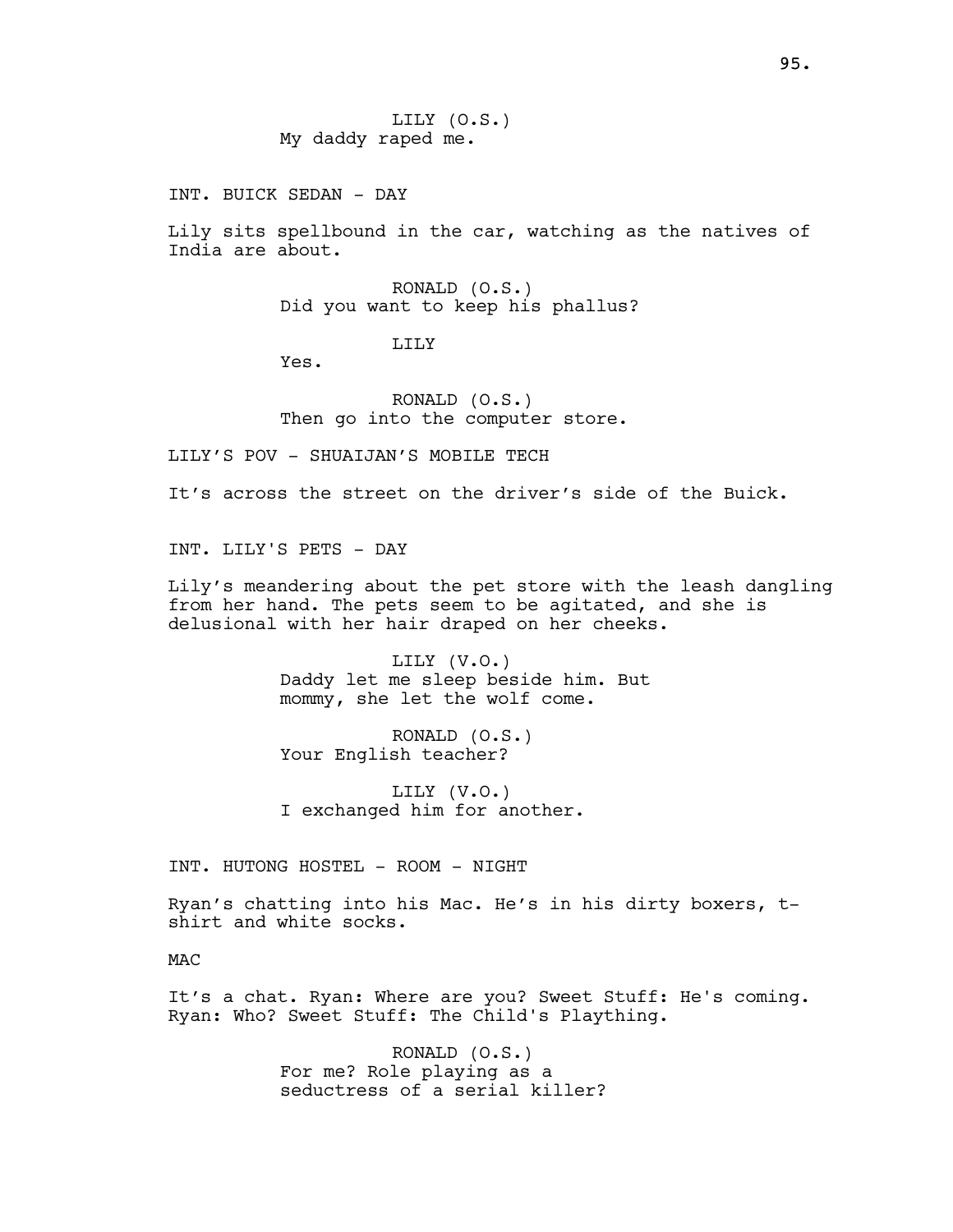INT. BUICK SEDAN - DAY

Lily sits spellbound in the car, watching as the natives of India are about.

> RONALD (O.S.) Did you want to keep his phallus?

> > LILY

Yes.

RONALD (O.S.) Then go into the computer store.

LILY'S POV - SHUAIJAN'S MOBILE TECH

It's across the street on the driver's side of the Buick.

INT. LILY'S PETS - DAY

Lily's meandering about the pet store with the leash dangling from her hand. The pets seem to be agitated, and she is delusional with her hair draped on her cheeks.

> LILY (V.O.) Daddy let me sleep beside him. But mommy, she let the wolf come.

RONALD (O.S.) Your English teacher?

LILY (V.O.) I exchanged him for another.

INT. HUTONG HOSTEL - ROOM - NIGHT

Ryan's chatting into his Mac. He's in his dirty boxers, tshirt and white socks.

MAC

It's a chat. Ryan: Where are you? Sweet Stuff: He's coming. Ryan: Who? Sweet Stuff: The Child's Plaything.

> RONALD (O.S.) For me? Role playing as a seductress of a serial killer?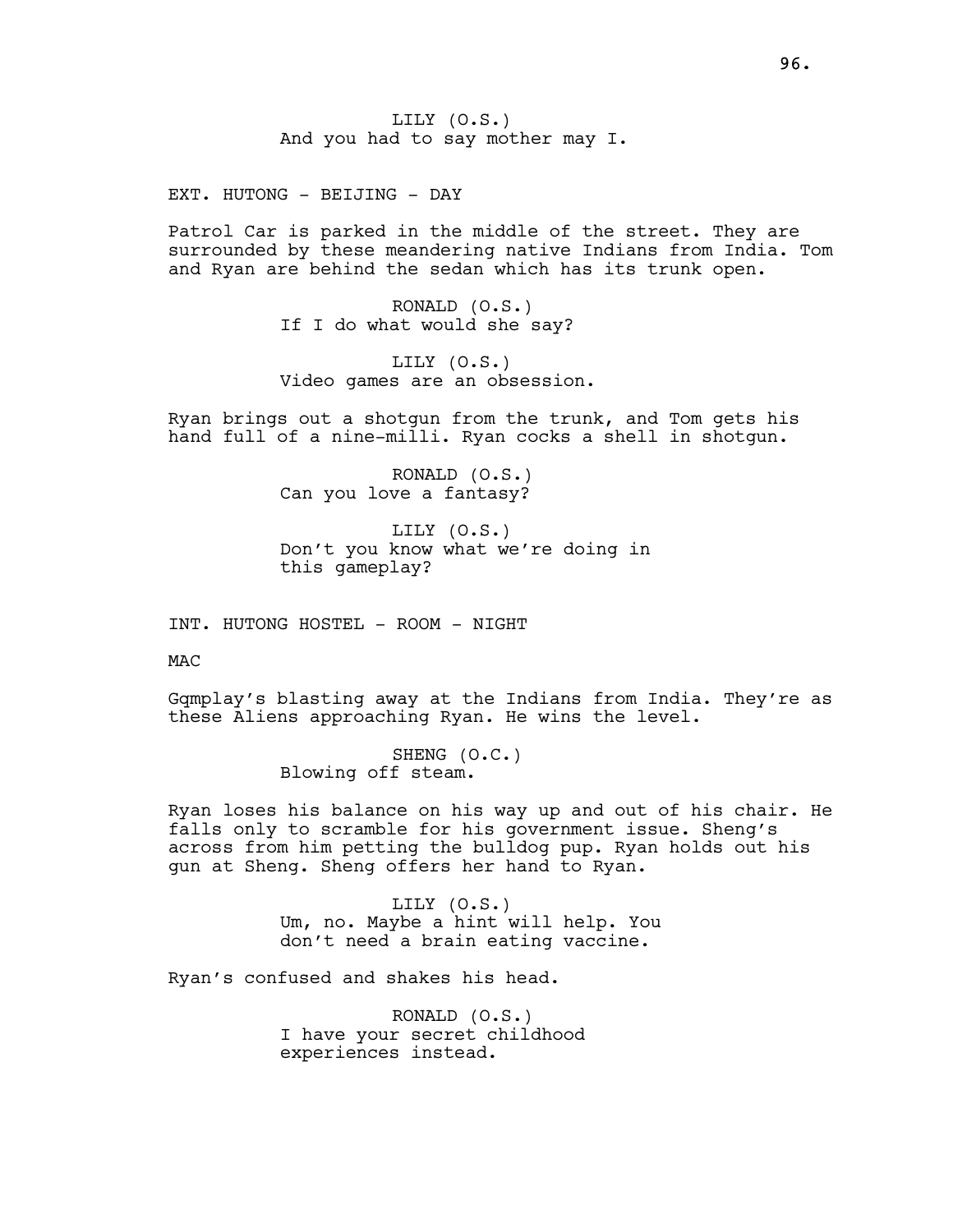EXT. HUTONG - BEIJING - DAY

Patrol Car is parked in the middle of the street. They are surrounded by these meandering native Indians from India. Tom and Ryan are behind the sedan which has its trunk open.

> RONALD (O.S.) If I do what would she say?

LILY (O.S.) Video games are an obsession.

Ryan brings out a shotgun from the trunk, and Tom gets his hand full of a nine-milli. Ryan cocks a shell in shotgun.

> RONALD (O.S.) Can you love a fantasy?

LILY (O.S.) Don't you know what we're doing in this gameplay?

INT. HUTONG HOSTEL - ROOM - NIGHT

MAC

Gqmplay's blasting away at the Indians from India. They're as these Aliens approaching Ryan. He wins the level.

> SHENG (O.C.) Blowing off steam.

Ryan loses his balance on his way up and out of his chair. He falls only to scramble for his government issue. Sheng's across from him petting the bulldog pup. Ryan holds out his gun at Sheng. Sheng offers her hand to Ryan.

> LILY (O.S.) Um, no. Maybe a hint will help. You don't need a brain eating vaccine.

Ryan's confused and shakes his head.

RONALD (O.S.) I have your secret childhood experiences instead.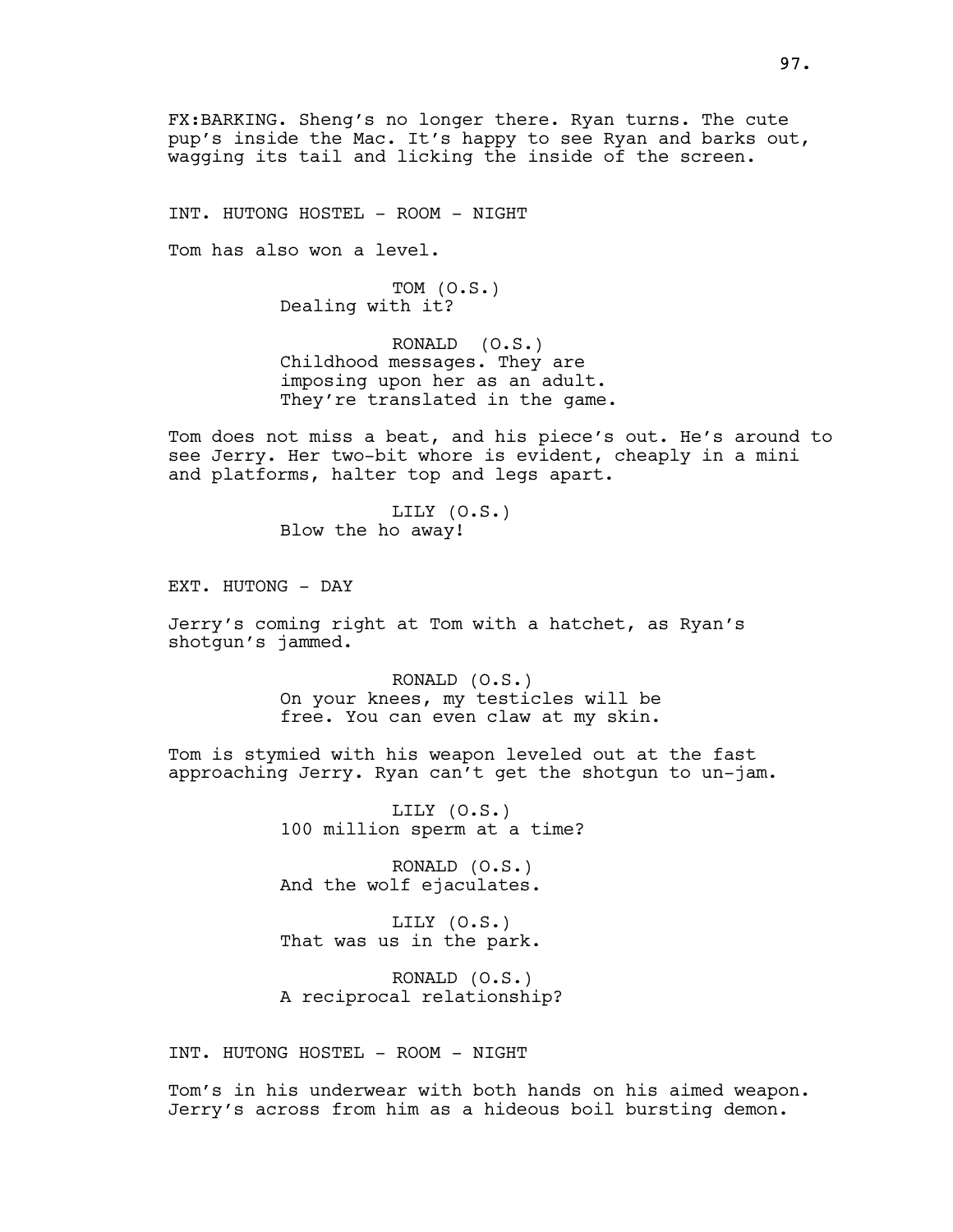INT. HUTONG HOSTEL - ROOM - NIGHT Tom has also won a level.

> TOM (O.S.) Dealing with it?

RONALD (O.S.) Childhood messages. They are imposing upon her as an adult. They're translated in the game.

Tom does not miss a beat, and his piece's out. He's around to see Jerry. Her two-bit whore is evident, cheaply in a mini and platforms, halter top and legs apart.

> LILY (O.S.) Blow the ho away!

EXT. HUTONG - DAY

Jerry's coming right at Tom with a hatchet, as Ryan's shotgun's jammed.

> RONALD (O.S.) On your knees, my testicles will be free. You can even claw at my skin.

Tom is stymied with his weapon leveled out at the fast approaching Jerry. Ryan can't get the shotgun to un-jam.

> LILY (O.S.) 100 million sperm at a time?

RONALD (O.S.) And the wolf ejaculates.

LILY (O.S.) That was us in the park.

RONALD (O.S.) A reciprocal relationship?

INT. HUTONG HOSTEL - ROOM - NIGHT

Tom's in his underwear with both hands on his aimed weapon. Jerry's across from him as a hideous boil bursting demon.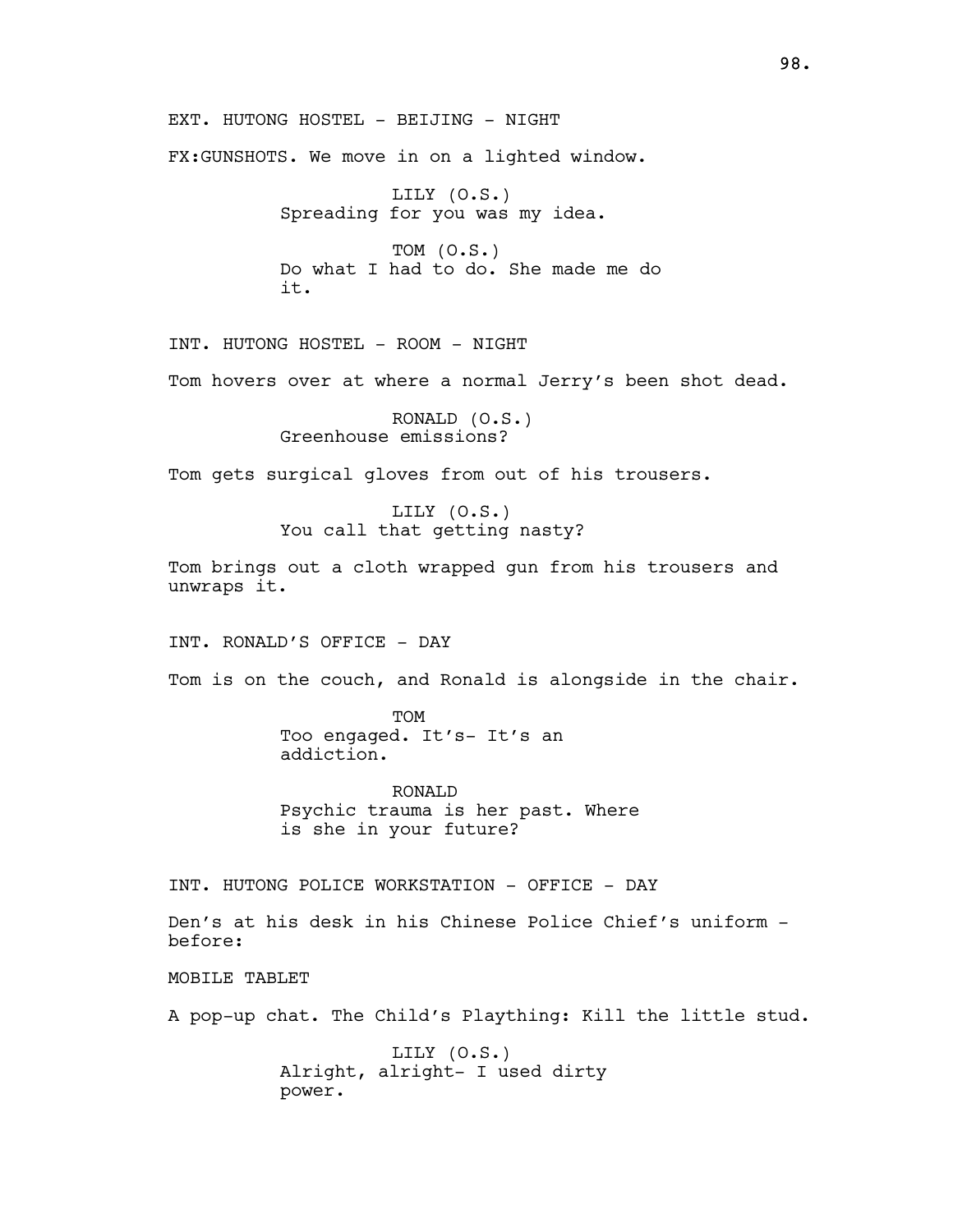EXT. HUTONG HOSTEL - BEIJING - NIGHT

FX:GUNSHOTS. We move in on a lighted window.

LILY (O.S.) Spreading for you was my idea.

TOM (O.S.) Do what I had to do. She made me do it.

INT. HUTONG HOSTEL - ROOM - NIGHT

Tom hovers over at where a normal Jerry's been shot dead.

RONALD (O.S.) Greenhouse emissions?

Tom gets surgical gloves from out of his trousers.

LILY (O.S.) You call that getting nasty?

Tom brings out a cloth wrapped gun from his trousers and unwraps it.

INT. RONALD'S OFFICE - DAY

Tom is on the couch, and Ronald is alongside in the chair.

TOM Too engaged. It's- It's an addiction.

RONALD Psychic trauma is her past. Where is she in your future?

INT. HUTONG POLICE WORKSTATION - OFFICE - DAY

Den's at his desk in his Chinese Police Chief's uniform before:

MOBILE TABLET

A pop-up chat. The Child's Plaything: Kill the little stud.

LILY (O.S.) Alright, alright- I used dirty power.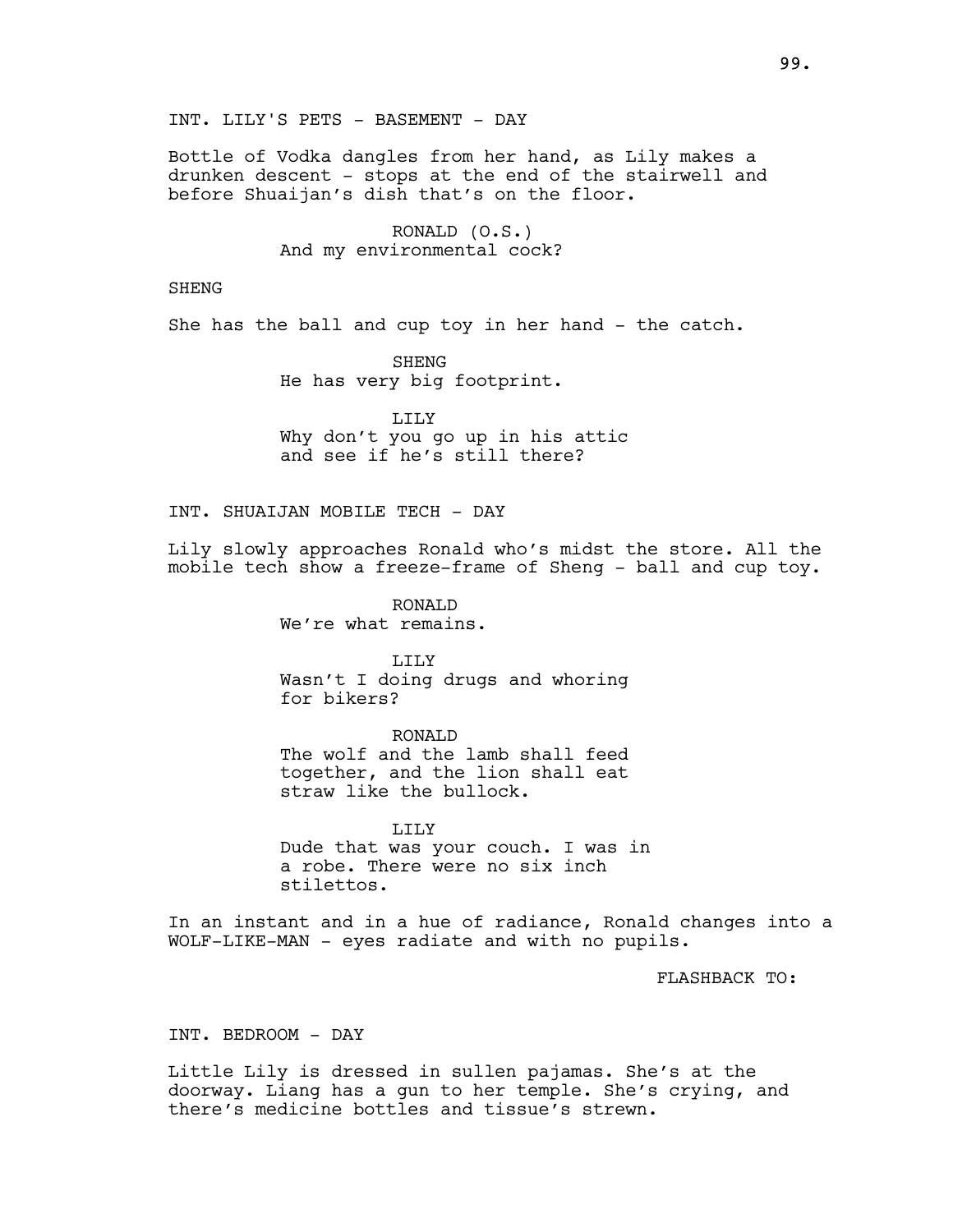Bottle of Vodka dangles from her hand, as Lily makes a drunken descent - stops at the end of the stairwell and before Shuaijan's dish that's on the floor.

> RONALD (O.S.) And my environmental cock?

## SHENG

She has the ball and cup toy in her hand - the catch.

SHENG He has very big footprint.

LILY Why don't you go up in his attic and see if he's still there?

INT. SHUAIJAN MOBILE TECH - DAY

Lily slowly approaches Ronald who's midst the store. All the mobile tech show a freeze-frame of Sheng - ball and cup toy.

> RONAT<sub>D</sub> We're what remains.

LILY Wasn't I doing drugs and whoring for bikers?

RONALD The wolf and the lamb shall feed together, and the lion shall eat straw like the bullock.

LILY Dude that was your couch. I was in a robe. There were no six inch stilettos.

In an instant and in a hue of radiance, Ronald changes into a WOLF-LIKE-MAN - eyes radiate and with no pupils.

FLASHBACK TO:

INT. BEDROOM - DAY

Little Lily is dressed in sullen pajamas. She's at the doorway. Liang has a gun to her temple. She's crying, and there's medicine bottles and tissue's strewn.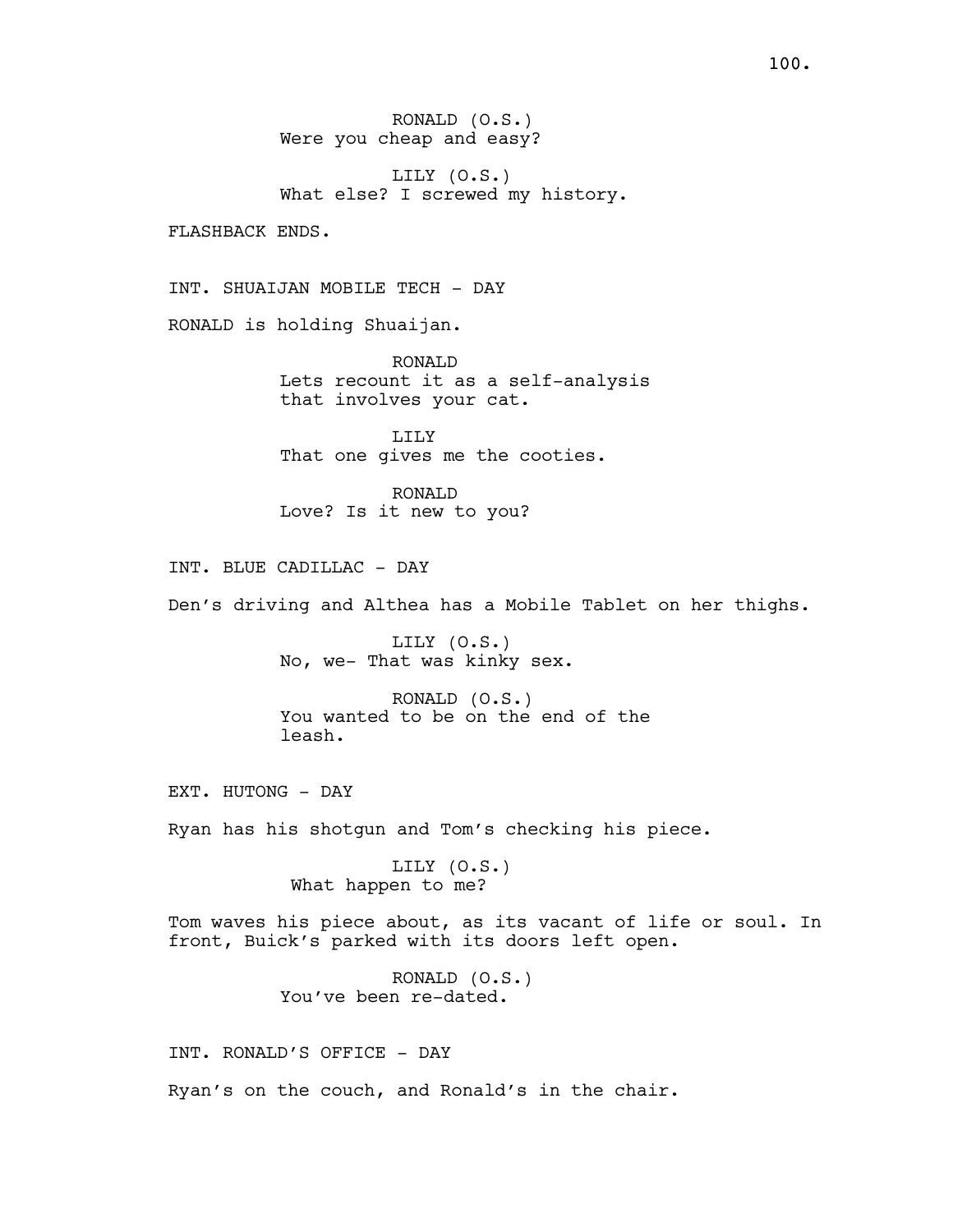RONALD (O.S.) Were you cheap and easy?

LILY (O.S.) What else? I screwed my history.

FLASHBACK ENDS.

INT. SHUAIJAN MOBILE TECH - DAY

RONALD is holding Shuaijan.

RONALD Lets recount it as a self-analysis that involves your cat.

LILY That one gives me the cooties.

RONALD Love? Is it new to you?

INT. BLUE CADILLAC - DAY

Den's driving and Althea has a Mobile Tablet on her thighs.

LILY (O.S.) No, we- That was kinky sex.

RONALD (O.S.) You wanted to be on the end of the leash.

EXT. HUTONG - DAY

Ryan has his shotgun and Tom's checking his piece.

LILY (O.S.) What happen to me?

Tom waves his piece about, as its vacant of life or soul. In front, Buick's parked with its doors left open.

> RONALD (O.S.) You've been re-dated.

INT. RONALD'S OFFICE - DAY Ryan's on the couch, and Ronald's in the chair.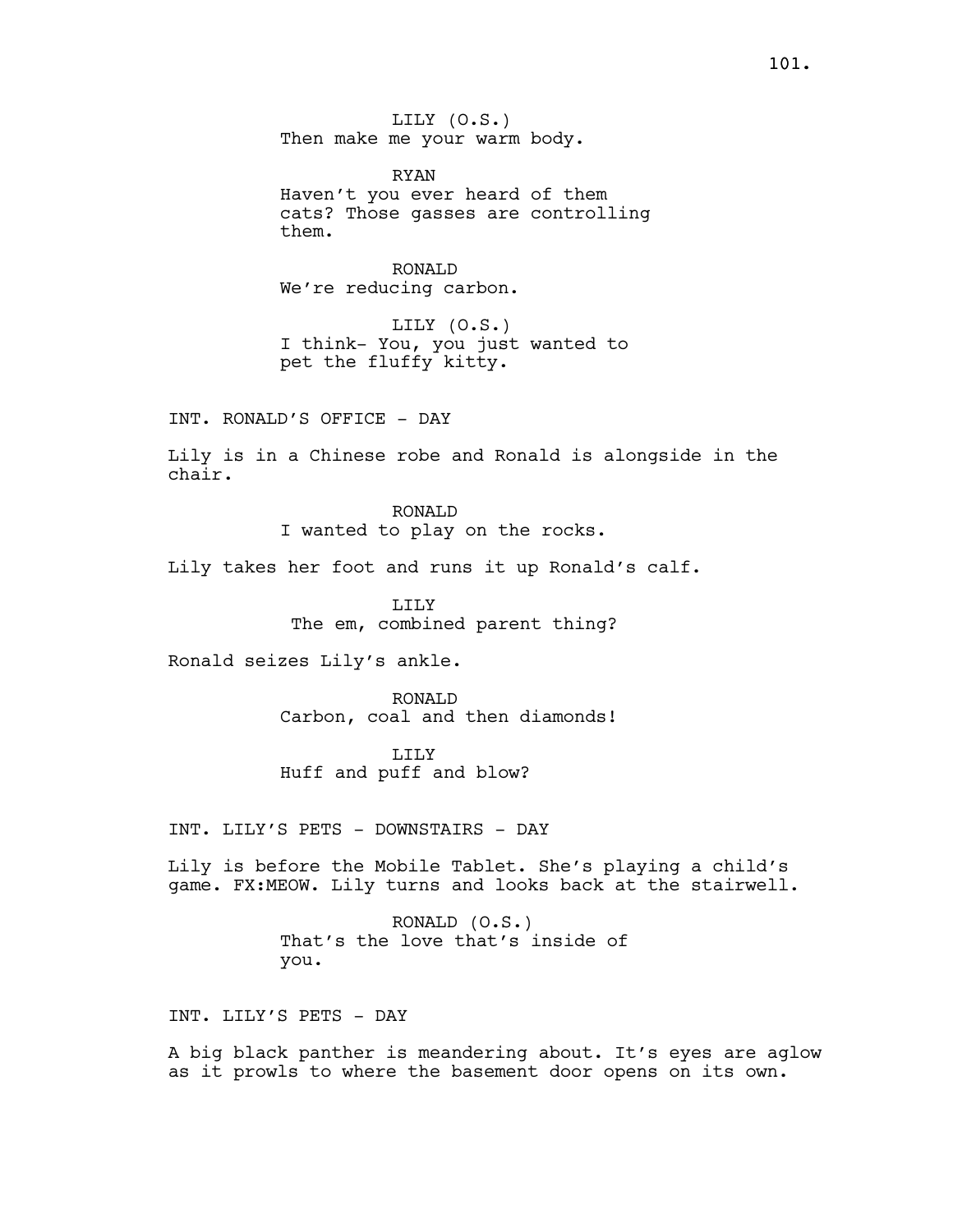RYAN Haven't you ever heard of them cats? Those gasses are controlling them.

RONAT<sub>D</sub> We're reducing carbon.

LILY (O.S.) I think- You, you just wanted to pet the fluffy kitty.

INT. RONALD'S OFFICE - DAY

Lily is in a Chinese robe and Ronald is alongside in the chair.

> RONALD I wanted to play on the rocks.

Lily takes her foot and runs it up Ronald's calf.

T.TT.Y The em, combined parent thing?

Ronald seizes Lily's ankle.

RONALD Carbon, coal and then diamonds!

LILY Huff and puff and blow?

INT. LILY'S PETS - DOWNSTAIRS - DAY

Lily is before the Mobile Tablet. She's playing a child's game. FX:MEOW. Lily turns and looks back at the stairwell.

> RONALD (O.S.) That's the love that's inside of you.

INT. LILY'S PETS - DAY

A big black panther is meandering about. It's eyes are aglow as it prowls to where the basement door opens on its own.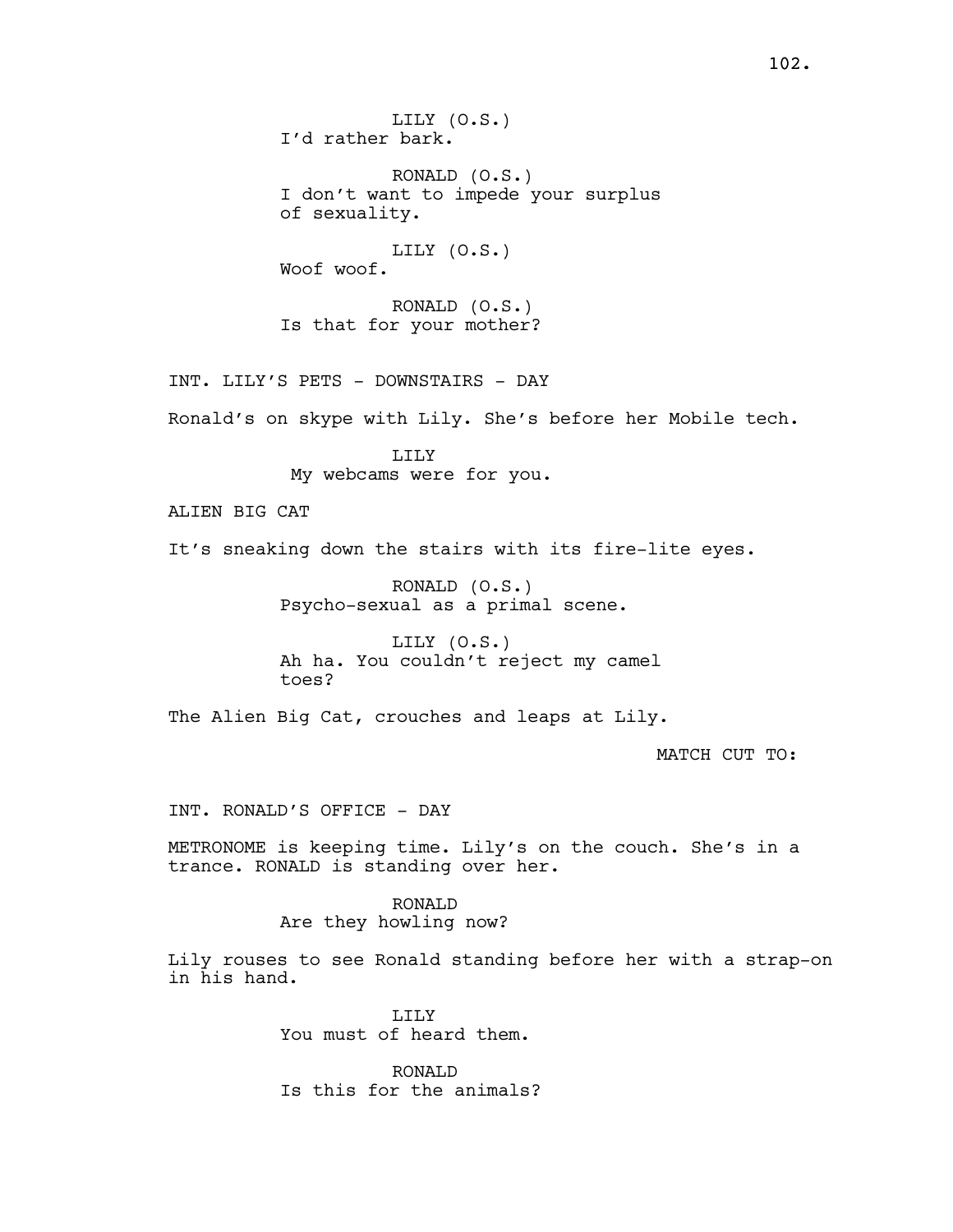LILY (O.S.) I'd rather bark.

RONALD (O.S.) I don't want to impede your surplus of sexuality.

LILY (O.S.) Woof woof.

RONALD (O.S.) Is that for your mother?

INT. LILY'S PETS - DOWNSTAIRS - DAY

Ronald's on skype with Lily. She's before her Mobile tech.

LILY My webcams were for you.

ALIEN BIG CAT

It's sneaking down the stairs with its fire-lite eyes.

RONALD (O.S.) Psycho-sexual as a primal scene.

LILY (O.S.) Ah ha. You couldn't reject my camel toes?

The Alien Big Cat, crouches and leaps at Lily.

MATCH CUT TO:

INT. RONALD'S OFFICE - DAY

METRONOME is keeping time. Lily's on the couch. She's in a trance. RONALD is standing over her.

> RONALD Are they howling now?

Lily rouses to see Ronald standing before her with a strap-on in his hand.

> T.TT.Y You must of heard them.

RONALD Is this for the animals?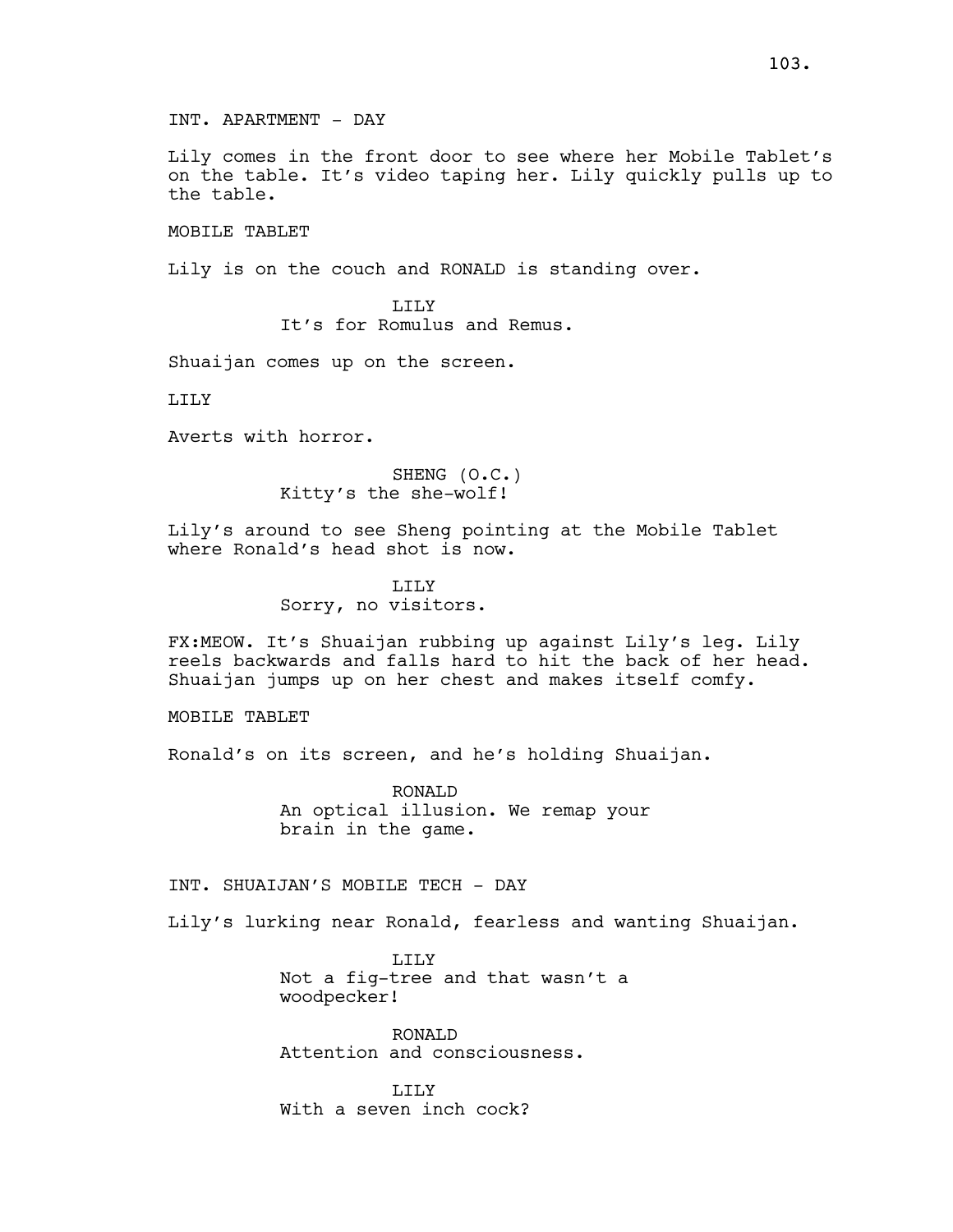INT. APARTMENT - DAY

Lily comes in the front door to see where her Mobile Tablet's on the table. It's video taping her. Lily quickly pulls up to the table.

MOBILE TABLET

Lily is on the couch and RONALD is standing over.

T.TT.Y It's for Romulus and Remus.

Shuaijan comes up on the screen.

T.TT.Y

Averts with horror.

SHENG (O.C.) Kitty's the she-wolf!

Lily's around to see Sheng pointing at the Mobile Tablet where Ronald's head shot is now.

> T.TT.Y Sorry, no visitors.

FX:MEOW. It's Shuaijan rubbing up against Lily's leg. Lily reels backwards and falls hard to hit the back of her head. Shuaijan jumps up on her chest and makes itself comfy.

MOBILE TABLET

Ronald's on its screen, and he's holding Shuaijan.

RONALD An optical illusion. We remap your brain in the game.

INT. SHUAIJAN'S MOBILE TECH - DAY

Lily's lurking near Ronald, fearless and wanting Shuaijan.

LILY Not a fig-tree and that wasn't a woodpecker!

RONALD Attention and consciousness.

T.TT.Y With a seven inch cock?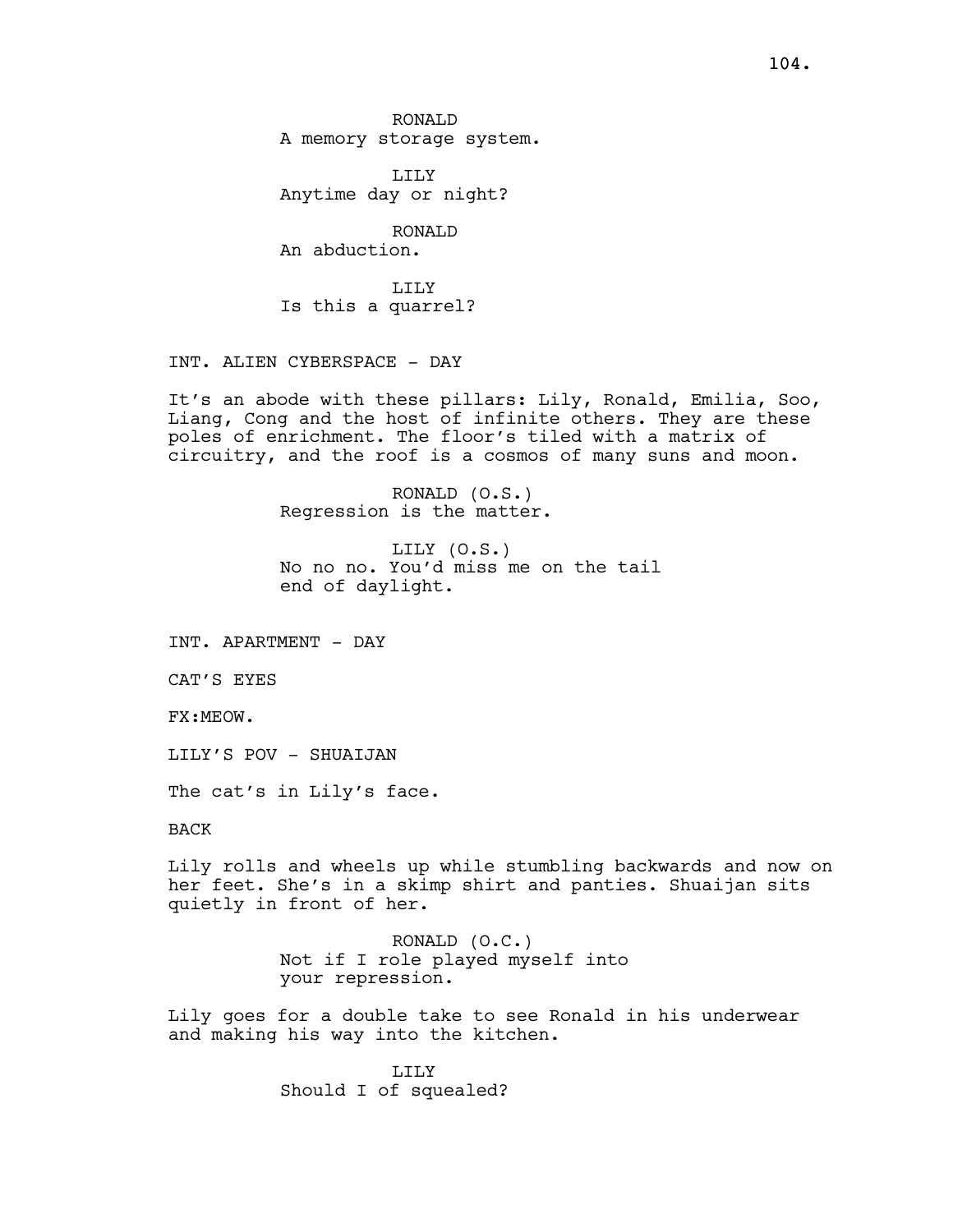RONALD A memory storage system.

LILY Anytime day or night?

RONALD An abduction.

LILY Is this a quarrel?

INT. ALIEN CYBERSPACE - DAY

It's an abode with these pillars: Lily, Ronald, Emilia, Soo, Liang, Cong and the host of infinite others. They are these poles of enrichment. The floor's tiled with a matrix of circuitry, and the roof is a cosmos of many suns and moon.

> RONALD (O.S.) Regression is the matter.

LILY (O.S.) No no no. You'd miss me on the tail end of daylight.

INT. APARTMENT - DAY

CAT'S EYES

FX:MEOW.

LILY'S POV - SHUAIJAN

The cat's in Lily's face.

BACK

Lily rolls and wheels up while stumbling backwards and now on her feet. She's in a skimp shirt and panties. Shuaijan sits quietly in front of her.

> RONALD (O.C.) Not if I role played myself into your repression.

Lily goes for a double take to see Ronald in his underwear and making his way into the kitchen.

> LILY Should I of squealed?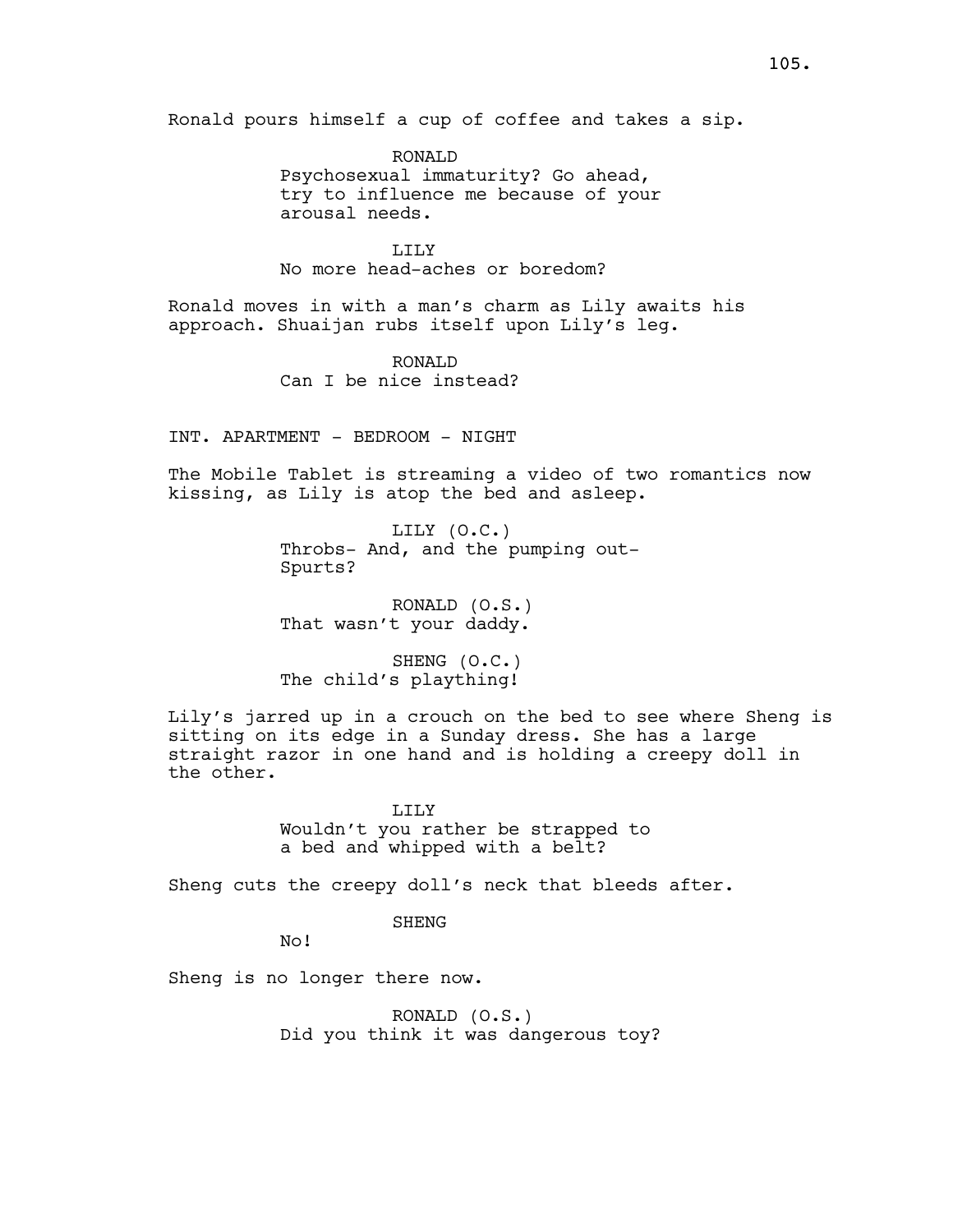Ronald pours himself a cup of coffee and takes a sip.

RONALD Psychosexual immaturity? Go ahead, try to influence me because of your arousal needs.

LILY No more head-aches or boredom?

Ronald moves in with a man's charm as Lily awaits his approach. Shuaijan rubs itself upon Lily's leg.

> RONALD Can I be nice instead?

INT. APARTMENT - BEDROOM - NIGHT

The Mobile Tablet is streaming a video of two romantics now kissing, as Lily is atop the bed and asleep.

> LILY (O.C.) Throbs- And, and the pumping out-Spurts?

RONALD (O.S.) That wasn't your daddy.

SHENG (O.C.) The child's plaything!

Lily's jarred up in a crouch on the bed to see where Sheng is sitting on its edge in a Sunday dress. She has a large straight razor in one hand and is holding a creepy doll in the other.

> T.TT.Y Wouldn't you rather be strapped to a bed and whipped with a belt?

Sheng cuts the creepy doll's neck that bleeds after.

**SHENG** 

No!

Sheng is no longer there now.

RONALD (O.S.) Did you think it was dangerous toy?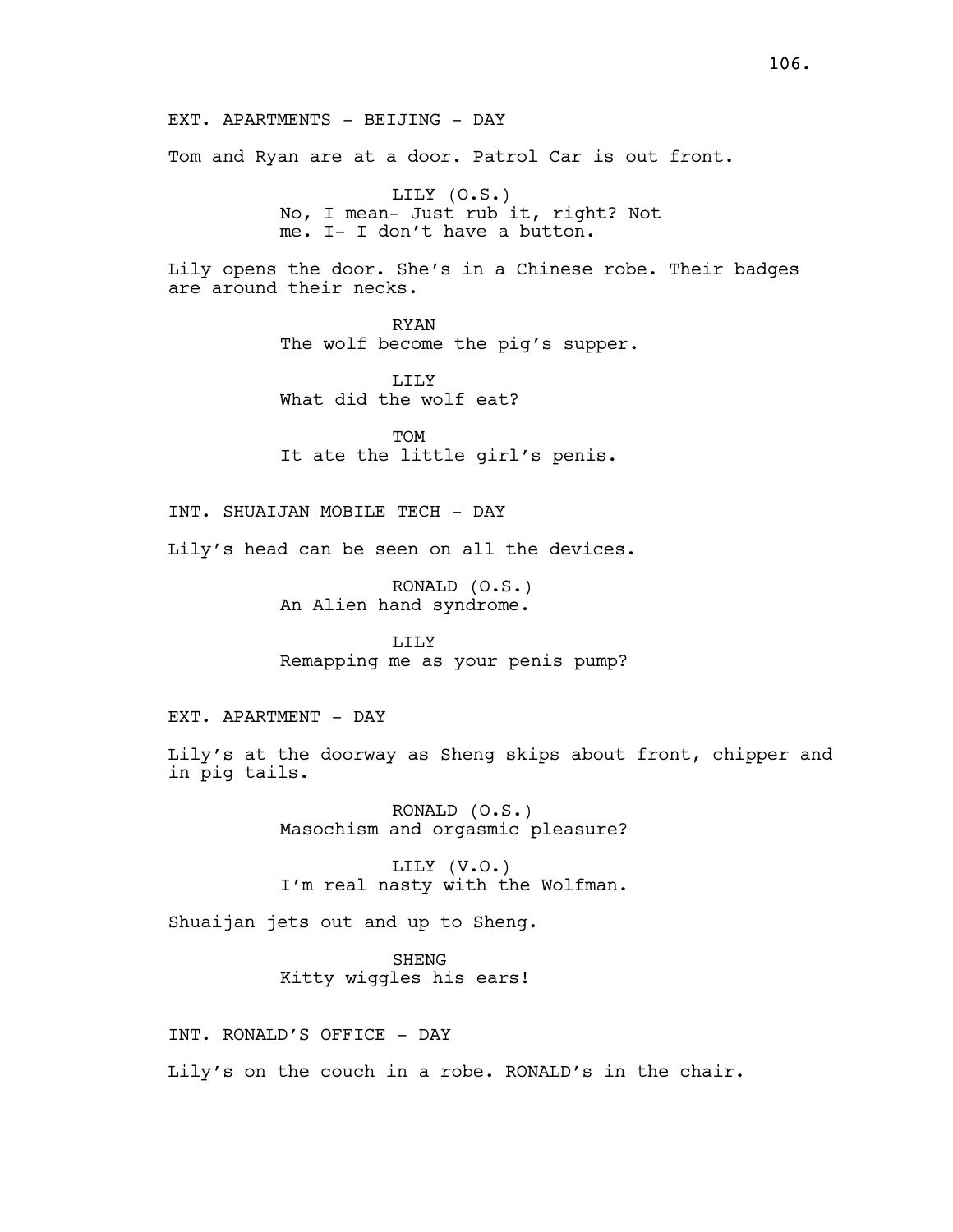Tom and Ryan are at a door. Patrol Car is out front. LILY (O.S.) No, I mean- Just rub it, right? Not me. I- I don't have a button. Lily opens the door. She's in a Chinese robe. Their badges are around their necks. RYAN The wolf become the pig's supper. LILY What did the wolf eat? **TOM** It ate the little girl's penis. INT. SHUAIJAN MOBILE TECH - DAY Lily's head can be seen on all the devices.

RONALD (O.S.) An Alien hand syndrome.

EXT. APARTMENTS - BEIJING - DAY

LILY Remapping me as your penis pump?

EXT. APARTMENT - DAY

Lily's at the doorway as Sheng skips about front, chipper and in pig tails.

> RONALD (O.S.) Masochism and orgasmic pleasure?

> LILY (V.O.) I'm real nasty with the Wolfman.

Shuaijan jets out and up to Sheng.

SHENG Kitty wiggles his ears!

INT. RONALD'S OFFICE - DAY

Lily's on the couch in a robe. RONALD's in the chair.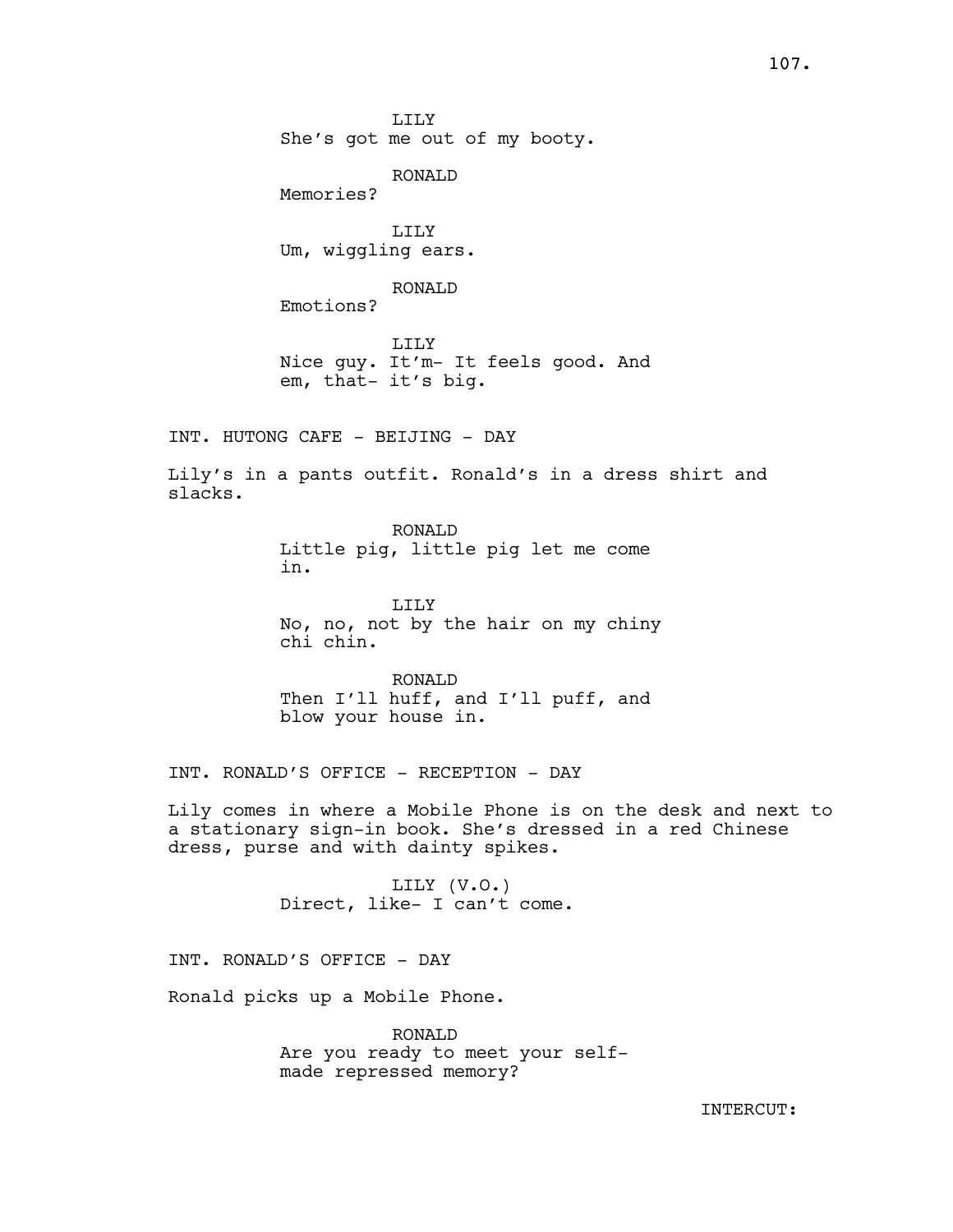LILY She's got me out of my booty.

RONALD

Memories?

LILY Um, wiggling ears.

RONALD

Emotions?

LILY Nice guy. It'm- It feels good. And em, that- it's big.

INT. HUTONG CAFE - BEIJING - DAY

Lily's in a pants outfit. Ronald's in a dress shirt and slacks.

> RONALD Little pig, little pig let me come in.

LILY No, no, not by the hair on my chiny chi chin.

RONALD Then I'll huff, and I'll puff, and blow your house in.

INT. RONALD'S OFFICE - RECEPTION - DAY

Lily comes in where a Mobile Phone is on the desk and next to a stationary sign-in book. She's dressed in a red Chinese dress, purse and with dainty spikes.

> LILY (V.O.) Direct, like- I can't come.

INT. RONALD'S OFFICE - DAY

Ronald picks up a Mobile Phone.

RONALD Are you ready to meet your selfmade repressed memory?

INTERCUT: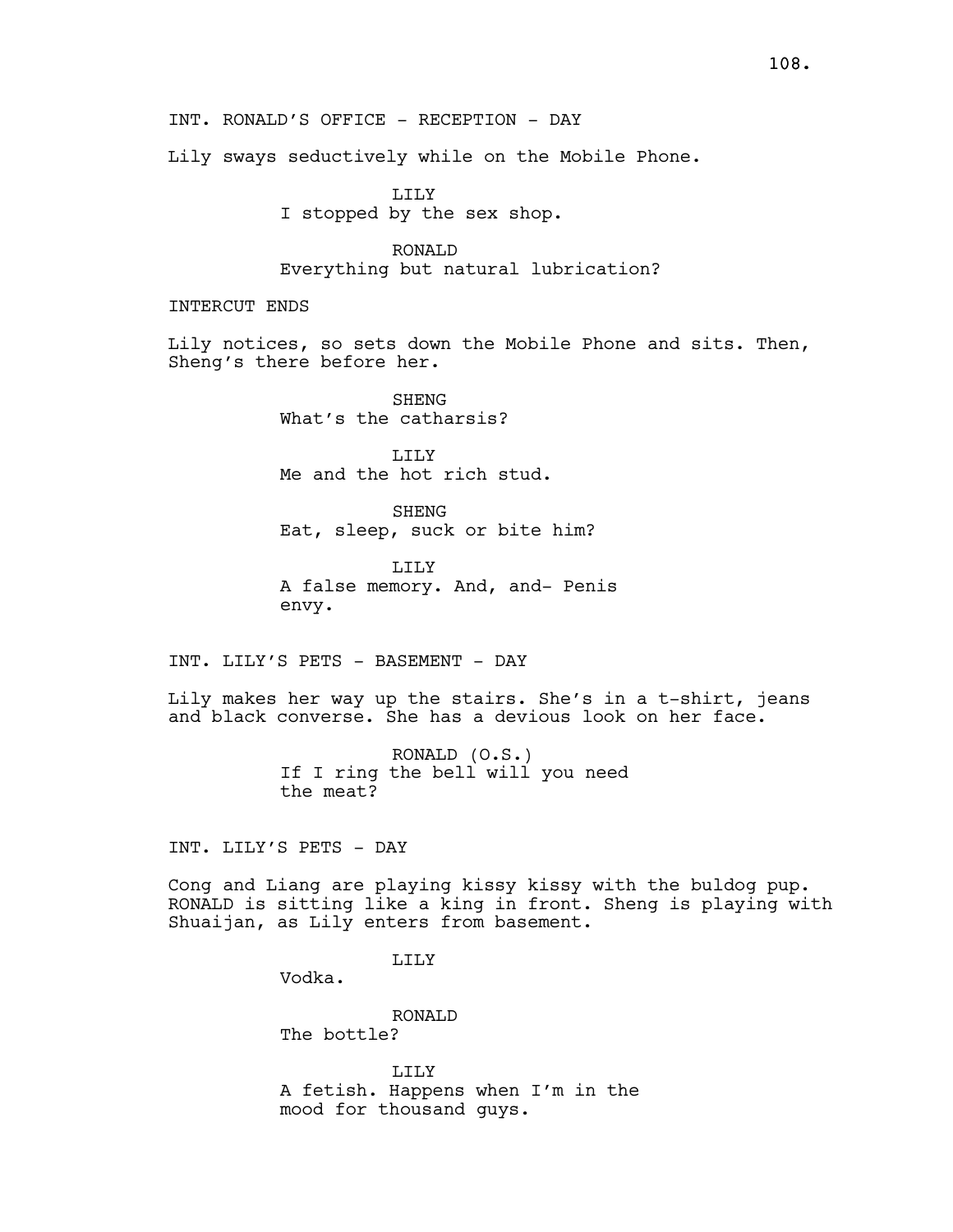Lily sways seductively while on the Mobile Phone.

LILY I stopped by the sex shop.

RONALD Everything but natural lubrication?

INTERCUT ENDS

Lily notices, so sets down the Mobile Phone and sits. Then, Sheng's there before her.

> **SHENG** What's the catharsis?

LILY Me and the hot rich stud.

SHENG Eat, sleep, suck or bite him?

LILY A false memory. And, and- Penis envy.

INT. LILY'S PETS - BASEMENT - DAY

Lily makes her way up the stairs. She's in a t-shirt, jeans and black converse. She has a devious look on her face.

> RONALD (O.S.) If I ring the bell will you need the meat?

INT. LILY'S PETS - DAY

Cong and Liang are playing kissy kissy with the buldog pup. RONALD is sitting like a king in front. Sheng is playing with Shuaijan, as Lily enters from basement.

LILY

Vodka.

RONALD The bottle?

LILY A fetish. Happens when I'm in the mood for thousand guys.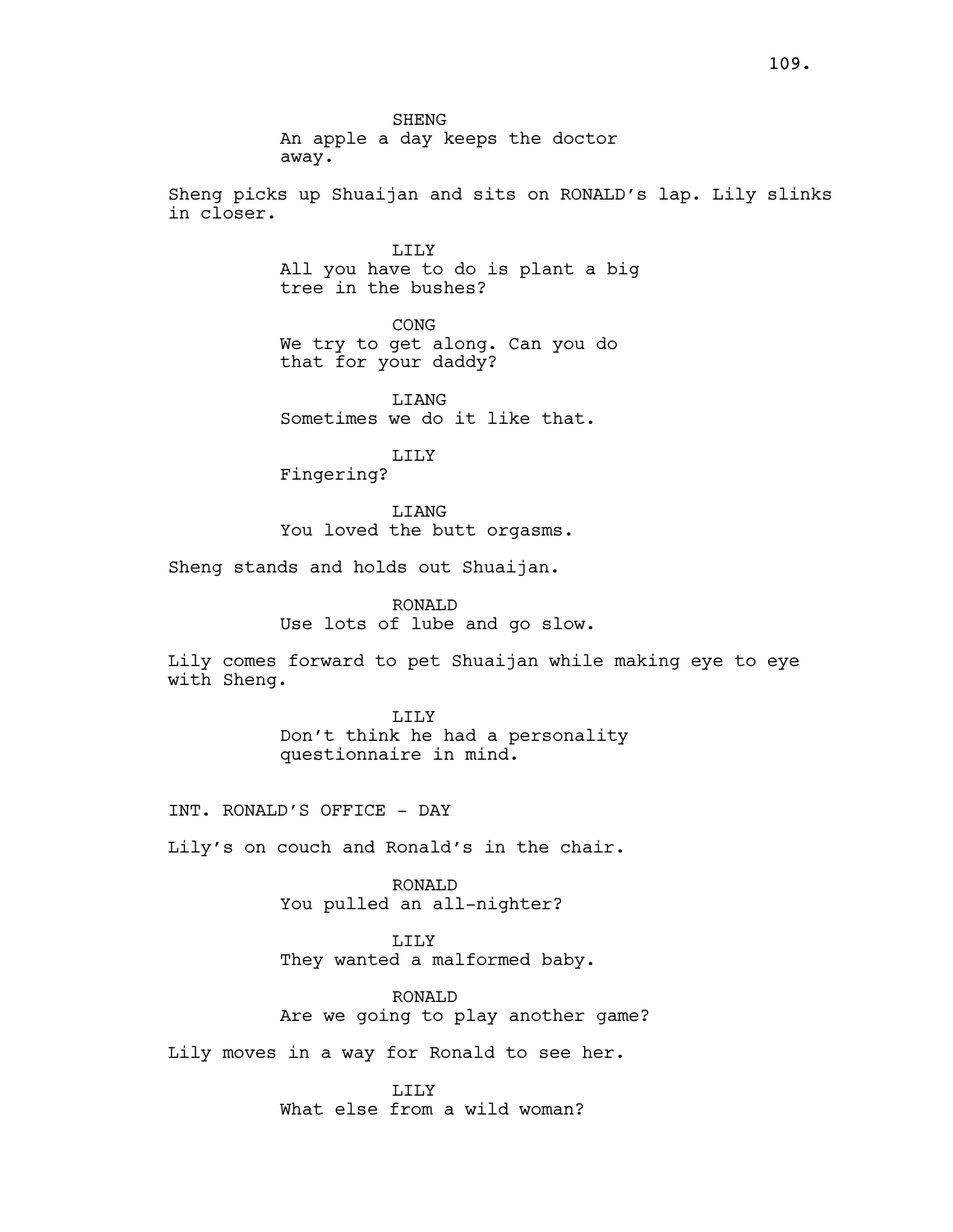SHENG An apple a day keeps the doctor away.

Sheng picks up Shuaijan and sits on RONALD's lap. Lily slinks in closer.

> LILY All you have to do is plant a big tree in the bushes?

**CONG** We try to get along. Can you do that for your daddy?

**T.TANG** Sometimes we do it like that.

LILY

Fingering?

LIANG You loved the butt orgasms.

Sheng stands and holds out Shuaijan.

RONAT<sub>D</sub> Use lots of lube and go slow.

Lily comes forward to pet Shuaijan while making eye to eye with Sheng.

> LILY Don't think he had a personality questionnaire in mind.

INT. RONALD'S OFFICE - DAY

Lily's on couch and Ronald's in the chair.

RONALD You pulled an all-nighter?

LILY They wanted a malformed baby.

RONALD Are we going to play another game?

Lily moves in a way for Ronald to see her.

T.TT.Y

What else from a wild woman?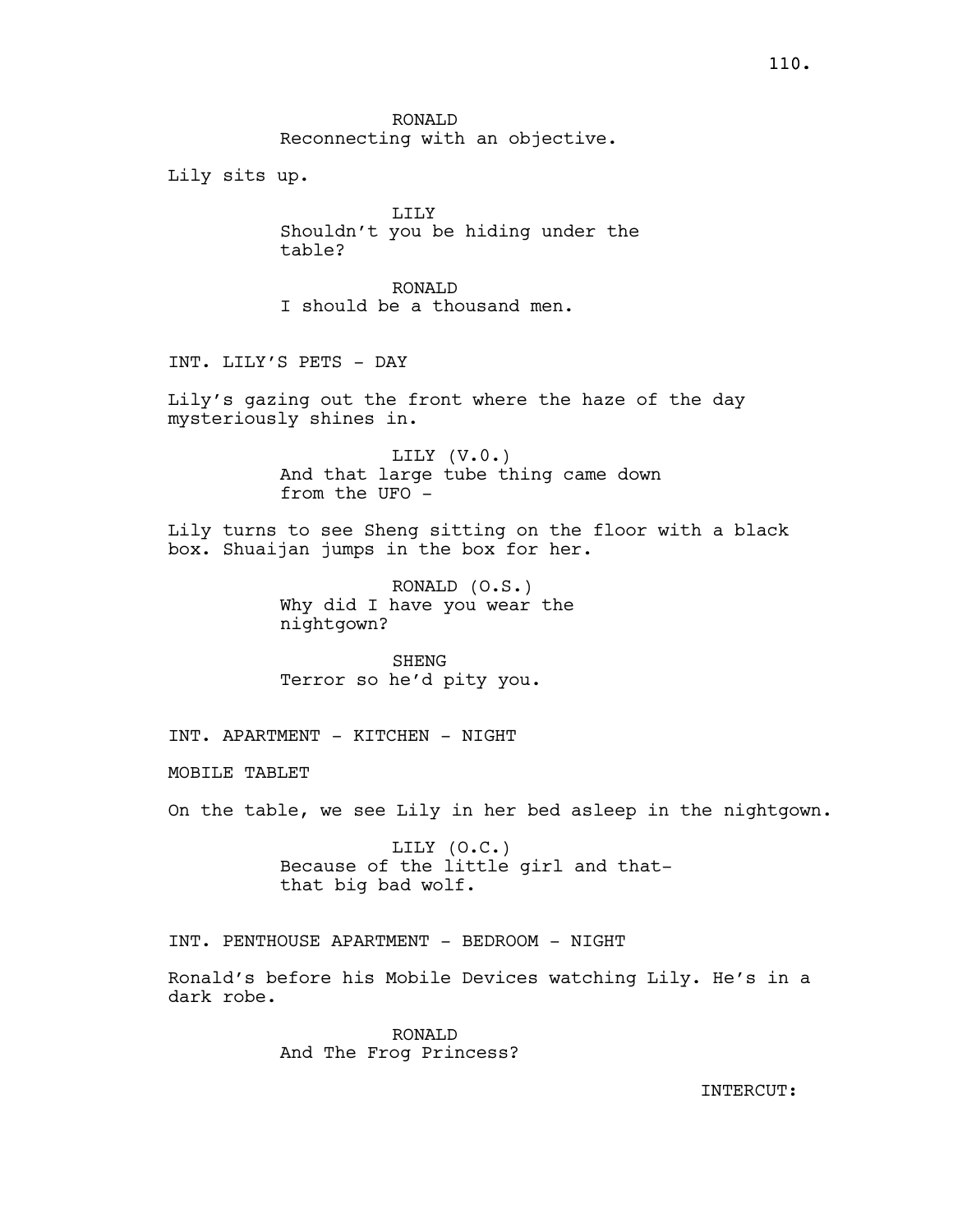RONALD Reconnecting with an objective.

Lily sits up.

LILY Shouldn't you be hiding under the table?

RONALD I should be a thousand men.

INT. LILY'S PETS - DAY

Lily's gazing out the front where the haze of the day mysteriously shines in.

> LILY (V.0.) And that large tube thing came down from the UFO -

Lily turns to see Sheng sitting on the floor with a black box. Shuaijan jumps in the box for her.

> RONALD (O.S.) Why did I have you wear the nightgown?

SHENG Terror so he'd pity you.

INT. APARTMENT - KITCHEN - NIGHT

MOBILE TABLET

On the table, we see Lily in her bed asleep in the nightgown.

LILY (O.C.) Because of the little girl and thatthat big bad wolf.

INT. PENTHOUSE APARTMENT - BEDROOM - NIGHT

Ronald's before his Mobile Devices watching Lily. He's in a dark robe.

> RONALD And The Frog Princess?

> > INTERCUT: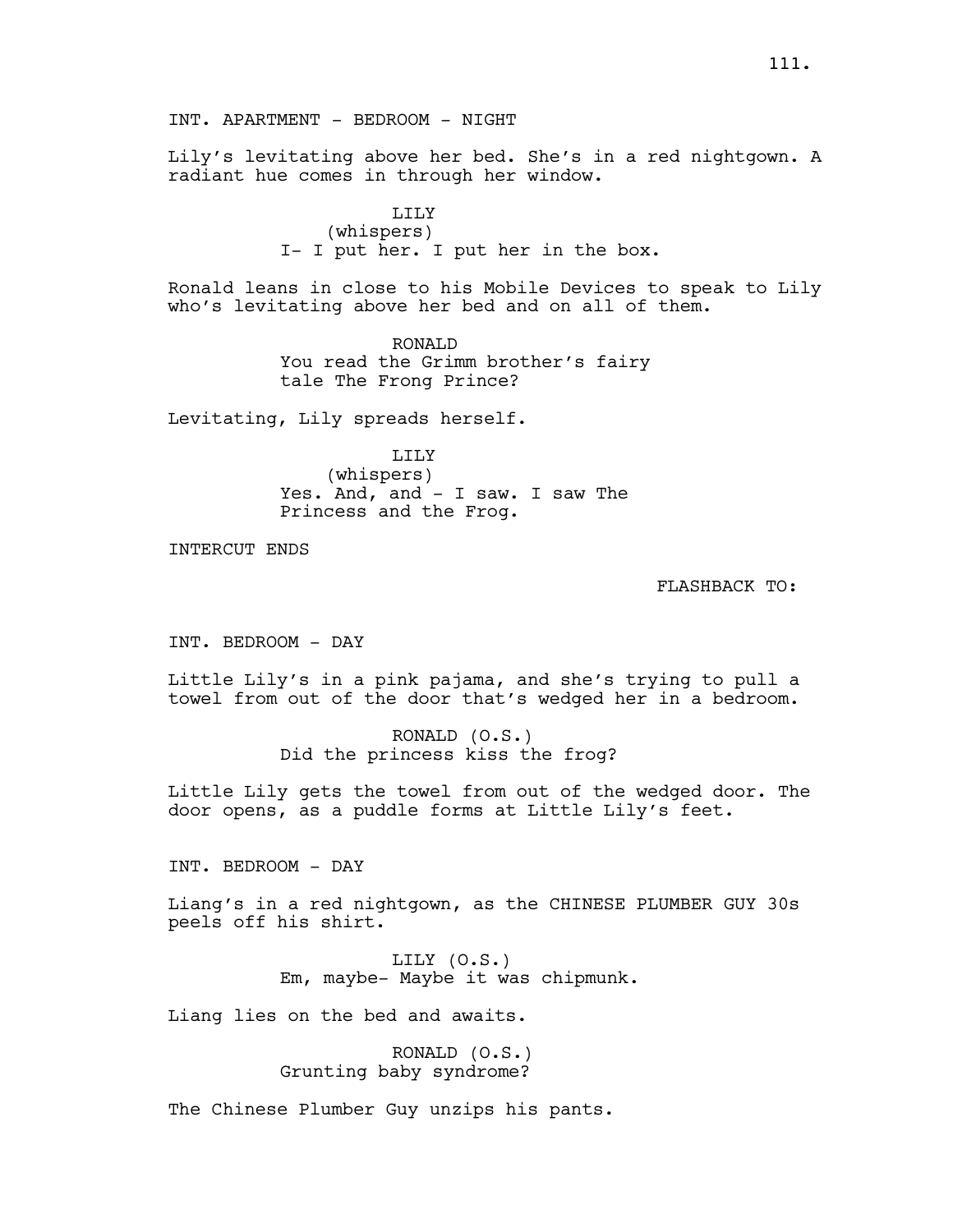INT. APARTMENT - BEDROOM - NIGHT

Lily's levitating above her bed. She's in a red nightgown. A radiant hue comes in through her window.

> LILY (whispers) I- I put her. I put her in the box.

Ronald leans in close to his Mobile Devices to speak to Lily who's levitating above her bed and on all of them.

> RONALD You read the Grimm brother's fairy tale The Frong Prince?

Levitating, Lily spreads herself.

LILY (whispers) Yes. And, and - I saw. I saw The Princess and the Frog.

INTERCUT ENDS

FLASHBACK TO:

INT. BEDROOM - DAY

Little Lily's in a pink pajama, and she's trying to pull a towel from out of the door that's wedged her in a bedroom.

> RONALD (O.S.) Did the princess kiss the frog?

Little Lily gets the towel from out of the wedged door. The door opens, as a puddle forms at Little Lily's feet.

INT. BEDROOM - DAY

Liang's in a red nightgown, as the CHINESE PLUMBER GUY 30s peels off his shirt.

> LILY (O.S.) Em, maybe- Maybe it was chipmunk.

Liang lies on the bed and awaits.

RONALD (O.S.) Grunting baby syndrome?

The Chinese Plumber Guy unzips his pants.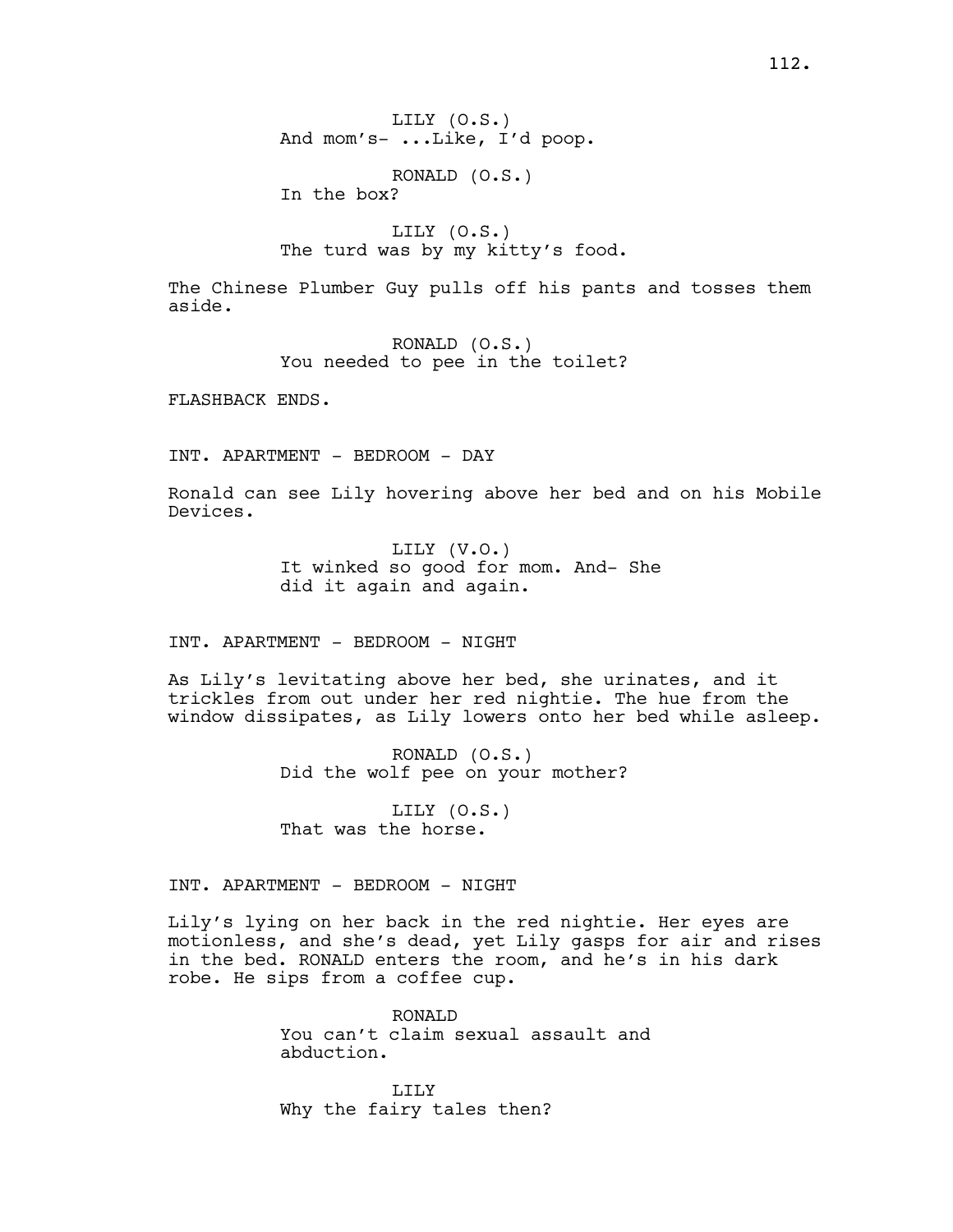RONALD (O.S.) In the box?

LILY (O.S.) The turd was by my kitty's food.

The Chinese Plumber Guy pulls off his pants and tosses them aside.

> RONALD (O.S.) You needed to pee in the toilet?

FLASHBACK ENDS.

INT. APARTMENT - BEDROOM - DAY

Ronald can see Lily hovering above her bed and on his Mobile Devices.

> LILY (V.O.) It winked so good for mom. And- She did it again and again.

INT. APARTMENT - BEDROOM - NIGHT

As Lily's levitating above her bed, she urinates, and it trickles from out under her red nightie. The hue from the window dissipates, as Lily lowers onto her bed while asleep.

> RONALD (O.S.) Did the wolf pee on your mother?

LILY (O.S.) That was the horse.

INT. APARTMENT - BEDROOM - NIGHT

Lily's lying on her back in the red nightie. Her eyes are motionless, and she's dead, yet Lily gasps for air and rises in the bed. RONALD enters the room, and he's in his dark robe. He sips from a coffee cup.

> RONALD You can't claim sexual assault and abduction.

T.TT.Y Why the fairy tales then?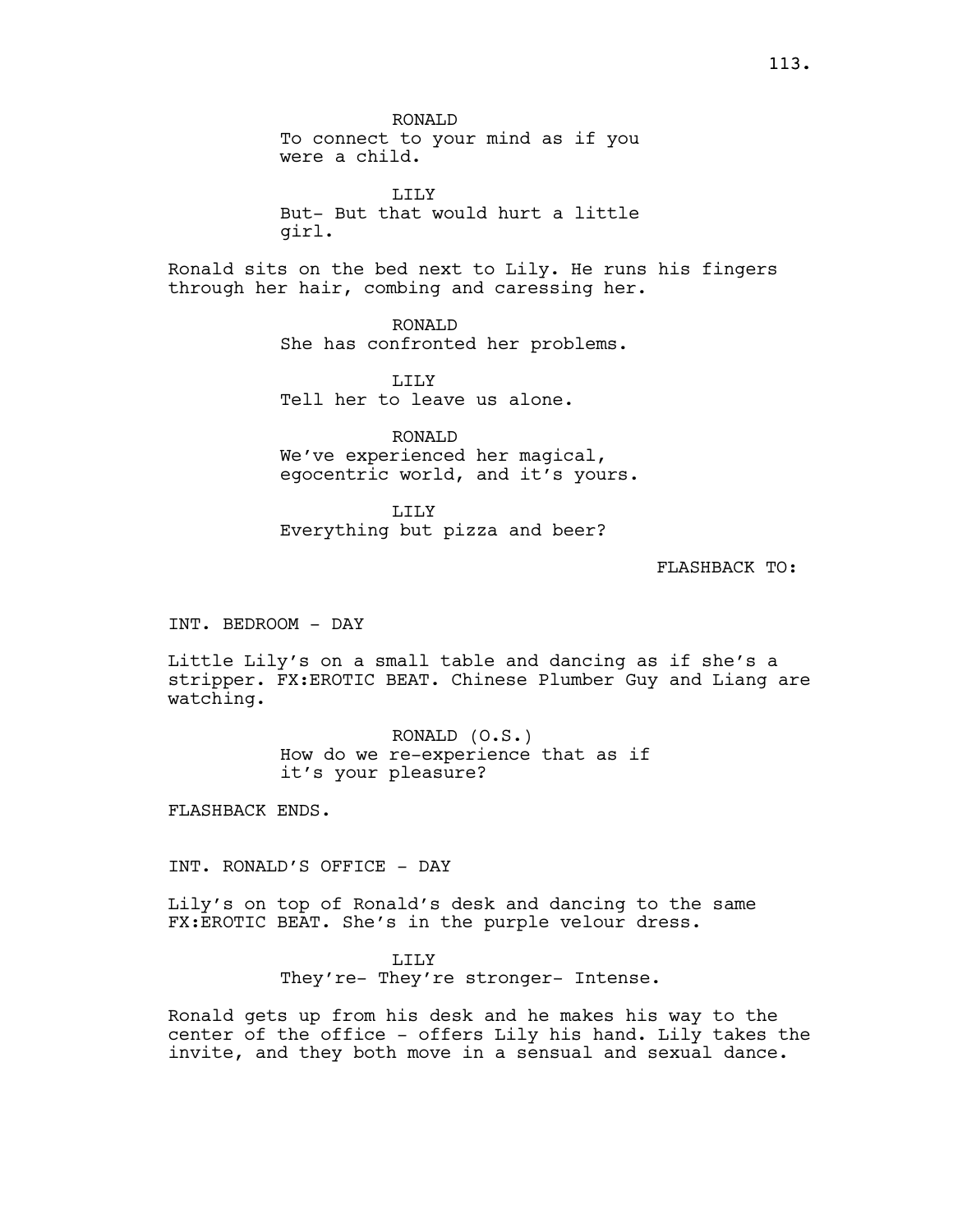RONALD To connect to your mind as if you were a child.

T.TT.Y But- But that would hurt a little girl.

Ronald sits on the bed next to Lily. He runs his fingers through her hair, combing and caressing her.

> RONALD She has confronted her problems.

LILY Tell her to leave us alone.

RONALD We've experienced her magical, egocentric world, and it's yours.

LILY Everything but pizza and beer?

FLASHBACK TO:

INT. BEDROOM - DAY

Little Lily's on a small table and dancing as if she's a stripper. FX:EROTIC BEAT. Chinese Plumber Guy and Liang are watching.

> RONALD (O.S.) How do we re-experience that as if it's your pleasure?

FLASHBACK ENDS.

INT. RONALD'S OFFICE - DAY

Lily's on top of Ronald's desk and dancing to the same FX:EROTIC BEAT. She's in the purple velour dress.

LILY

They're- They're stronger- Intense.

Ronald gets up from his desk and he makes his way to the center of the office - offers Lily his hand. Lily takes the invite, and they both move in a sensual and sexual dance.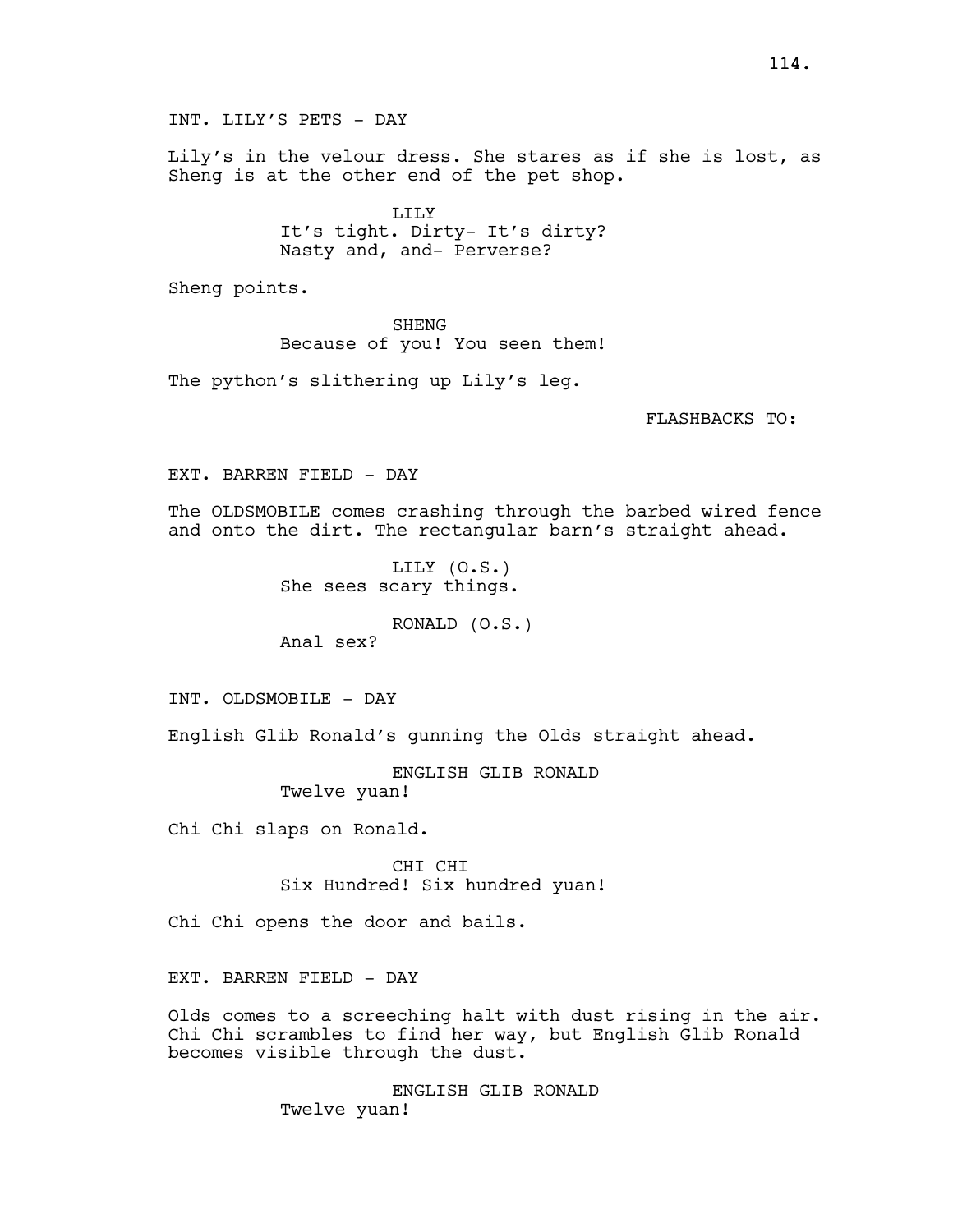INT. LILY'S PETS - DAY

Lily's in the velour dress. She stares as if she is lost, as Sheng is at the other end of the pet shop.

> LILY It's tight. Dirty- It's dirty? Nasty and, and- Perverse?

Sheng points.

SHENG Because of you! You seen them!

The python's slithering up Lily's leg.

FLASHBACKS TO:

EXT. BARREN FIELD - DAY

The OLDSMOBILE comes crashing through the barbed wired fence and onto the dirt. The rectangular barn's straight ahead.

> LILY (O.S.) She sees scary things.

RONALD (O.S.) Anal sex?

INT. OLDSMOBILE - DAY

English Glib Ronald's gunning the Olds straight ahead.

ENGLISH GLIB RONALD Twelve yuan!

Chi Chi slaps on Ronald.

CHI CHI Six Hundred! Six hundred yuan!

Chi Chi opens the door and bails.

EXT. BARREN FIELD - DAY

Olds comes to a screeching halt with dust rising in the air. Chi Chi scrambles to find her way, but English Glib Ronald becomes visible through the dust.

> ENGLISH GLIB RONALD Twelve yuan!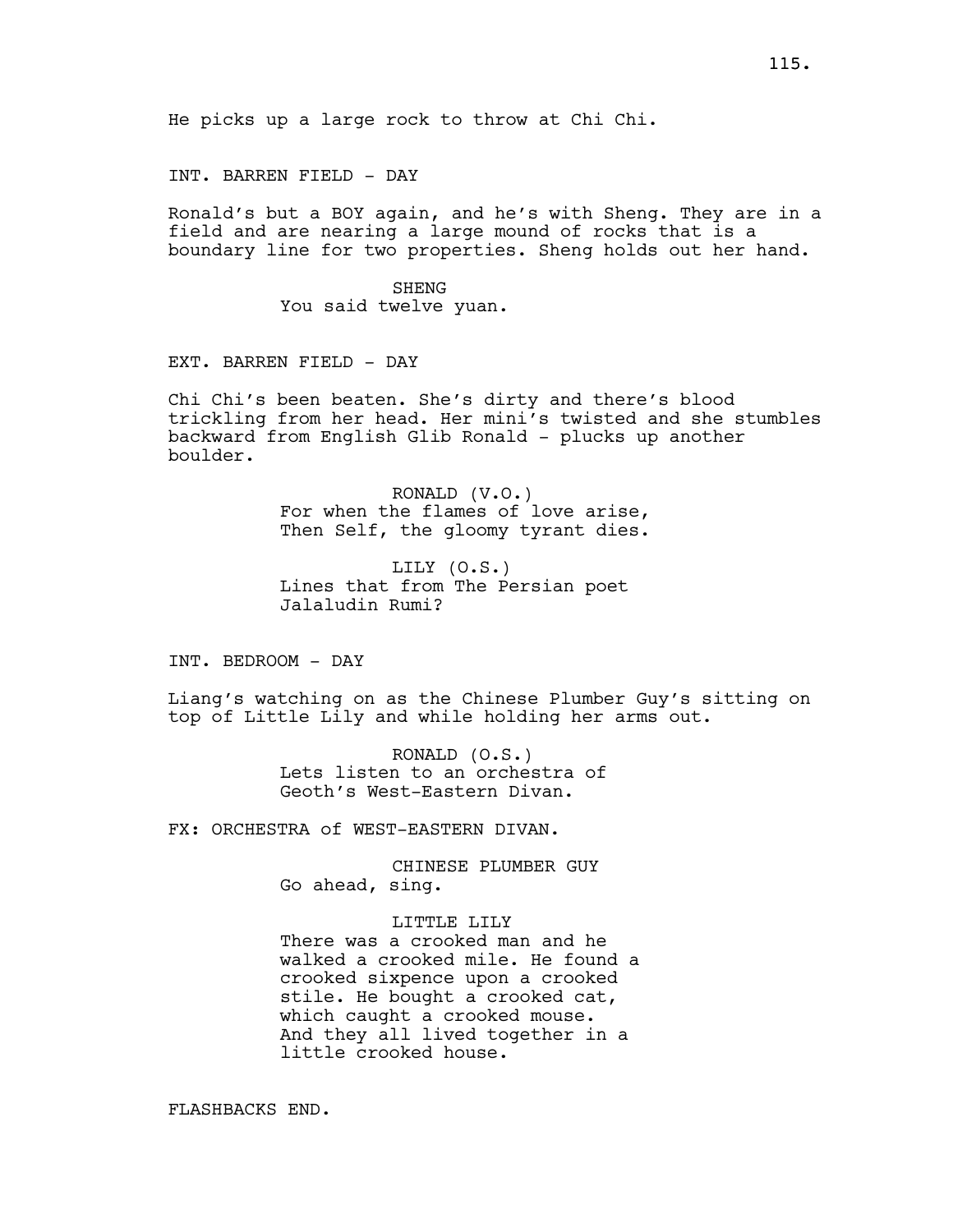He picks up a large rock to throw at Chi Chi.

INT. BARREN FIELD - DAY

Ronald's but a BOY again, and he's with Sheng. They are in a field and are nearing a large mound of rocks that is a boundary line for two properties. Sheng holds out her hand.

> **SHENG** You said twelve yuan.

EXT. BARREN FIELD - DAY

Chi Chi's been beaten. She's dirty and there's blood trickling from her head. Her mini's twisted and she stumbles backward from English Glib Ronald - plucks up another boulder.

> RONALD (V.O.) For when the flames of love arise, Then Self, the gloomy tyrant dies.

LILY (O.S.) Lines that from The Persian poet Jalaludin Rumi?

INT. BEDROOM - DAY

Liang's watching on as the Chinese Plumber Guy's sitting on top of Little Lily and while holding her arms out.

> RONALD (O.S.) Lets listen to an orchestra of Geoth's West-Eastern Divan.

FX: ORCHESTRA of WEST-EASTERN DIVAN.

CHINESE PLUMBER GUY Go ahead, sing.

## LITTLE LILY

There was a crooked man and he walked a crooked mile. He found a crooked sixpence upon a crooked stile. He bought a crooked cat, which caught a crooked mouse. And they all lived together in a little crooked house.

FLASHBACKS END.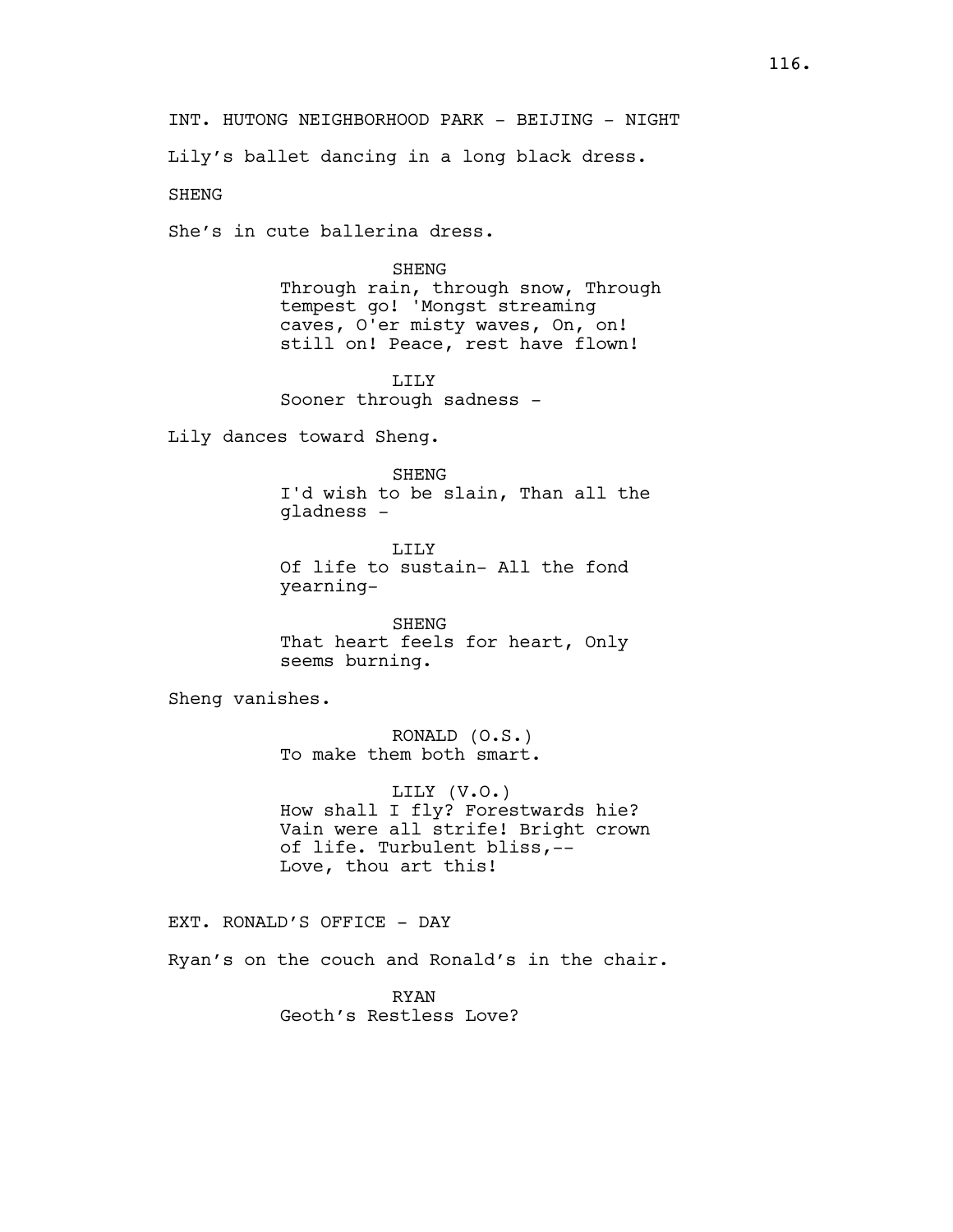INT. HUTONG NEIGHBORHOOD PARK - BEIJING - NIGHT Lily's ballet dancing in a long black dress. **SHENG** She's in cute ballerina dress. SHENG Through rain, through snow, Through tempest go! 'Mongst streaming caves, O'er misty waves, On, on! still on! Peace, rest have flown! LILY Sooner through sadness - Lily dances toward Sheng. SHENG I'd wish to be slain, Than all the gladness - LILY Of life to sustain- All the fond yearning-SHENG That heart feels for heart, Only seems burning. Sheng vanishes. RONALD (O.S.) To make them both smart. LILY (V.O.) How shall I fly? Forestwards hie? Vain were all strife! Bright crown of life. Turbulent bliss,-- Love, thou art this! EXT. RONALD'S OFFICE - DAY Ryan's on the couch and Ronald's in the chair. RYAN Geoth's Restless Love?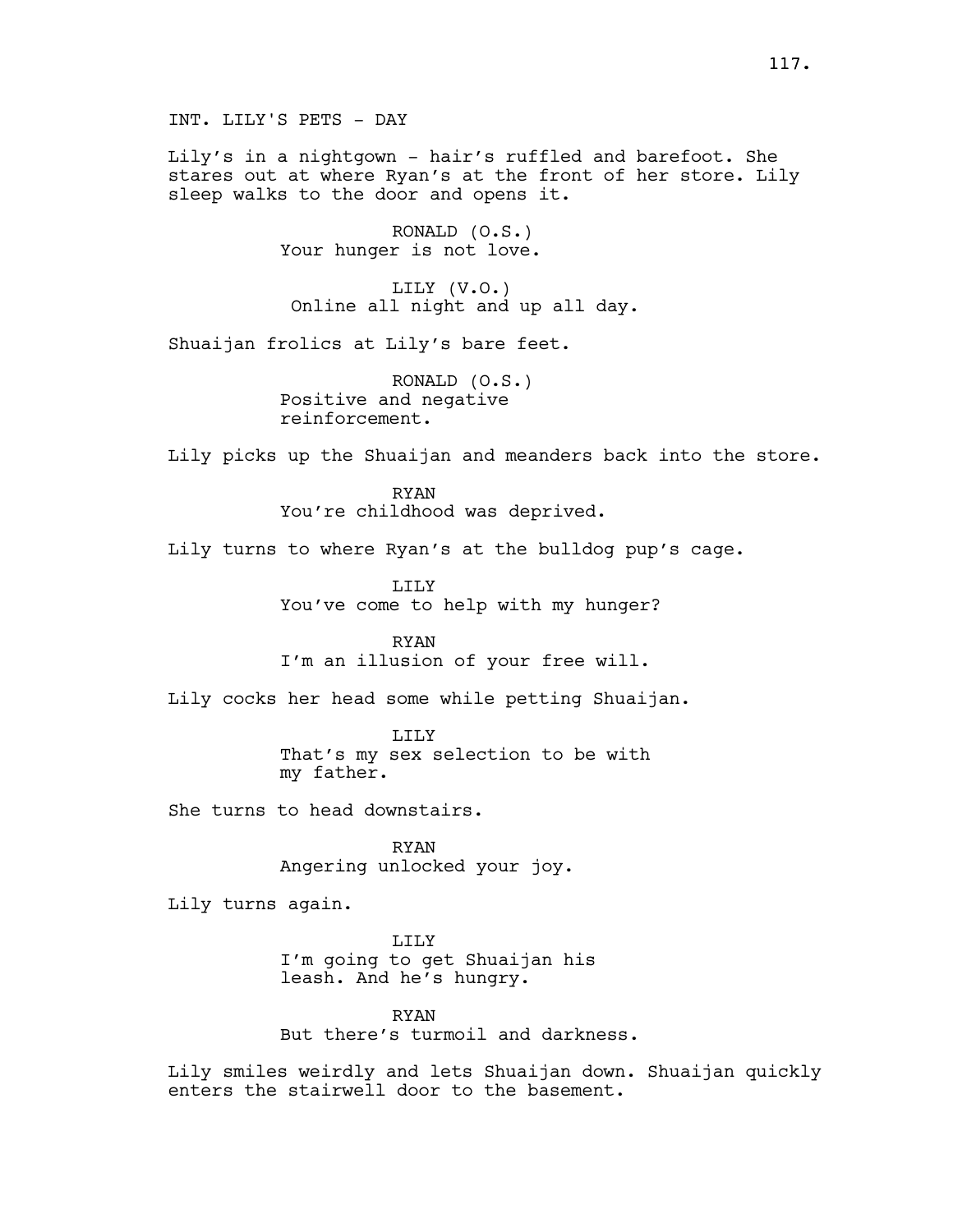INT. LILY'S PETS - DAY

Lily's in a nightgown - hair's ruffled and barefoot. She stares out at where Ryan's at the front of her store. Lily sleep walks to the door and opens it.

> RONALD (O.S.) Your hunger is not love.

LILY (V.O.) Online all night and up all day.

Shuaijan frolics at Lily's bare feet.

RONALD (O.S.) Positive and negative reinforcement.

Lily picks up the Shuaijan and meanders back into the store.

RYAN You're childhood was deprived.

Lily turns to where Ryan's at the bulldog pup's cage.

LILY You've come to help with my hunger?

RYAN I'm an illusion of your free will.

Lily cocks her head some while petting Shuaijan.

LILY That's my sex selection to be with my father.

She turns to head downstairs.

RYAN Angering unlocked your joy.

Lily turns again.

LILY I'm going to get Shuaijan his leash. And he's hungry.

RYAN But there's turmoil and darkness.

Lily smiles weirdly and lets Shuaijan down. Shuaijan quickly enters the stairwell door to the basement.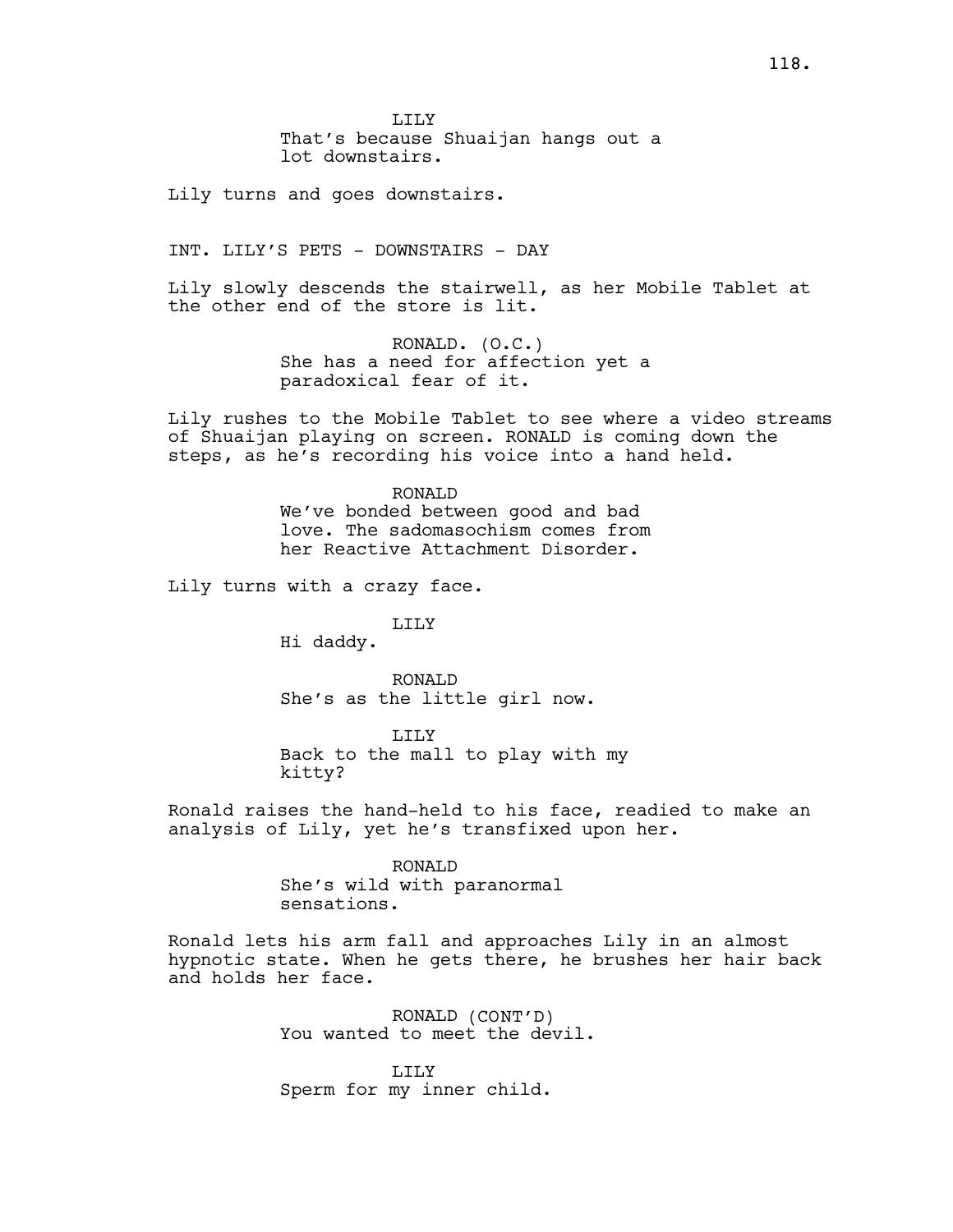Lily turns and goes downstairs.

INT. LILY'S PETS - DOWNSTAIRS - DAY

Lily slowly descends the stairwell, as her Mobile Tablet at the other end of the store is lit.

> RONALD. (O.C.) She has a need for affection yet a paradoxical fear of it.

Lily rushes to the Mobile Tablet to see where a video streams of Shuaijan playing on screen. RONALD is coming down the steps, as he's recording his voice into a hand held.

> RONALD We've bonded between good and bad love. The sadomasochism comes from her Reactive Attachment Disorder.

Lily turns with a crazy face.

LILY

Hi daddy.

RONALD She's as the little girl now.

LILY Back to the mall to play with my kitty?

Ronald raises the hand-held to his face, readied to make an analysis of Lily, yet he's transfixed upon her.

> RONALD She's wild with paranormal sensations.

Ronald lets his arm fall and approaches Lily in an almost hypnotic state. When he gets there, he brushes her hair back and holds her face.

> RONALD (CONT'D) You wanted to meet the devil.

LILY Sperm for my inner child.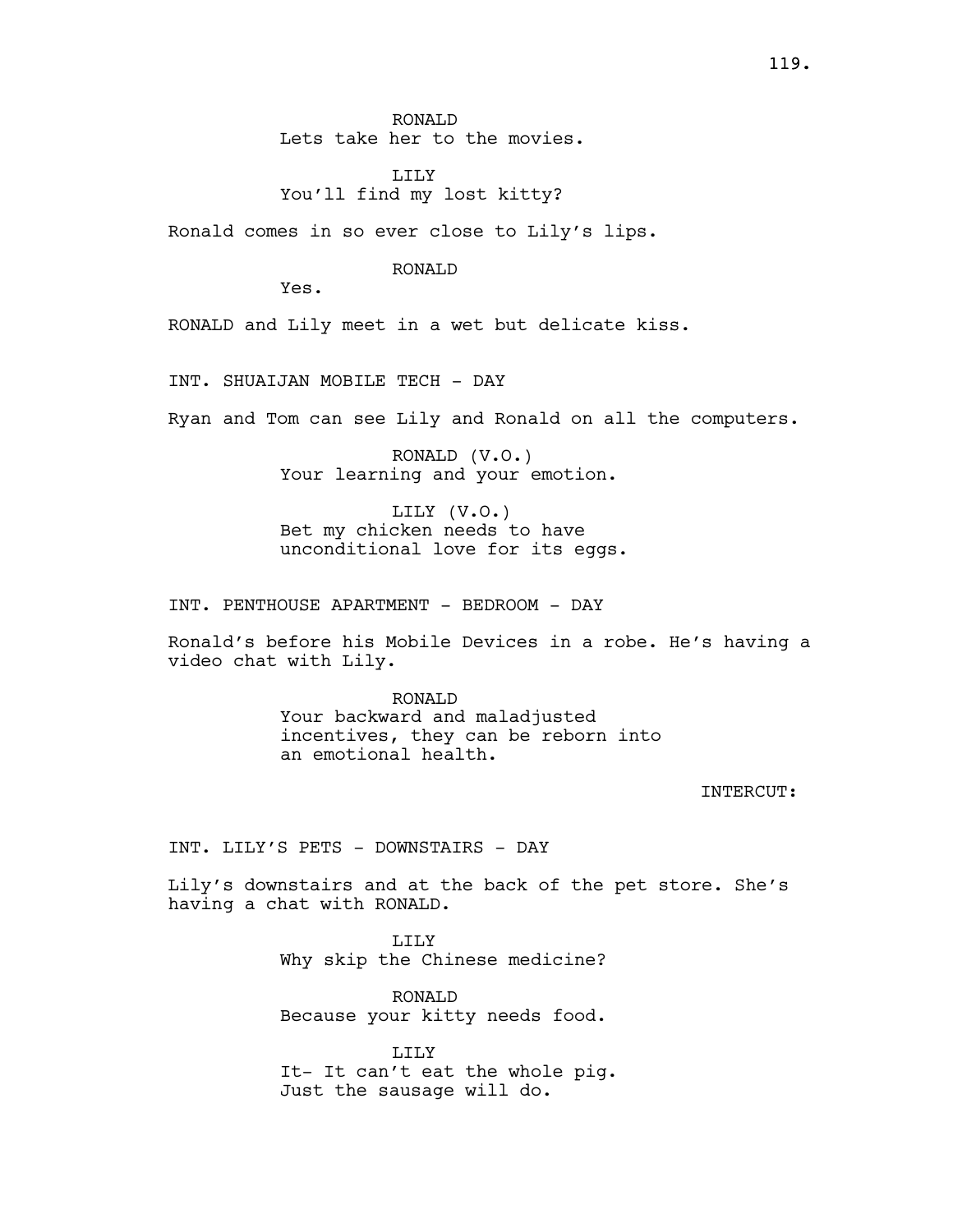T.TT.Y You'll find my lost kitty?

Ronald comes in so ever close to Lily's lips.

RONALD

Yes.

RONALD and Lily meet in a wet but delicate kiss.

INT. SHUAIJAN MOBILE TECH - DAY

Ryan and Tom can see Lily and Ronald on all the computers.

RONALD (V.O.) Your learning and your emotion.

LILY (V.O.) Bet my chicken needs to have unconditional love for its eggs.

INT. PENTHOUSE APARTMENT - BEDROOM - DAY

Ronald's before his Mobile Devices in a robe. He's having a video chat with Lily.

> RONALD Your backward and maladjusted incentives, they can be reborn into an emotional health.

> > INTERCUT:

INT. LILY'S PETS - DOWNSTAIRS - DAY

Lily's downstairs and at the back of the pet store. She's having a chat with RONALD.

> LILY Why skip the Chinese medicine?

> RONALD Because your kitty needs food.

LILY It- It can't eat the whole pig. Just the sausage will do.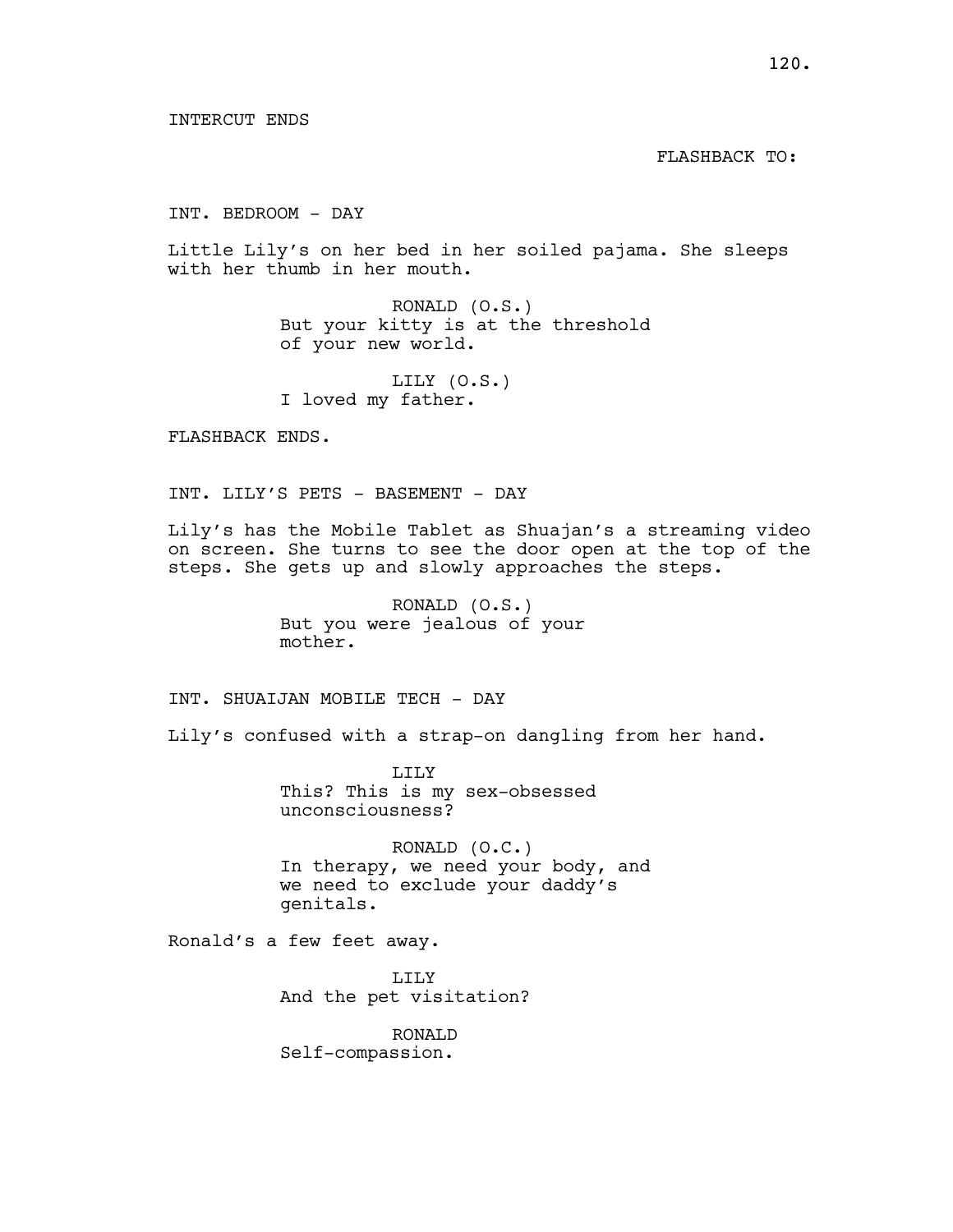FLASHBACK TO:

INT. BEDROOM - DAY

Little Lily's on her bed in her soiled pajama. She sleeps with her thumb in her mouth.

> RONALD (O.S.) But your kitty is at the threshold of your new world.

LILY (O.S.) I loved my father.

FLASHBACK ENDS.

INT. LILY'S PETS - BASEMENT - DAY

Lily's has the Mobile Tablet as Shuajan's a streaming video on screen. She turns to see the door open at the top of the steps. She gets up and slowly approaches the steps.

> RONALD (O.S.) But you were jealous of your mother.

INT. SHUAIJAN MOBILE TECH - DAY

Lily's confused with a strap-on dangling from her hand.

LILY This? This is my sex-obsessed unconsciousness?

RONALD (O.C.) In therapy, we need your body, and we need to exclude your daddy's genitals.

Ronald's a few feet away.

LILY And the pet visitation?

RONALD Self-compassion.